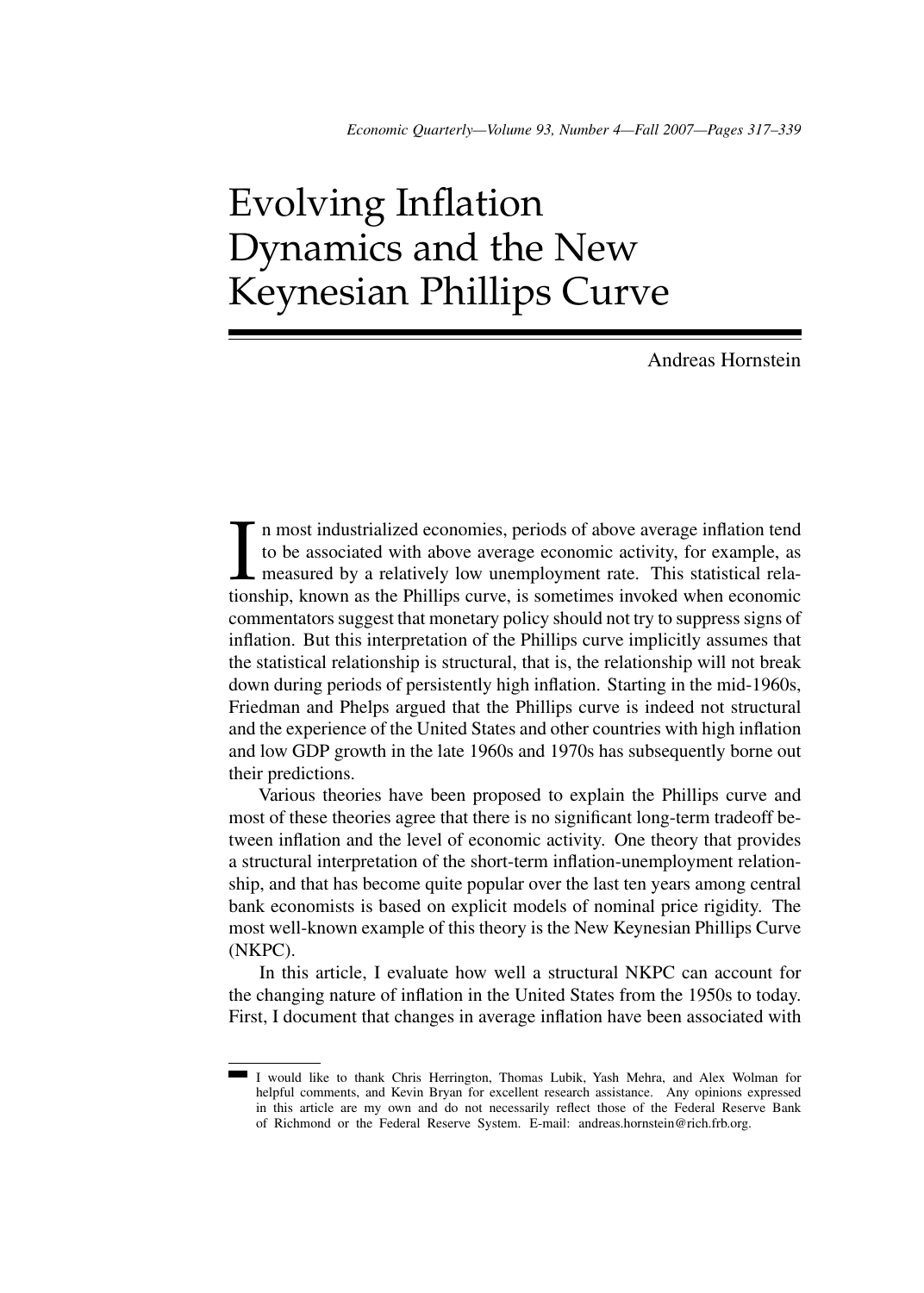# Evolving Inflation Dynamics and the New Keynesian Phillips Curve

Andreas Hornstein

I<sub>tion</sub> n most industrialized economies, periods of above average inflation tend to be associated with above average economic activity, for example, as measured by a relatively low unemployment rate. This statistical relationship, known as the Phillips curve, is sometimes invoked when economic commentators suggest that monetary policy should not try to suppress signs of inflation. But this interpretation of the Phillips curve implicitly assumes that the statistical relationship is structural, that is, the relationship will not break down during periods of persistently high inflation. Starting in the mid-1960s, Friedman and Phelps argued that the Phillips curve is indeed not structural and the experience of the United States and other countries with high inflation and low GDP growth in the late 1960s and 1970s has subsequently borne out their predictions.

Various theories have been proposed to explain the Phillips curve and most of these theories agree that there is no significant long-term tradeoff between inflation and the level of economic activity. One theory that provides a structural interpretation of the short-term inflation-unemployment relationship, and that has become quite popular over the last ten years among central bank economists is based on explicit models of nominal price rigidity. The most well-known example of this theory is the New Keynesian Phillips Curve (NKPC).

In this article, I evaluate how well a structural NKPC can account for the changing nature of inflation in the United States from the 1950s to today. First, I document that changes in average inflation have been associated with

I would like to thank Chris Herrington, Thomas Lubik, Yash Mehra, and Alex Wolman for helpful comments, and Kevin Bryan for excellent research assistance. Any opinions expressed in this article are my own and do not necessarily reflect those of the Federal Reserve Bank of Richmond or the Federal Reserve System. E-mail: andreas.hornstein@rich.frb.org.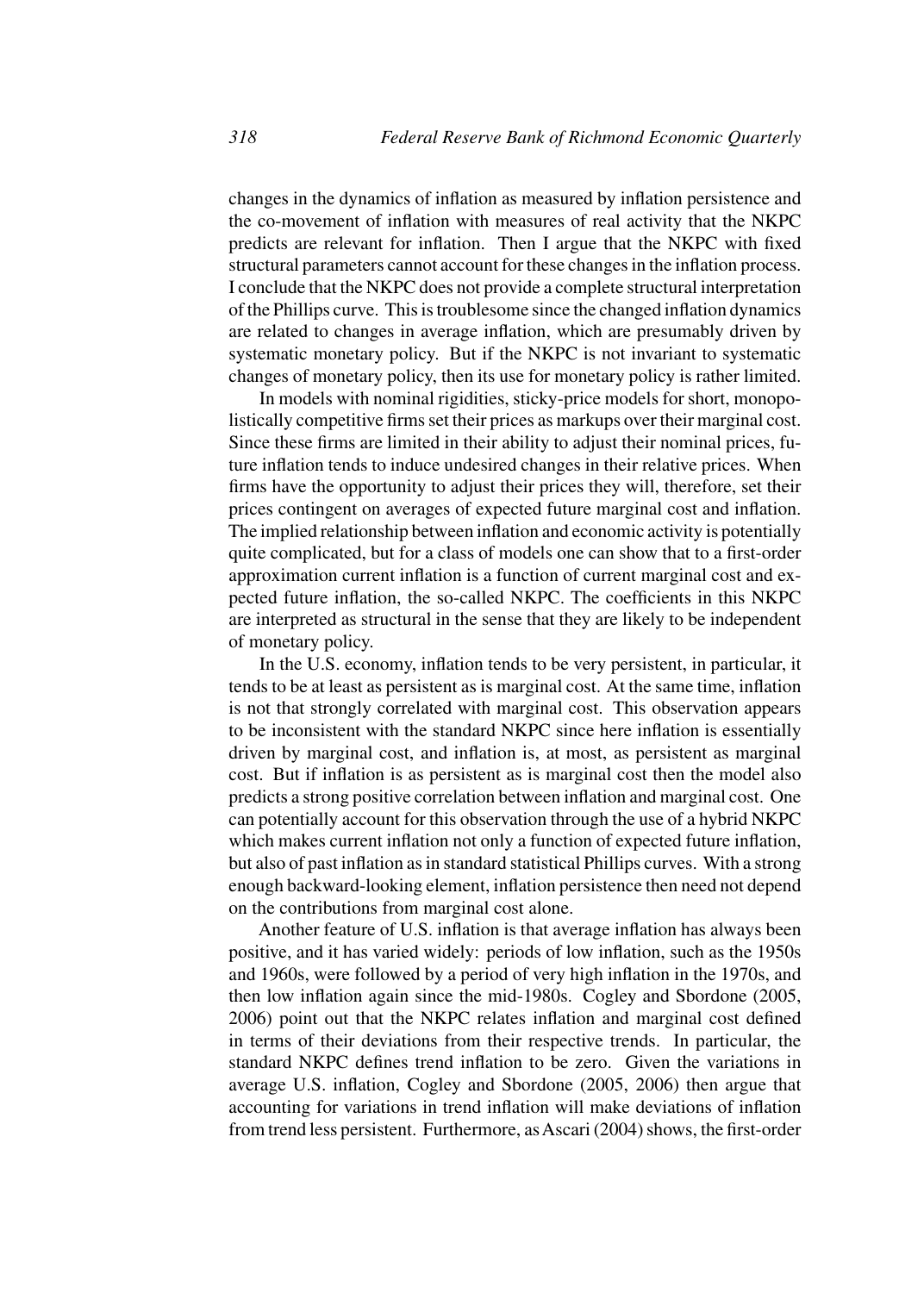changes in the dynamics of inflation as measured by inflation persistence and the co-movement of inflation with measures of real activity that the NKPC predicts are relevant for inflation. Then I argue that the NKPC with fixed structural parameters cannot account for these changes in the inflation process. I conclude that the NKPC does not provide a complete structural interpretation of the Phillips curve. This is troublesome since the changed inflation dynamics are related to changes in average inflation, which are presumably driven by systematic monetary policy. But if the NKPC is not invariant to systematic changes of monetary policy, then its use for monetary policy is rather limited.

In models with nominal rigidities, sticky-price models for short, monopolistically competitive firms set their prices as markups over their marginal cost. Since these firms are limited in their ability to adjust their nominal prices, future inflation tends to induce undesired changes in their relative prices. When firms have the opportunity to adjust their prices they will, therefore, set their prices contingent on averages of expected future marginal cost and inflation. The implied relationship between inflation and economic activity is potentially quite complicated, but for a class of models one can show that to a first-order approximation current inflation is a function of current marginal cost and expected future inflation, the so-called NKPC. The coefficients in this NKPC are interpreted as structural in the sense that they are likely to be independent of monetary policy.

In the U.S. economy, inflation tends to be very persistent, in particular, it tends to be at least as persistent as is marginal cost. At the same time, inflation is not that strongly correlated with marginal cost. This observation appears to be inconsistent with the standard NKPC since here inflation is essentially driven by marginal cost, and inflation is, at most, as persistent as marginal cost. But if inflation is as persistent as is marginal cost then the model also predicts a strong positive correlation between inflation and marginal cost. One can potentially account for this observation through the use of a hybrid NKPC which makes current inflation not only a function of expected future inflation, but also of past inflation as in standard statistical Phillips curves. With a strong enough backward-looking element, inflation persistence then need not depend on the contributions from marginal cost alone.

Another feature of U.S. inflation is that average inflation has always been positive, and it has varied widely: periods of low inflation, such as the 1950s and 1960s, were followed by a period of very high inflation in the 1970s, and then low inflation again since the mid-1980s. Cogley and Sbordone (2005, 2006) point out that the NKPC relates inflation and marginal cost defined in terms of their deviations from their respective trends. In particular, the standard NKPC defines trend inflation to be zero. Given the variations in average U.S. inflation, Cogley and Sbordone (2005, 2006) then argue that accounting for variations in trend inflation will make deviations of inflation from trend less persistent. Furthermore, as Ascari (2004) shows, the first-order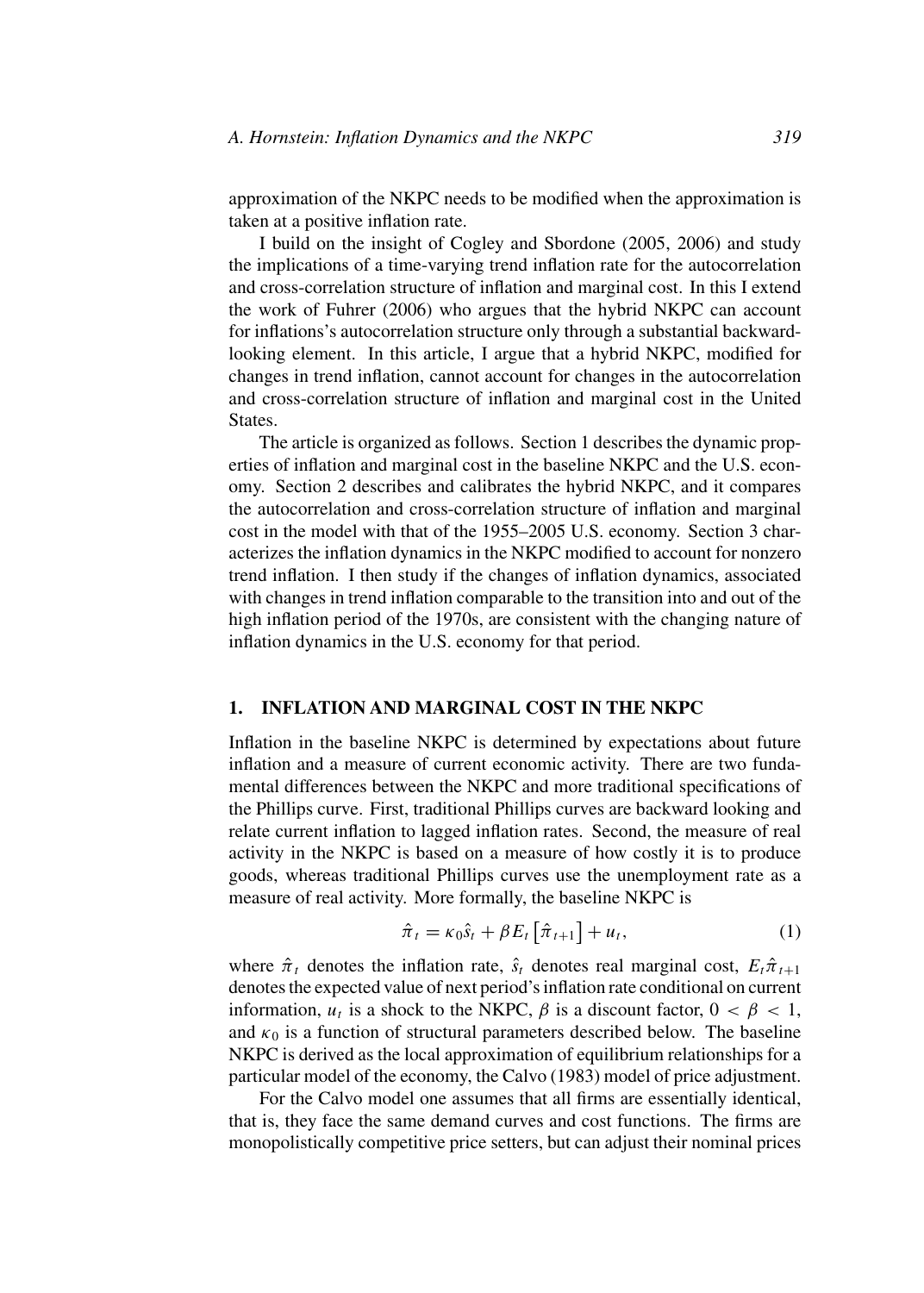approximation of the NKPC needs to be modified when the approximation is taken at a positive inflation rate.

I build on the insight of Cogley and Sbordone (2005, 2006) and study the implications of a time-varying trend inflation rate for the autocorrelation and cross-correlation structure of inflation and marginal cost. In this I extend the work of Fuhrer (2006) who argues that the hybrid NKPC can account for inflations's autocorrelation structure only through a substantial backwardlooking element. In this article, I argue that a hybrid NKPC, modified for changes in trend inflation, cannot account for changes in the autocorrelation and cross-correlation structure of inflation and marginal cost in the United States.

The article is organized as follows. Section 1 describes the dynamic properties of inflation and marginal cost in the baseline NKPC and the U.S. economy. Section 2 describes and calibrates the hybrid NKPC, and it compares the autocorrelation and cross-correlation structure of inflation and marginal cost in the model with that of the 1955–2005 U.S. economy. Section 3 characterizes the inflation dynamics in the NKPC modified to account for nonzero trend inflation. I then study if the changes of inflation dynamics, associated with changes in trend inflation comparable to the transition into and out of the high inflation period of the 1970s, are consistent with the changing nature of inflation dynamics in the U.S. economy for that period.

## **1. INFLATION AND MARGINAL COST IN THE NKPC**

Inflation in the baseline NKPC is determined by expectations about future inflation and a measure of current economic activity. There are two fundamental differences between the NKPC and more traditional specifications of the Phillips curve. First, traditional Phillips curves are backward looking and relate current inflation to lagged inflation rates. Second, the measure of real activity in the NKPC is based on a measure of how costly it is to produce goods, whereas traditional Phillips curves use the unemployment rate as a measure of real activity. More formally, the baseline NKPC is

$$
\hat{\pi}_t = \kappa_0 \hat{s}_t + \beta E_t \left[ \hat{\pi}_{t+1} \right] + u_t, \tag{1}
$$

where  $\hat{\pi}_t$  denotes the inflation rate,  $\hat{s}_t$  denotes real marginal cost,  $E_t \hat{\pi}_{t+1}$ denotes the expected value of next period's inflation rate conditional on current information,  $u_t$  is a shock to the NKPC,  $\beta$  is a discount factor,  $0 < \beta < 1$ , and  $\kappa_0$  is a function of structural parameters described below. The baseline NKPC is derived as the local approximation of equilibrium relationships for a particular model of the economy, the Calvo (1983) model of price adjustment.

For the Calvo model one assumes that all firms are essentially identical, that is, they face the same demand curves and cost functions. The firms are monopolistically competitive price setters, but can adjust their nominal prices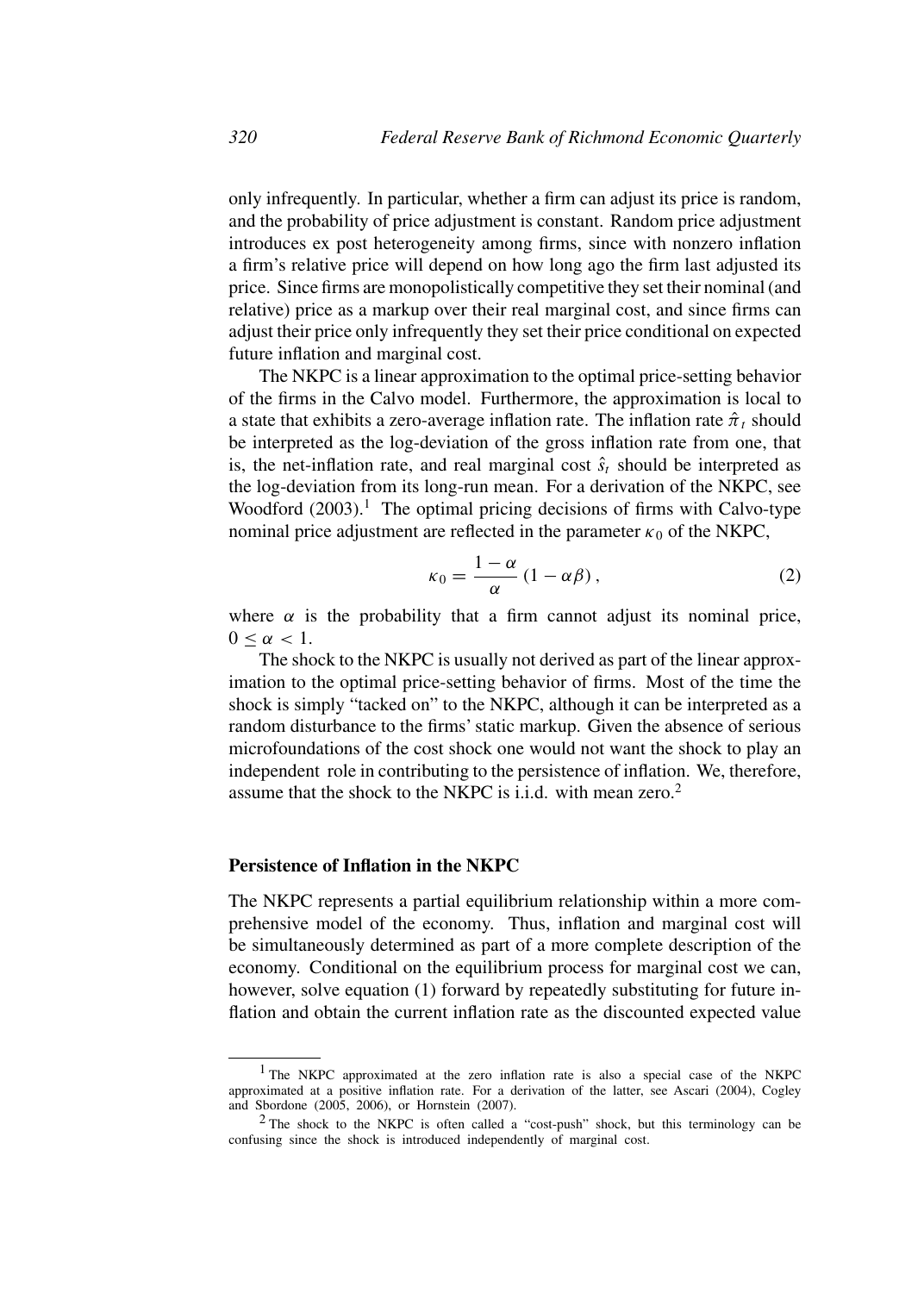only infrequently. In particular, whether a firm can adjust its price is random, and the probability of price adjustment is constant. Random price adjustment introduces ex post heterogeneity among firms, since with nonzero inflation a firm's relative price will depend on how long ago the firm last adjusted its price. Since firms are monopolistically competitive they set their nominal (and relative) price as a markup over their real marginal cost, and since firms can adjust their price only infrequently they set their price conditional on expected future inflation and marginal cost.

The NKPC is a linear approximation to the optimal price-setting behavior of the firms in the Calvo model. Furthermore, the approximation is local to a state that exhibits a zero-average inflation rate. The inflation rate  $\hat{\pi}_t$  should be interpreted as the log-deviation of the gross inflation rate from one, that is, the net-inflation rate, and real marginal cost  $\hat{s}_t$  should be interpreted as the log-deviation from its long-run mean. For a derivation of the NKPC, see Woodford  $(2003).<sup>1</sup>$  The optimal pricing decisions of firms with Calvo-type nominal price adjustment are reflected in the parameter  $\kappa_0$  of the NKPC,

$$
\kappa_0 = \frac{1 - \alpha}{\alpha} (1 - \alpha \beta), \qquad (2)
$$

where  $\alpha$  is the probability that a firm cannot adjust its nominal price,  $0 \leq \alpha \leq 1$ .

The shock to the NKPC is usually not derived as part of the linear approximation to the optimal price-setting behavior of firms. Most of the time the shock is simply "tacked on" to the NKPC, although it can be interpreted as a random disturbance to the firms' static markup. Given the absence of serious microfoundations of the cost shock one would not want the shock to play an independent role in contributing to the persistence of inflation. We, therefore, assume that the shock to the NKPC is i.i.d. with mean zero.<sup>2</sup>

#### **Persistence of Inflation in the NKPC**

The NKPC represents a partial equilibrium relationship within a more comprehensive model of the economy. Thus, inflation and marginal cost will be simultaneously determined as part of a more complete description of the economy. Conditional on the equilibrium process for marginal cost we can, however, solve equation (1) forward by repeatedly substituting for future inflation and obtain the current inflation rate as the discounted expected value

<sup>&</sup>lt;sup>1</sup> The NKPC approximated at the zero inflation rate is also a special case of the NKPC approximated at a positive inflation rate. For a derivation of the latter, see Ascari (2004), Cogley and Sbordone (2005, 2006), or Hornstein (2007).

<sup>2</sup> The shock to the NKPC is often called a "cost-push" shock, but this terminology can be confusing since the shock is introduced independently of marginal cost.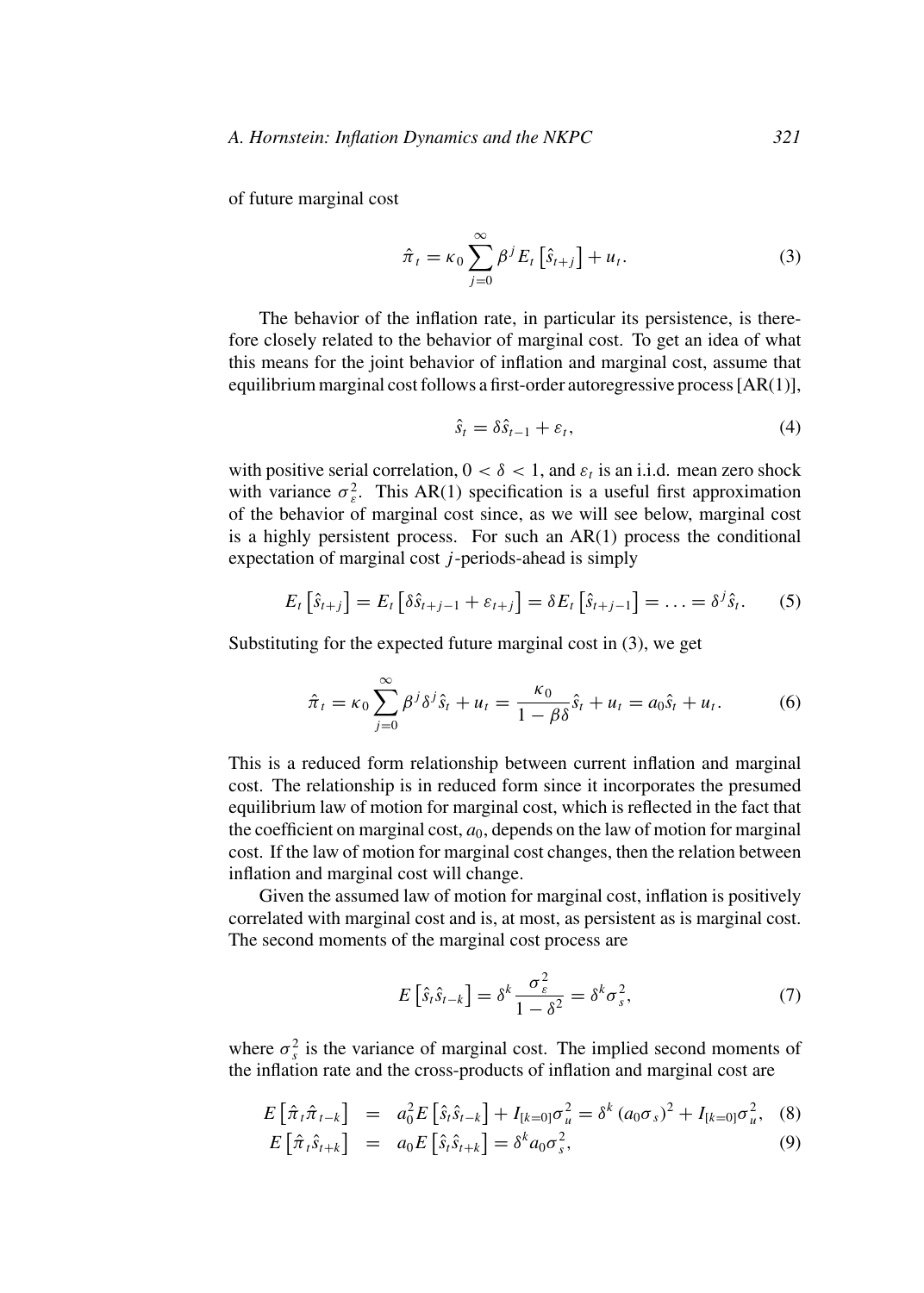of future marginal cost

$$
\hat{\pi}_t = \kappa_0 \sum_{j=0}^{\infty} \beta^j E_t \left[ \hat{s}_{t+j} \right] + u_t.
$$
 (3)

The behavior of the inflation rate, in particular its persistence, is therefore closely related to the behavior of marginal cost. To get an idea of what this means for the joint behavior of inflation and marginal cost, assume that equilibrium marginal cost follows a first-order autoregressive process [AR(1)],

$$
\hat{s}_t = \delta \hat{s}_{t-1} + \varepsilon_t,\tag{4}
$$

with positive serial correlation,  $0 < \delta < 1$ , and  $\varepsilon_t$  is an i.i.d. mean zero shock with variance  $\sigma_{\varepsilon}^2$ . This AR(1) specification is a useful first approximation of the behavior of marginal cost since, as we will see below, marginal cost is a highly persistent process. For such an AR(1) process the conditional expectation of marginal cost  $j$ -periods-ahead is simply

$$
E_t\left[\hat{s}_{t+j}\right] = E_t\left[\delta\hat{s}_{t+j-1} + \varepsilon_{t+j}\right] = \delta E_t\left[\hat{s}_{t+j-1}\right] = \ldots = \delta^j \hat{s}_t. \tag{5}
$$

Substituting for the expected future marginal cost in (3), we get

$$
\hat{\pi}_t = \kappa_0 \sum_{j=0}^{\infty} \beta^j \delta^j \hat{s}_t + u_t = \frac{\kappa_0}{1 - \beta \delta} \hat{s}_t + u_t = a_0 \hat{s}_t + u_t.
$$
 (6)

This is a reduced form relationship between current inflation and marginal cost. The relationship is in reduced form since it incorporates the presumed equilibrium law of motion for marginal cost, which is reflected in the fact that the coefficient on marginal cost,  $a_0$ , depends on the law of motion for marginal cost. If the law of motion for marginal cost changes, then the relation between inflation and marginal cost will change.

Given the assumed law of motion for marginal cost, inflation is positively correlated with marginal cost and is, at most, as persistent as is marginal cost. The second moments of the marginal cost process are

$$
E\left[\hat{s}_t\hat{s}_{t-k}\right] = \delta^k \frac{\sigma_\varepsilon^2}{1-\delta^2} = \delta^k \sigma_s^2,\tag{7}
$$

where  $\sigma_s^2$  is the variance of marginal cost. The implied second moments of the inflation rate and the cross-products of inflation and marginal cost are

$$
E\left[\hat{\pi}_t \hat{\pi}_{t-k}\right] = a_0^2 E\left[\hat{s}_t \hat{s}_{t-k}\right] + I_{[k=0]}\sigma_u^2 = \delta^k \left(a_0 \sigma_s\right)^2 + I_{[k=0]}\sigma_u^2, \quad (8)
$$

$$
E\left[\hat{\pi}_t \hat{s}_{t+k}\right] = a_0 E\left[\hat{s}_t \hat{s}_{t+k}\right] = \delta^k a_0 \sigma_s^2, \tag{9}
$$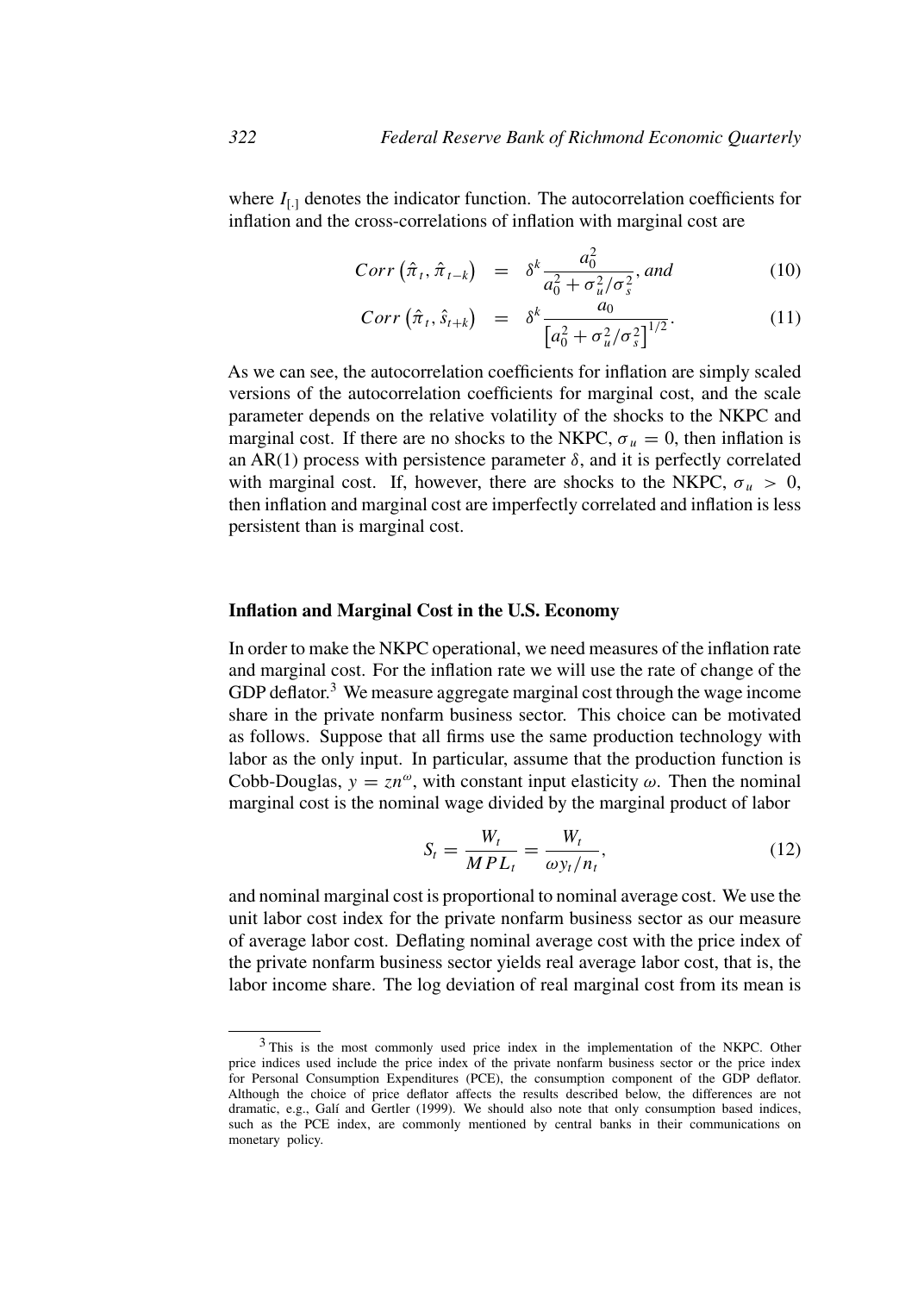where  $I_{[.]}$  denotes the indicator function. The autocorrelation coefficients for inflation and the cross-correlations of inflation with marginal cost are

$$
Corr\left(\hat{\pi}_t, \hat{\pi}_{t-k}\right) = \delta^k \frac{a_0^2}{a_0^2 + \sigma_u^2/\sigma_s^2}, \text{and} \tag{10}
$$

$$
Corr\left(\hat{\pi}_t, \hat{s}_{t+k}\right) = \delta^k \frac{a_0}{\left[a_0^2 + \sigma_u^2/\sigma_s^2\right]^{1/2}}.
$$
 (11)

As we can see, the autocorrelation coefficients for inflation are simply scaled versions of the autocorrelation coefficients for marginal cost, and the scale parameter depends on the relative volatility of the shocks to the NKPC and marginal cost. If there are no shocks to the NKPC,  $\sigma_u = 0$ , then inflation is an AR(1) process with persistence parameter  $\delta$ , and it is perfectly correlated with marginal cost. If, however, there are shocks to the NKPC,  $\sigma_u > 0$ , then inflation and marginal cost are imperfectly correlated and inflation is less persistent than is marginal cost.

#### **Inflation and Marginal Cost in the U.S. Economy**

In order to make the NKPC operational, we need measures of the inflation rate and marginal cost. For the inflation rate we will use the rate of change of the GDP deflator. $3$  We measure aggregate marginal cost through the wage income share in the private nonfarm business sector. This choice can be motivated as follows. Suppose that all firms use the same production technology with labor as the only input. In particular, assume that the production function is Cobb-Douglas,  $y = zn^{\omega}$ , with constant input elasticity  $\omega$ . Then the nominal marginal cost is the nominal wage divided by the marginal product of labor

$$
S_t = \frac{W_t}{MPL_t} = \frac{W_t}{\omega y_t/n_t},\tag{12}
$$

and nominal marginal cost is proportional to nominal average cost. We use the unit labor cost index for the private nonfarm business sector as our measure of average labor cost. Deflating nominal average cost with the price index of the private nonfarm business sector yields real average labor cost, that is, the labor income share. The log deviation of real marginal cost from its mean is

<sup>&</sup>lt;sup>3</sup> This is the most commonly used price index in the implementation of the NKPC. Other price indices used include the price index of the private nonfarm business sector or the price index for Personal Consumption Expenditures (PCE), the consumption component of the GDP deflator. Although the choice of price deflator affects the results described below, the differences are not dramatic, e.g., Galí and Gertler (1999). We should also note that only consumption based indices, such as the PCE index, are commonly mentioned by central banks in their communications on monetary policy.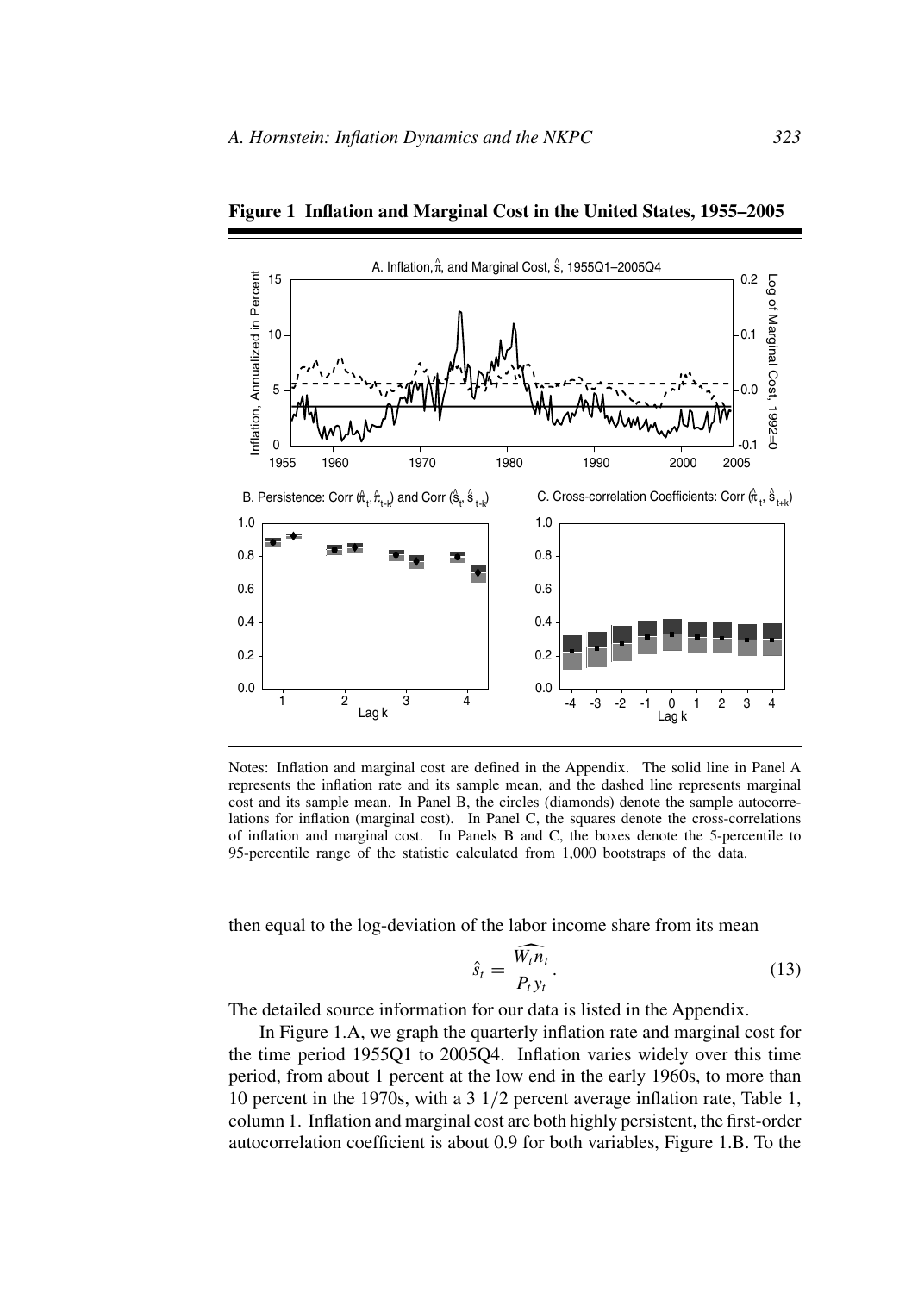

**Figure 1 Inflation and Marginal Cost in the United States, 1955–2005**

Notes: Inflation and marginal cost are defined in the Appendix. The solid line in Panel A represents the inflation rate and its sample mean, and the dashed line represents marginal cost and its sample mean. In Panel B, the circles (diamonds) denote the sample autocorrelations for inflation (marginal cost). In Panel C, the squares denote the cross-correlations of inflation and marginal cost. In Panels B and C, the boxes denote the 5-percentile to 95-percentile range of the statistic calculated from 1,000 bootstraps of the data.

then equal to the log-deviation of the labor income share from its mean

$$
\hat{s}_t = \frac{W_t n_t}{P_t y_t}.\tag{13}
$$

The detailed source information for our data is listed in the Appendix.

In Figure 1.A, we graph the quarterly inflation rate and marginal cost for the time period 1955Q1 to 2005Q4. Inflation varies widely over this time period, from about 1 percent at the low end in the early 1960s, to more than 10 percent in the 1970s, with a 3 1/2 percent average inflation rate, Table 1, column 1. Inflation and marginal cost are both highly persistent, the first-order autocorrelation coefficient is about 0.9 for both variables, Figure 1.B. To the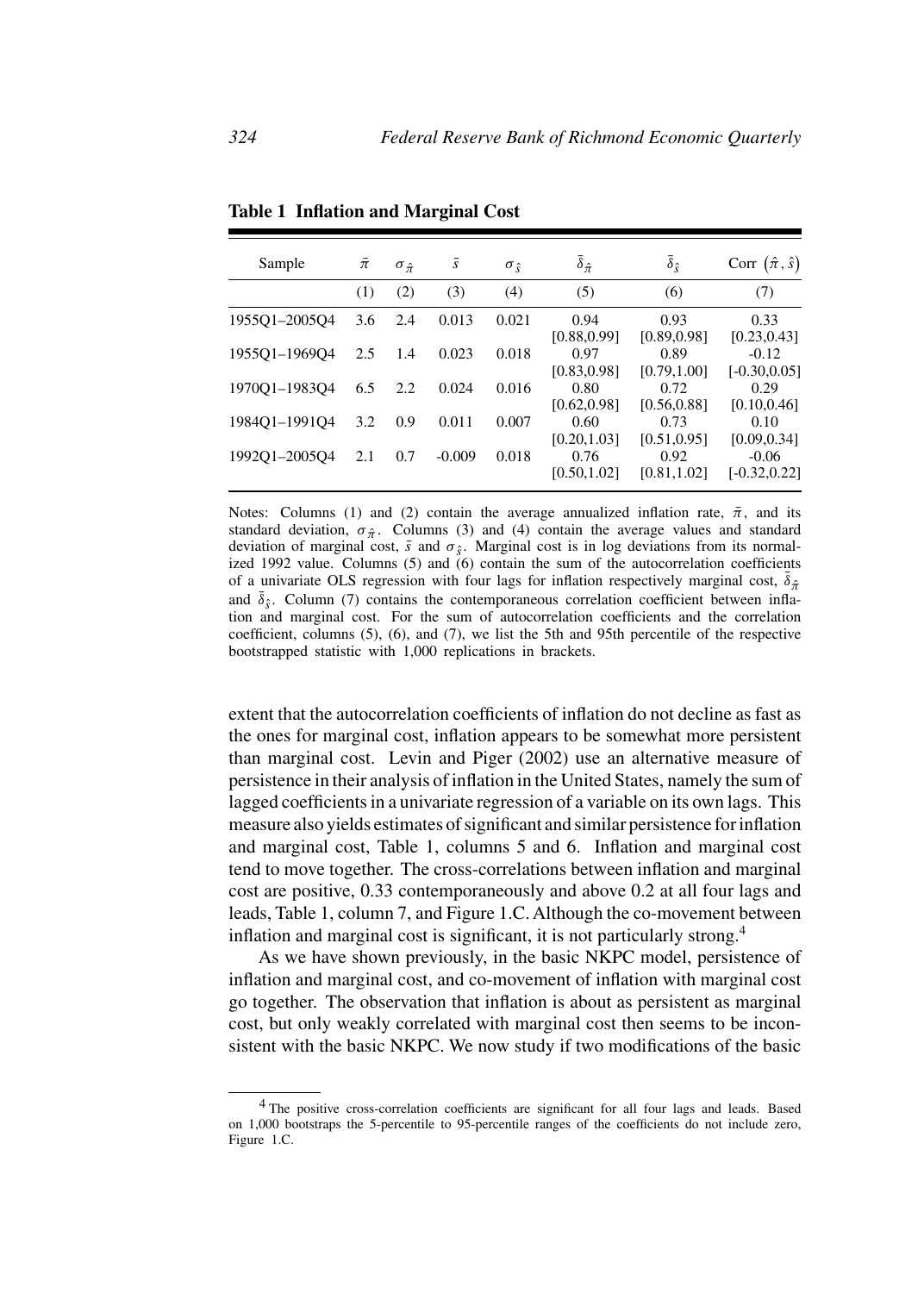| Sample        | $\bar{\pi}$ | $\sigma_{\hat{\pi}}$ | $\boldsymbol{S}$ | $\sigma_{\hat{s}}$ | $\bar{\delta}_{\hat{\pi}}$ | $\delta_{\hat{s}}$   | Corr $(\hat{\pi}, \hat{s})$ |
|---------------|-------------|----------------------|------------------|--------------------|----------------------------|----------------------|-----------------------------|
|               | (1)         | (2)                  | (3)              | (4)                | (5)                        | (6)                  | (7)                         |
| 1955Q1-2005Q4 | 3.6         | 2.4                  | 0.013            | 0.021              | 0.94<br>[0.88, 0.99]       | 0.93<br>[0.89, 0.98] | 0.33<br>[0.23, 0.43]        |
| 195501-196904 | 2.5         | 1.4                  | 0.023            | 0.018              | 0.97<br>[0.83, 0.98]       | 0.89<br>[0.79, 1.00] | $-0.12$<br>$[-0.30, 0.05]$  |
| 1970Q1-1983Q4 | 6.5         | 2.2                  | 0.024            | 0.016              | 0.80<br>[0.62, 0.98]       | 0.72<br>[0.56, 0.88] | 0.29<br>[0.10, 0.46]        |
| 1984Q1-1991Q4 | 3.2         | 0.9                  | 0.011            | 0.007              | 0.60<br>[0.20, 1.03]       | 0.73<br>[0.51, 0.95] | 0.10<br>[0.09, 0.34]        |
| 199201-200504 | 2.1         | 0.7                  | $-0.009$         | 0.018              | 0.76<br>[0.50, 1.02]       | 0.92<br>[0.81, 1.02] | $-0.06$<br>$[-0.32, 0.22]$  |

**Table 1 Inflation and Marginal Cost**

Notes: Columns (1) and (2) contain the average annualized inflation rate,  $\bar{\pi}$ , and its standard deviation,  $\sigma_{\hat{\pi}}$ . Columns (3) and (4) contain the average values and standard deviation of marginal cost,  $\bar{s}$  and  $\sigma_{\hat{s}}$ . Marginal cost is in log deviations from its normalized 1992 value. Columns (5) and (6) contain the sum of the autocorrelation coefficients of a univariate OLS regression with four lags for inflation respectively marginal cost,  $\bar{\delta}_{\hat{\pi}}$ and  $\bar{\delta}_{\hat{s}}$ . Column (7) contains the contemporaneous correlation coefficient between inflation and marginal cost. For the sum of autocorrelation coefficients and the correlation coefficient, columns (5), (6), and (7), we list the 5th and 95th percentile of the respective bootstrapped statistic with 1,000 replications in brackets.

extent that the autocorrelation coefficients of inflation do not decline as fast as the ones for marginal cost, inflation appears to be somewhat more persistent than marginal cost. Levin and Piger (2002) use an alternative measure of persistence in their analysis of inflation in the United States, namely the sum of lagged coefficients in a univariate regression of a variable on its own lags. This measure also yields estimates of significant and similar persistence for inflation and marginal cost, Table 1, columns 5 and 6. Inflation and marginal cost tend to move together. The cross-correlations between inflation and marginal cost are positive, 0.33 contemporaneously and above 0.2 at all four lags and leads, Table 1, column 7, and Figure 1.C. Although the co-movement between inflation and marginal cost is significant, it is not particularly strong.<sup>4</sup>

As we have shown previously, in the basic NKPC model, persistence of inflation and marginal cost, and co-movement of inflation with marginal cost go together. The observation that inflation is about as persistent as marginal cost, but only weakly correlated with marginal cost then seems to be inconsistent with the basic NKPC. We now study if two modifications of the basic

<sup>&</sup>lt;sup>4</sup> The positive cross-correlation coefficients are significant for all four lags and leads. Based on 1,000 bootstraps the 5-percentile to 95-percentile ranges of the coefficients do not include zero, Figure 1.C.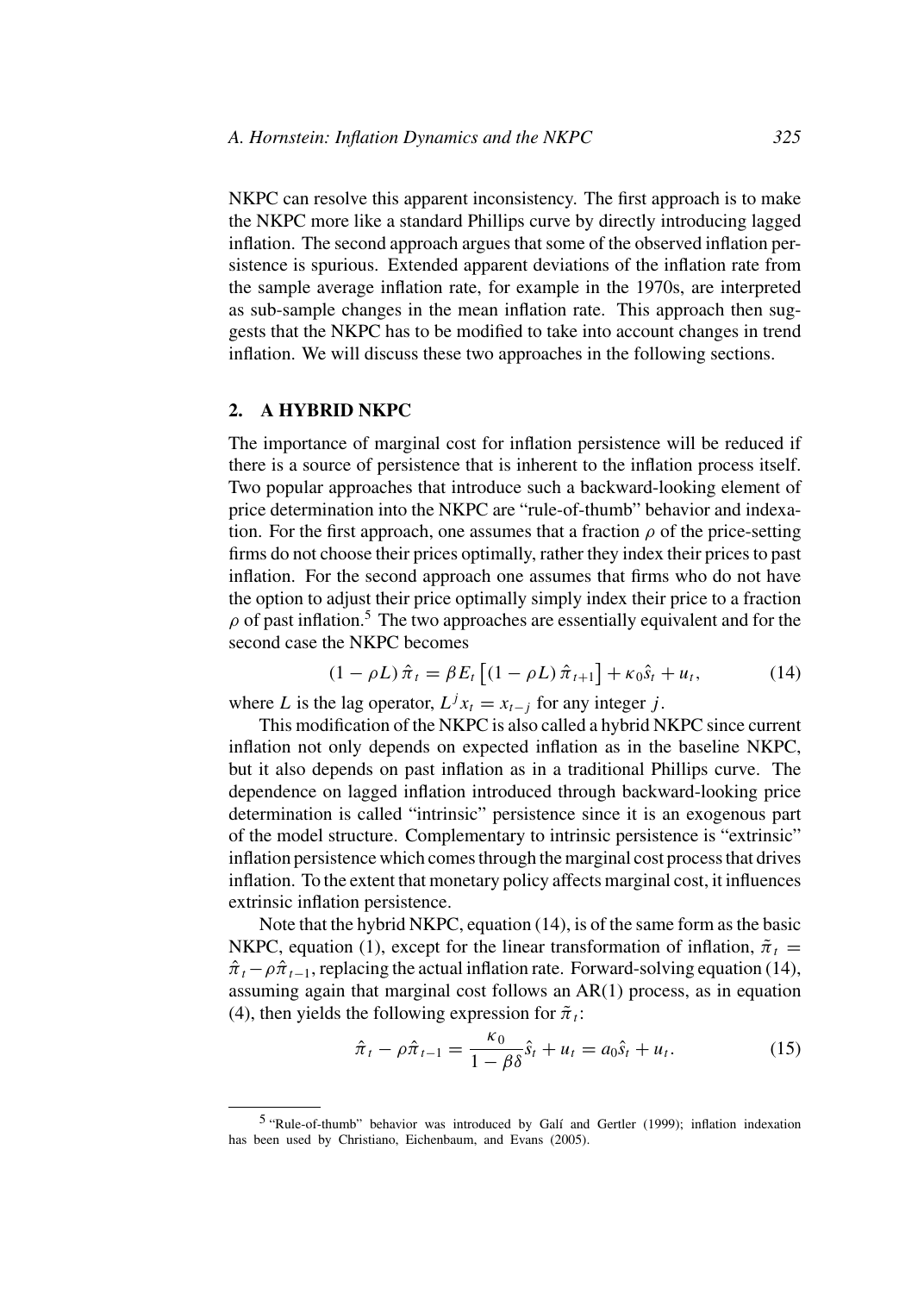NKPC can resolve this apparent inconsistency. The first approach is to make the NKPC more like a standard Phillips curve by directly introducing lagged inflation. The second approach argues that some of the observed inflation persistence is spurious. Extended apparent deviations of the inflation rate from the sample average inflation rate, for example in the 1970s, are interpreted as sub-sample changes in the mean inflation rate. This approach then suggests that the NKPC has to be modified to take into account changes in trend inflation. We will discuss these two approaches in the following sections.

## **2. A HYBRID NKPC**

The importance of marginal cost for inflation persistence will be reduced if there is a source of persistence that is inherent to the inflation process itself. Two popular approaches that introduce such a backward-looking element of price determination into the NKPC are "rule-of-thumb" behavior and indexation. For the first approach, one assumes that a fraction  $\rho$  of the price-setting firms do not choose their prices optimally, rather they index their prices to past inflation. For the second approach one assumes that firms who do not have the option to adjust their price optimally simply index their price to a fraction  $\rho$  of past inflation.<sup>5</sup> The two approaches are essentially equivalent and for the second case the NKPC becomes

$$
(1 - \rho L)\hat{\pi}_t = \beta E_t \left[ (1 - \rho L)\hat{\pi}_{t+1} \right] + \kappa_0 \hat{s}_t + u_t, \tag{14}
$$

where L is the lag operator,  $L^{j}x_t = x_{t-j}$  for any integer j.

This modification of the NKPC is also called a hybrid NKPC since current inflation not only depends on expected inflation as in the baseline NKPC, but it also depends on past inflation as in a traditional Phillips curve. The dependence on lagged inflation introduced through backward-looking price determination is called "intrinsic" persistence since it is an exogenous part of the model structure. Complementary to intrinsic persistence is "extrinsic" inflation persistence which comes through the marginal cost process that drives inflation. To the extent that monetary policy affects marginal cost, it influences extrinsic inflation persistence.

Note that the hybrid NKPC, equation (14), is of the same form as the basic NKPC, equation (1), except for the linear transformation of inflation,  $\tilde{\pi}_t$  =  $\hat{\pi}_t - \rho \hat{\pi}_{t-1}$ , replacing the actual inflation rate. Forward-solving equation (14), assuming again that marginal cost follows an AR(1) process, as in equation (4), then yields the following expression for  $\tilde{\pi}_t$ :

$$
\hat{\pi}_t - \rho \hat{\pi}_{t-1} = \frac{\kappa_0}{1 - \beta \delta} \hat{s}_t + u_t = a_0 \hat{s}_t + u_t.
$$
 (15)

<sup>&</sup>lt;sup>5</sup> "Rule-of-thumb" behavior was introduced by Galí and Gertler (1999); inflation indexation has been used by Christiano, Eichenbaum, and Evans (2005).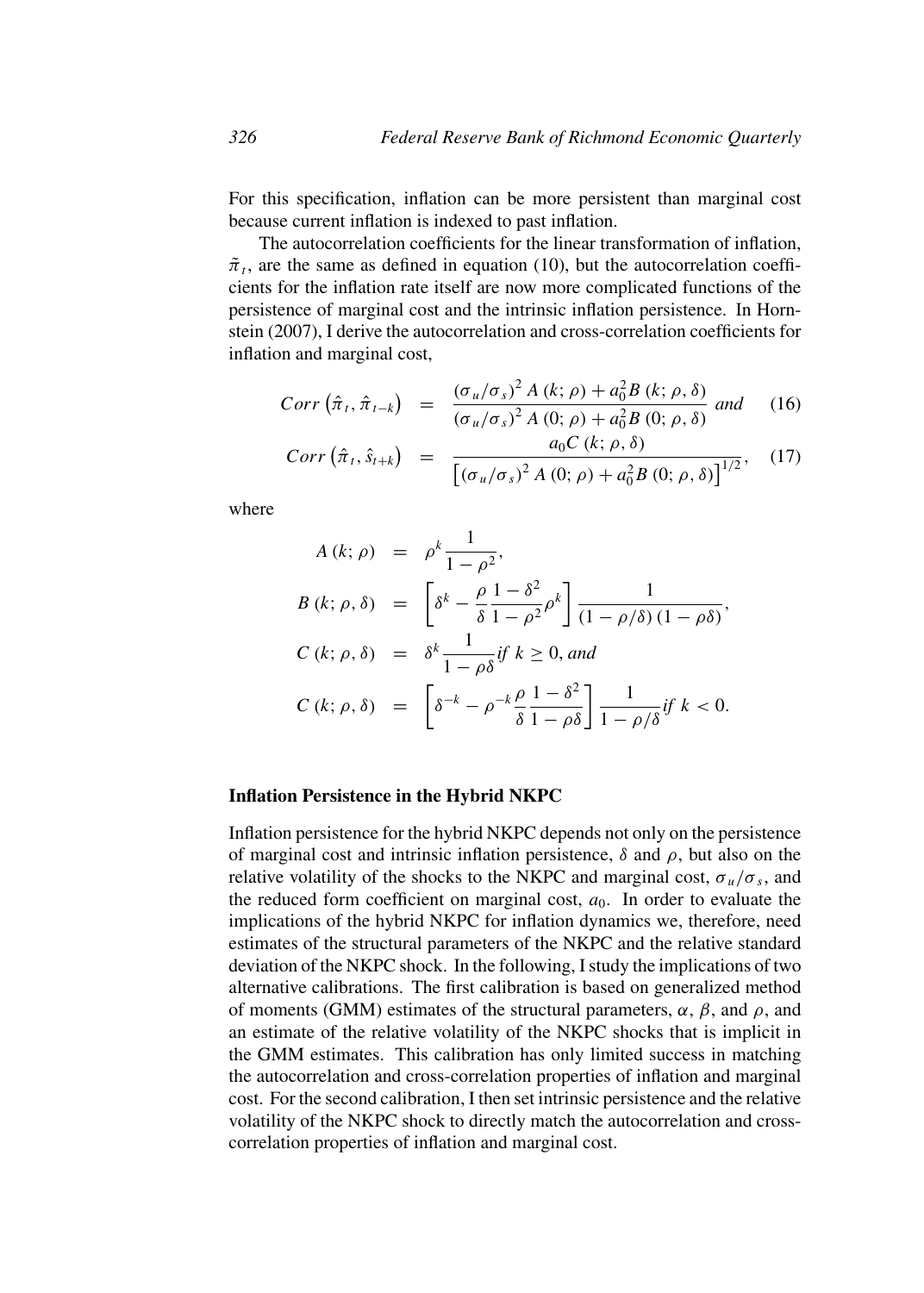For this specification, inflation can be more persistent than marginal cost because current inflation is indexed to past inflation.

The autocorrelation coefficients for the linear transformation of inflation,  $\tilde{\pi}_t$ , are the same as defined in equation (10), but the autocorrelation coefficients for the inflation rate itself are now more complicated functions of the persistence of marginal cost and the intrinsic inflation persistence. In Hornstein (2007), I derive the autocorrelation and cross-correlation coefficients for inflation and marginal cost,

$$
Corr\left(\hat{\pi}_t, \hat{\pi}_{t-k}\right) = \frac{(\sigma_u/\sigma_s)^2 A(k; \rho) + a_0^2 B(k; \rho, \delta)}{(\sigma_u/\sigma_s)^2 A(0; \rho) + a_0^2 B(0; \rho, \delta)} \text{ and } (16)
$$

$$
Corr\left(\hat{\pi}_t, \hat{s}_{t+k}\right) = \frac{a_0 C\left(k; \rho, \delta\right)}{\left[\left(\sigma_u/\sigma_s\right)^2 A\left(0; \rho\right) + a_0^2 B\left(0; \rho, \delta\right)\right]^{1/2}},\tag{17}
$$

where

$$
A (k; \rho) = \rho^k \frac{1}{1 - \rho^2},
$$
  
\n
$$
B (k; \rho, \delta) = \left[ \delta^k - \frac{\rho}{\delta} \frac{1 - \delta^2}{1 - \rho^2} \rho^k \right] \frac{1}{(1 - \rho/\delta)(1 - \rho\delta)},
$$
  
\n
$$
C (k; \rho, \delta) = \delta^k \frac{1}{1 - \rho\delta} i f k \ge 0, \text{ and}
$$
  
\n
$$
C (k; \rho, \delta) = \left[ \delta^{-k} - \rho^{-k} \frac{\rho}{\delta} \frac{1 - \delta^2}{1 - \rho\delta} \right] \frac{1}{1 - \rho/\delta} i f k < 0.
$$

## **Inflation Persistence in the Hybrid NKPC**

Inflation persistence for the hybrid NKPC depends not only on the persistence of marginal cost and intrinsic inflation persistence,  $\delta$  and  $\rho$ , but also on the relative volatility of the shocks to the NKPC and marginal cost,  $\sigma_u/\sigma_s$ , and the reduced form coefficient on marginal cost,  $a_0$ . In order to evaluate the implications of the hybrid NKPC for inflation dynamics we, therefore, need estimates of the structural parameters of the NKPC and the relative standard deviation of the NKPC shock. In the following, I study the implications of two alternative calibrations. The first calibration is based on generalized method of moments (GMM) estimates of the structural parameters,  $\alpha$ ,  $\beta$ , and  $\rho$ , and an estimate of the relative volatility of the NKPC shocks that is implicit in the GMM estimates. This calibration has only limited success in matching the autocorrelation and cross-correlation properties of inflation and marginal cost. For the second calibration, I then set intrinsic persistence and the relative volatility of the NKPC shock to directly match the autocorrelation and crosscorrelation properties of inflation and marginal cost.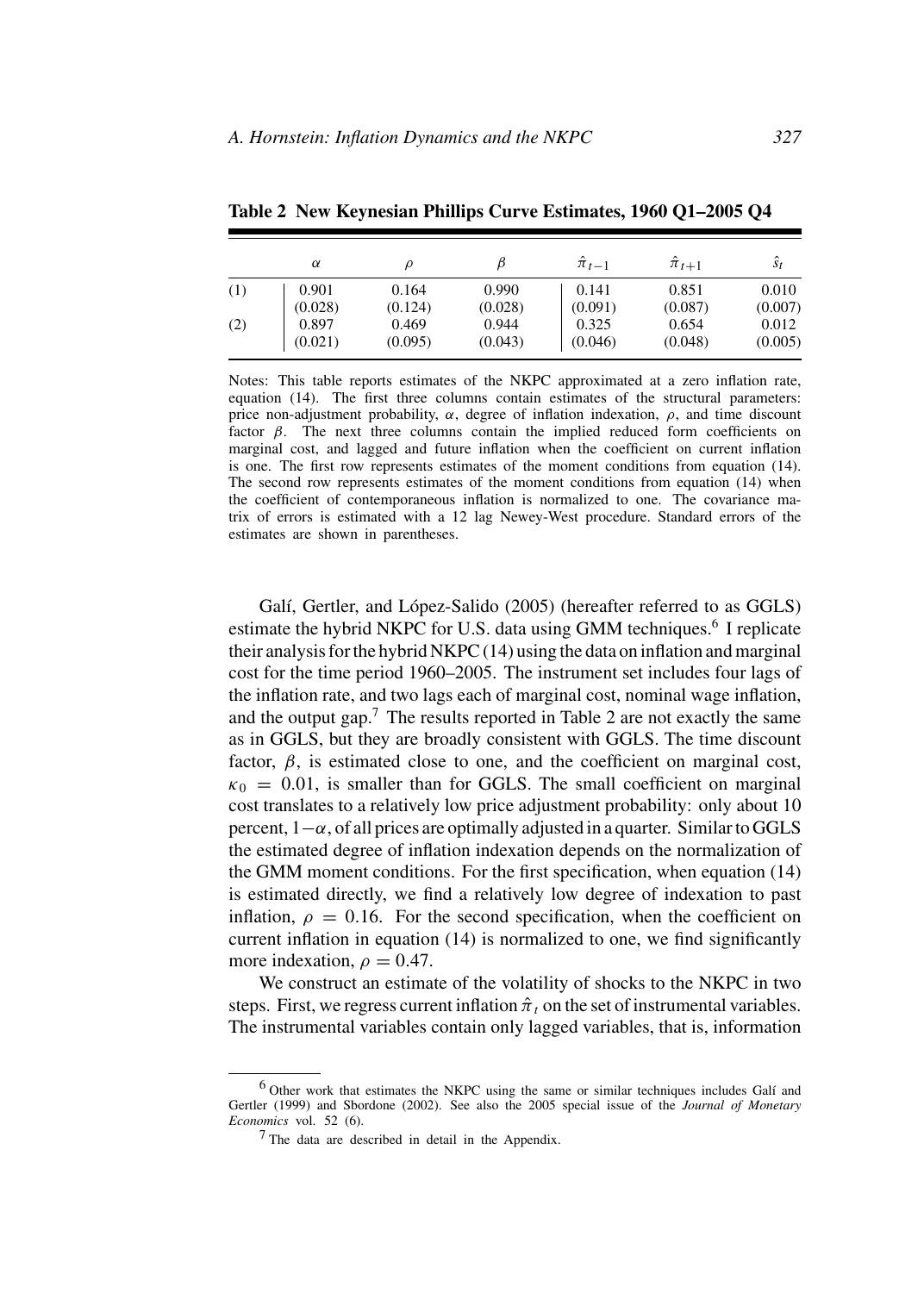|     | α       |         |         | $\hat{\pi}_{t-1}$ | $\hat{\pi}_{t+1}$ | $\hat{s}_t$ |
|-----|---------|---------|---------|-------------------|-------------------|-------------|
| (1) | 0.901   | 0.164   | 0.990   | 0.141             | 0.851             | 0.010       |
|     | (0.028) | (0.124) | (0.028) | (0.091)           | (0.087)           | (0.007)     |
| (2) | 0.897   | 0.469   | 0.944   | 0.325             | 0.654             | 0.012       |
|     | (0.021) | (0.095) | (0.043) | (0.046)           | (0.048)           | (0.005)     |

**Table 2 New Keynesian Phillips Curve Estimates, 1960 Q1–2005 Q4**

Notes: This table reports estimates of the NKPC approximated at a zero inflation rate, equation (14). The first three columns contain estimates of the structural parameters: price non-adjustment probability,  $\alpha$ , degree of inflation indexation,  $\rho$ , and time discount factor  $\beta$ . The next three columns contain the implied reduced form coefficients on marginal cost, and lagged and future inflation when the coefficient on current inflation is one. The first row represents estimates of the moment conditions from equation (14). The second row represents estimates of the moment conditions from equation (14) when the coefficient of contemporaneous inflation is normalized to one. The covariance matrix of errors is estimated with a 12 lag Newey-West procedure. Standard errors of the estimates are shown in parentheses.

Galí, Gertler, and López-Salido (2005) (hereafter referred to as GGLS) estimate the hybrid NKPC for U.S. data using GMM techniques.<sup>6</sup> I replicate their analysis for the hybrid NKPC (14) using the data on inflation and marginal cost for the time period 1960–2005. The instrument set includes four lags of the inflation rate, and two lags each of marginal cost, nominal wage inflation, and the output gap.<sup>7</sup> The results reported in Table 2 are not exactly the same as in GGLS, but they are broadly consistent with GGLS. The time discount factor,  $\beta$ , is estimated close to one, and the coefficient on marginal cost,  $\kappa_0 = 0.01$ , is smaller than for GGLS. The small coefficient on marginal cost translates to a relatively low price adjustment probability: only about 10 percent,  $1-\alpha$ , of all prices are optimally adjusted in a quarter. Similar to GGLS the estimated degree of inflation indexation depends on the normalization of the GMM moment conditions. For the first specification, when equation (14) is estimated directly, we find a relatively low degree of indexation to past inflation,  $\rho = 0.16$ . For the second specification, when the coefficient on current inflation in equation (14) is normalized to one, we find significantly more indexation,  $\rho = 0.47$ .

We construct an estimate of the volatility of shocks to the NKPC in two steps. First, we regress current inflation  $\hat{\pi}_t$  on the set of instrumental variables. The instrumental variables contain only lagged variables, that is, information

 $6$  Other work that estimates the NKPC using the same or similar techniques includes Galí and Gertler (1999) and Sbordone (2002). See also the 2005 special issue of the *Journal of Monetary Economics* vol. 52 (6).

<sup>7</sup> The data are described in detail in the Appendix.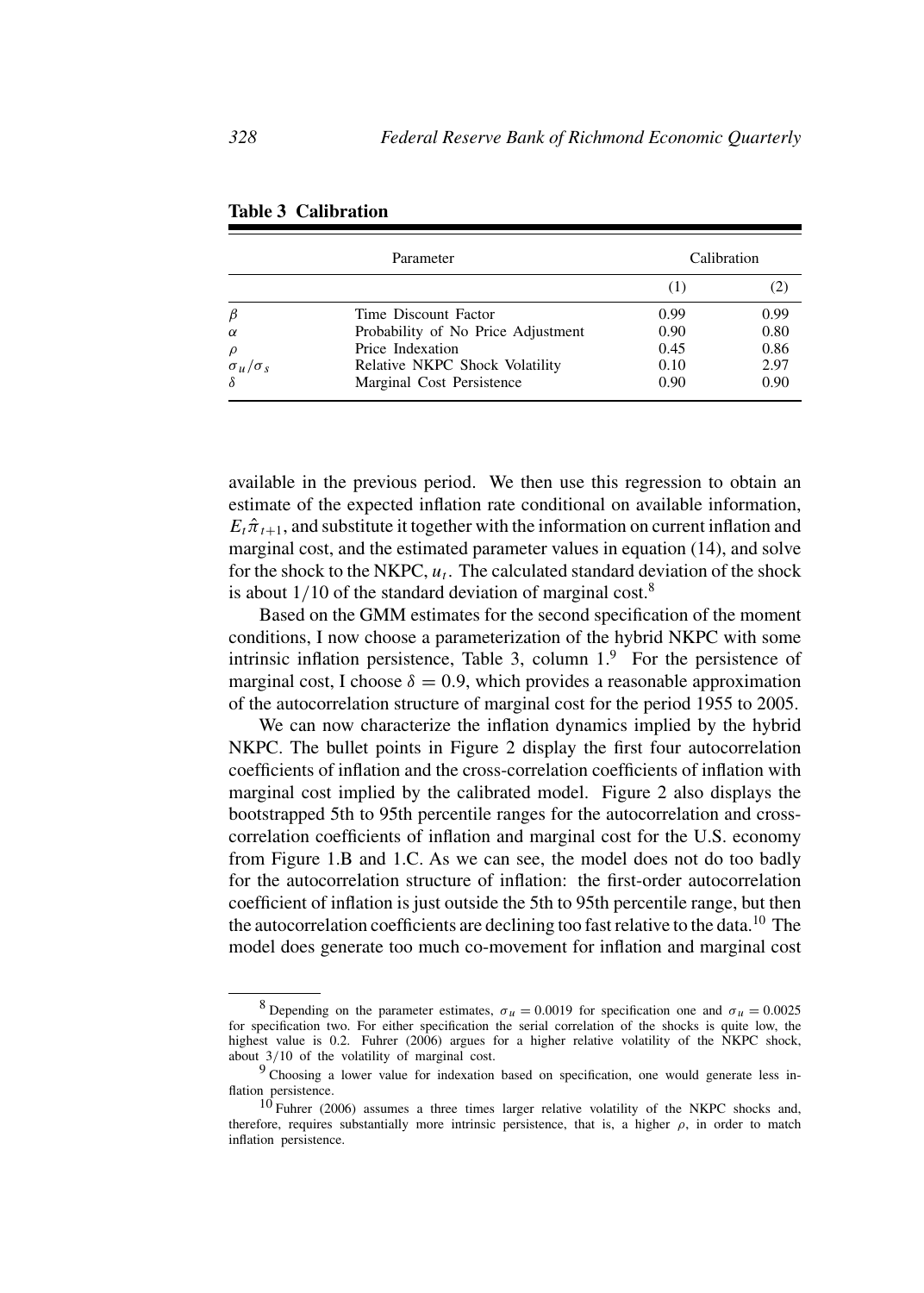|                     | Parameter                          | Calibration |      |
|---------------------|------------------------------------|-------------|------|
|                     |                                    | (1)         |      |
| $\beta$             | Time Discount Factor               | 0.99        | 0.99 |
| $\alpha$            | Probability of No Price Adjustment | 0.90        | 0.80 |
| $\rho$              | Price Indexation                   | 0.45        | 0.86 |
| $\sigma_u/\sigma_s$ | Relative NKPC Shock Volatility     | 0.10        | 2.97 |
| $\delta$            | Marginal Cost Persistence          | 0.90        | 0.90 |

| <b>Table 3 Calibration</b> |  |
|----------------------------|--|
|----------------------------|--|

available in the previous period. We then use this regression to obtain an estimate of the expected inflation rate conditional on available information,  $E_t\hat{\pi}_{t+1}$ , and substitute it together with the information on current inflation and marginal cost, and the estimated parameter values in equation (14), and solve for the shock to the NKPC,  $u_t$ . The calculated standard deviation of the shock is about  $1/10$  of the standard deviation of marginal cost.<sup>8</sup>

Based on the GMM estimates for the second specification of the moment conditions, I now choose a parameterization of the hybrid NKPC with some intrinsic inflation persistence, Table 3, column  $1<sup>9</sup>$  For the persistence of marginal cost, I choose  $\delta = 0.9$ , which provides a reasonable approximation of the autocorrelation structure of marginal cost for the period 1955 to 2005.

We can now characterize the inflation dynamics implied by the hybrid NKPC. The bullet points in Figure 2 display the first four autocorrelation coefficients of inflation and the cross-correlation coefficients of inflation with marginal cost implied by the calibrated model. Figure 2 also displays the bootstrapped 5th to 95th percentile ranges for the autocorrelation and crosscorrelation coefficients of inflation and marginal cost for the U.S. economy from Figure 1.B and 1.C. As we can see, the model does not do too badly for the autocorrelation structure of inflation: the first-order autocorrelation coefficient of inflation is just outside the 5th to 95th percentile range, but then the autocorrelation coefficients are declining too fast relative to the data.<sup>10</sup> The model does generate too much co-movement for inflation and marginal cost

<sup>&</sup>lt;sup>8</sup> Depending on the parameter estimates,  $\sigma_u = 0.0019$  for specification one and  $\sigma_u = 0.0025$ for specification two. For either specification the serial correlation of the shocks is quite low, the highest value is 0.2. Fuhrer (2006) argues for a higher relative volatility of the NKPC shock, about 3/10 of the volatility of marginal cost.

<sup>9</sup> Choosing a lower value for indexation based on specification, one would generate less inflation persistence.

 $10$  Fuhrer (2006) assumes a three times larger relative volatility of the NKPC shocks and, therefore, requires substantially more intrinsic persistence, that is, a higher  $\rho$ , in order to match inflation persistence.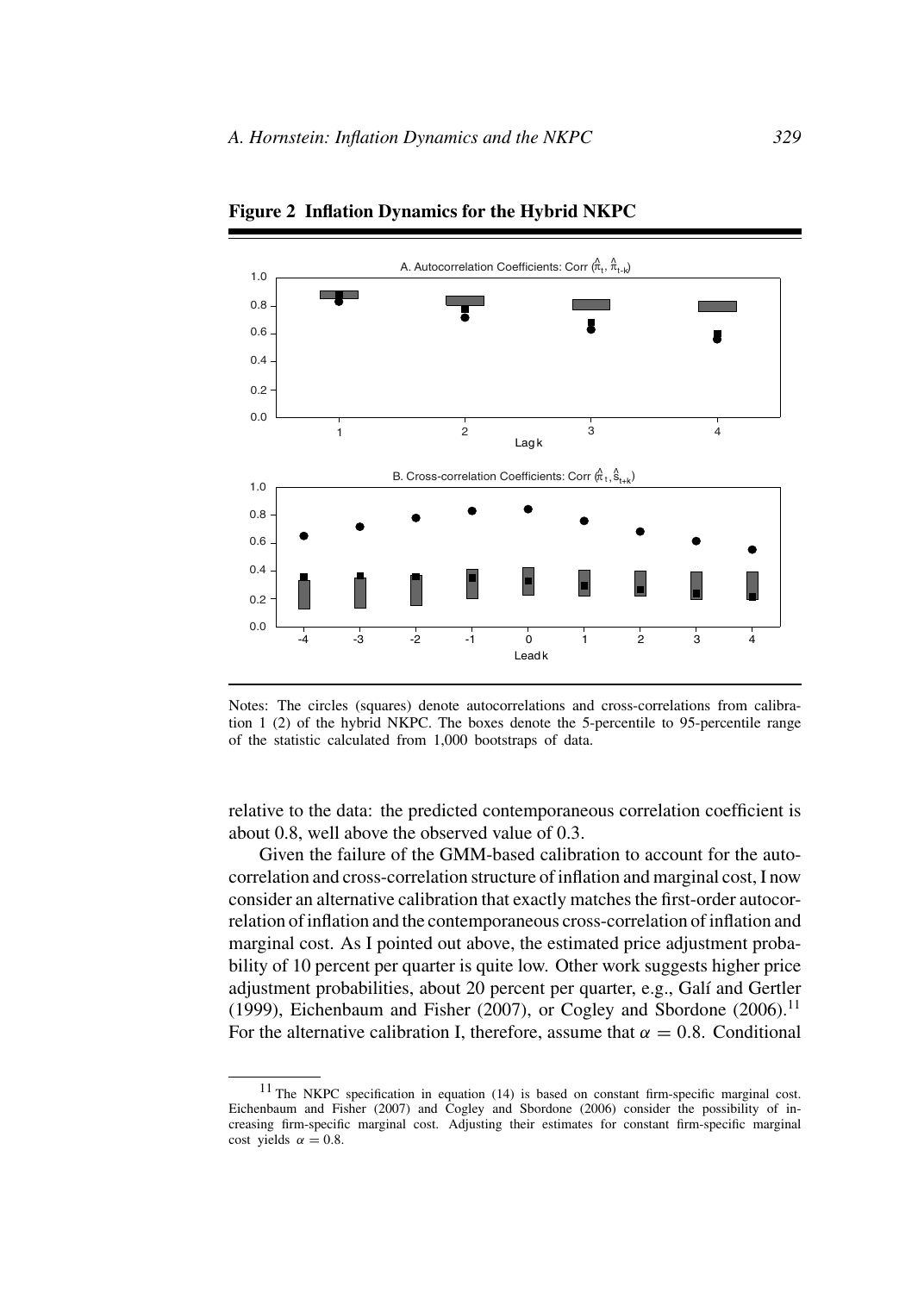

**Figure 2 Inflation Dynamics for the Hybrid NKPC**

Notes: The circles (squares) denote autocorrelations and cross-correlations from calibration 1 (2) of the hybrid NKPC. The boxes denote the 5-percentile to 95-percentile range of the statistic calculated from 1,000 bootstraps of data.

relative to the data: the predicted contemporaneous correlation coefficient is about 0.8, well above the observed value of 0.3.

Given the failure of the GMM-based calibration to account for the autocorrelation and cross-correlation structure of inflation and marginal cost, I now consider an alternative calibration that exactly matches the first-order autocorrelation of inflation and the contemporaneous cross-correlation of inflation and marginal cost. As I pointed out above, the estimated price adjustment probability of 10 percent per quarter is quite low. Other work suggests higher price adjustment probabilities, about 20 percent per quarter, e.g., Galí and Gertler (1999), Eichenbaum and Fisher (2007), or Cogley and Sbordone (2006).<sup>11</sup> For the alternative calibration I, therefore, assume that  $\alpha = 0.8$ . Conditional

<sup>11</sup> The NKPC specification in equation (14) is based on constant firm-specific marginal cost. Eichenbaum and Fisher (2007) and Cogley and Sbordone (2006) consider the possibility of increasing firm-specific marginal cost. Adjusting their estimates for constant firm-specific marginal cost yields  $\alpha = 0.8$ .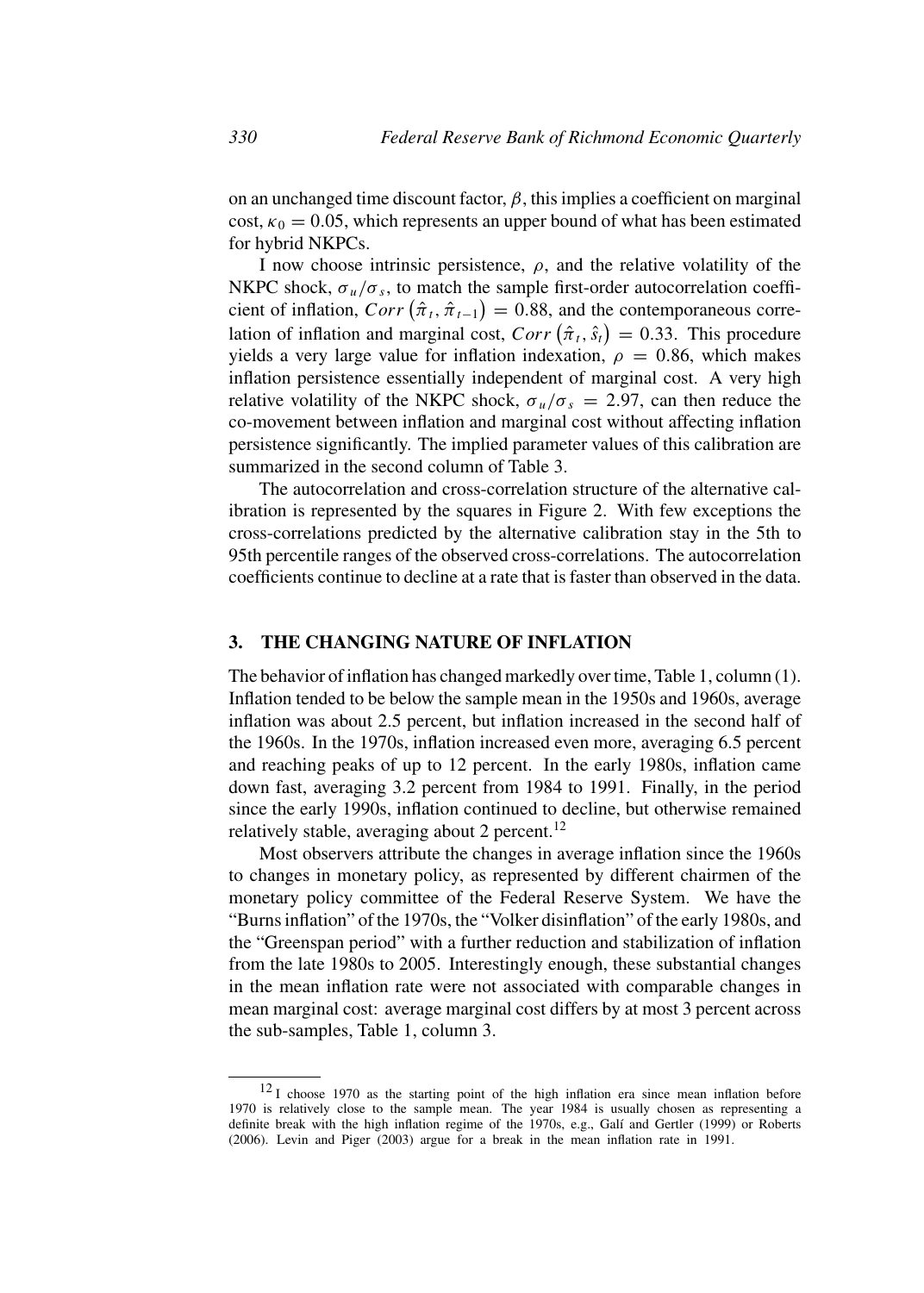on an unchanged time discount factor,  $\beta$ , this implies a coefficient on marginal cost,  $\kappa_0 = 0.05$ , which represents an upper bound of what has been estimated for hybrid NKPCs.

I now choose intrinsic persistence,  $\rho$ , and the relative volatility of the NKPC shock,  $\sigma_u/\sigma_s$ , to match the sample first-order autocorrelation coefficient of inflation,  $Corr(\hat{\pi}_t, \hat{\pi}_{t-1}) = 0.88$ , and the contemporaneous correlation of inflation and marginal cost,  $Corr \left( \hat{\pi}_t, \hat{s}_t \right) = 0.33$ . This procedure yields a very large value for inflation indexation,  $\rho = 0.86$ , which makes inflation persistence essentially independent of marginal cost. A very high relative volatility of the NKPC shock,  $\sigma_u/\sigma_s = 2.97$ , can then reduce the co-movement between inflation and marginal cost without affecting inflation persistence significantly. The implied parameter values of this calibration are summarized in the second column of Table 3.

The autocorrelation and cross-correlation structure of the alternative calibration is represented by the squares in Figure 2. With few exceptions the cross-correlations predicted by the alternative calibration stay in the 5th to 95th percentile ranges of the observed cross-correlations. The autocorrelation coefficients continue to decline at a rate that is faster than observed in the data.

# **3. THE CHANGING NATURE OF INFLATION**

The behavior of inflation has changed markedly over time, Table 1, column (1). Inflation tended to be below the sample mean in the 1950s and 1960s, average inflation was about 2.5 percent, but inflation increased in the second half of the 1960s. In the 1970s, inflation increased even more, averaging 6.5 percent and reaching peaks of up to 12 percent. In the early 1980s, inflation came down fast, averaging 3.2 percent from 1984 to 1991. Finally, in the period since the early 1990s, inflation continued to decline, but otherwise remained relatively stable, averaging about 2 percent.<sup>12</sup>

Most observers attribute the changes in average inflation since the 1960s to changes in monetary policy, as represented by different chairmen of the monetary policy committee of the Federal Reserve System. We have the "Burns inflation" of the 1970s, the "Volker disinflation" of the early 1980s, and the "Greenspan period" with a further reduction and stabilization of inflation from the late 1980s to 2005. Interestingly enough, these substantial changes in the mean inflation rate were not associated with comparable changes in mean marginal cost: average marginal cost differs by at most 3 percent across the sub-samples, Table 1, column 3.

<sup>12</sup> I choose 1970 as the starting point of the high inflation era since mean inflation before 1970 is relatively close to the sample mean. The year 1984 is usually chosen as representing a definite break with the high inflation regime of the 1970s, e.g., Galí and Gertler (1999) or Roberts (2006). Levin and Piger (2003) argue for a break in the mean inflation rate in 1991.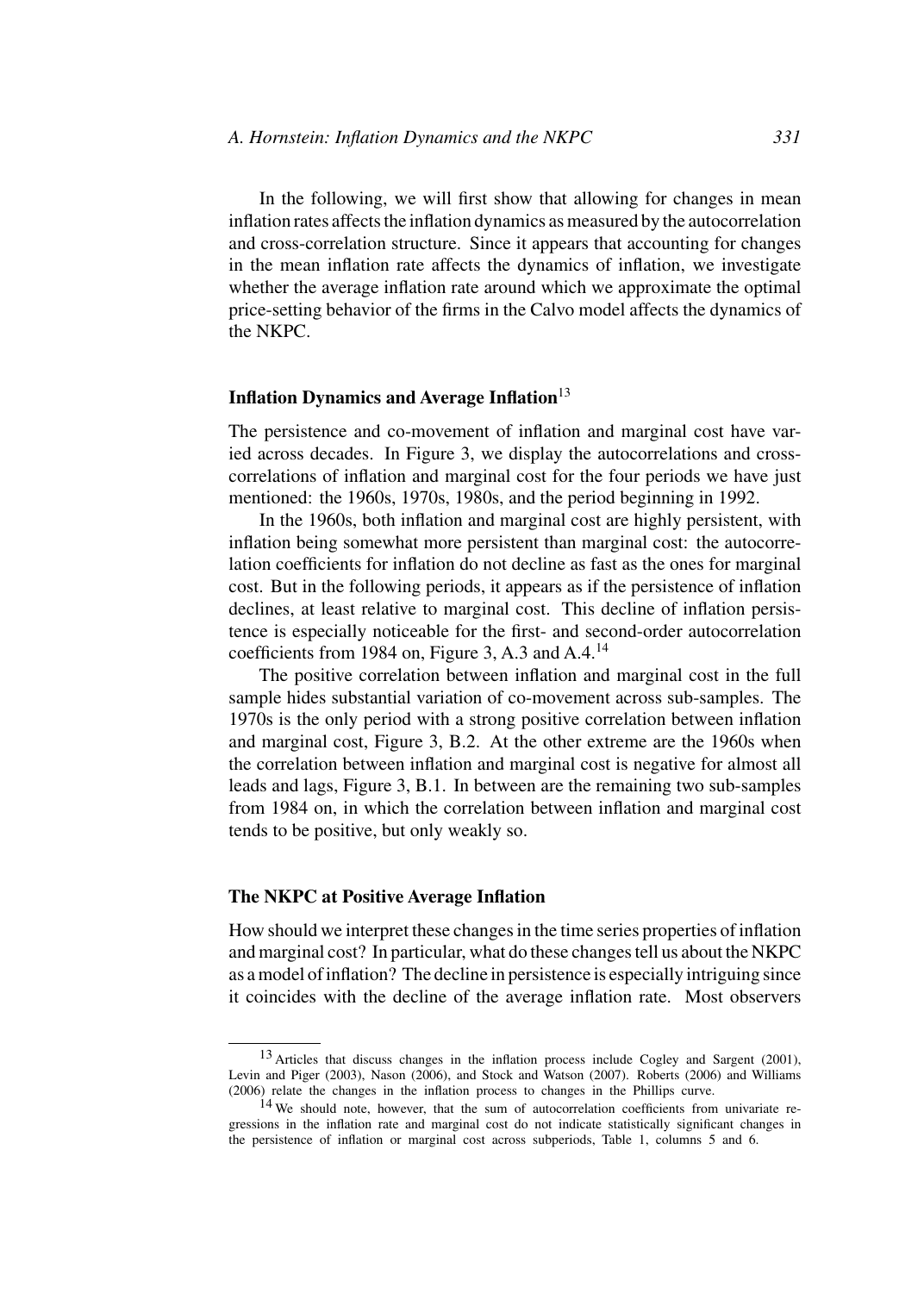In the following, we will first show that allowing for changes in mean inflation rates affects the inflation dynamics as measured by the autocorrelation and cross-correlation structure. Since it appears that accounting for changes in the mean inflation rate affects the dynamics of inflation, we investigate whether the average inflation rate around which we approximate the optimal price-setting behavior of the firms in the Calvo model affects the dynamics of the NKPC.

### **Inflation Dynamics and Average Inflation**<sup>13</sup>

The persistence and co-movement of inflation and marginal cost have varied across decades. In Figure 3, we display the autocorrelations and crosscorrelations of inflation and marginal cost for the four periods we have just mentioned: the 1960s, 1970s, 1980s, and the period beginning in 1992.

In the 1960s, both inflation and marginal cost are highly persistent, with inflation being somewhat more persistent than marginal cost: the autocorrelation coefficients for inflation do not decline as fast as the ones for marginal cost. But in the following periods, it appears as if the persistence of inflation declines, at least relative to marginal cost. This decline of inflation persistence is especially noticeable for the first- and second-order autocorrelation coefficients from 1984 on, Figure 3, A.3 and  $A.A.<sup>14</sup>$ 

The positive correlation between inflation and marginal cost in the full sample hides substantial variation of co-movement across sub-samples. The 1970s is the only period with a strong positive correlation between inflation and marginal cost, Figure 3, B.2. At the other extreme are the 1960s when the correlation between inflation and marginal cost is negative for almost all leads and lags, Figure 3, B.1. In between are the remaining two sub-samples from 1984 on, in which the correlation between inflation and marginal cost tends to be positive, but only weakly so.

#### **The NKPC at Positive Average Inflation**

How should we interpret these changes in the time series properties of inflation and marginal cost? In particular, what do these changes tell us about the NKPC as a model of inflation? The decline in persistence is especially intriguing since it coincides with the decline of the average inflation rate. Most observers

<sup>&</sup>lt;sup>13</sup> Articles that discuss changes in the inflation process include Cogley and Sargent (2001), Levin and Piger (2003), Nason (2006), and Stock and Watson (2007). Roberts (2006) and Williams (2006) relate the changes in the inflation process to changes in the Phillips curve.

<sup>14</sup> We should note, however, that the sum of autocorrelation coefficients from univariate regressions in the inflation rate and marginal cost do not indicate statistically significant changes in the persistence of inflation or marginal cost across subperiods, Table 1, columns 5 and 6.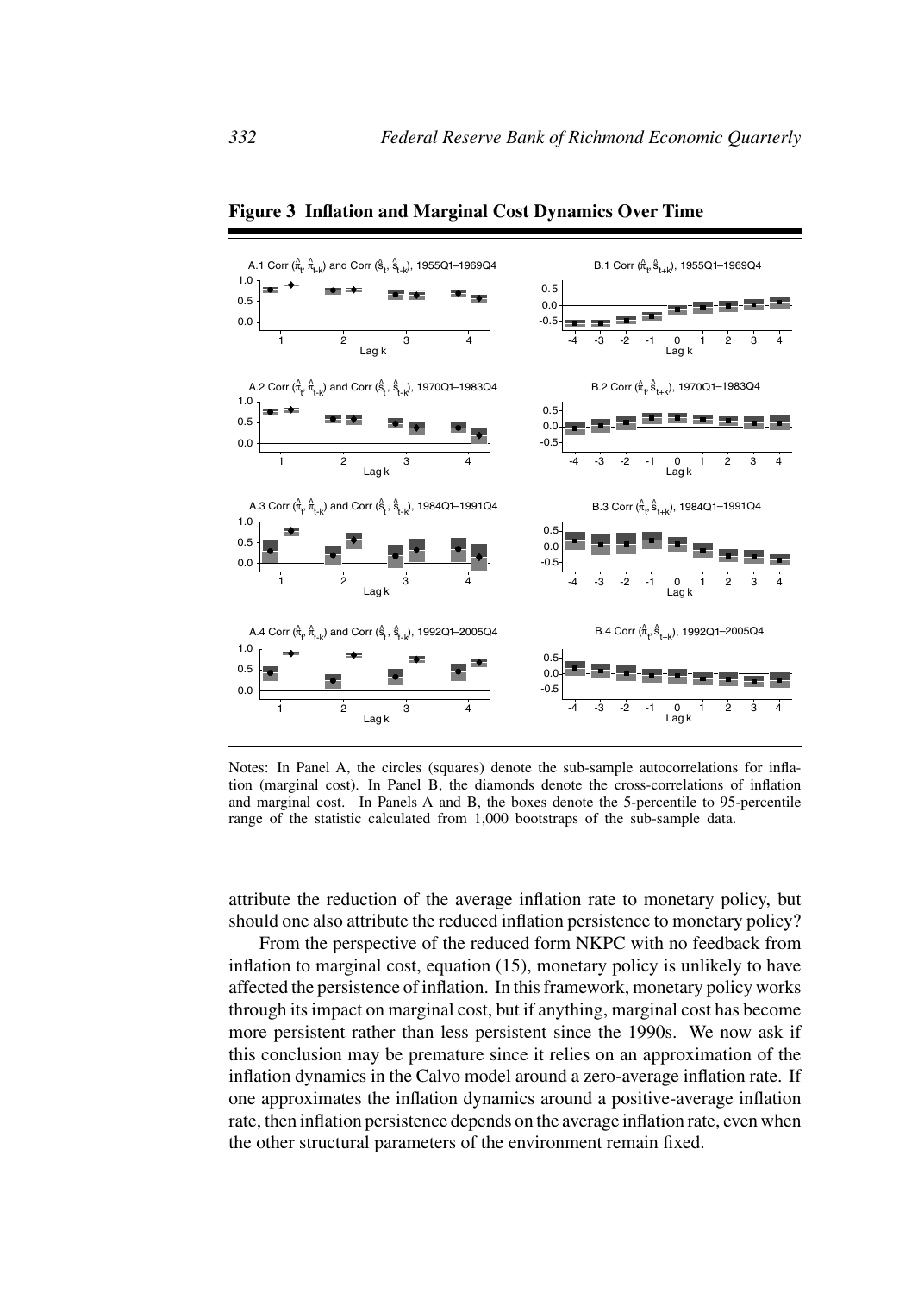

**Figure 3 Inflation and Marginal Cost Dynamics Over Time**

Notes: In Panel A, the circles (squares) denote the sub-sample autocorrelations for inflation (marginal cost). In Panel B, the diamonds denote the cross-correlations of inflation and marginal cost. In Panels A and B, the boxes denote the 5-percentile to 95-percentile range of the statistic calculated from 1,000 bootstraps of the sub-sample data.

attribute the reduction of the average inflation rate to monetary policy, but should one also attribute the reduced inflation persistence to monetary policy?

From the perspective of the reduced form NKPC with no feedback from inflation to marginal cost, equation (15), monetary policy is unlikely to have affected the persistence of inflation. In this framework, monetary policy works through its impact on marginal cost, but if anything, marginal cost has become more persistent rather than less persistent since the 1990s. We now ask if this conclusion may be premature since it relies on an approximation of the inflation dynamics in the Calvo model around a zero-average inflation rate. If one approximates the inflation dynamics around a positive-average inflation rate, then inflation persistence depends on the average inflation rate, even when the other structural parameters of the environment remain fixed.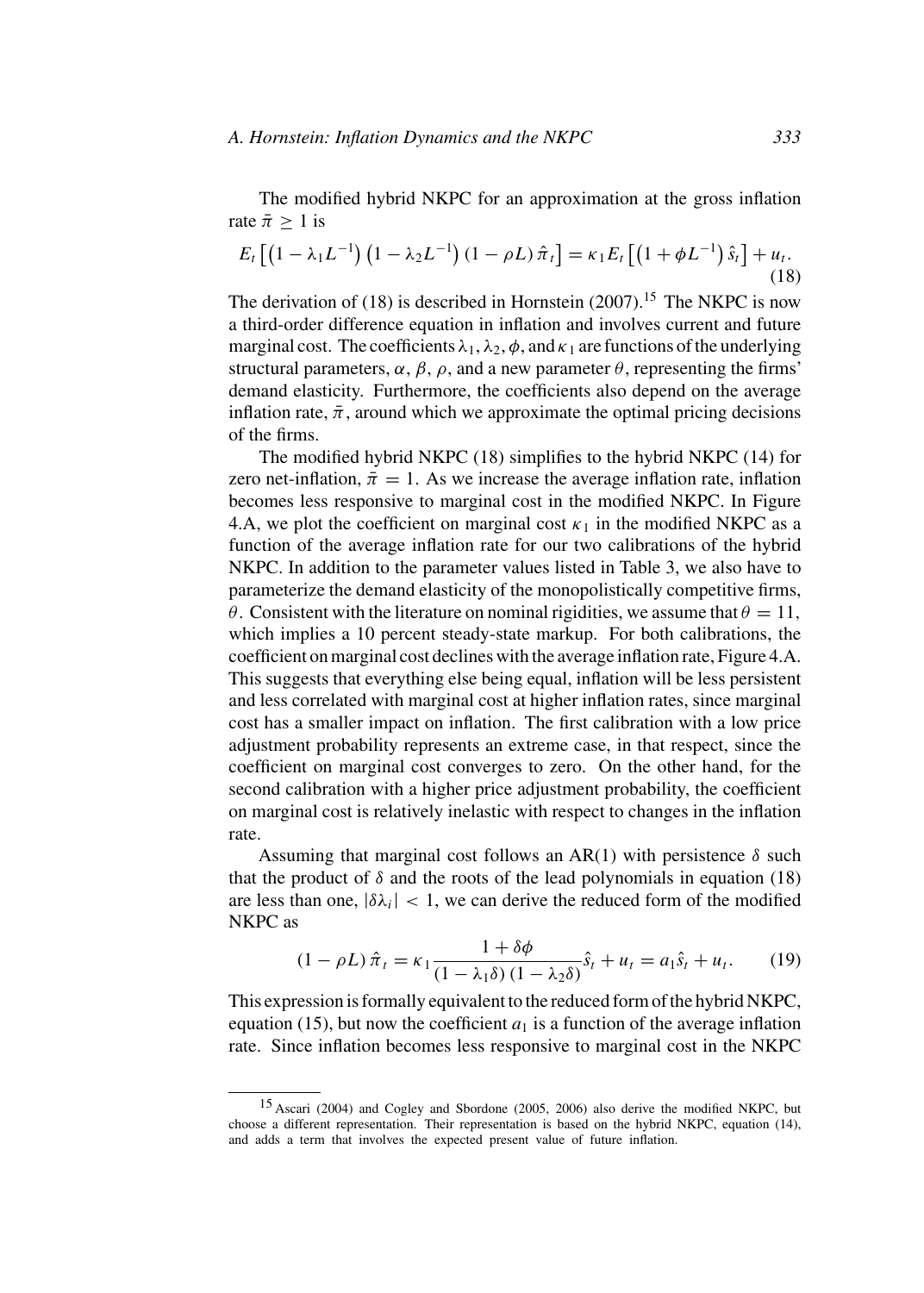The modified hybrid NKPC for an approximation at the gross inflation rate  $\bar{\pi} > 1$  is

$$
E_t [(1 - \lambda_1 L^{-1}) (1 - \lambda_2 L^{-1}) (1 - \rho L) \hat{\pi}_t] = \kappa_1 E_t [(1 + \phi L^{-1}) \hat{s}_t] + u_t.
$$
\n(18)

The derivation of  $(18)$  is described in Hornstein  $(2007)$ .<sup>15</sup> The NKPC is now a third-order difference equation in inflation and involves current and future marginal cost. The coefficients  $\lambda_1$ ,  $\lambda_2$ ,  $\phi$ , and  $\kappa_1$  are functions of the underlying structural parameters,  $\alpha$ ,  $\beta$ ,  $\rho$ , and a new parameter  $\theta$ , representing the firms' demand elasticity. Furthermore, the coefficients also depend on the average inflation rate,  $\bar{\pi}$ , around which we approximate the optimal pricing decisions of the firms.

The modified hybrid NKPC (18) simplifies to the hybrid NKPC (14) for zero net-inflation,  $\bar{\pi} = 1$ . As we increase the average inflation rate, inflation becomes less responsive to marginal cost in the modified NKPC. In Figure 4.A, we plot the coefficient on marginal cost  $\kappa_1$  in the modified NKPC as a function of the average inflation rate for our two calibrations of the hybrid NKPC. In addition to the parameter values listed in Table 3, we also have to parameterize the demand elasticity of the monopolistically competitive firms, θ. Consistent with the literature on nominal rigidities, we assume that  $θ = 11$ , which implies a 10 percent steady-state markup. For both calibrations, the coefficient on marginal cost declines with the average inflation rate, Figure 4.A. This suggests that everything else being equal, inflation will be less persistent and less correlated with marginal cost at higher inflation rates, since marginal cost has a smaller impact on inflation. The first calibration with a low price adjustment probability represents an extreme case, in that respect, since the coefficient on marginal cost converges to zero. On the other hand, for the second calibration with a higher price adjustment probability, the coefficient on marginal cost is relatively inelastic with respect to changes in the inflation rate.

Assuming that marginal cost follows an AR(1) with persistence  $\delta$  such that the product of  $\delta$  and the roots of the lead polynomials in equation (18) are less than one,  $|\delta \lambda_i|$  < 1, we can derive the reduced form of the modified NKPC as

$$
(1 - \rho L)\hat{\pi}_t = \kappa_1 \frac{1 + \delta\phi}{(1 - \lambda_1 \delta)(1 - \lambda_2 \delta)}\hat{s}_t + u_t = a_1 \hat{s}_t + u_t. \tag{19}
$$

This expression is formally equivalent to the reduced form of the hybrid NKPC, equation (15), but now the coefficient  $a_1$  is a function of the average inflation rate. Since inflation becomes less responsive to marginal cost in the NKPC

<sup>15</sup> Ascari (2004) and Cogley and Sbordone (2005, 2006) also derive the modified NKPC, but choose a different representation. Their representation is based on the hybrid NKPC, equation (14), and adds a term that involves the expected present value of future inflation.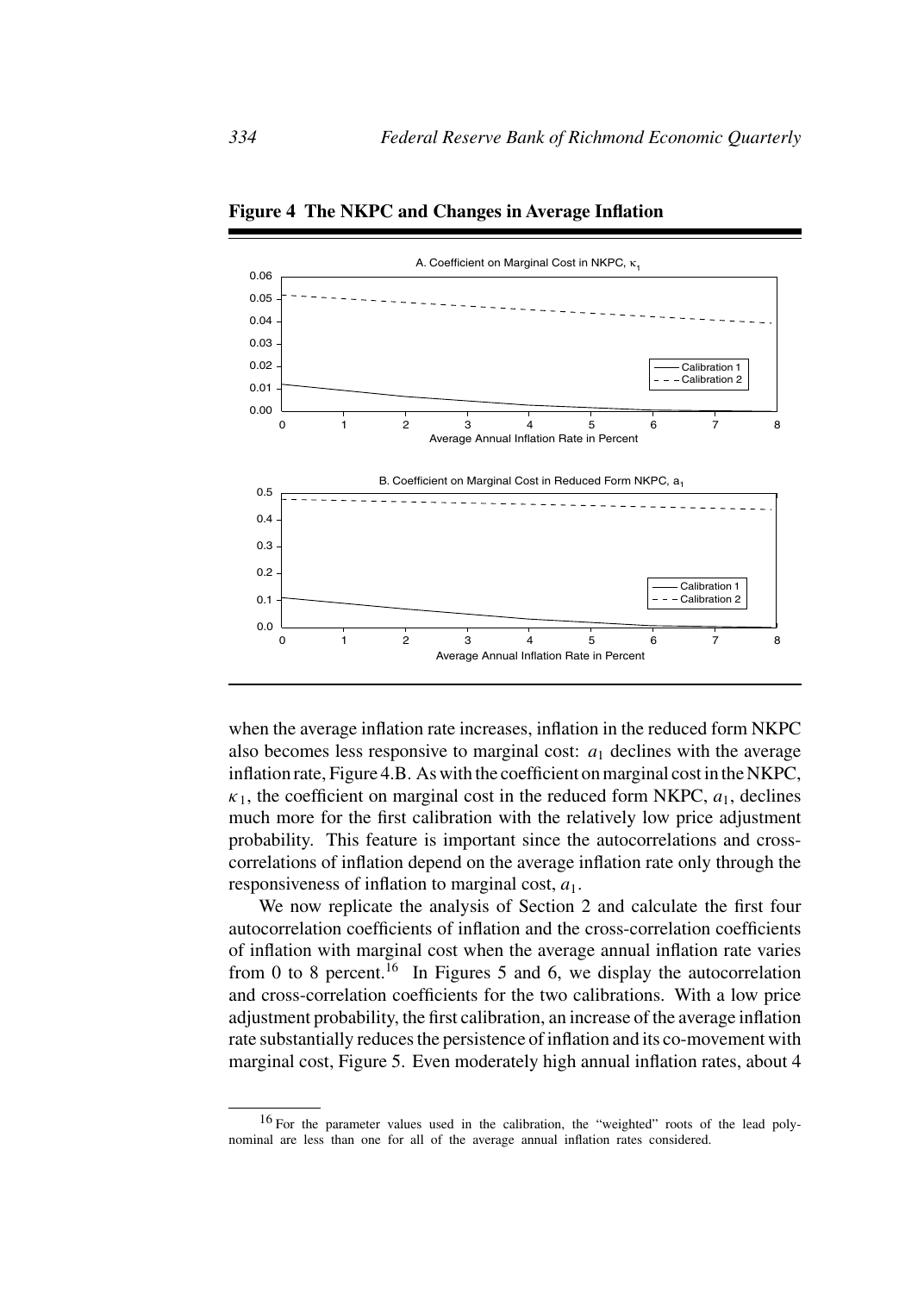

**Figure 4 The NKPC and Changes in Average Inflation**

when the average inflation rate increases, inflation in the reduced form NKPC also becomes less responsive to marginal cost:  $a_1$  declines with the average inflation rate, Figure 4.B. As with the coefficient on marginal cost in the NKPC,  $\kappa_1$ , the coefficient on marginal cost in the reduced form NKPC,  $a_1$ , declines much more for the first calibration with the relatively low price adjustment probability. This feature is important since the autocorrelations and crosscorrelations of inflation depend on the average inflation rate only through the responsiveness of inflation to marginal cost,  $a_1$ .

We now replicate the analysis of Section 2 and calculate the first four autocorrelation coefficients of inflation and the cross-correlation coefficients of inflation with marginal cost when the average annual inflation rate varies from 0 to 8 percent.<sup>16</sup> In Figures 5 and 6, we display the autocorrelation and cross-correlation coefficients for the two calibrations. With a low price adjustment probability, the first calibration, an increase of the average inflation rate substantially reduces the persistence of inflation and its co-movement with marginal cost, Figure 5. Even moderately high annual inflation rates, about 4

<sup>16</sup> For the parameter values used in the calibration, the "weighted" roots of the lead polynominal are less than one for all of the average annual inflation rates considered.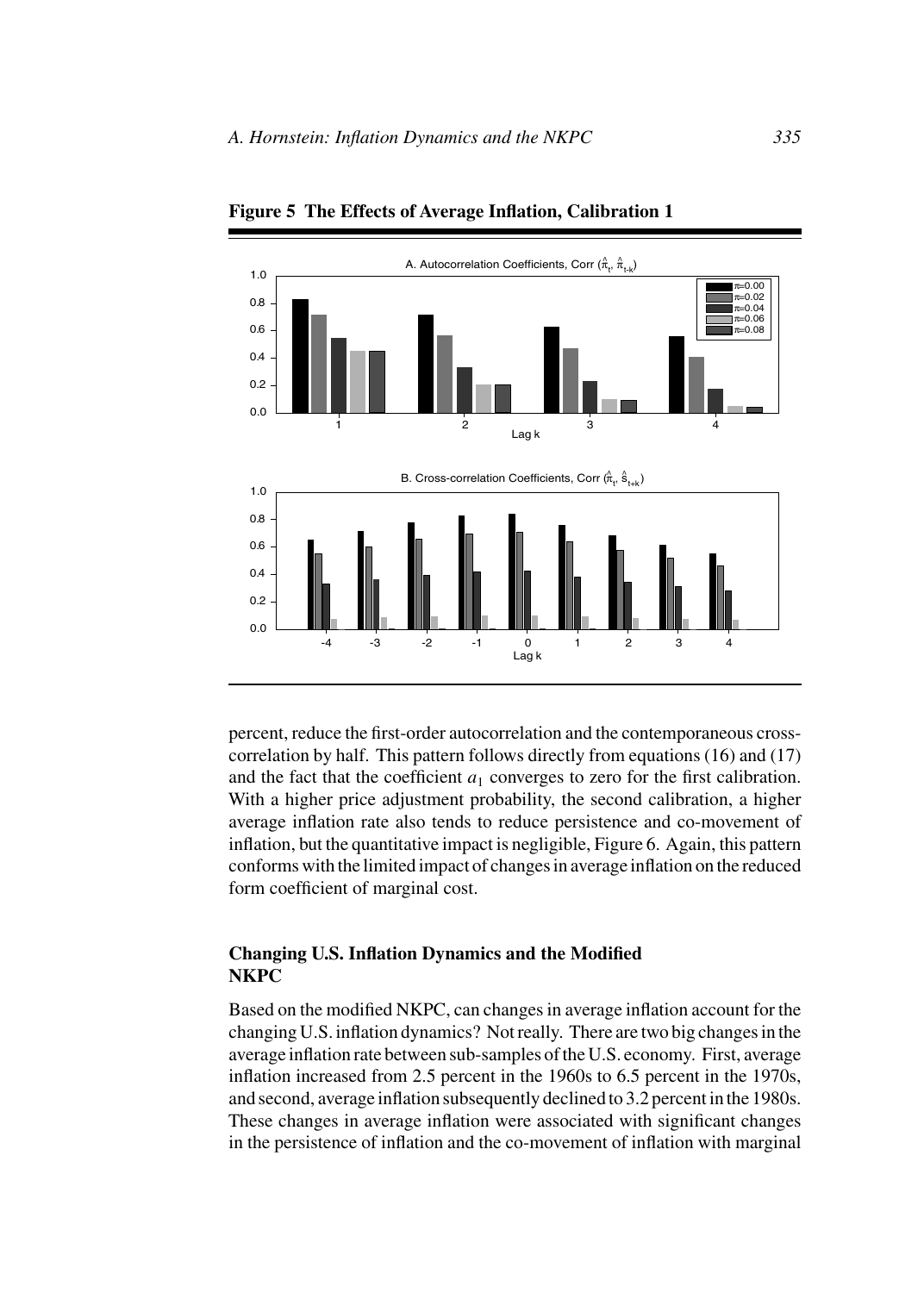

**Figure 5 The Effects of Average Inflation, Calibration 1**

percent, reduce the first-order autocorrelation and the contemporaneous crosscorrelation by half. This pattern follows directly from equations (16) and (17) and the fact that the coefficient  $a_1$  converges to zero for the first calibration. With a higher price adjustment probability, the second calibration, a higher average inflation rate also tends to reduce persistence and co-movement of inflation, but the quantitative impact is negligible, Figure 6. Again, this pattern conforms with the limited impact of changes in average inflation on the reduced form coefficient of marginal cost.

# **Changing U.S. Inflation Dynamics and the Modified NKPC**

Based on the modified NKPC, can changes in average inflation account for the changing U.S. inflation dynamics? Not really. There are two big changes in the average inflation rate between sub-samples of the U.S. economy. First, average inflation increased from 2.5 percent in the 1960s to 6.5 percent in the 1970s, and second, average inflation subsequently declined to 3.2 percent in the 1980s. These changes in average inflation were associated with significant changes in the persistence of inflation and the co-movement of inflation with marginal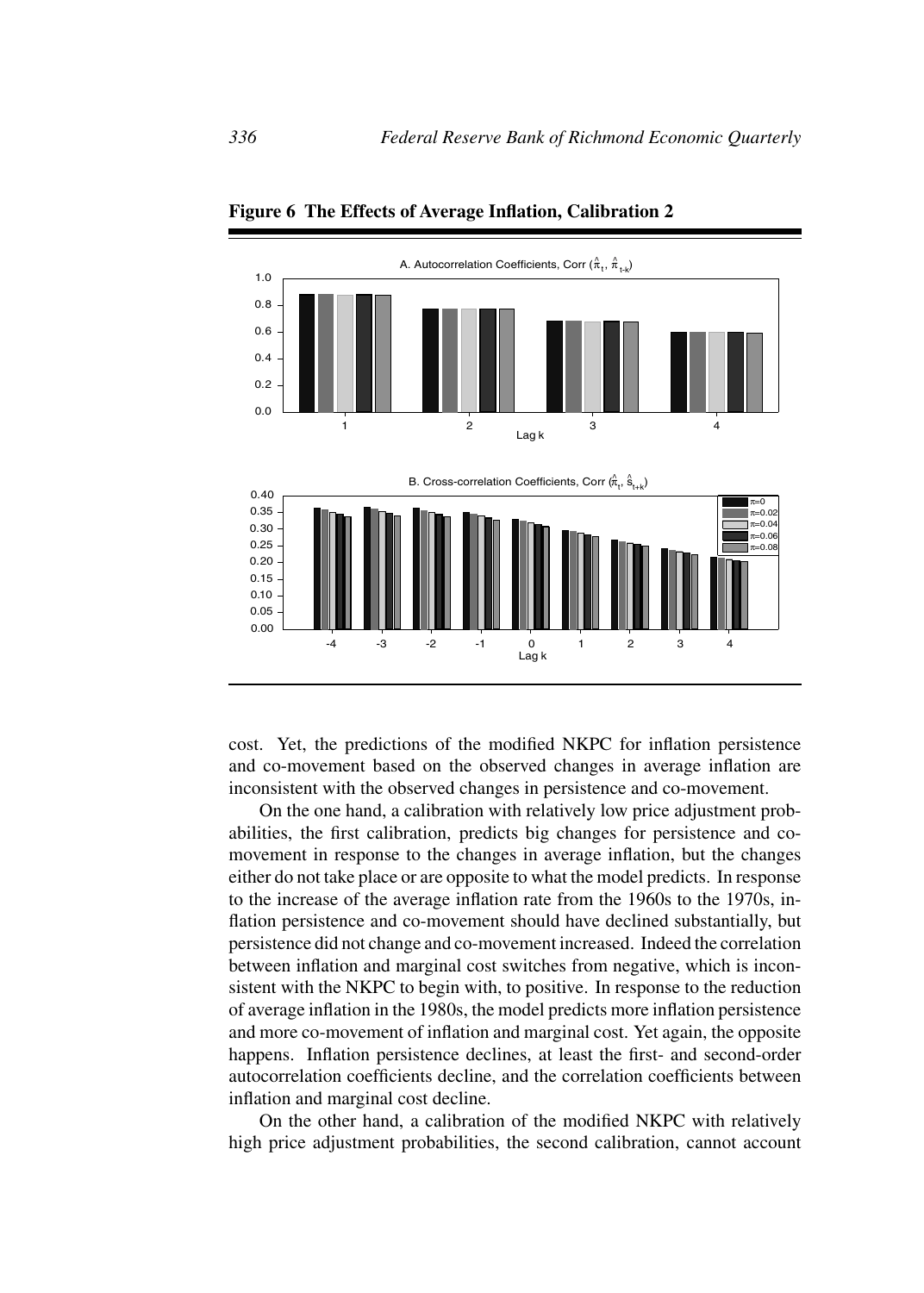

**Figure 6 The Effects of Average Inflation, Calibration 2**

cost. Yet, the predictions of the modified NKPC for inflation persistence and co-movement based on the observed changes in average inflation are inconsistent with the observed changes in persistence and co-movement.

On the one hand, a calibration with relatively low price adjustment probabilities, the first calibration, predicts big changes for persistence and comovement in response to the changes in average inflation, but the changes either do not take place or are opposite to what the model predicts. In response to the increase of the average inflation rate from the 1960s to the 1970s, inflation persistence and co-movement should have declined substantially, but persistence did not change and co-movement increased. Indeed the correlation between inflation and marginal cost switches from negative, which is inconsistent with the NKPC to begin with, to positive. In response to the reduction of average inflation in the 1980s, the model predicts more inflation persistence and more co-movement of inflation and marginal cost. Yet again, the opposite happens. Inflation persistence declines, at least the first- and second-order autocorrelation coefficients decline, and the correlation coefficients between inflation and marginal cost decline.

On the other hand, a calibration of the modified NKPC with relatively high price adjustment probabilities, the second calibration, cannot account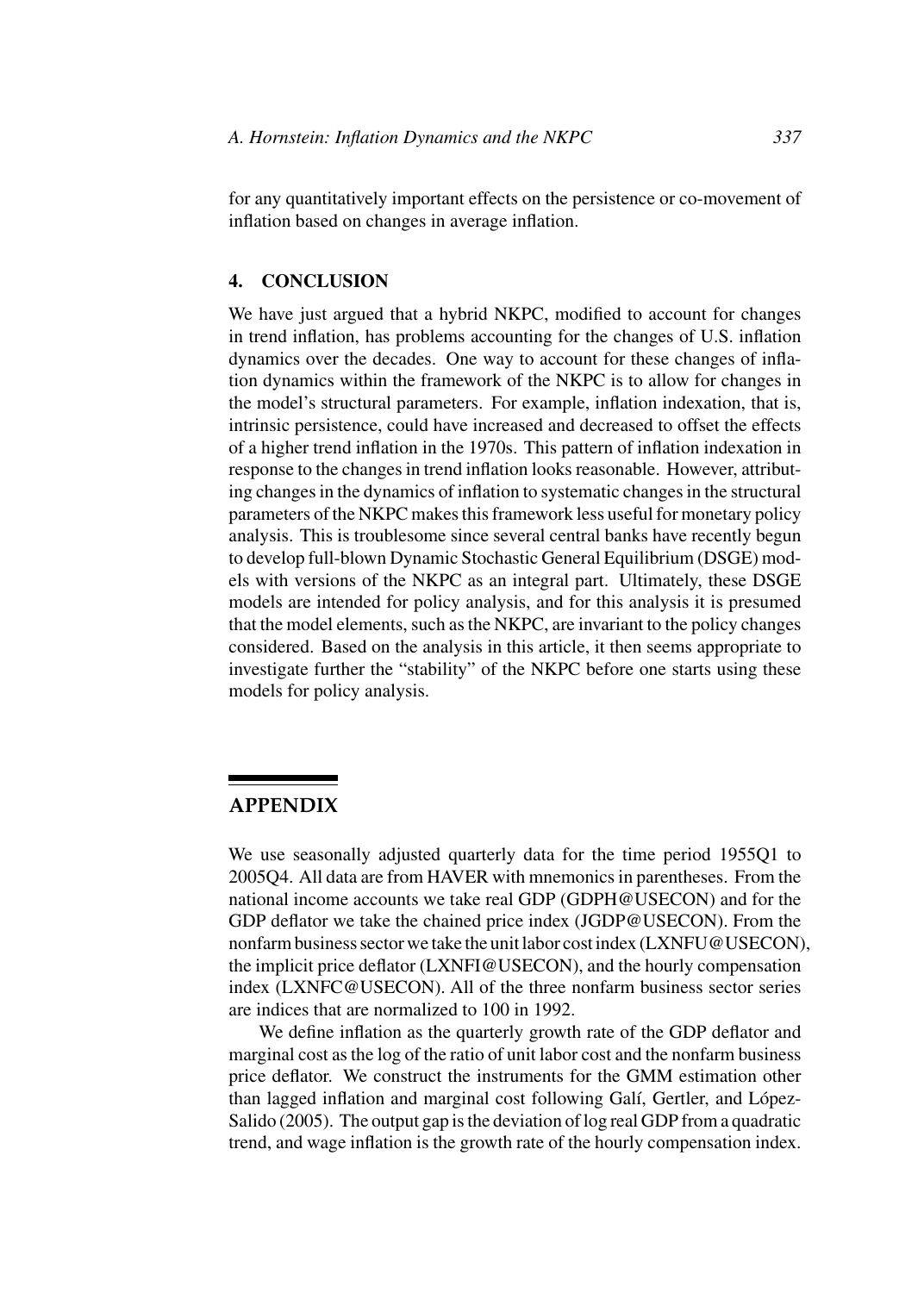for any quantitatively important effects on the persistence or co-movement of inflation based on changes in average inflation.

# **4. CONCLUSION**

We have just argued that a hybrid NKPC, modified to account for changes in trend inflation, has problems accounting for the changes of U.S. inflation dynamics over the decades. One way to account for these changes of inflation dynamics within the framework of the NKPC is to allow for changes in the model's structural parameters. For example, inflation indexation, that is, intrinsic persistence, could have increased and decreased to offset the effects of a higher trend inflation in the 1970s. This pattern of inflation indexation in response to the changes in trend inflation looks reasonable. However, attributing changes in the dynamics of inflation to systematic changes in the structural parameters of the NKPC makes this framework less useful for monetary policy analysis. This is troublesome since several central banks have recently begun to develop full-blown Dynamic Stochastic General Equilibrium (DSGE) models with versions of the NKPC as an integral part. Ultimately, these DSGE models are intended for policy analysis, and for this analysis it is presumed that the model elements, such as the NKPC, are invariant to the policy changes considered. Based on the analysis in this article, it then seems appropriate to investigate further the "stability" of the NKPC before one starts using these models for policy analysis.

# **APPENDIX**

We use seasonally adjusted quarterly data for the time period 1955Q1 to 2005Q4. All data are from HAVER with mnemonics in parentheses. From the national income accounts we take real GDP (GDPH@USECON) and for the GDP deflator we take the chained price index (JGDP@USECON). From the nonfarm business sector we take the unit labor cost index (LXNFU@USECON), the implicit price deflator (LXNFI@USECON), and the hourly compensation index (LXNFC@USECON). All of the three nonfarm business sector series are indices that are normalized to 100 in 1992.

We define inflation as the quarterly growth rate of the GDP deflator and marginal cost as the log of the ratio of unit labor cost and the nonfarm business price deflator. We construct the instruments for the GMM estimation other than lagged inflation and marginal cost following Galí, Gertler, and López-Salido (2005). The output gap is the deviation of log real GDP from a quadratic trend, and wage inflation is the growth rate of the hourly compensation index.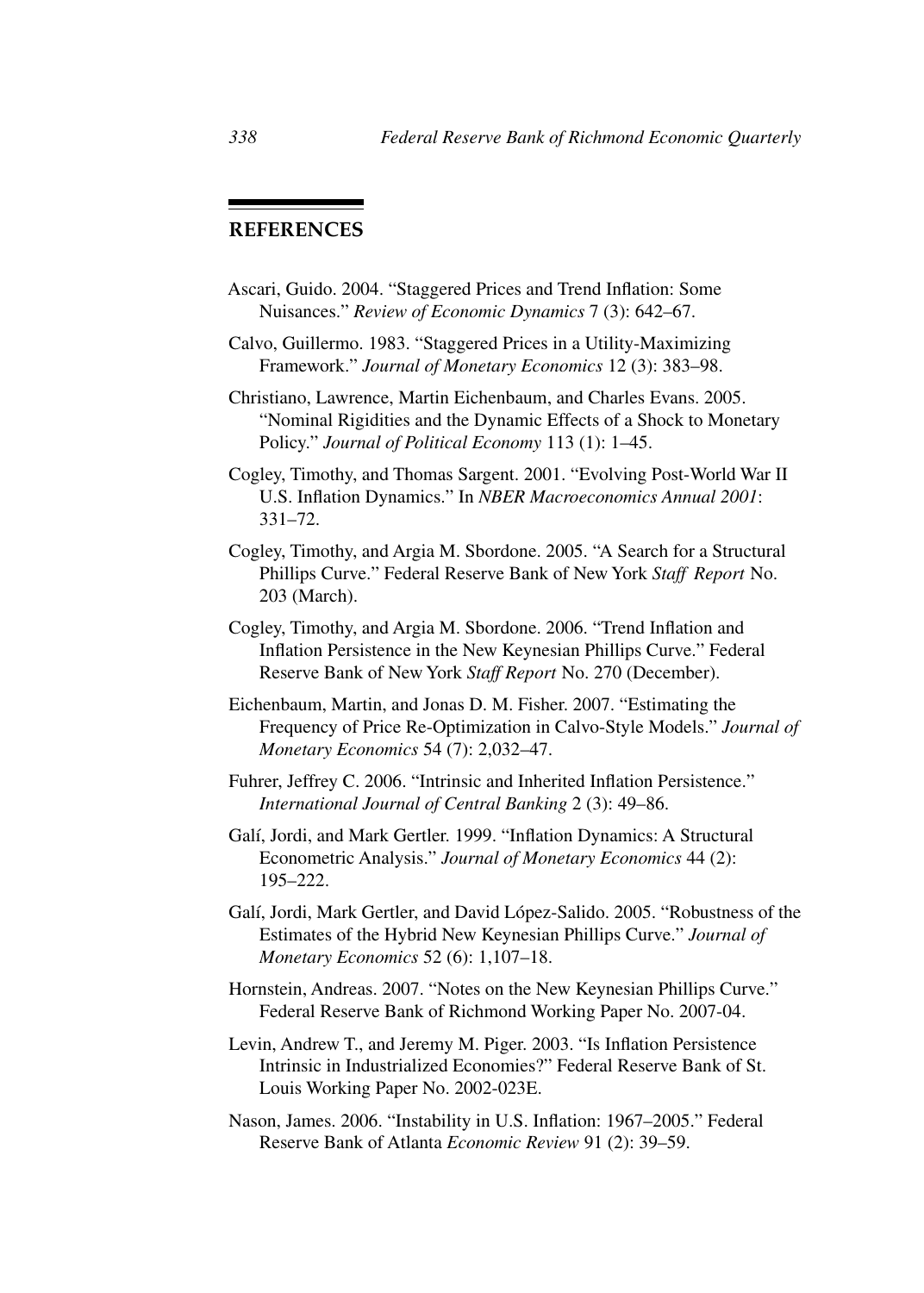# **REFERENCES**

- Ascari, Guido. 2004. "Staggered Prices and Trend Inflation: Some Nuisances." *Review of Economic Dynamics* 7 (3): 642–67.
- Calvo, Guillermo. 1983. "Staggered Prices in a Utility-Maximizing Framework." *Journal of Monetary Economics* 12 (3): 383–98.
- Christiano, Lawrence, Martin Eichenbaum, and Charles Evans. 2005. "Nominal Rigidities and the Dynamic Effects of a Shock to Monetary Policy." *Journal of Political Economy* 113 (1): 1–45.
- Cogley, Timothy, and Thomas Sargent. 2001. "Evolving Post-World War II U.S. Inflation Dynamics." In *NBER Macroeconomics Annual 2001*: 331–72.
- Cogley, Timothy, and Argia M. Sbordone. 2005. "A Search for a Structural Phillips Curve." Federal Reserve Bank of New York *Staff Report* No. 203 (March).
- Cogley, Timothy, and Argia M. Sbordone. 2006. "Trend Inflation and Inflation Persistence in the New Keynesian Phillips Curve." Federal Reserve Bank of New York *Staff Report* No. 270 (December).
- Eichenbaum, Martin, and Jonas D. M. Fisher. 2007. "Estimating the Frequency of Price Re-Optimization in Calvo-Style Models." *Journal of Monetary Economics* 54 (7): 2,032–47.
- Fuhrer, Jeffrey C. 2006. "Intrinsic and Inherited Inflation Persistence." *International Journal of Central Banking* 2 (3): 49–86.
- Galí, Jordi, and Mark Gertler. 1999. "Inflation Dynamics: A Structural Econometric Analysis." *Journal of Monetary Economics* 44 (2): 195–222.
- Galí, Jordi, Mark Gertler, and David López-Salido. 2005. "Robustness of the Estimates of the Hybrid New Keynesian Phillips Curve." *Journal of Monetary Economics* 52 (6): 1,107–18.
- Hornstein, Andreas. 2007. "Notes on the New Keynesian Phillips Curve." Federal Reserve Bank of Richmond Working Paper No. 2007-04.
- Levin, Andrew T., and Jeremy M. Piger. 2003. "Is Inflation Persistence Intrinsic in Industrialized Economies?" Federal Reserve Bank of St. Louis Working Paper No. 2002-023E.
- Nason, James. 2006. "Instability in U.S. Inflation: 1967–2005." Federal Reserve Bank of Atlanta *Economic Review* 91 (2): 39–59.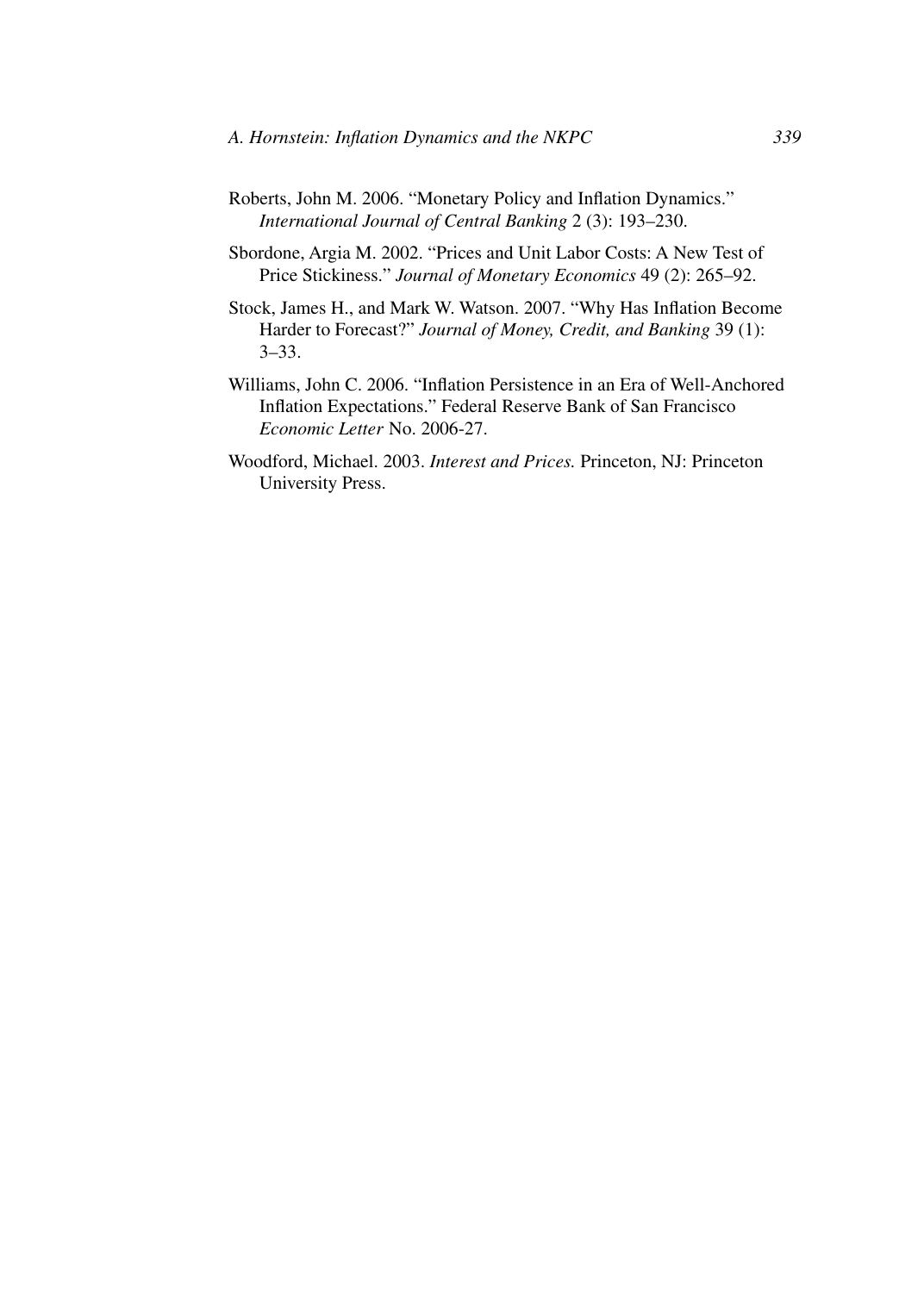- Roberts, John M. 2006. "Monetary Policy and Inflation Dynamics." *International Journal of Central Banking* 2 (3): 193–230.
- Sbordone, Argia M. 2002. "Prices and Unit Labor Costs: A New Test of Price Stickiness." *Journal of Monetary Economics* 49 (2): 265–92.
- Stock, James H., and Mark W. Watson. 2007. "Why Has Inflation Become Harder to Forecast?" *Journal of Money, Credit, and Banking* 39 (1): 3–33.
- Williams, John C. 2006. "Inflation Persistence in an Era of Well-Anchored Inflation Expectations." Federal Reserve Bank of San Francisco *Economic Letter* No. 2006-27.
- Woodford, Michael. 2003. *Interest and Prices.* Princeton, NJ: Princeton University Press.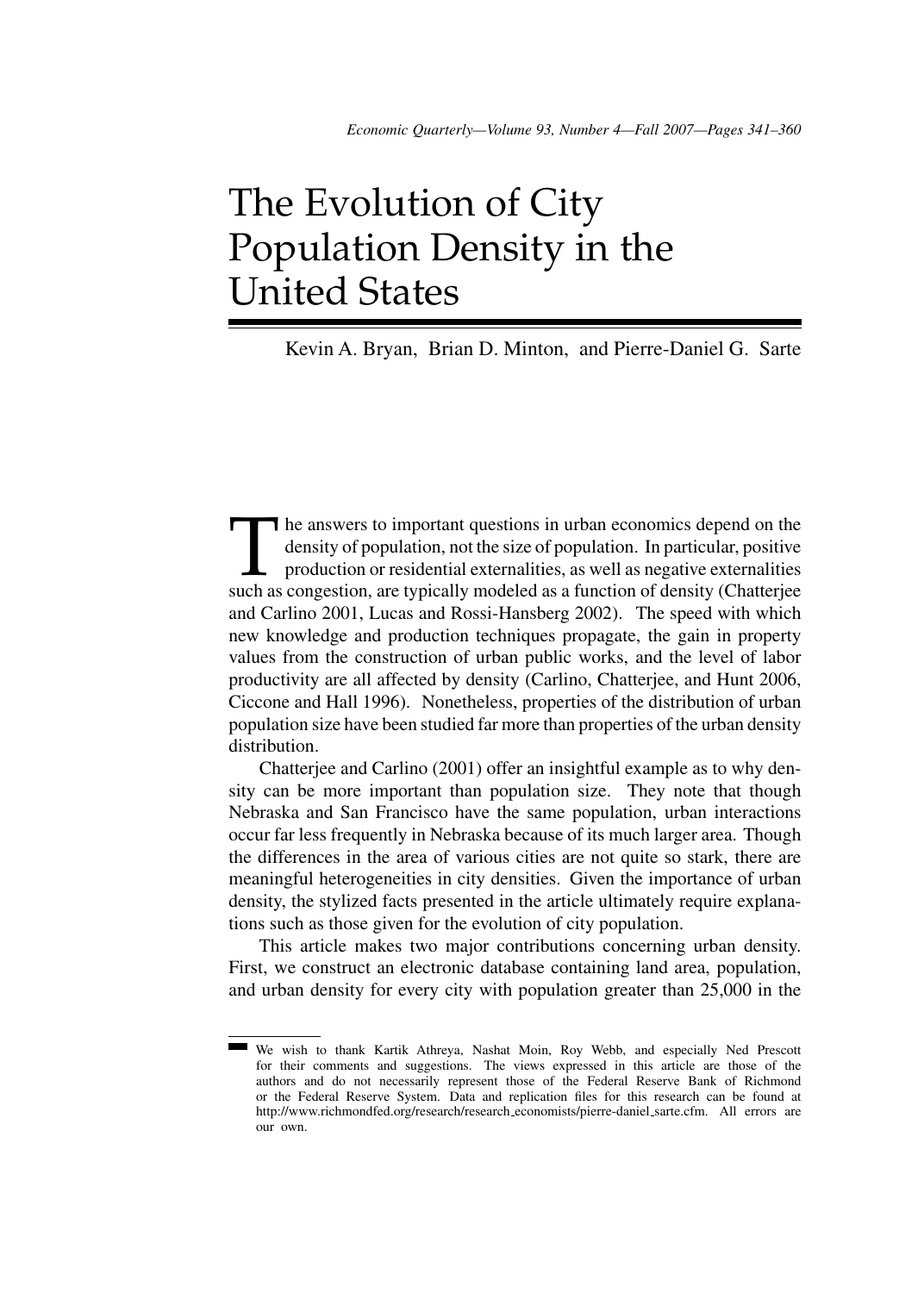# The Evolution of City Population Density in the United States

Kevin A. Bryan, Brian D. Minton, and Pierre-Daniel G. Sarte

The answers to important questions in urban economics depend on the density of population, not the size of population. In particular, positive production or residential externalities, as well as negative externalities such density of population, not the size of population. In particular, positive production or residential externalities, as well as negative externalities such as congestion, are typically modeled as a function of density (Chatterjee and Carlino 2001, Lucas and Rossi-Hansberg 2002). The speed with which new knowledge and production techniques propagate, the gain in property values from the construction of urban public works, and the level of labor productivity are all affected by density (Carlino, Chatterjee, and Hunt 2006, Ciccone and Hall 1996). Nonetheless, properties of the distribution of urban population size have been studied far more than properties of the urban density distribution.

Chatterjee and Carlino (2001) offer an insightful example as to why density can be more important than population size. They note that though Nebraska and San Francisco have the same population, urban interactions occur far less frequently in Nebraska because of its much larger area. Though the differences in the area of various cities are not quite so stark, there are meaningful heterogeneities in city densities. Given the importance of urban density, the stylized facts presented in the article ultimately require explanations such as those given for the evolution of city population.

This article makes two major contributions concerning urban density. First, we construct an electronic database containing land area, population, and urban density for every city with population greater than 25,000 in the

We wish to thank Kartik Athreya, Nashat Moin, Roy Webb, and especially Ned Prescott for their comments and suggestions. The views expressed in this article are those of the authors and do not necessarily represent those of the Federal Reserve Bank of Richmond or the Federal Reserve System. Data and replication files for this research can be found at http://www.richmondfed.org/research/research\_economists/pierre-daniel\_sarte.cfm. All errors are our own.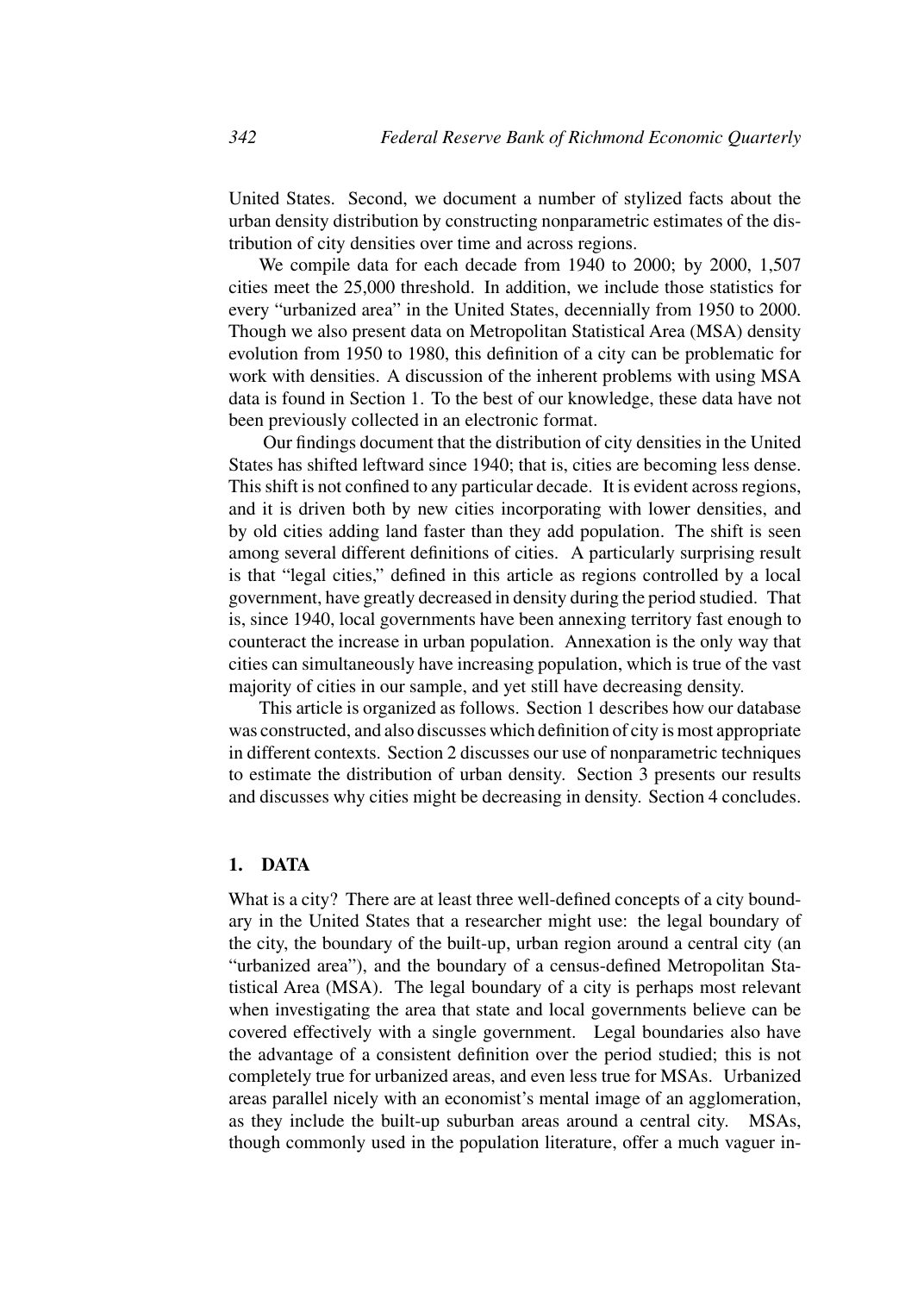United States. Second, we document a number of stylized facts about the urban density distribution by constructing nonparametric estimates of the distribution of city densities over time and across regions.

We compile data for each decade from 1940 to 2000; by 2000, 1,507 cities meet the 25,000 threshold. In addition, we include those statistics for every "urbanized area" in the United States, decennially from 1950 to 2000. Though we also present data on Metropolitan Statistical Area (MSA) density evolution from 1950 to 1980, this definition of a city can be problematic for work with densities. A discussion of the inherent problems with using MSA data is found in Section 1. To the best of our knowledge, these data have not been previously collected in an electronic format.

Our findings document that the distribution of city densities in the United States has shifted leftward since 1940; that is, cities are becoming less dense. This shift is not confined to any particular decade. It is evident across regions, and it is driven both by new cities incorporating with lower densities, and by old cities adding land faster than they add population. The shift is seen among several different definitions of cities. A particularly surprising result is that "legal cities," defined in this article as regions controlled by a local government, have greatly decreased in density during the period studied. That is, since 1940, local governments have been annexing territory fast enough to counteract the increase in urban population. Annexation is the only way that cities can simultaneously have increasing population, which is true of the vast majority of cities in our sample, and yet still have decreasing density.

This article is organized as follows. Section 1 describes how our database was constructed, and also discusses which definition of city is most appropriate in different contexts. Section 2 discusses our use of nonparametric techniques to estimate the distribution of urban density. Section 3 presents our results and discusses why cities might be decreasing in density. Section 4 concludes.

## **1. DATA**

What is a city? There are at least three well-defined concepts of a city boundary in the United States that a researcher might use: the legal boundary of the city, the boundary of the built-up, urban region around a central city (an "urbanized area"), and the boundary of a census-defined Metropolitan Statistical Area (MSA). The legal boundary of a city is perhaps most relevant when investigating the area that state and local governments believe can be covered effectively with a single government. Legal boundaries also have the advantage of a consistent definition over the period studied; this is not completely true for urbanized areas, and even less true for MSAs. Urbanized areas parallel nicely with an economist's mental image of an agglomeration, as they include the built-up suburban areas around a central city. MSAs, though commonly used in the population literature, offer a much vaguer in-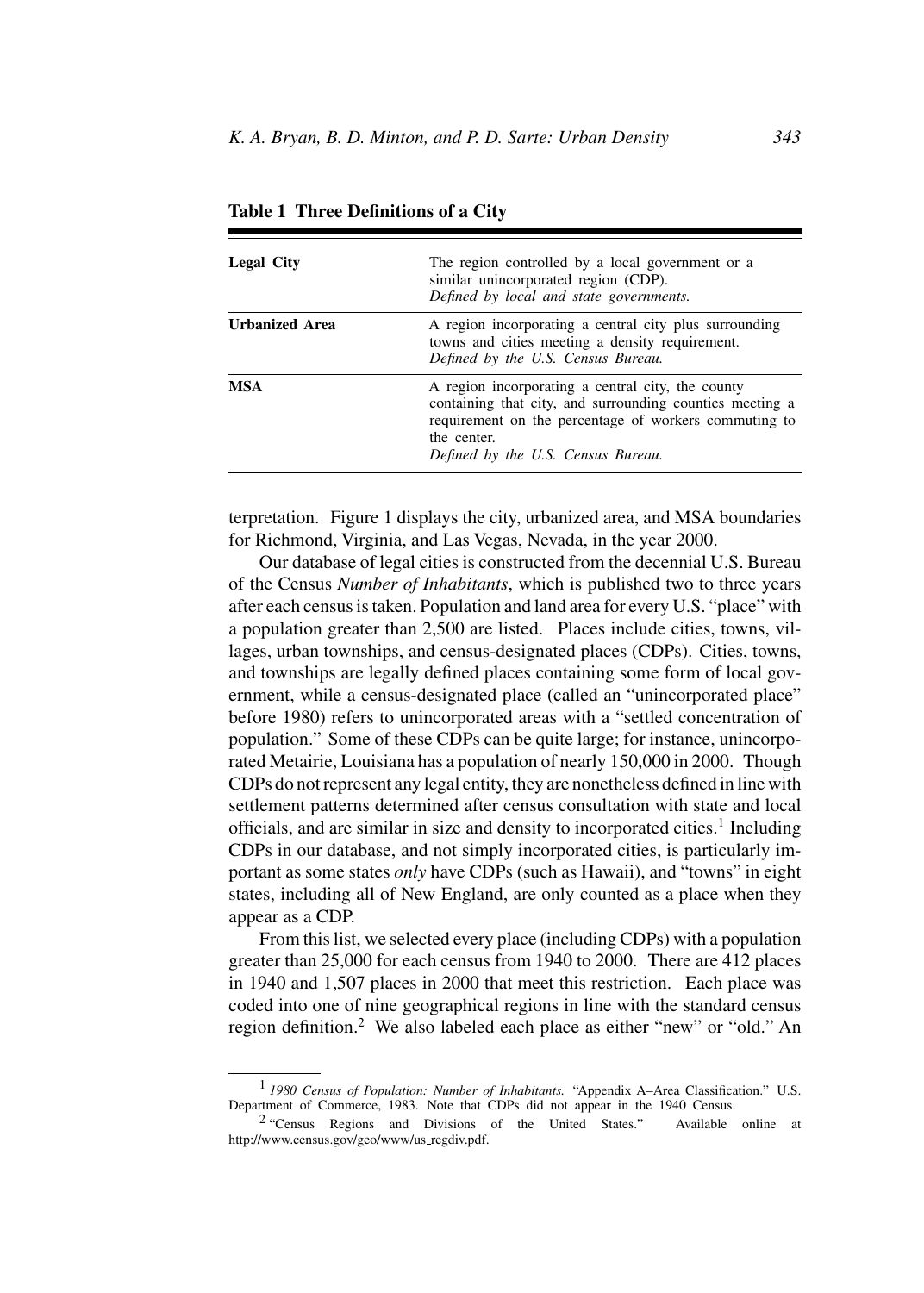| <b>Legal City</b>     | The region controlled by a local government or a<br>similar unincorporated region (CDP).<br>Defined by local and state governments.                                                                                         |
|-----------------------|-----------------------------------------------------------------------------------------------------------------------------------------------------------------------------------------------------------------------------|
| <b>Urbanized Area</b> | A region incorporating a central city plus surrounding<br>towns and cities meeting a density requirement.<br>Defined by the U.S. Census Bureau.                                                                             |
| <b>MSA</b>            | A region incorporating a central city, the county<br>containing that city, and surrounding counties meeting a<br>requirement on the percentage of workers commuting to<br>the center.<br>Defined by the U.S. Census Bureau. |

**Table 1 Three Definitions of a City**

terpretation. Figure 1 displays the city, urbanized area, and MSA boundaries for Richmond, Virginia, and Las Vegas, Nevada, in the year 2000.

Our database of legal cities is constructed from the decennial U.S. Bureau of the Census *Number of Inhabitants*, which is published two to three years after each census is taken. Population and land area for every U.S. "place" with a population greater than 2,500 are listed. Places include cities, towns, villages, urban townships, and census-designated places (CDPs). Cities, towns, and townships are legally defined places containing some form of local government, while a census-designated place (called an "unincorporated place" before 1980) refers to unincorporated areas with a "settled concentration of population." Some of these CDPs can be quite large; for instance, unincorporated Metairie, Louisiana has a population of nearly 150,000 in 2000. Though CDPs do not represent any legal entity, they are nonetheless defined in line with settlement patterns determined after census consultation with state and local officials, and are similar in size and density to incorporated cities.<sup>1</sup> Including CDPs in our database, and not simply incorporated cities, is particularly important as some states *only* have CDPs (such as Hawaii), and "towns" in eight states, including all of New England, are only counted as a place when they appear as a CDP.

From this list, we selected every place (including CDPs) with a population greater than 25,000 for each census from 1940 to 2000. There are 412 places in 1940 and 1,507 places in 2000 that meet this restriction. Each place was coded into one of nine geographical regions in line with the standard census region definition.<sup>2</sup> We also labeled each place as either "new" or "old." An

<sup>1</sup> *1980 Census of Population: Number of Inhabitants.* "Appendix A–Area Classification." U.S. Department of Commerce, 1983. Note that CDPs did not appear in the 1940 Census.

<sup>2</sup> "Census Regions and Divisions of the United States." Available online at http://www.census.gov/geo/www/us\_regdiv.pdf.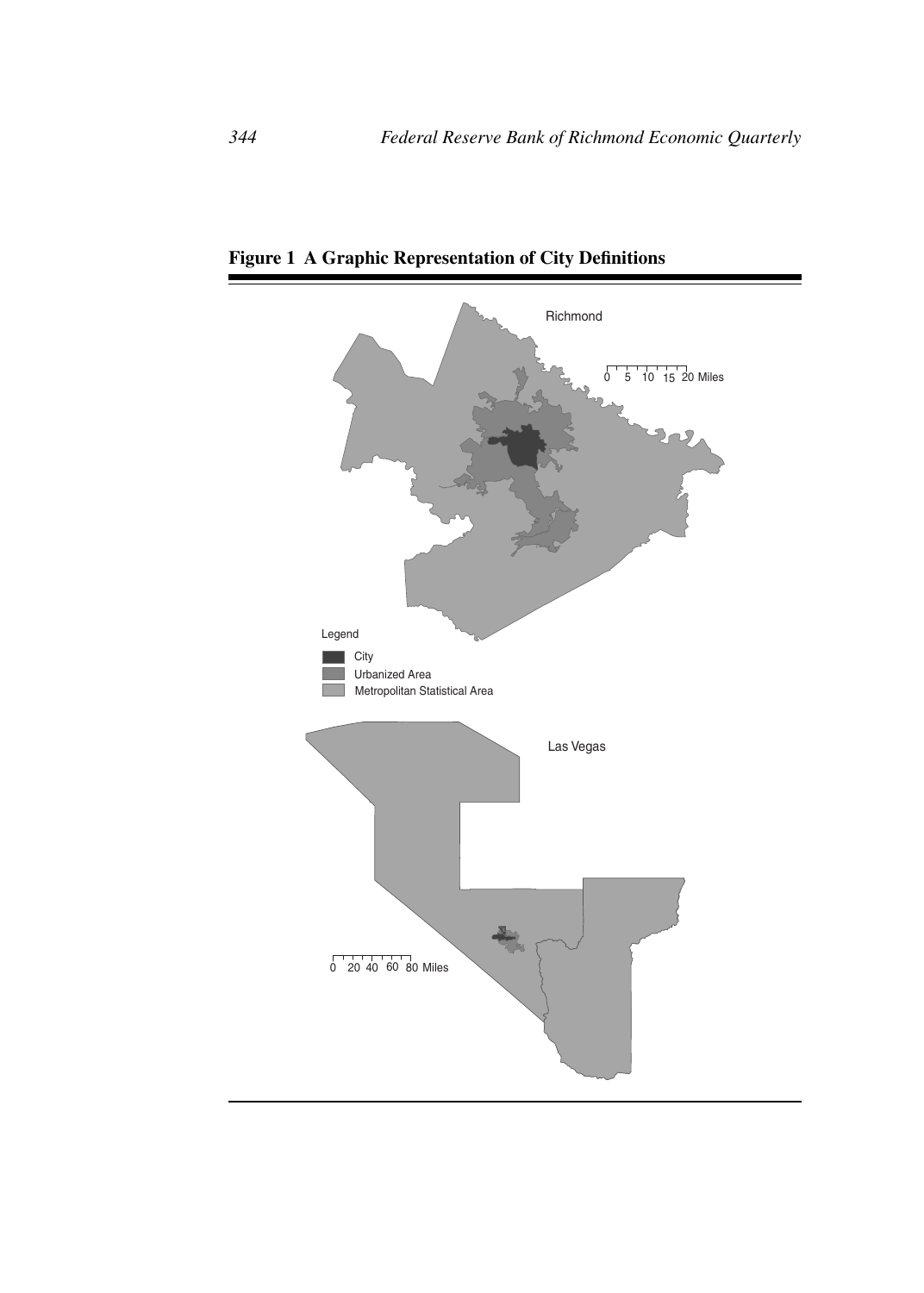

**Figure 1 A Graphic Representation of City Definitions**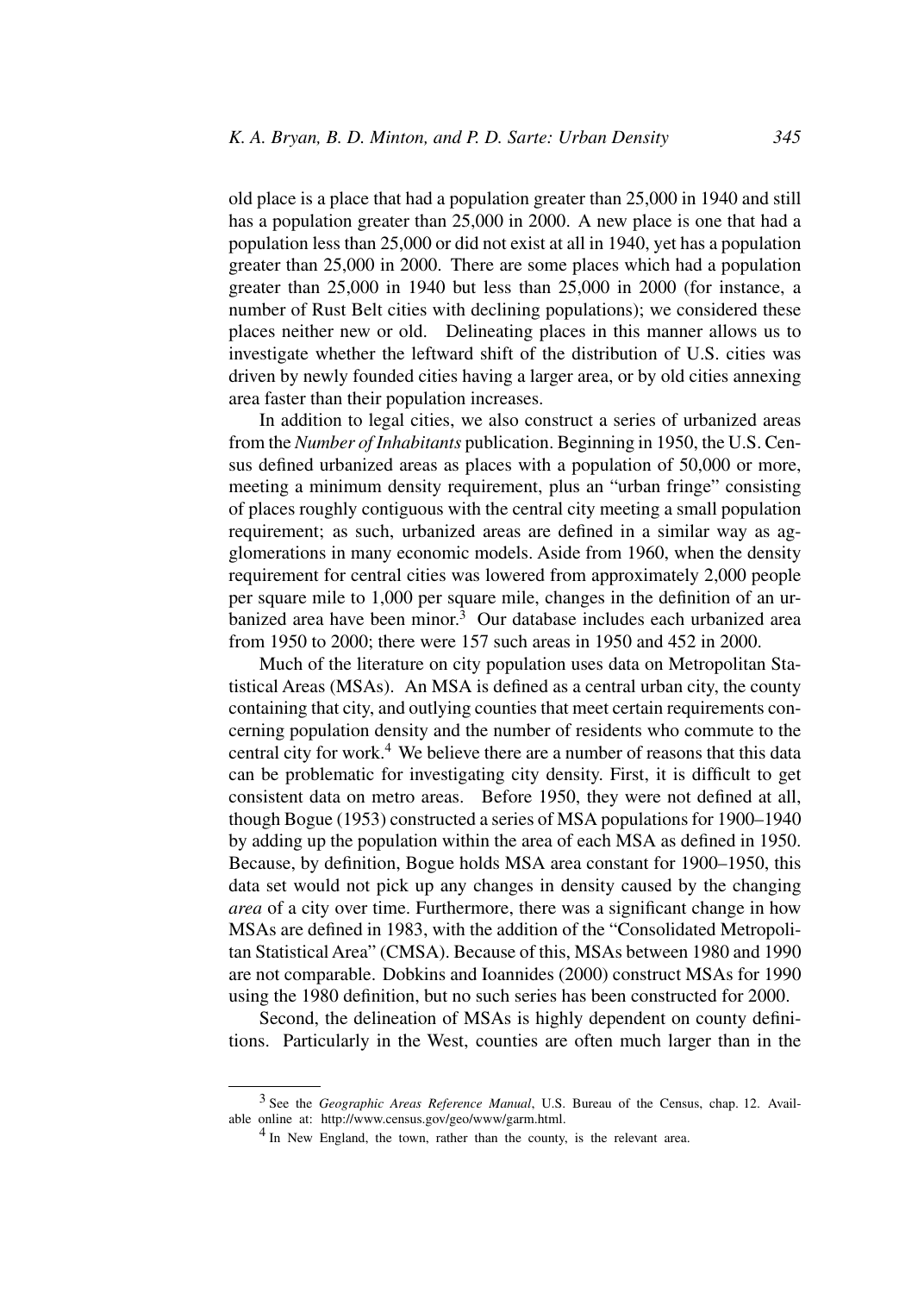old place is a place that had a population greater than 25,000 in 1940 and still has a population greater than 25,000 in 2000. A new place is one that had a population less than 25,000 or did not exist at all in 1940, yet has a population greater than 25,000 in 2000. There are some places which had a population greater than 25,000 in 1940 but less than 25,000 in 2000 (for instance, a number of Rust Belt cities with declining populations); we considered these places neither new or old. Delineating places in this manner allows us to investigate whether the leftward shift of the distribution of U.S. cities was driven by newly founded cities having a larger area, or by old cities annexing area faster than their population increases.

In addition to legal cities, we also construct a series of urbanized areas from the *Number of Inhabitants* publication. Beginning in 1950, the U.S. Census defined urbanized areas as places with a population of 50,000 or more, meeting a minimum density requirement, plus an "urban fringe" consisting of places roughly contiguous with the central city meeting a small population requirement; as such, urbanized areas are defined in a similar way as agglomerations in many economic models. Aside from 1960, when the density requirement for central cities was lowered from approximately 2,000 people per square mile to 1,000 per square mile, changes in the definition of an urbanized area have been minor.<sup>3</sup> Our database includes each urbanized area from 1950 to 2000; there were 157 such areas in 1950 and 452 in 2000.

Much of the literature on city population uses data on Metropolitan Statistical Areas (MSAs). An MSA is defined as a central urban city, the county containing that city, and outlying counties that meet certain requirements concerning population density and the number of residents who commute to the central city for work.<sup>4</sup> We believe there are a number of reasons that this data can be problematic for investigating city density. First, it is difficult to get consistent data on metro areas. Before 1950, they were not defined at all, though Bogue (1953) constructed a series of MSA populations for 1900–1940 by adding up the population within the area of each MSA as defined in 1950. Because, by definition, Bogue holds MSA area constant for 1900–1950, this data set would not pick up any changes in density caused by the changing *area* of a city over time. Furthermore, there was a significant change in how MSAs are defined in 1983, with the addition of the "Consolidated Metropolitan Statistical Area" (CMSA). Because of this, MSAs between 1980 and 1990 are not comparable. Dobkins and Ioannides (2000) construct MSAs for 1990 using the 1980 definition, but no such series has been constructed for 2000.

Second, the delineation of MSAs is highly dependent on county definitions. Particularly in the West, counties are often much larger than in the

<sup>3</sup> See the *Geographic Areas Reference Manual*, U.S. Bureau of the Census, chap. 12. Available online at: http://www.census.gov/geo/www/garm.html.

<sup>&</sup>lt;sup>4</sup> In New England, the town, rather than the county, is the relevant area.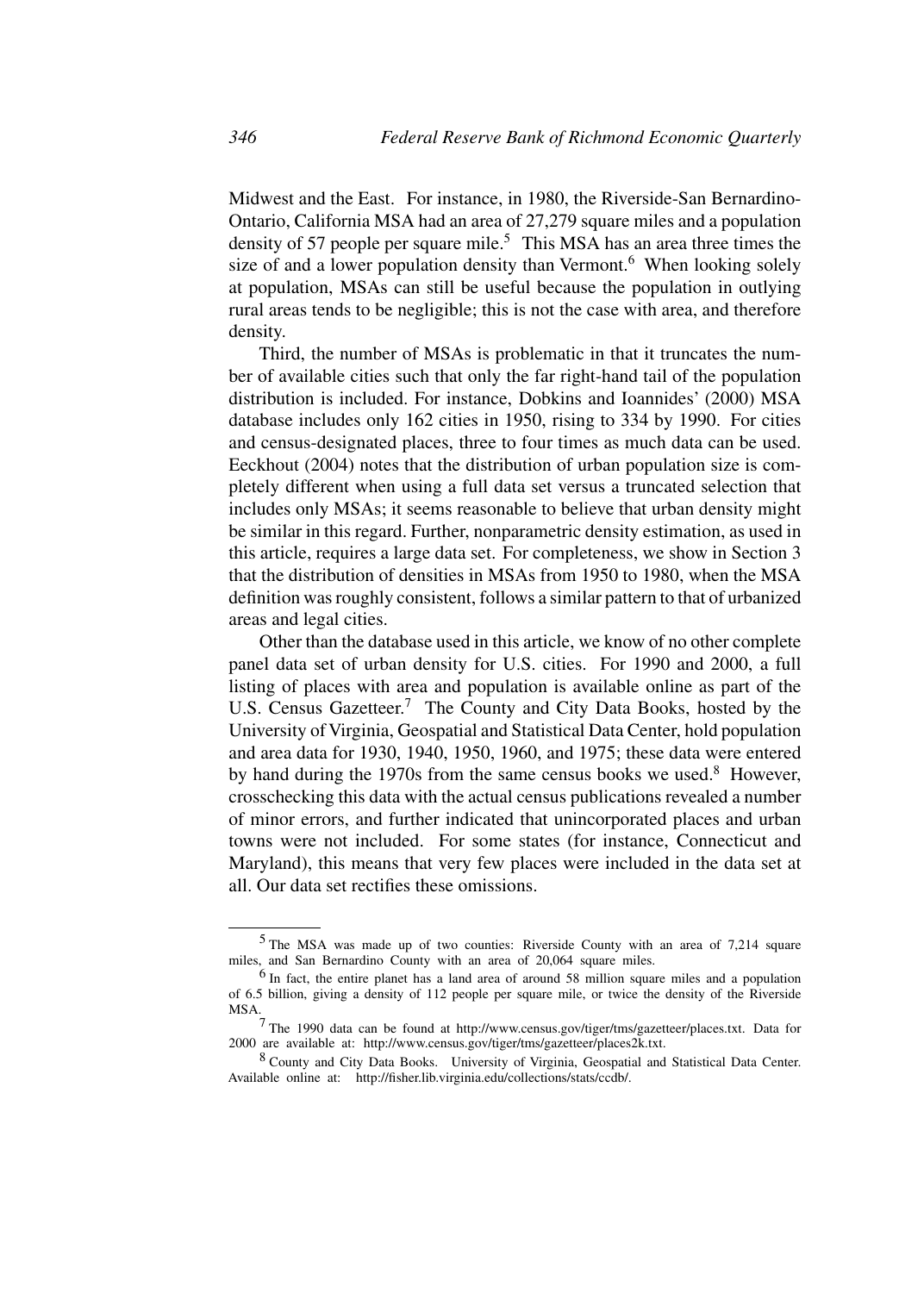Midwest and the East. For instance, in 1980, the Riverside-San Bernardino-Ontario, California MSA had an area of 27,279 square miles and a population density of 57 people per square mile.<sup>5</sup> This MSA has an area three times the size of and a lower population density than Vermont.<sup>6</sup> When looking solely at population, MSAs can still be useful because the population in outlying rural areas tends to be negligible; this is not the case with area, and therefore density.

Third, the number of MSAs is problematic in that it truncates the number of available cities such that only the far right-hand tail of the population distribution is included. For instance, Dobkins and Ioannides' (2000) MSA database includes only 162 cities in 1950, rising to 334 by 1990. For cities and census-designated places, three to four times as much data can be used. Eeckhout (2004) notes that the distribution of urban population size is completely different when using a full data set versus a truncated selection that includes only MSAs; it seems reasonable to believe that urban density might be similar in this regard. Further, nonparametric density estimation, as used in this article, requires a large data set. For completeness, we show in Section 3 that the distribution of densities in MSAs from 1950 to 1980, when the MSA definition was roughly consistent, follows a similar pattern to that of urbanized areas and legal cities.

Other than the database used in this article, we know of no other complete panel data set of urban density for U.S. cities. For 1990 and 2000, a full listing of places with area and population is available online as part of the U.S. Census Gazetteer.<sup>7</sup> The County and City Data Books, hosted by the University of Virginia, Geospatial and Statistical Data Center, hold population and area data for 1930, 1940, 1950, 1960, and 1975; these data were entered by hand during the 1970s from the same census books we used. $8$  However, crosschecking this data with the actual census publications revealed a number of minor errors, and further indicated that unincorporated places and urban towns were not included. For some states (for instance, Connecticut and Maryland), this means that very few places were included in the data set at all. Our data set rectifies these omissions.

<sup>5</sup> The MSA was made up of two counties: Riverside County with an area of 7,214 square miles, and San Bernardino County with an area of 20,064 square miles.

<sup>6</sup> In fact, the entire planet has a land area of around 58 million square miles and a population of 6.5 billion, giving a density of 112 people per square mile, or twice the density of the Riverside MSA.

<sup>&</sup>lt;sup>7</sup> The 1990 data can be found at http://www.census.gov/tiger/tms/gazetteer/places.txt. Data for 2000 are available at: http://www.census.gov/tiger/tms/gazetteer/places2k.txt.

<sup>8</sup> County and City Data Books. University of Virginia, Geospatial and Statistical Data Center. Available online at: http://fisher.lib.virginia.edu/collections/stats/ccdb/.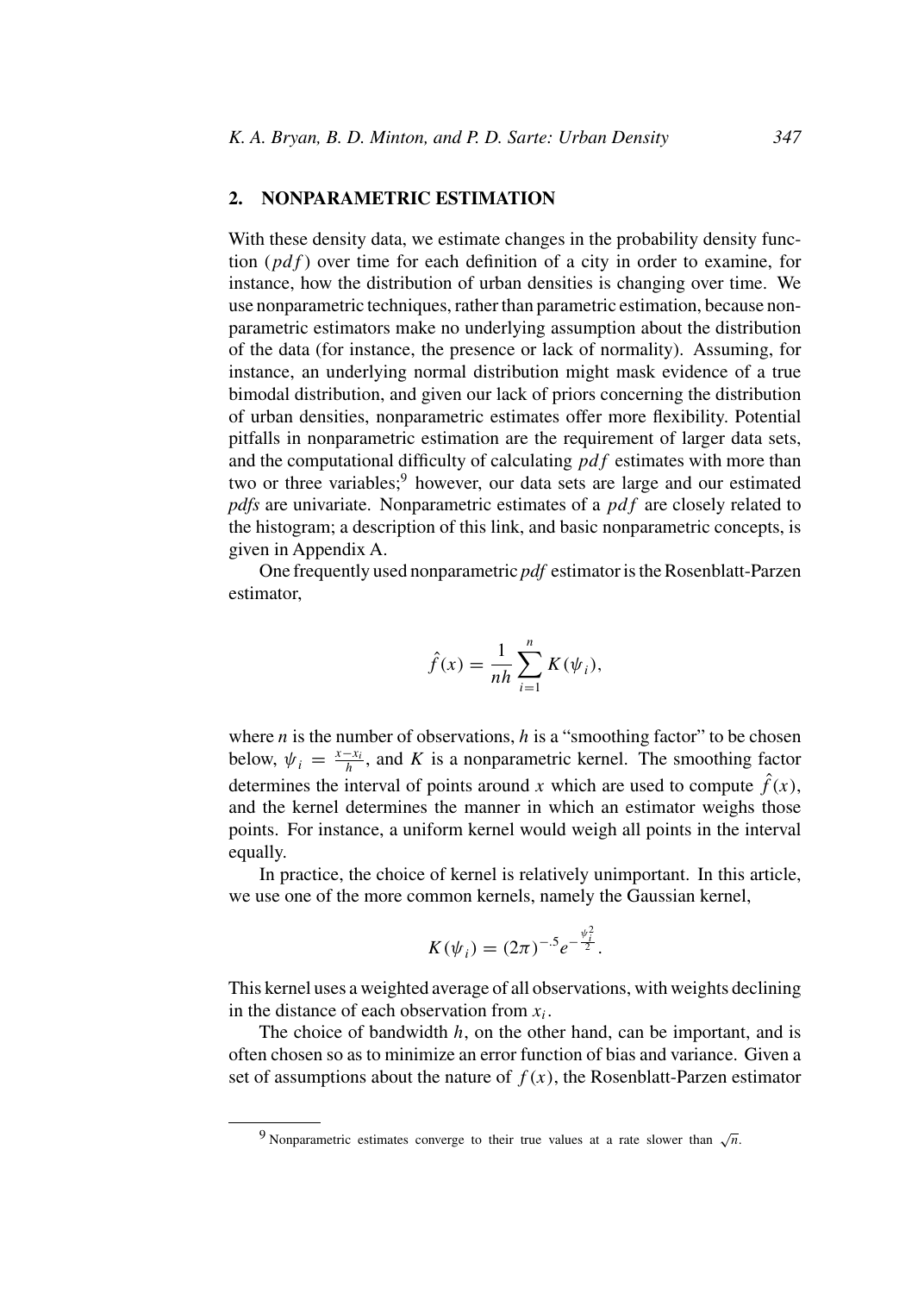## **2. NONPARAMETRIC ESTIMATION**

With these density data, we estimate changes in the probability density function  $(pdf)$  over time for each definition of a city in order to examine, for instance, how the distribution of urban densities is changing over time. We use nonparametric techniques, rather than parametric estimation, because nonparametric estimators make no underlying assumption about the distribution of the data (for instance, the presence or lack of normality). Assuming, for instance, an underlying normal distribution might mask evidence of a true bimodal distribution, and given our lack of priors concerning the distribution of urban densities, nonparametric estimates offer more flexibility. Potential pitfalls in nonparametric estimation are the requirement of larger data sets, and the computational difficulty of calculating  $pdf$  estimates with more than two or three variables;<sup>9</sup> however, our data sets are large and our estimated *pdfs* are univariate. Nonparametric estimates of a pdf are closely related to the histogram; a description of this link, and basic nonparametric concepts, is given in Appendix A.

One frequently used nonparametric *pdf* estimator is the Rosenblatt-Parzen estimator,

$$
\hat{f}(x) = \frac{1}{nh} \sum_{i=1}^{n} K(\psi_i),
$$

where *n* is the number of observations, *h* is a "smoothing factor" to be chosen below,  $\psi_i = \frac{x - x_i}{h}$ , and K is a nonparametric kernel. The smoothing factor determines the interval of points around x which are used to compute  $\hat{f}(x)$ , and the kernel determines the manner in which an estimator weighs those points. For instance, a uniform kernel would weigh all points in the interval equally.

In practice, the choice of kernel is relatively unimportant. In this article, we use one of the more common kernels, namely the Gaussian kernel,

$$
K(\psi_i) = (2\pi)^{-.5} e^{-\frac{\psi_i^2}{2}}.
$$

This kernel uses a weighted average of all observations, with weights declining in the distance of each observation from  $x_i$ .

The choice of bandwidth  $h$ , on the other hand, can be important, and is often chosen so as to minimize an error function of bias and variance. Given a set of assumptions about the nature of  $f(x)$ , the Rosenblatt-Parzen estimator

<sup>9</sup> Nonparametric estimates converge to their true values at a rate slower than  $\sqrt{n}$ .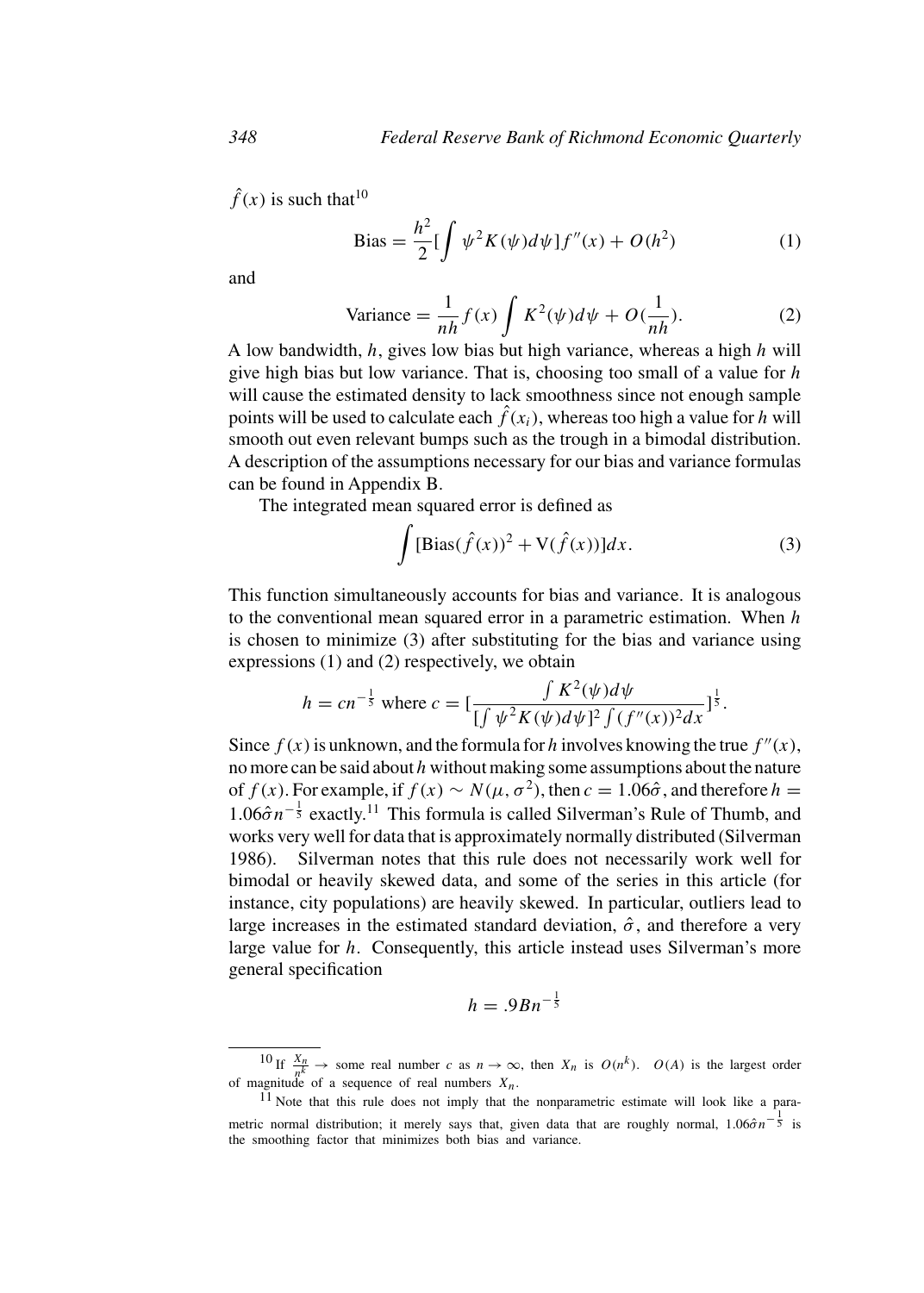$\hat{f}(x)$  is such that<sup>10</sup>

Bias = 
$$
\frac{h^2}{2} \left[ \int \psi^2 K(\psi) d\psi \right] f''(x) + O(h^2)
$$
 (1)

and

Variance = 
$$
\frac{1}{nh} f(x) \int K^2(\psi) d\psi + O(\frac{1}{nh}).
$$
 (2)

A low bandwidth,  $h$ , gives low bias but high variance, whereas a high  $h$  will give high bias but low variance. That is, choosing too small of a value for  $h$ will cause the estimated density to lack smoothness since not enough sample points will be used to calculate each  $\hat{f}(x_i)$ , whereas too high a value for h will smooth out even relevant bumps such as the trough in a bimodal distribution. A description of the assumptions necessary for our bias and variance formulas can be found in Appendix B.

The integrated mean squared error is defined as

$$
\int [\text{Bias}(\hat{f}(x))^{2} + \text{V}(\hat{f}(x))]dx.
$$
\n(3)

This function simultaneously accounts for bias and variance. It is analogous to the conventional mean squared error in a parametric estimation. When  $h$ is chosen to minimize (3) after substituting for the bias and variance using expressions (1) and (2) respectively, we obtain

$$
h = cn^{-\frac{1}{5}} \text{ where } c = \left[\frac{\int K^2(\psi)d\psi}{\int (\int \psi^2 K(\psi)d\psi)^2 \int (f''(x))^2 dx}\right]^{\frac{1}{5}}.
$$

Since  $f(x)$  is unknown, and the formula for h involves knowing the true  $f''(x)$ , no more can be said about  $h$  without making some assumptions about the nature of  $f(x)$ . For example, if  $f(x) \sim N(\mu, \sigma^2)$ , then  $c = 1.06\hat{\sigma}$ , and therefore  $h =$  $1.06\hat{\sigma}n^{-\frac{1}{5}}$  exactly.<sup>11</sup> This formula is called Silverman's Rule of Thumb, and works very well for data that is approximately normally distributed (Silverman 1986). Silverman notes that this rule does not necessarily work well for bimodal or heavily skewed data, and some of the series in this article (for instance, city populations) are heavily skewed. In particular, outliers lead to large increases in the estimated standard deviation,  $\hat{\sigma}$ , and therefore a very large value for h. Consequently, this article instead uses Silverman's more general specification

$$
h = .9Bn^{-\frac{1}{5}}
$$

<sup>10</sup> If  $\frac{X_n}{n^k}$   $\rightarrow$  some real number c as  $n \rightarrow \infty$ , then  $X_n$  is  $O(n^k)$ .  $O(A)$  is the largest order

 $11$  Note that this rule does not imply that the nonparametric estimate will look like a parametric normal distribution; it merely says that, given data that are roughly normal,  $1.06\hat{\sigma}n^{-\frac{1}{5}}$  is the smoothing factor that minimizes both bias and variance.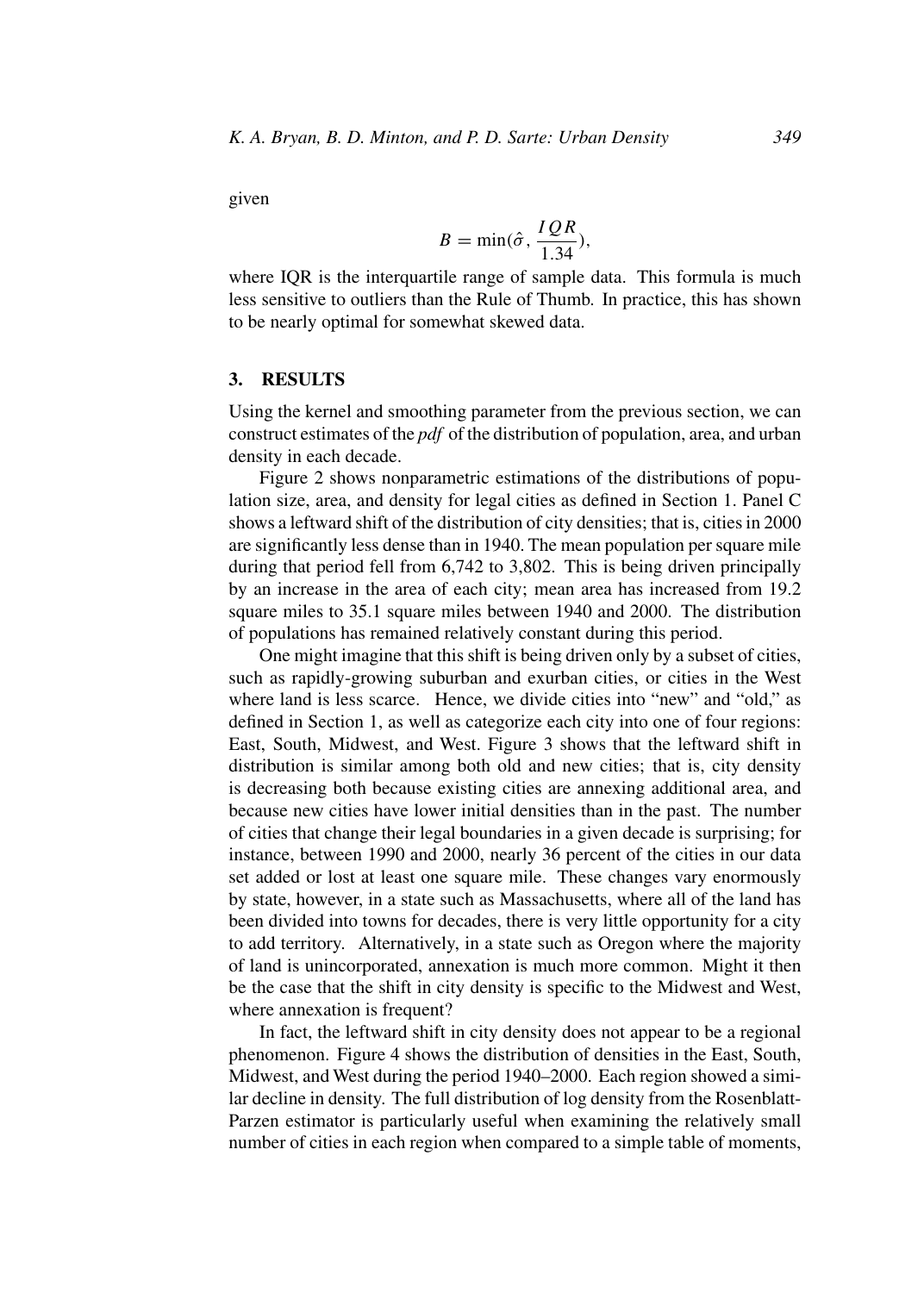given

$$
B = \min(\hat{\sigma}, \frac{IQR}{1.34}),
$$

where IQR is the interquartile range of sample data. This formula is much less sensitive to outliers than the Rule of Thumb. In practice, this has shown to be nearly optimal for somewhat skewed data.

## **3. RESULTS**

Using the kernel and smoothing parameter from the previous section, we can construct estimates of the *pdf* of the distribution of population, area, and urban density in each decade.

Figure 2 shows nonparametric estimations of the distributions of population size, area, and density for legal cities as defined in Section 1. Panel C shows a leftward shift of the distribution of city densities; that is, cities in 2000 are significantly less dense than in 1940. The mean population per square mile during that period fell from 6,742 to 3,802. This is being driven principally by an increase in the area of each city; mean area has increased from 19.2 square miles to 35.1 square miles between 1940 and 2000. The distribution of populations has remained relatively constant during this period.

One might imagine that this shift is being driven only by a subset of cities, such as rapidly-growing suburban and exurban cities, or cities in the West where land is less scarce. Hence, we divide cities into "new" and "old," as defined in Section 1, as well as categorize each city into one of four regions: East, South, Midwest, and West. Figure 3 shows that the leftward shift in distribution is similar among both old and new cities; that is, city density is decreasing both because existing cities are annexing additional area, and because new cities have lower initial densities than in the past. The number of cities that change their legal boundaries in a given decade is surprising; for instance, between 1990 and 2000, nearly 36 percent of the cities in our data set added or lost at least one square mile. These changes vary enormously by state, however, in a state such as Massachusetts, where all of the land has been divided into towns for decades, there is very little opportunity for a city to add territory. Alternatively, in a state such as Oregon where the majority of land is unincorporated, annexation is much more common. Might it then be the case that the shift in city density is specific to the Midwest and West, where annexation is frequent?

In fact, the leftward shift in city density does not appear to be a regional phenomenon. Figure 4 shows the distribution of densities in the East, South, Midwest, and West during the period 1940–2000. Each region showed a similar decline in density. The full distribution of log density from the Rosenblatt-Parzen estimator is particularly useful when examining the relatively small number of cities in each region when compared to a simple table of moments,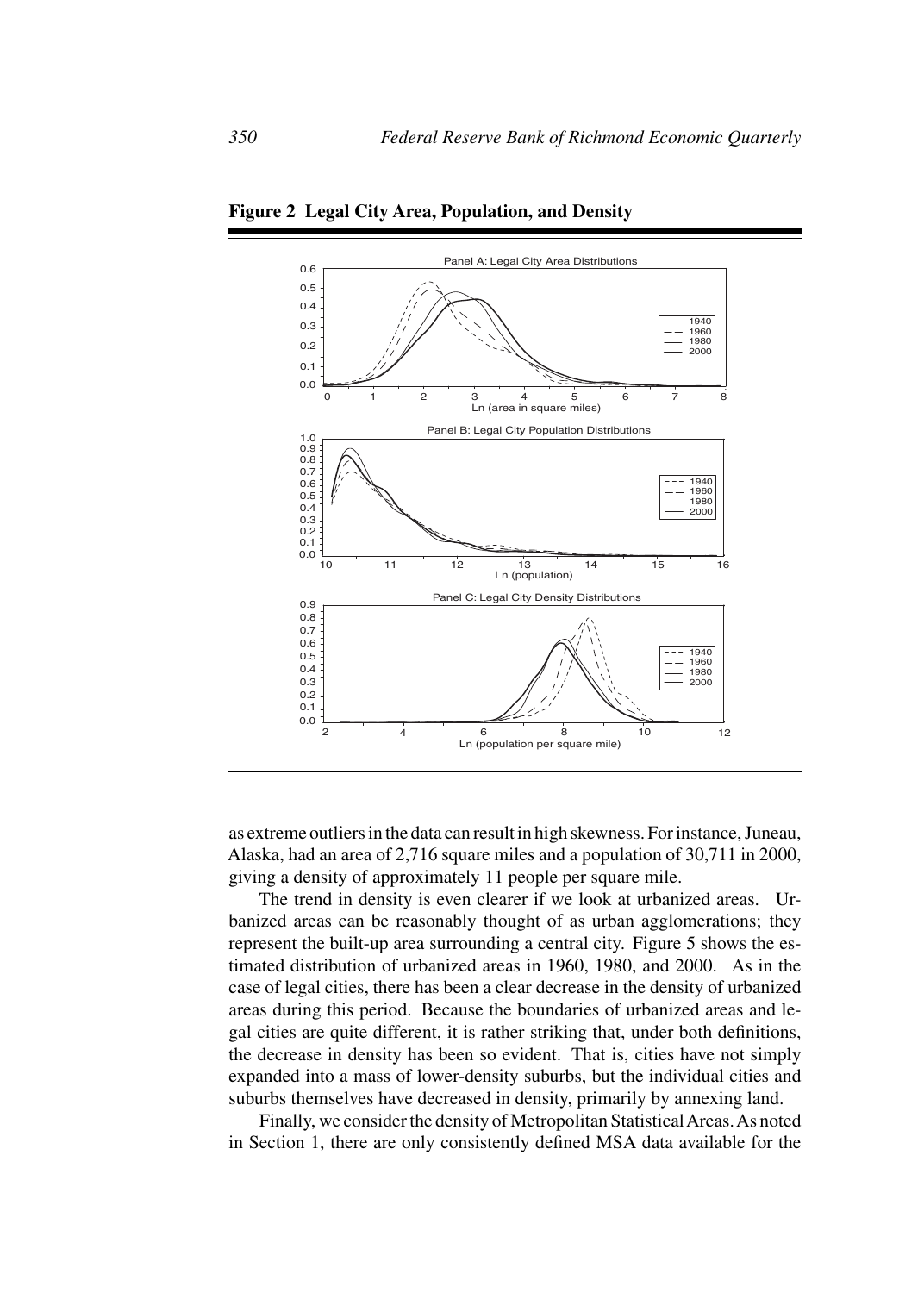

**Figure 2 Legal City Area, Population, and Density**

as extreme outliers in the data can result in high skewness. For instance, Juneau, Alaska, had an area of 2,716 square miles and a population of 30,711 in 2000, giving a density of approximately 11 people per square mile.

The trend in density is even clearer if we look at urbanized areas. Urbanized areas can be reasonably thought of as urban agglomerations; they represent the built-up area surrounding a central city. Figure 5 shows the estimated distribution of urbanized areas in 1960, 1980, and 2000. As in the case of legal cities, there has been a clear decrease in the density of urbanized areas during this period. Because the boundaries of urbanized areas and legal cities are quite different, it is rather striking that, under both definitions, the decrease in density has been so evident. That is, cities have not simply expanded into a mass of lower-density suburbs, but the individual cities and suburbs themselves have decreased in density, primarily by annexing land.

Finally, we consider the density of Metropolitan StatisticalAreas.As noted in Section 1, there are only consistently defined MSA data available for the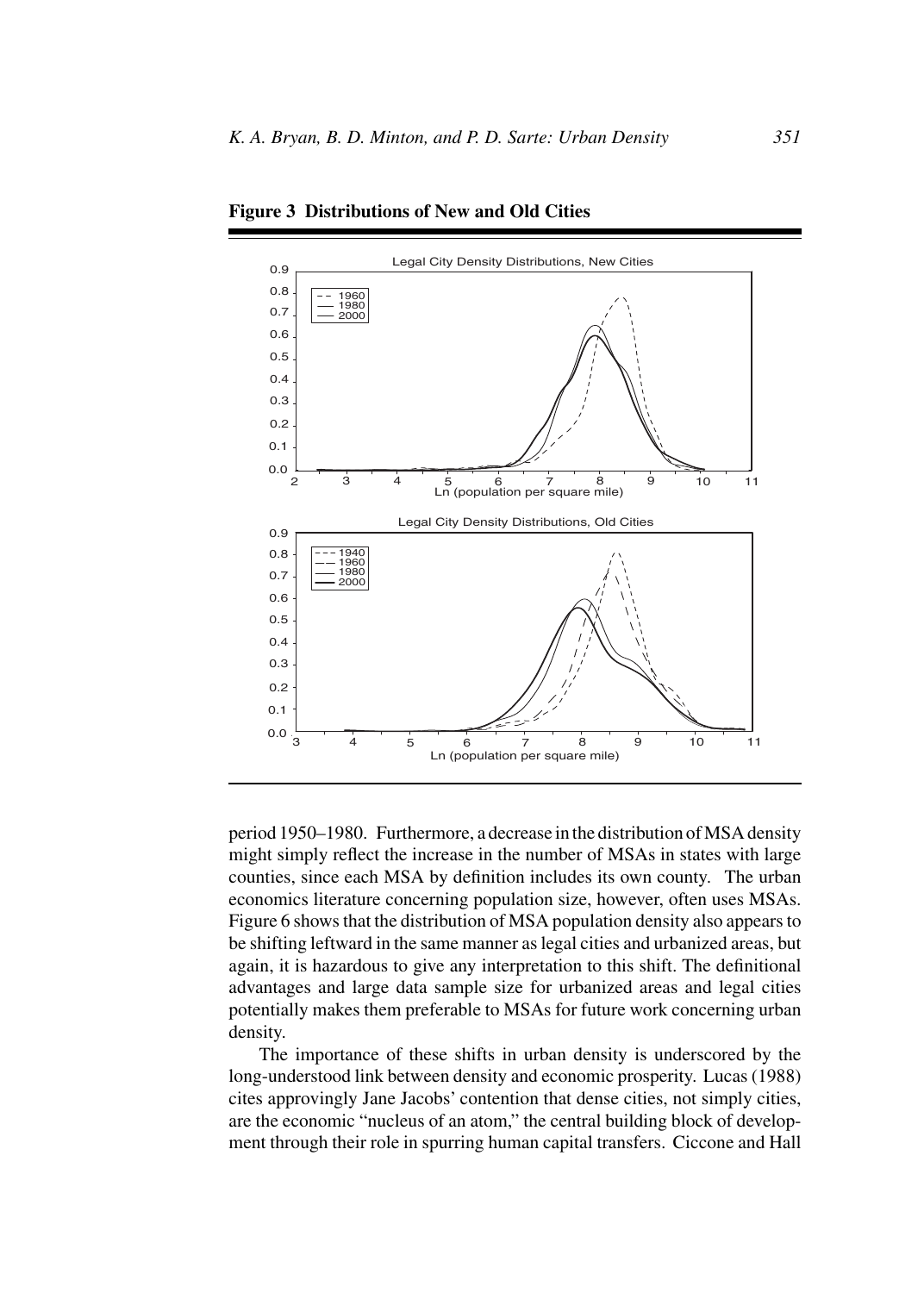

**Figure 3 Distributions of New and Old Cities**

period 1950–1980. Furthermore, a decrease in the distribution of MSA density might simply reflect the increase in the number of MSAs in states with large counties, since each MSA by definition includes its own county. The urban economics literature concerning population size, however, often uses MSAs. Figure 6 shows that the distribution of MSA population density also appears to be shifting leftward in the same manner as legal cities and urbanized areas, but again, it is hazardous to give any interpretation to this shift. The definitional advantages and large data sample size for urbanized areas and legal cities potentially makes them preferable to MSAs for future work concerning urban density.

The importance of these shifts in urban density is underscored by the long-understood link between density and economic prosperity. Lucas (1988) cites approvingly Jane Jacobs' contention that dense cities, not simply cities, are the economic "nucleus of an atom," the central building block of development through their role in spurring human capital transfers. Ciccone and Hall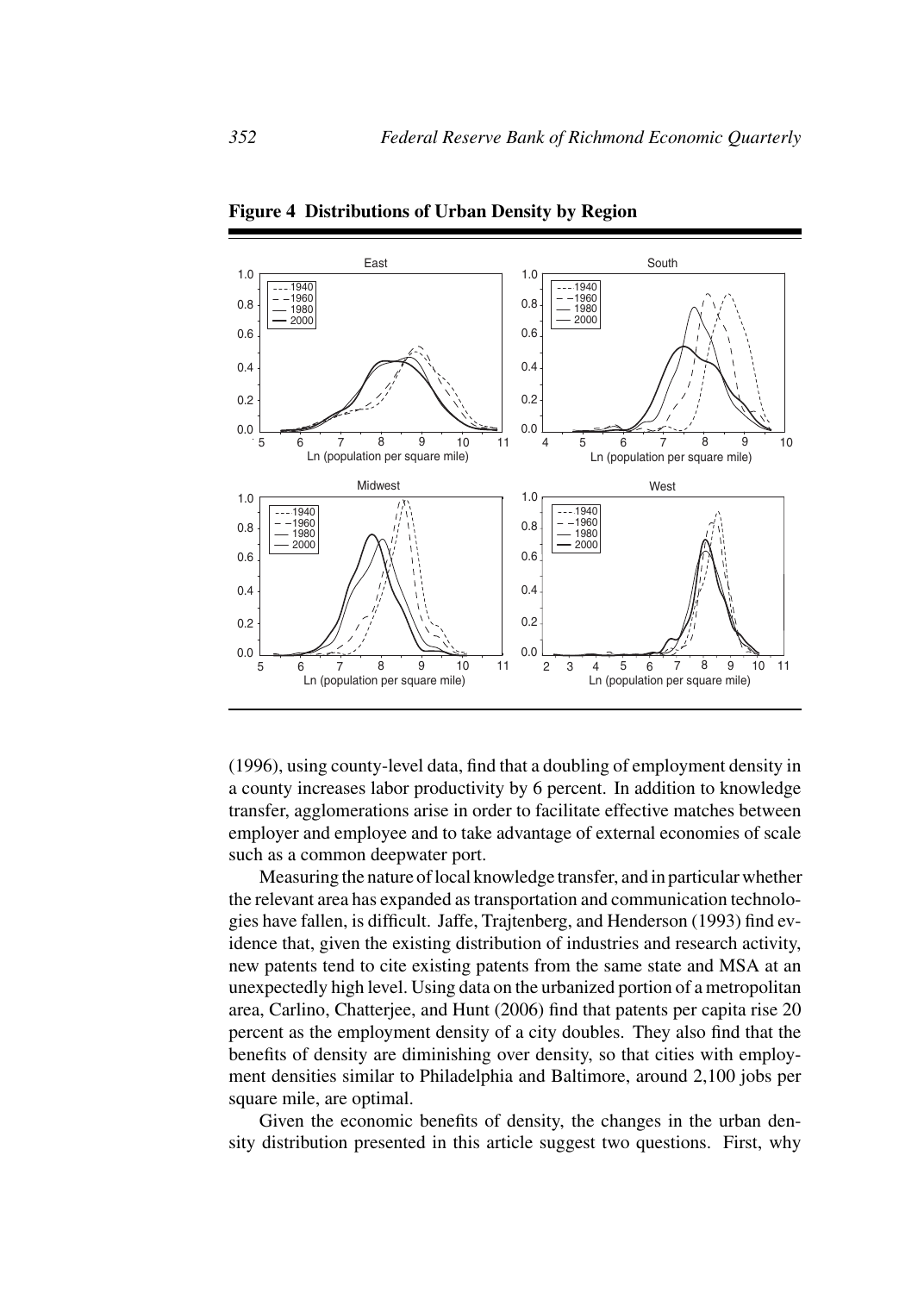

**Figure 4 Distributions of Urban Density by Region**

(1996), using county-level data, find that a doubling of employment density in a county increases labor productivity by 6 percent. In addition to knowledge transfer, agglomerations arise in order to facilitate effective matches between employer and employee and to take advantage of external economies of scale such as a common deepwater port.

Measuring the nature of local knowledge transfer, and in particular whether the relevant area has expanded as transportation and communication technologies have fallen, is difficult. Jaffe, Trajtenberg, and Henderson (1993) find evidence that, given the existing distribution of industries and research activity, new patents tend to cite existing patents from the same state and MSA at an unexpectedly high level. Using data on the urbanized portion of a metropolitan area, Carlino, Chatterjee, and Hunt (2006) find that patents per capita rise 20 percent as the employment density of a city doubles. They also find that the benefits of density are diminishing over density, so that cities with employment densities similar to Philadelphia and Baltimore, around 2,100 jobs per square mile, are optimal.

Given the economic benefits of density, the changes in the urban density distribution presented in this article suggest two questions. First, why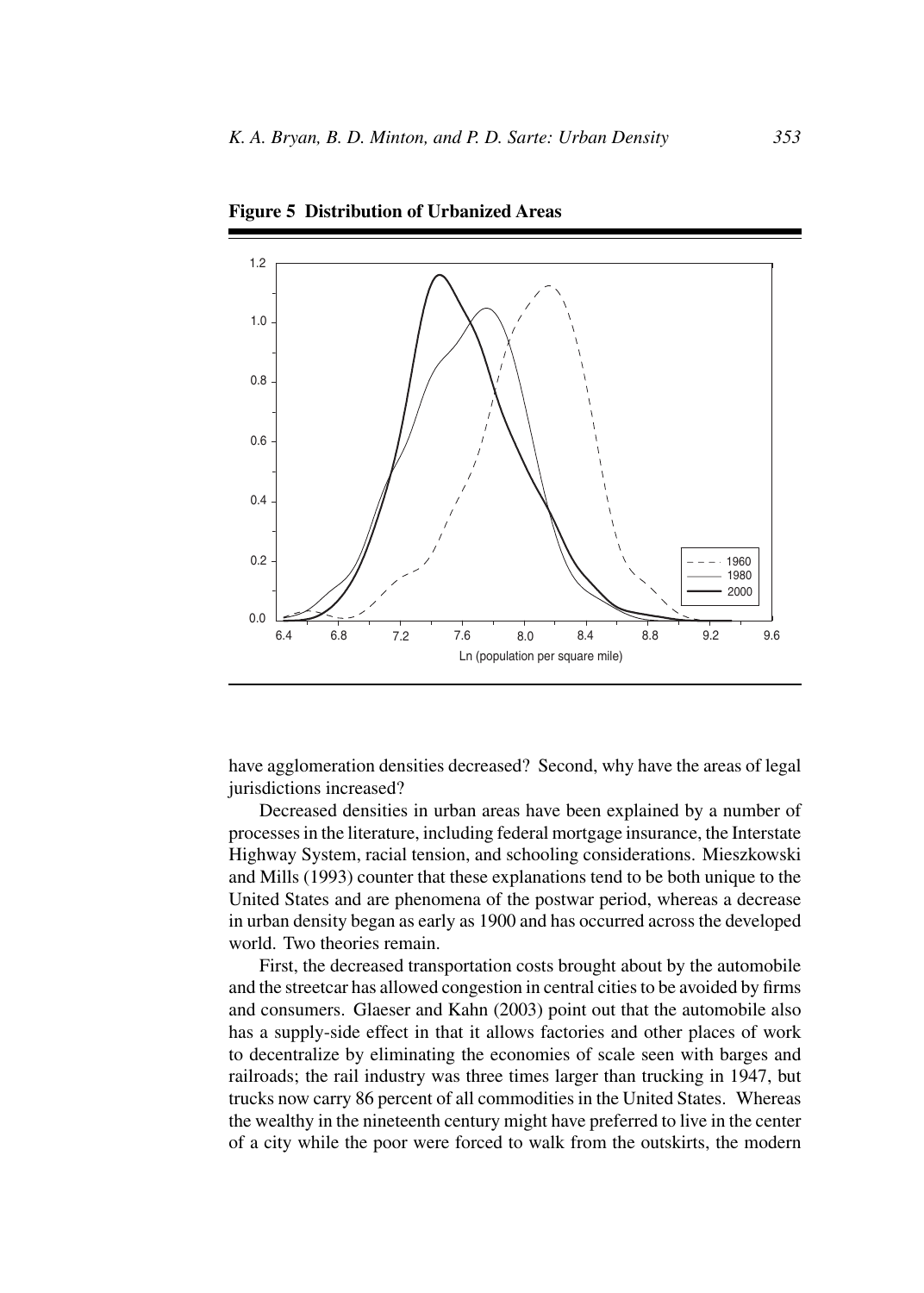

**Figure 5 Distribution of Urbanized Areas**

have agglomeration densities decreased? Second, why have the areas of legal jurisdictions increased?

Decreased densities in urban areas have been explained by a number of processes in the literature, including federal mortgage insurance, the Interstate Highway System, racial tension, and schooling considerations. Mieszkowski and Mills (1993) counter that these explanations tend to be both unique to the United States and are phenomena of the postwar period, whereas a decrease in urban density began as early as 1900 and has occurred across the developed world. Two theories remain.

First, the decreased transportation costs brought about by the automobile and the streetcar has allowed congestion in central cities to be avoided by firms and consumers. Glaeser and Kahn (2003) point out that the automobile also has a supply-side effect in that it allows factories and other places of work to decentralize by eliminating the economies of scale seen with barges and railroads; the rail industry was three times larger than trucking in 1947, but trucks now carry 86 percent of all commodities in the United States. Whereas the wealthy in the nineteenth century might have preferred to live in the center of a city while the poor were forced to walk from the outskirts, the modern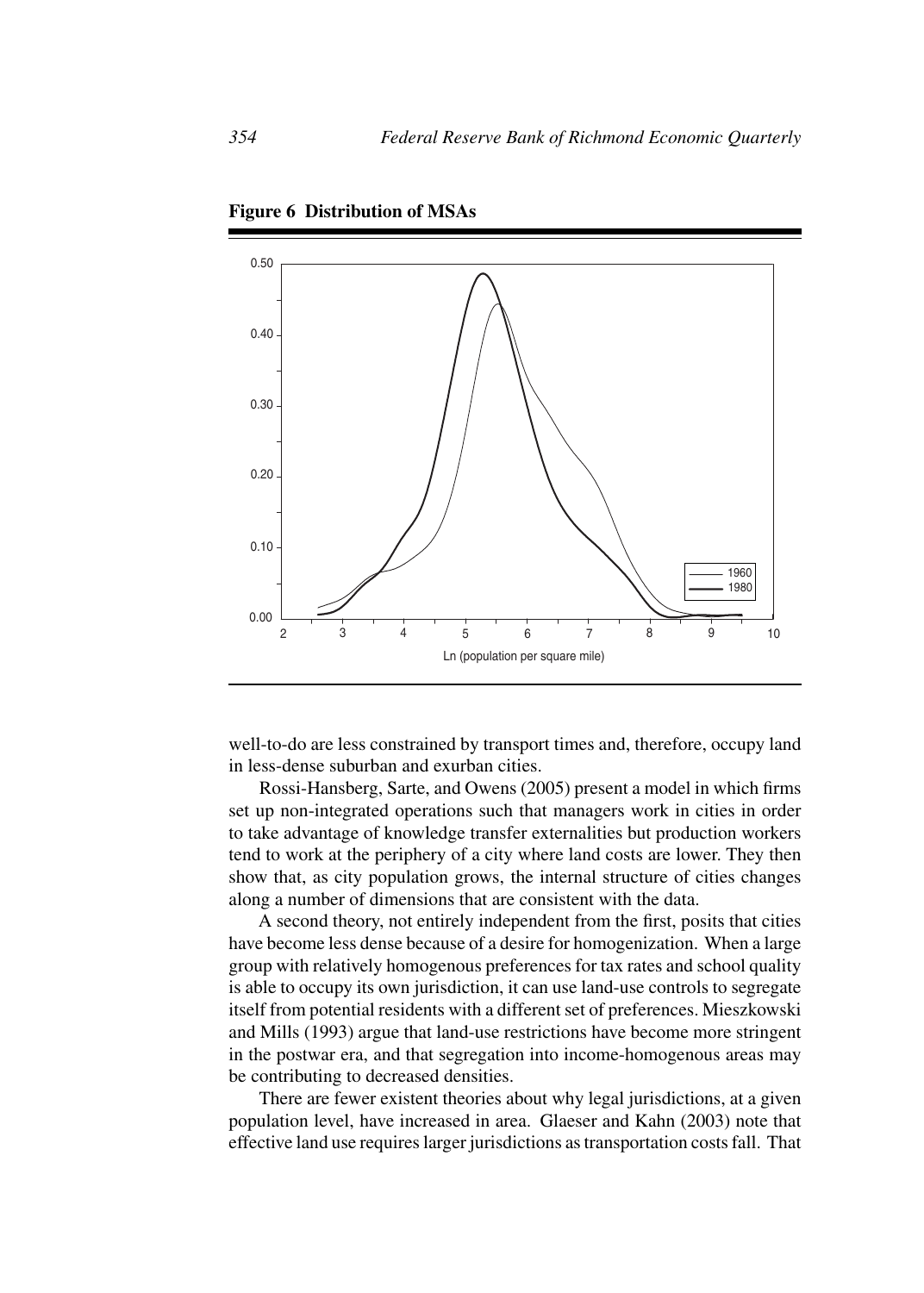

**Figure 6 Distribution of MSAs**

well-to-do are less constrained by transport times and, therefore, occupy land in less-dense suburban and exurban cities.

Rossi-Hansberg, Sarte, and Owens (2005) present a model in which firms set up non-integrated operations such that managers work in cities in order to take advantage of knowledge transfer externalities but production workers tend to work at the periphery of a city where land costs are lower. They then show that, as city population grows, the internal structure of cities changes along a number of dimensions that are consistent with the data.

A second theory, not entirely independent from the first, posits that cities have become less dense because of a desire for homogenization. When a large group with relatively homogenous preferences for tax rates and school quality is able to occupy its own jurisdiction, it can use land-use controls to segregate itself from potential residents with a different set of preferences. Mieszkowski and Mills (1993) argue that land-use restrictions have become more stringent in the postwar era, and that segregation into income-homogenous areas may be contributing to decreased densities.

There are fewer existent theories about why legal jurisdictions, at a given population level, have increased in area. Glaeser and Kahn (2003) note that effective land use requires larger jurisdictions as transportation costs fall. That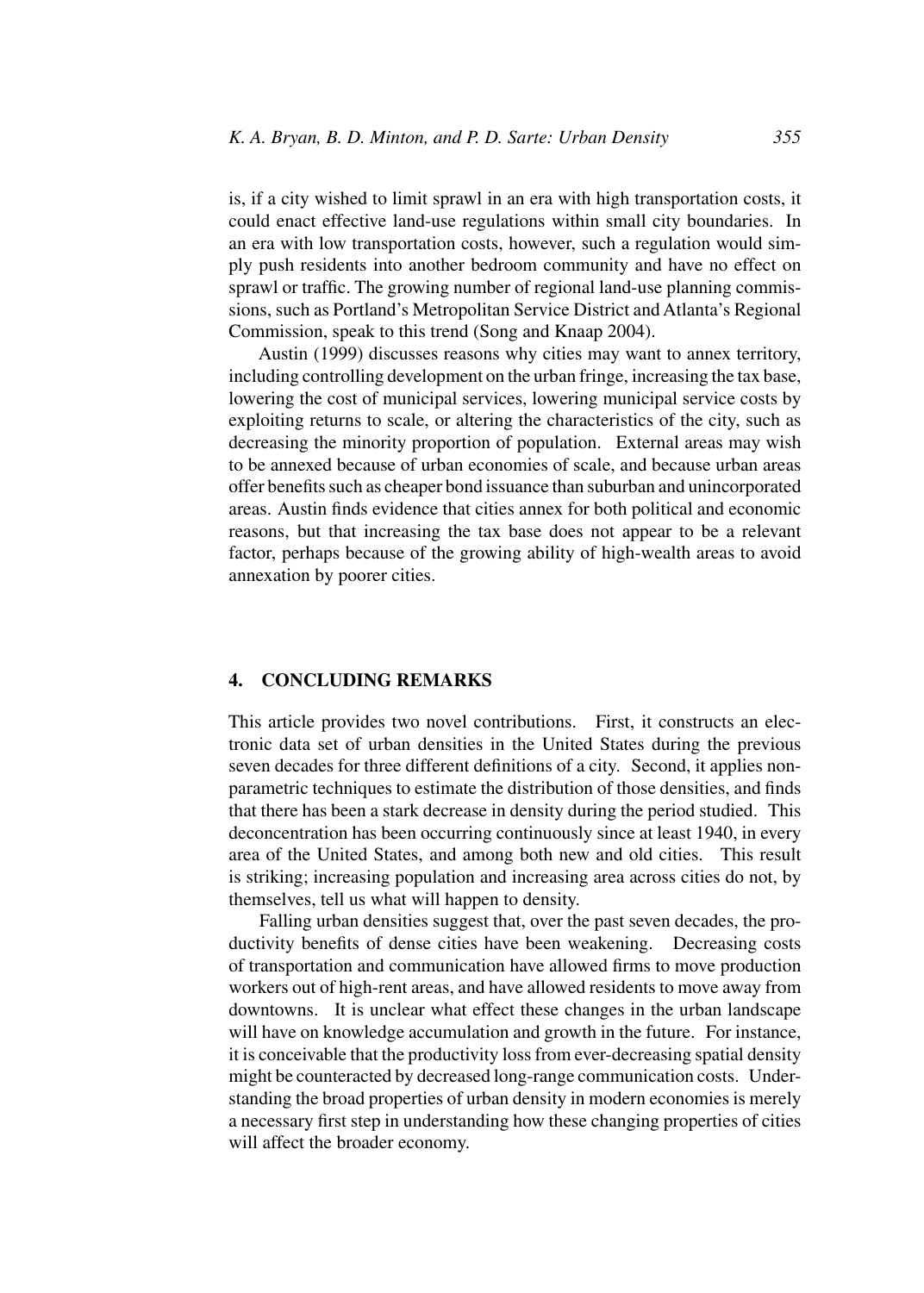is, if a city wished to limit sprawl in an era with high transportation costs, it could enact effective land-use regulations within small city boundaries. In an era with low transportation costs, however, such a regulation would simply push residents into another bedroom community and have no effect on sprawl or traffic. The growing number of regional land-use planning commissions, such as Portland's Metropolitan Service District and Atlanta's Regional Commission, speak to this trend (Song and Knaap 2004).

Austin (1999) discusses reasons why cities may want to annex territory, including controlling development on the urban fringe, increasing the tax base, lowering the cost of municipal services, lowering municipal service costs by exploiting returns to scale, or altering the characteristics of the city, such as decreasing the minority proportion of population. External areas may wish to be annexed because of urban economies of scale, and because urban areas offer benefits such as cheaper bond issuance than suburban and unincorporated areas. Austin finds evidence that cities annex for both political and economic reasons, but that increasing the tax base does not appear to be a relevant factor, perhaps because of the growing ability of high-wealth areas to avoid annexation by poorer cities.

#### **4. CONCLUDING REMARKS**

This article provides two novel contributions. First, it constructs an electronic data set of urban densities in the United States during the previous seven decades for three different definitions of a city. Second, it applies nonparametric techniques to estimate the distribution of those densities, and finds that there has been a stark decrease in density during the period studied. This deconcentration has been occurring continuously since at least 1940, in every area of the United States, and among both new and old cities. This result is striking; increasing population and increasing area across cities do not, by themselves, tell us what will happen to density.

Falling urban densities suggest that, over the past seven decades, the productivity benefits of dense cities have been weakening. Decreasing costs of transportation and communication have allowed firms to move production workers out of high-rent areas, and have allowed residents to move away from downtowns. It is unclear what effect these changes in the urban landscape will have on knowledge accumulation and growth in the future. For instance, it is conceivable that the productivity loss from ever-decreasing spatial density might be counteracted by decreased long-range communication costs. Understanding the broad properties of urban density in modern economies is merely a necessary first step in understanding how these changing properties of cities will affect the broader economy.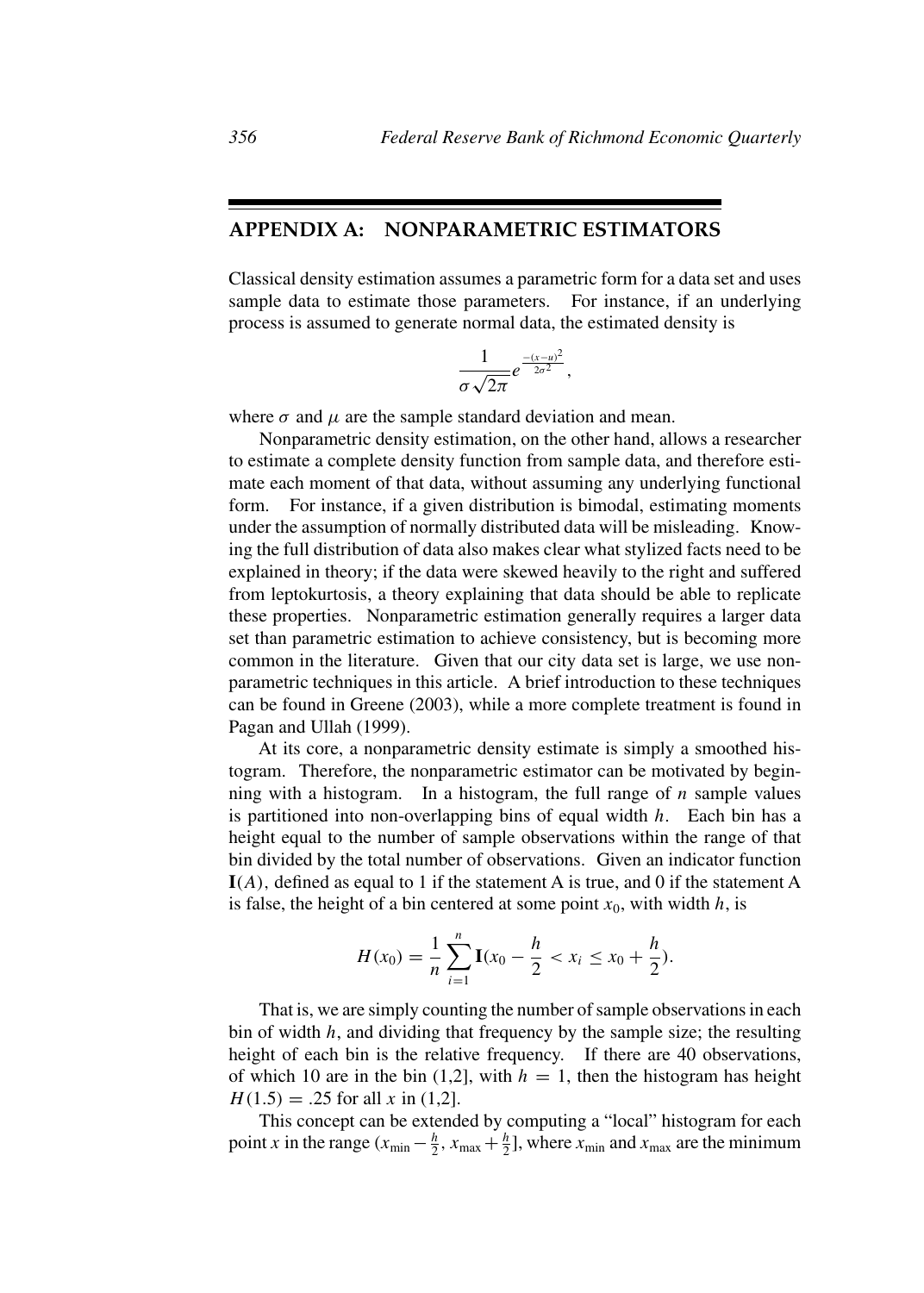## **APPENDIX A: NONPARAMETRIC ESTIMATORS**

Classical density estimation assumes a parametric form for a data set and uses sample data to estimate those parameters. For instance, if an underlying process is assumed to generate normal data, the estimated density is

$$
\frac{1}{\sigma\sqrt{2\pi}}e^{\frac{-(x-u)^2}{2\sigma^2}},
$$

where  $\sigma$  and  $\mu$  are the sample standard deviation and mean.

Nonparametric density estimation, on the other hand, allows a researcher to estimate a complete density function from sample data, and therefore estimate each moment of that data, without assuming any underlying functional form. For instance, if a given distribution is bimodal, estimating moments under the assumption of normally distributed data will be misleading. Knowing the full distribution of data also makes clear what stylized facts need to be explained in theory; if the data were skewed heavily to the right and suffered from leptokurtosis, a theory explaining that data should be able to replicate these properties. Nonparametric estimation generally requires a larger data set than parametric estimation to achieve consistency, but is becoming more common in the literature. Given that our city data set is large, we use nonparametric techniques in this article. A brief introduction to these techniques can be found in Greene (2003), while a more complete treatment is found in Pagan and Ullah (1999).

At its core, a nonparametric density estimate is simply a smoothed histogram. Therefore, the nonparametric estimator can be motivated by beginning with a histogram. In a histogram, the full range of  $n$  sample values is partitioned into non-overlapping bins of equal width  $h$ . Each bin has a height equal to the number of sample observations within the range of that bin divided by the total number of observations. Given an indicator function **I**(A), defined as equal to 1 if the statement A is true, and 0 if the statement A is false, the height of a bin centered at some point  $x_0$ , with width h, is

$$
H(x_0) = \frac{1}{n} \sum_{i=1}^n \mathbf{I}(x_0 - \frac{h}{2} < x_i \leq x_0 + \frac{h}{2}).
$$

That is, we are simply counting the number of sample observations in each bin of width  $h$ , and dividing that frequency by the sample size; the resulting height of each bin is the relative frequency. If there are 40 observations, of which 10 are in the bin (1,2), with  $h = 1$ , then the histogram has height  $H(1.5) = .25$  for all x in (1,2).

This concept can be extended by computing a "local" histogram for each point x in the range  $(x_{min} - \frac{h}{2}, x_{max} + \frac{h}{2}]$ , where  $x_{min}$  and  $x_{max}$  are the minimum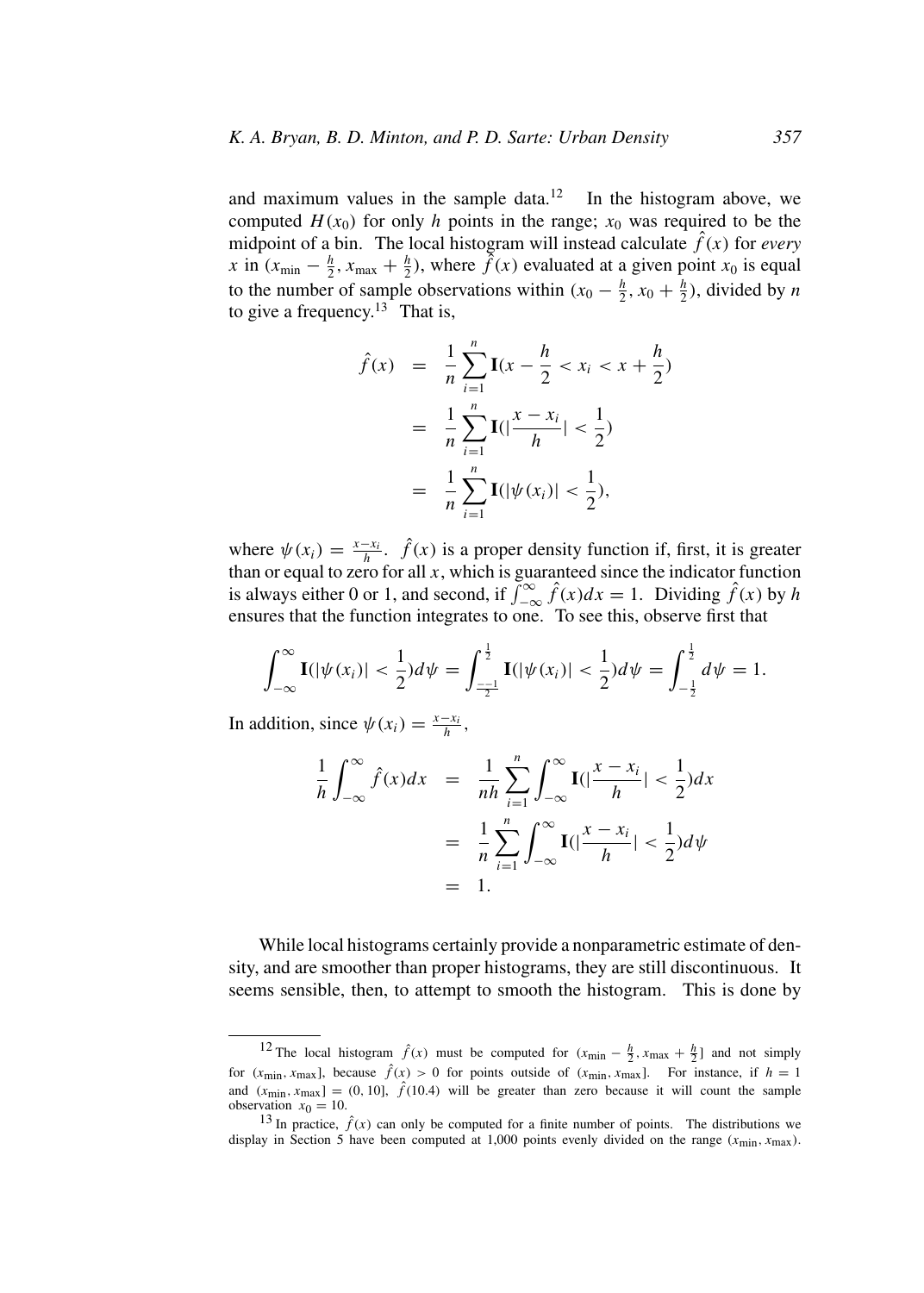and maximum values in the sample data.<sup>12</sup> In the histogram above, we computed  $H(x_0)$  for only h points in the range;  $x_0$  was required to be the midpoint of a bin. The local histogram will instead calculate  $\hat{f}(x)$  for *every* x in  $(x_{\text{min}} - \frac{h}{2}, x_{\text{max}} + \frac{h}{2})$ , where  $\tilde{f}(x)$  evaluated at a given point  $x_0$  is equal to the number of sample observations within  $(x_0 - \frac{h}{2}, x_0 + \frac{h}{2})$ , divided by *n* to give a frequency.<sup>13</sup> That is,

$$
\hat{f}(x) = \frac{1}{n} \sum_{i=1}^{n} \mathbf{I}(x - \frac{h}{2} < x_i < x + \frac{h}{2})
$$
\n
$$
= \frac{1}{n} \sum_{i=1}^{n} \mathbf{I}(|\frac{x - x_i}{h}| < \frac{1}{2})
$$
\n
$$
= \frac{1}{n} \sum_{i=1}^{n} \mathbf{I}(|\psi(x_i)| < \frac{1}{2}),
$$

where  $\psi(x_i) = \frac{x - x_i}{h}$ .  $\hat{f}(x)$  is a proper density function if, first, it is greater than or equal to zero for all  $x$ , which is guaranteed since the indicator function is always either 0 or 1, and second, if  $\int_{-\infty}^{\infty} \hat{f}(x)dx = 1$ . Dividing  $\hat{f}(x)$  by h ensures that the function integrates to one. To see this, observe first that

$$
\int_{-\infty}^{\infty} \mathbf{I}(|\psi(x_i)| < \frac{1}{2}) d\psi = \int_{\frac{-1}{2}}^{\frac{1}{2}} \mathbf{I}(|\psi(x_i)| < \frac{1}{2}) d\psi = \int_{-\frac{1}{2}}^{\frac{1}{2}} d\psi = 1.
$$

In addition, since  $\psi(x_i) = \frac{x - x_i}{h}$ ,

$$
\frac{1}{h} \int_{-\infty}^{\infty} \hat{f}(x) dx = \frac{1}{nh} \sum_{i=1}^{n} \int_{-\infty}^{\infty} \mathbf{I}(|\frac{x - x_i}{h}| < \frac{1}{2}) dx
$$

$$
= \frac{1}{n} \sum_{i=1}^{n} \int_{-\infty}^{\infty} \mathbf{I}(|\frac{x - x_i}{h}| < \frac{1}{2}) d\psi
$$

$$
= 1.
$$

While local histograms certainly provide a nonparametric estimate of density, and are smoother than proper histograms, they are still discontinuous. It seems sensible, then, to attempt to smooth the histogram. This is done by

<sup>&</sup>lt;sup>12</sup> The local histogram  $\hat{f}(x)$  must be computed for  $(x_{\text{min}} - \frac{h}{2}, x_{\text{max}} + \frac{h}{2}]$  and not simply for  $(x_{\text{min}}, x_{\text{max}})$ , because  $\hat{f}(x) > 0$  for points outside of  $(x_{\text{min}}, x_{\text{max}})$ . For instance, if  $h = 1$ and  $(x_{\text{min}}, x_{\text{max}}) = (0, 10], \hat{f}(10.4)$  will be greater than zero because it will count the sample observation  $x_0 = 10$ .

<sup>&</sup>lt;sup>13</sup> In practice,  $\hat{f}(x)$  can only be computed for a finite number of points. The distributions we display in Section 5 have been computed at 1,000 points evenly divided on the range  $(x_{min}, x_{max})$ .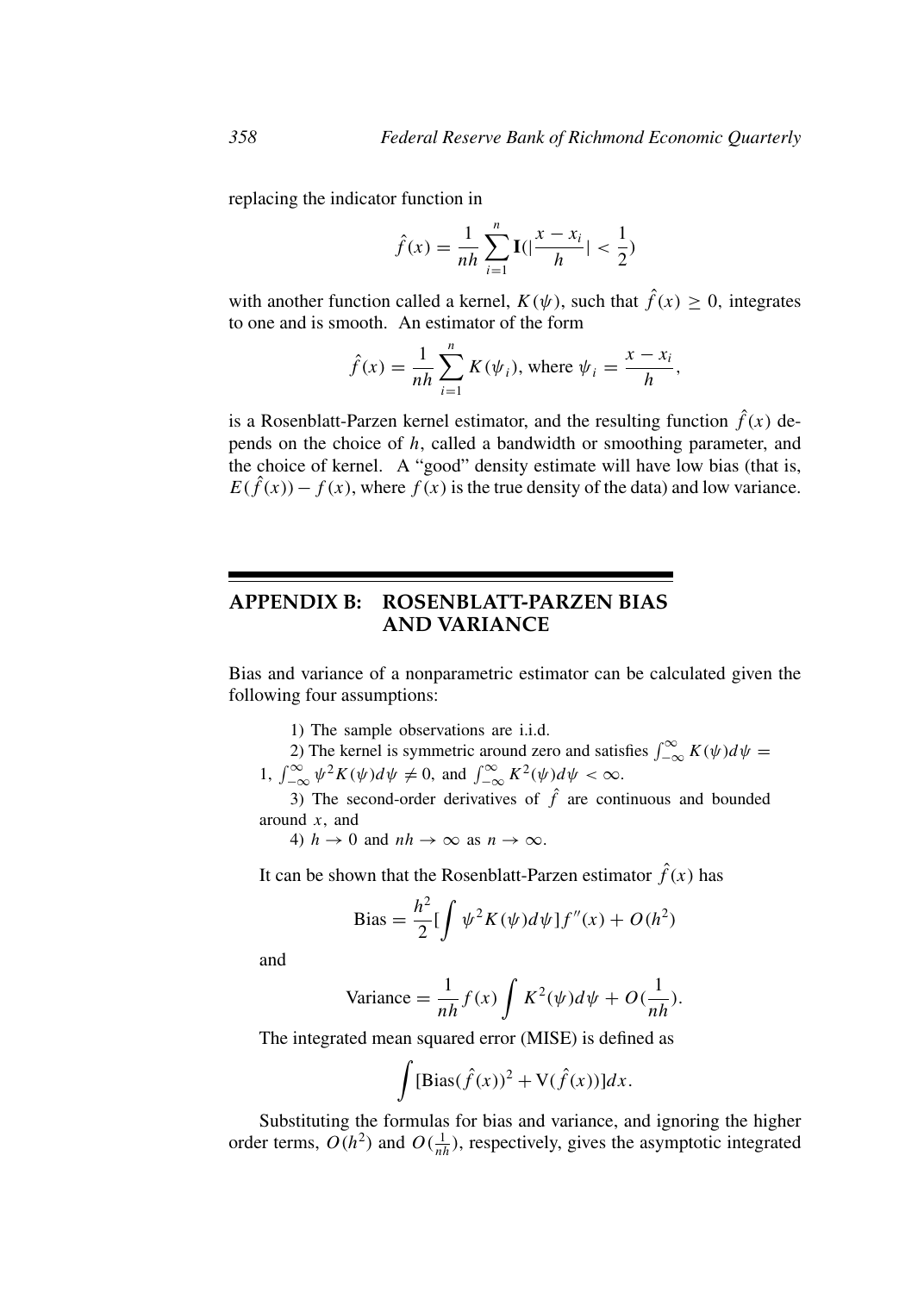replacing the indicator function in

$$
\hat{f}(x) = \frac{1}{nh} \sum_{i=1}^{n} \mathbf{I}(|\frac{x - x_i}{h}| < \frac{1}{2})
$$

with another function called a kernel,  $K(\psi)$ , such that  $\hat{f}(x) \ge 0$ , integrates to one and is smooth. An estimator of the form

$$
\hat{f}(x) = \frac{1}{nh} \sum_{i=1}^{n} K(\psi_i), \text{ where } \psi_i = \frac{x - x_i}{h},
$$

is a Rosenblatt-Parzen kernel estimator, and the resulting function  $\hat{f}(x)$  depends on the choice of h, called a bandwidth or smoothing parameter, and the choice of kernel. A "good" density estimate will have low bias (that is,  $E(\hat{f}(x)) - f(x)$ , where  $f(x)$  is the true density of the data) and low variance.

# **APPENDIX B: ROSENBLATT-PARZEN BIAS AND VARIANCE**

Bias and variance of a nonparametric estimator can be calculated given the following four assumptions:

- 1) The sample observations are i.i.d.
- 2) The kernel is symmetric around zero and satisfies  $\int_{-\infty}^{\infty} K(\psi) d\psi =$ 1,  $\int_{-\infty}^{\infty} \psi^2 K(\psi) d\psi \neq 0$ , and  $\int_{-\infty}^{\infty} K^2(\psi) d\psi < \infty$ .

3) The second-order derivatives of  $\hat{f}$  are continuous and bounded around  $x$ , and

4)  $h \to 0$  and  $nh \to \infty$  as  $n \to \infty$ .

It can be shown that the Rosenblatt-Parzen estimator  $\hat{f}(x)$  has

Bias = 
$$
\frac{h^2}{2} \left[ \int \psi^2 K(\psi) d\psi \right] f''(x) + O(h^2)
$$

and

Variance = 
$$
\frac{1}{nh} f(x) \int K^2(\psi) d\psi + O(\frac{1}{nh}).
$$

The integrated mean squared error (MISE) is defined as

$$
\int [\text{Bias}(\hat{f}(x))^{2} + \text{V}(\hat{f}(x))]dx.
$$

Substituting the formulas for bias and variance, and ignoring the higher order terms,  $O(h^2)$  and  $O(\frac{1}{nh})$ , respectively, gives the asymptotic integrated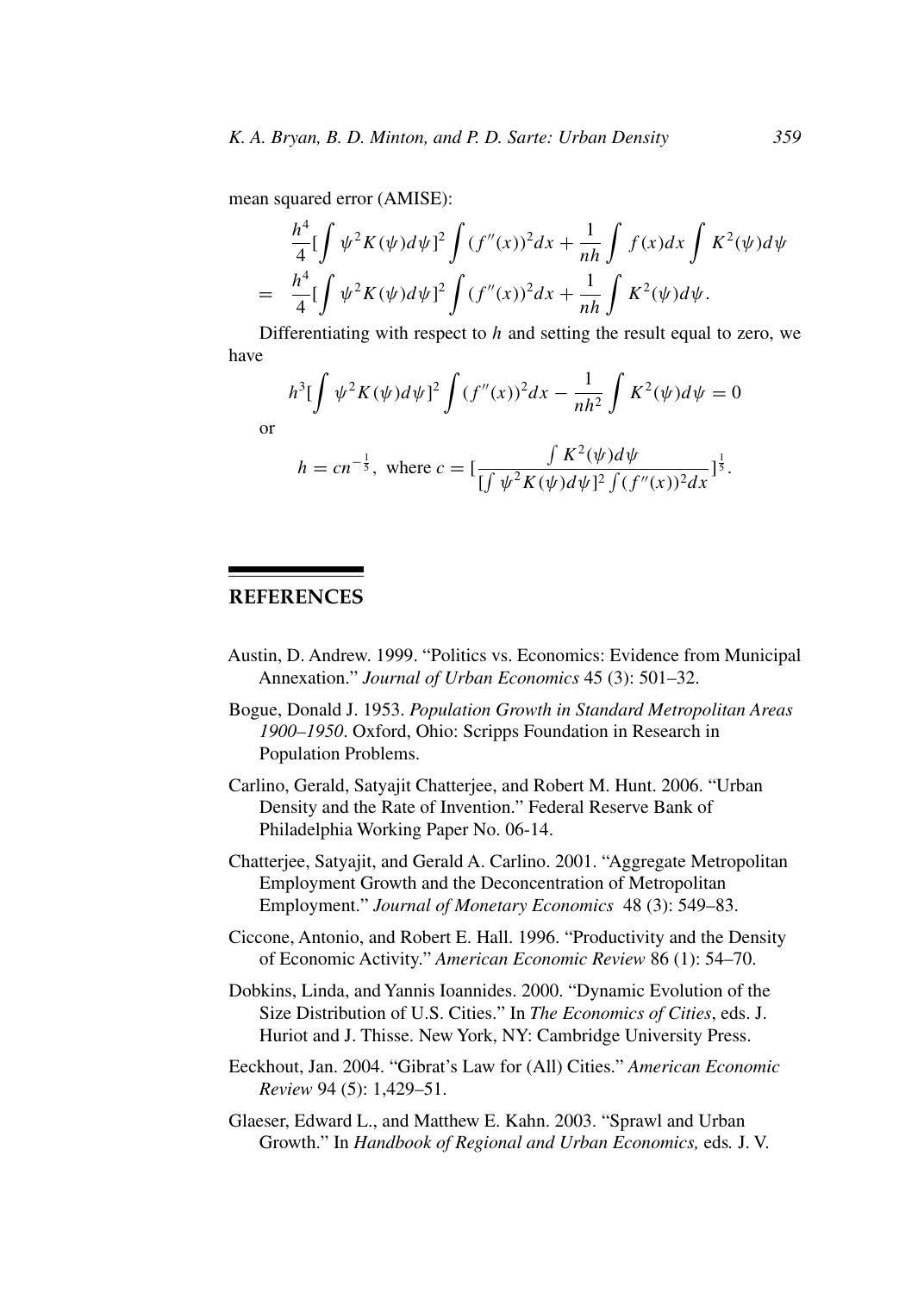mean squared error (AMISE):

$$
\frac{h^4}{4} \left[ \int \psi^2 K(\psi) d\psi \right]^2 \int (f''(x))^2 dx + \frac{1}{nh} \int f(x) dx \int K^2(\psi) d\psi
$$
  
= 
$$
\frac{h^4}{4} \left[ \int \psi^2 K(\psi) d\psi \right]^2 \int (f''(x))^2 dx + \frac{1}{nh} \int K^2(\psi) d\psi.
$$

Differentiating with respect to  $h$  and setting the result equal to zero, we have

$$
h^{3}[\int \psi^{2}K(\psi)d\psi]^{2} \int (f''(x))^{2}dx - \frac{1}{nh^{2}} \int K^{2}(\psi)d\psi = 0
$$
  
or  

$$
h = cn^{-\frac{1}{5}}, \text{ where } c = [\frac{\int K^{2}(\psi)d\psi}{[\int \psi^{2}K(\psi)d\psi]^{2} \int (f''(x))^{2}dx}]^{\frac{1}{3}}.
$$

# **REFERENCES**

- Austin, D. Andrew. 1999. "Politics vs. Economics: Evidence from Municipal Annexation." *Journal of Urban Economics* 45 (3): 501–32.
- Bogue, Donald J. 1953. *Population Growth in Standard Metropolitan Areas 1900–1950*. Oxford, Ohio: Scripps Foundation in Research in Population Problems.
- Carlino, Gerald, Satyajit Chatterjee, and Robert M. Hunt. 2006. "Urban Density and the Rate of Invention." Federal Reserve Bank of Philadelphia Working Paper No. 06-14.
- Chatterjee, Satyajit, and Gerald A. Carlino. 2001. "Aggregate Metropolitan Employment Growth and the Deconcentration of Metropolitan Employment." *Journal of Monetary Economics* 48 (3): 549–83.
- Ciccone, Antonio, and Robert E. Hall. 1996. "Productivity and the Density of Economic Activity." *American Economic Review* 86 (1): 54–70.
- Dobkins, Linda, and Yannis Ioannides. 2000. "Dynamic Evolution of the Size Distribution of U.S. Cities." In *The Economics of Cities*, eds. J. Huriot and J. Thisse. New York, NY: Cambridge University Press.
- Eeckhout, Jan. 2004. "Gibrat's Law for (All) Cities." *American Economic Review* 94 (5): 1,429–51.
- Glaeser, Edward L., and Matthew E. Kahn. 2003. "Sprawl and Urban Growth." In *Handbook of Regional and Urban Economics,* eds*.* J. V.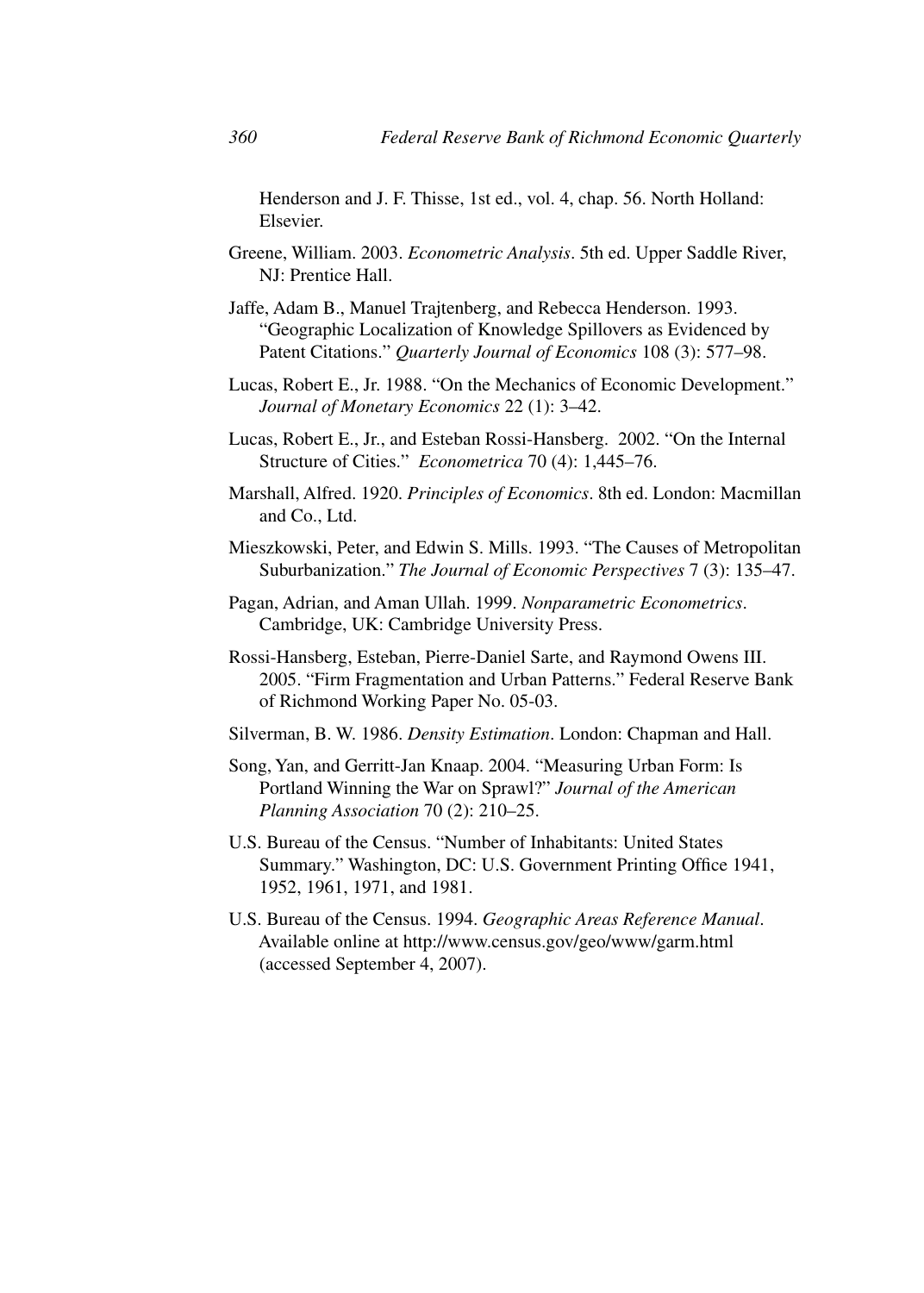Henderson and J. F. Thisse, 1st ed., vol. 4, chap. 56. North Holland: Elsevier.

- Greene, William. 2003. *Econometric Analysis*. 5th ed. Upper Saddle River, NJ: Prentice Hall.
- Jaffe, Adam B., Manuel Trajtenberg, and Rebecca Henderson. 1993. "Geographic Localization of Knowledge Spillovers as Evidenced by Patent Citations." *Quarterly Journal of Economics* 108 (3): 577–98.
- Lucas, Robert E., Jr. 1988. "On the Mechanics of Economic Development." *Journal of Monetary Economics* 22 (1): 3–42.
- Lucas, Robert E., Jr., and Esteban Rossi-Hansberg. 2002. "On the Internal Structure of Cities." *Econometrica* 70 (4): 1,445–76.
- Marshall, Alfred. 1920. *Principles of Economics*. 8th ed. London: Macmillan and Co., Ltd.
- Mieszkowski, Peter, and Edwin S. Mills. 1993. "The Causes of Metropolitan Suburbanization." *The Journal of Economic Perspectives* 7 (3): 135–47.
- Pagan, Adrian, and Aman Ullah. 1999. *Nonparametric Econometrics*. Cambridge, UK: Cambridge University Press.
- Rossi-Hansberg, Esteban, Pierre-Daniel Sarte, and Raymond Owens III. 2005. "Firm Fragmentation and Urban Patterns." Federal Reserve Bank of Richmond Working Paper No. 05-03.
- Silverman, B. W. 1986. *Density Estimation*. London: Chapman and Hall.
- Song, Yan, and Gerritt-Jan Knaap. 2004. "Measuring Urban Form: Is Portland Winning the War on Sprawl?" *Journal of the American Planning Association* 70 (2): 210–25.
- U.S. Bureau of the Census. "Number of Inhabitants: United States Summary." Washington, DC: U.S. Government Printing Office 1941, 1952, 1961, 1971, and 1981.
- U.S. Bureau of the Census. 1994. *Geographic Areas Reference Manual*. Available online at http://www.census.gov/geo/www/garm.html (accessed September 4, 2007).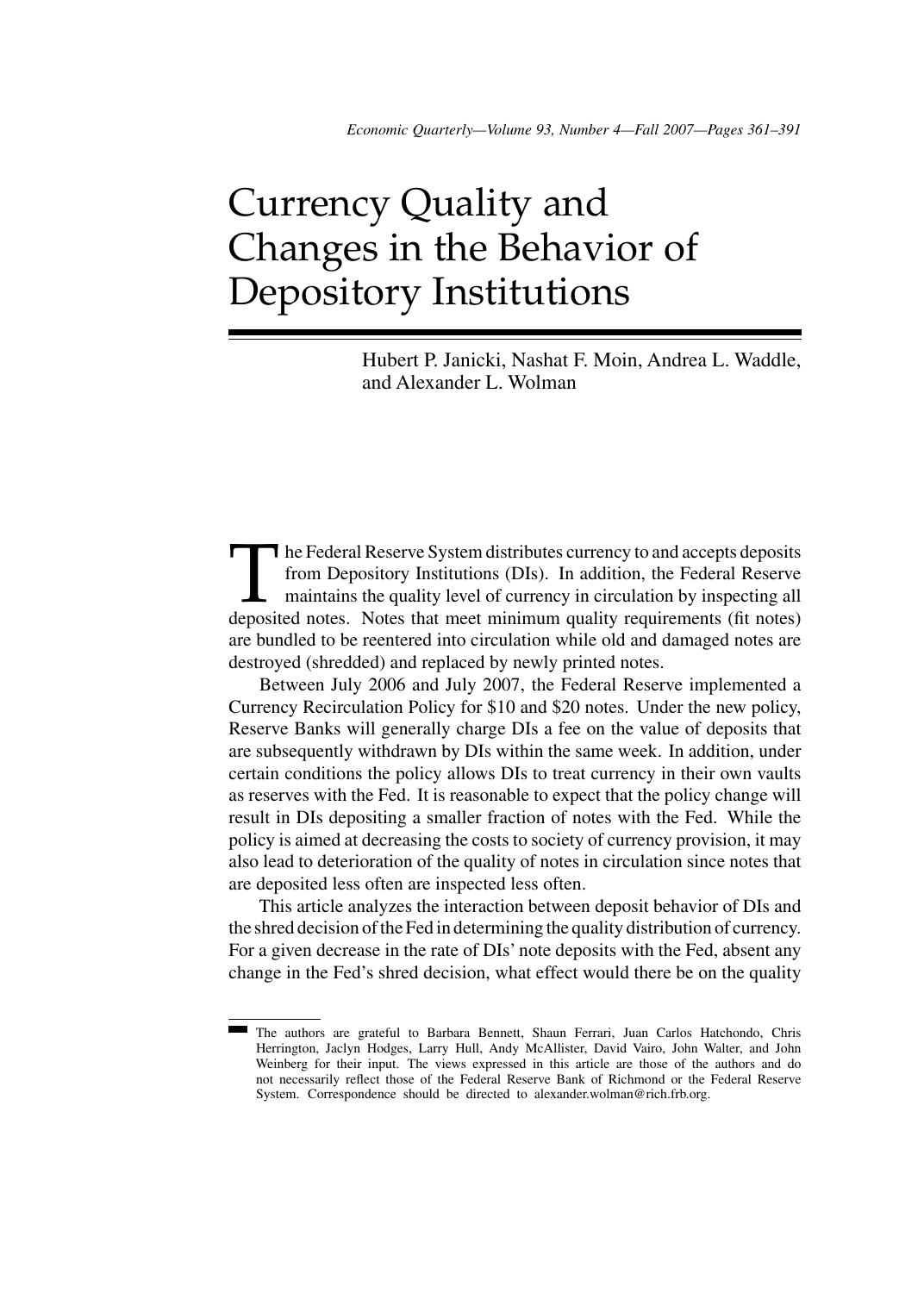# Currency Quality and Changes in the Behavior of Depository Institutions

Hubert P. Janicki, Nashat F. Moin, Andrea L. Waddle, and Alexander L. Wolman

The Federal Reserve System distributes currency to and accepts deposits<br>from Depository Institutions (DIs). In addition, the Federal Reserve<br>maintains the quality level of currency in circulation by inspecting all<br>deposite from Depository Institutions (DIs). In addition, the Federal Reserve maintains the quality level of currency in circulation by inspecting all deposited notes. Notes that meet minimum quality requirements (fit notes) are bundled to be reentered into circulation while old and damaged notes are destroyed (shredded) and replaced by newly printed notes.

Between July 2006 and July 2007, the Federal Reserve implemented a Currency Recirculation Policy for \$10 and \$20 notes. Under the new policy, Reserve Banks will generally charge DIs a fee on the value of deposits that are subsequently withdrawn by DIs within the same week. In addition, under certain conditions the policy allows DIs to treat currency in their own vaults as reserves with the Fed. It is reasonable to expect that the policy change will result in DIs depositing a smaller fraction of notes with the Fed. While the policy is aimed at decreasing the costs to society of currency provision, it may also lead to deterioration of the quality of notes in circulation since notes that are deposited less often are inspected less often.

This article analyzes the interaction between deposit behavior of DIs and the shred decision of the Fed in determining the quality distribution of currency. For a given decrease in the rate of DIs' note deposits with the Fed, absent any change in the Fed's shred decision, what effect would there be on the quality

The authors are grateful to Barbara Bennett, Shaun Ferrari, Juan Carlos Hatchondo, Chris Herrington, Jaclyn Hodges, Larry Hull, Andy McAllister, David Vairo, John Walter, and John Weinberg for their input. The views expressed in this article are those of the authors and do not necessarily reflect those of the Federal Reserve Bank of Richmond or the Federal Reserve System. Correspondence should be directed to alexander.wolman@rich.frb.org.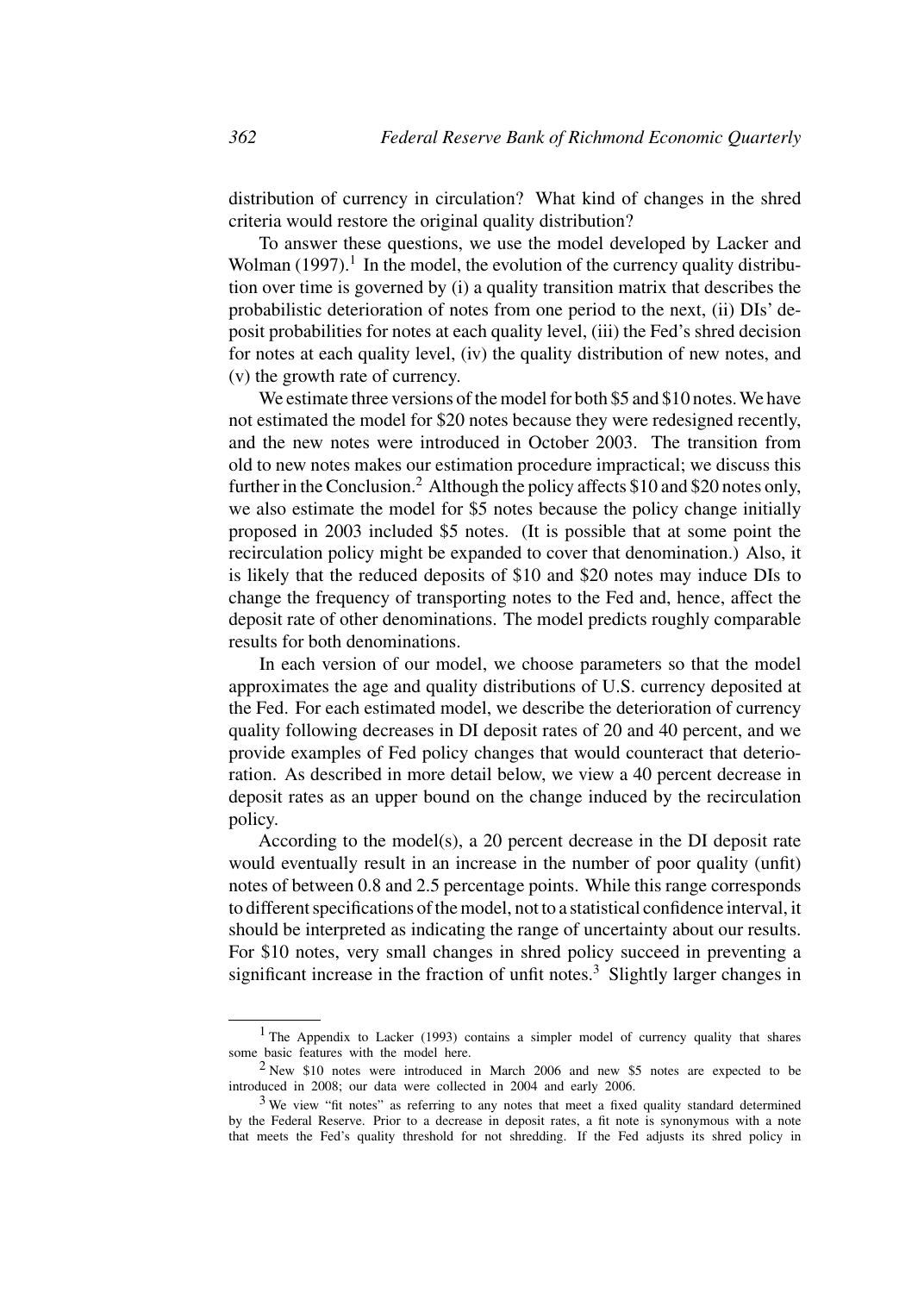distribution of currency in circulation? What kind of changes in the shred criteria would restore the original quality distribution?

To answer these questions, we use the model developed by Lacker and Wolman  $(1997)$ .<sup>1</sup> In the model, the evolution of the currency quality distribution over time is governed by (i) a quality transition matrix that describes the probabilistic deterioration of notes from one period to the next, (ii) DIs' deposit probabilities for notes at each quality level, (iii) the Fed's shred decision for notes at each quality level, (iv) the quality distribution of new notes, and (v) the growth rate of currency.

We estimate three versions of the model for both \$5 and \$10 notes. We have not estimated the model for \$20 notes because they were redesigned recently, and the new notes were introduced in October 2003. The transition from old to new notes makes our estimation procedure impractical; we discuss this further in the Conclusion.<sup>2</sup> Although the policy affects \$10 and \$20 notes only, we also estimate the model for \$5 notes because the policy change initially proposed in 2003 included \$5 notes. (It is possible that at some point the recirculation policy might be expanded to cover that denomination.) Also, it is likely that the reduced deposits of \$10 and \$20 notes may induce DIs to change the frequency of transporting notes to the Fed and, hence, affect the deposit rate of other denominations. The model predicts roughly comparable results for both denominations.

In each version of our model, we choose parameters so that the model approximates the age and quality distributions of U.S. currency deposited at the Fed. For each estimated model, we describe the deterioration of currency quality following decreases in DI deposit rates of 20 and 40 percent, and we provide examples of Fed policy changes that would counteract that deterioration. As described in more detail below, we view a 40 percent decrease in deposit rates as an upper bound on the change induced by the recirculation policy.

According to the model(s), a 20 percent decrease in the DI deposit rate would eventually result in an increase in the number of poor quality (unfit) notes of between 0.8 and 2.5 percentage points. While this range corresponds to different specifications of the model, not to a statistical confidence interval, it should be interpreted as indicating the range of uncertainty about our results. For \$10 notes, very small changes in shred policy succeed in preventing a significant increase in the fraction of unfit notes. $3$  Slightly larger changes in

<sup>&</sup>lt;sup>1</sup> The Appendix to Lacker (1993) contains a simpler model of currency quality that shares some basic features with the model here.

<sup>2</sup> New \$10 notes were introduced in March 2006 and new \$5 notes are expected to be introduced in 2008; our data were collected in 2004 and early 2006.

 $3$  We view "fit notes" as referring to any notes that meet a fixed quality standard determined by the Federal Reserve. Prior to a decrease in deposit rates, a fit note is synonymous with a note that meets the Fed's quality threshold for not shredding. If the Fed adjusts its shred policy in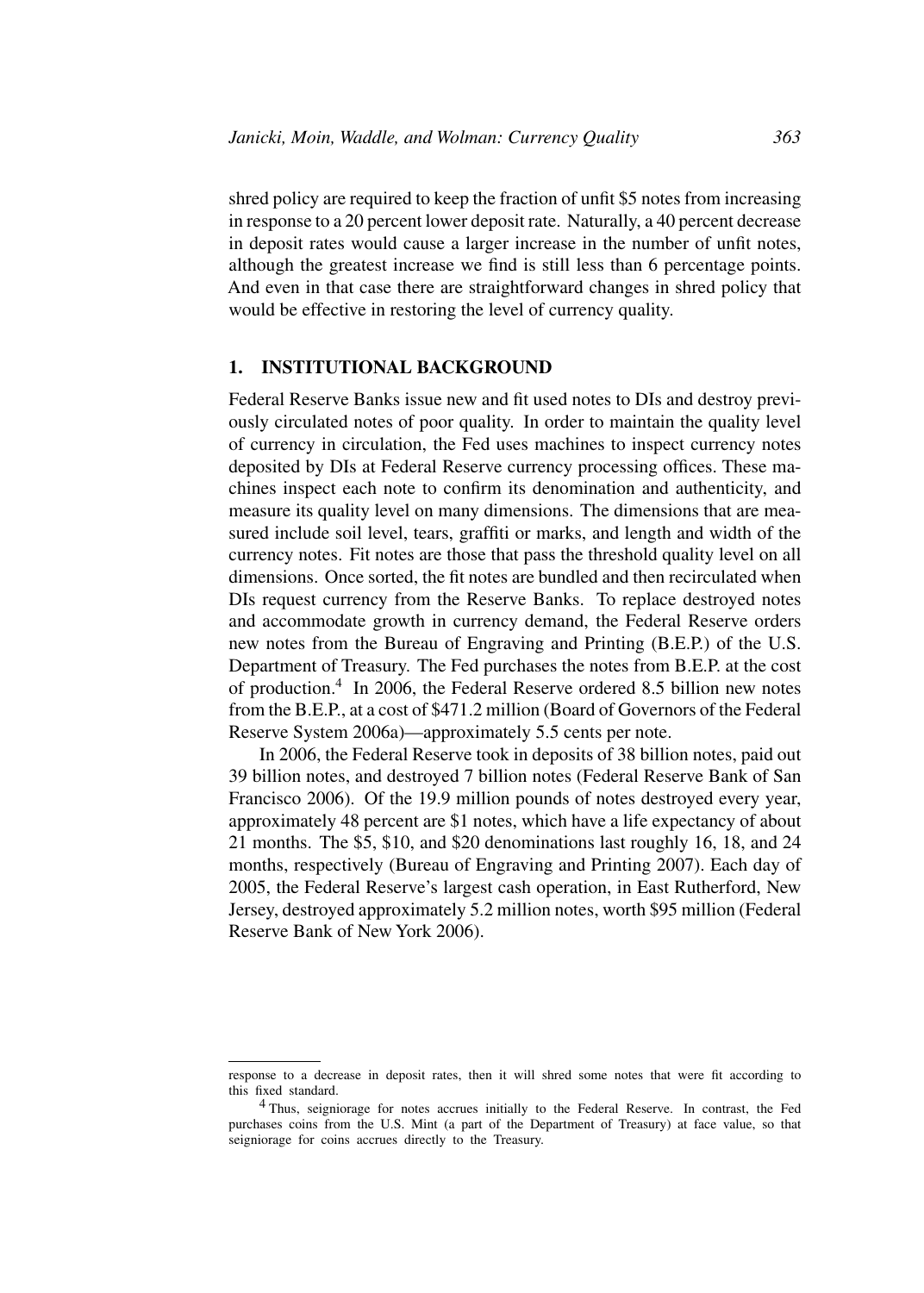shred policy are required to keep the fraction of unfit \$5 notes from increasing in response to a 20 percent lower deposit rate. Naturally, a 40 percent decrease in deposit rates would cause a larger increase in the number of unfit notes, although the greatest increase we find is still less than 6 percentage points. And even in that case there are straightforward changes in shred policy that would be effective in restoring the level of currency quality.

#### **1. INSTITUTIONAL BACKGROUND**

Federal Reserve Banks issue new and fit used notes to DIs and destroy previously circulated notes of poor quality. In order to maintain the quality level of currency in circulation, the Fed uses machines to inspect currency notes deposited by DIs at Federal Reserve currency processing offices. These machines inspect each note to confirm its denomination and authenticity, and measure its quality level on many dimensions. The dimensions that are measured include soil level, tears, graffiti or marks, and length and width of the currency notes. Fit notes are those that pass the threshold quality level on all dimensions. Once sorted, the fit notes are bundled and then recirculated when DIs request currency from the Reserve Banks. To replace destroyed notes and accommodate growth in currency demand, the Federal Reserve orders new notes from the Bureau of Engraving and Printing (B.E.P.) of the U.S. Department of Treasury. The Fed purchases the notes from B.E.P. at the cost of production.4 In 2006, the Federal Reserve ordered 8.5 billion new notes from the B.E.P., at a cost of \$471.2 million (Board of Governors of the Federal Reserve System 2006a)—approximately 5.5 cents per note.

In 2006, the Federal Reserve took in deposits of 38 billion notes, paid out 39 billion notes, and destroyed 7 billion notes (Federal Reserve Bank of San Francisco 2006). Of the 19.9 million pounds of notes destroyed every year, approximately 48 percent are \$1 notes, which have a life expectancy of about 21 months. The \$5, \$10, and \$20 denominations last roughly 16, 18, and 24 months, respectively (Bureau of Engraving and Printing 2007). Each day of 2005, the Federal Reserve's largest cash operation, in East Rutherford, New Jersey, destroyed approximately 5.2 million notes, worth \$95 million (Federal Reserve Bank of New York 2006).

response to a decrease in deposit rates, then it will shred some notes that were fit according to this fixed standard.

<sup>4</sup> Thus, seigniorage for notes accrues initially to the Federal Reserve. In contrast, the Fed purchases coins from the U.S. Mint (a part of the Department of Treasury) at face value, so that seigniorage for coins accrues directly to the Treasury.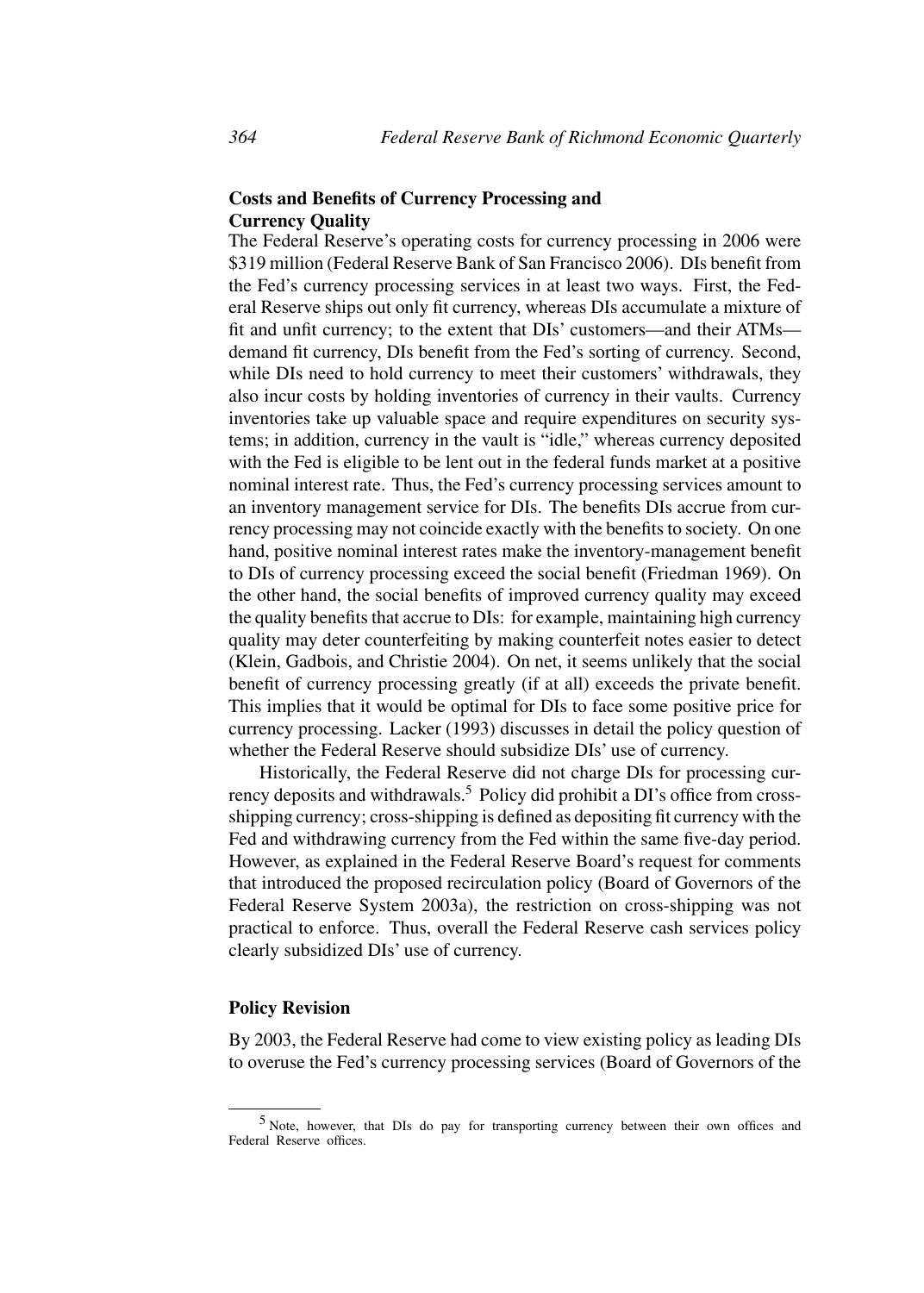## **Costs and Benefits of Currency Processing and Currency Quality**

The Federal Reserve's operating costs for currency processing in 2006 were \$319 million (Federal Reserve Bank of San Francisco 2006). DIs benefit from the Fed's currency processing services in at least two ways. First, the Federal Reserve ships out only fit currency, whereas DIs accumulate a mixture of fit and unfit currency; to the extent that DIs' customers—and their ATMs demand fit currency, DIs benefit from the Fed's sorting of currency. Second, while DIs need to hold currency to meet their customers' withdrawals, they also incur costs by holding inventories of currency in their vaults. Currency inventories take up valuable space and require expenditures on security systems; in addition, currency in the vault is "idle," whereas currency deposited with the Fed is eligible to be lent out in the federal funds market at a positive nominal interest rate. Thus, the Fed's currency processing services amount to an inventory management service for DIs. The benefits DIs accrue from currency processing may not coincide exactly with the benefits to society. On one hand, positive nominal interest rates make the inventory-management benefit to DIs of currency processing exceed the social benefit (Friedman 1969). On the other hand, the social benefits of improved currency quality may exceed the quality benefits that accrue to DIs: for example, maintaining high currency quality may deter counterfeiting by making counterfeit notes easier to detect (Klein, Gadbois, and Christie 2004). On net, it seems unlikely that the social benefit of currency processing greatly (if at all) exceeds the private benefit. This implies that it would be optimal for DIs to face some positive price for currency processing. Lacker (1993) discusses in detail the policy question of whether the Federal Reserve should subsidize DIs' use of currency.

Historically, the Federal Reserve did not charge DIs for processing currency deposits and withdrawals.<sup>5</sup> Policy did prohibit a DI's office from crossshipping currency; cross-shipping is defined as depositing fit currency with the Fed and withdrawing currency from the Fed within the same five-day period. However, as explained in the Federal Reserve Board's request for comments that introduced the proposed recirculation policy (Board of Governors of the Federal Reserve System 2003a), the restriction on cross-shipping was not practical to enforce. Thus, overall the Federal Reserve cash services policy clearly subsidized DIs' use of currency.

## **Policy Revision**

By 2003, the Federal Reserve had come to view existing policy as leading DIs to overuse the Fed's currency processing services (Board of Governors of the

<sup>5</sup> Note, however, that DIs do pay for transporting currency between their own offices and Federal Reserve offices.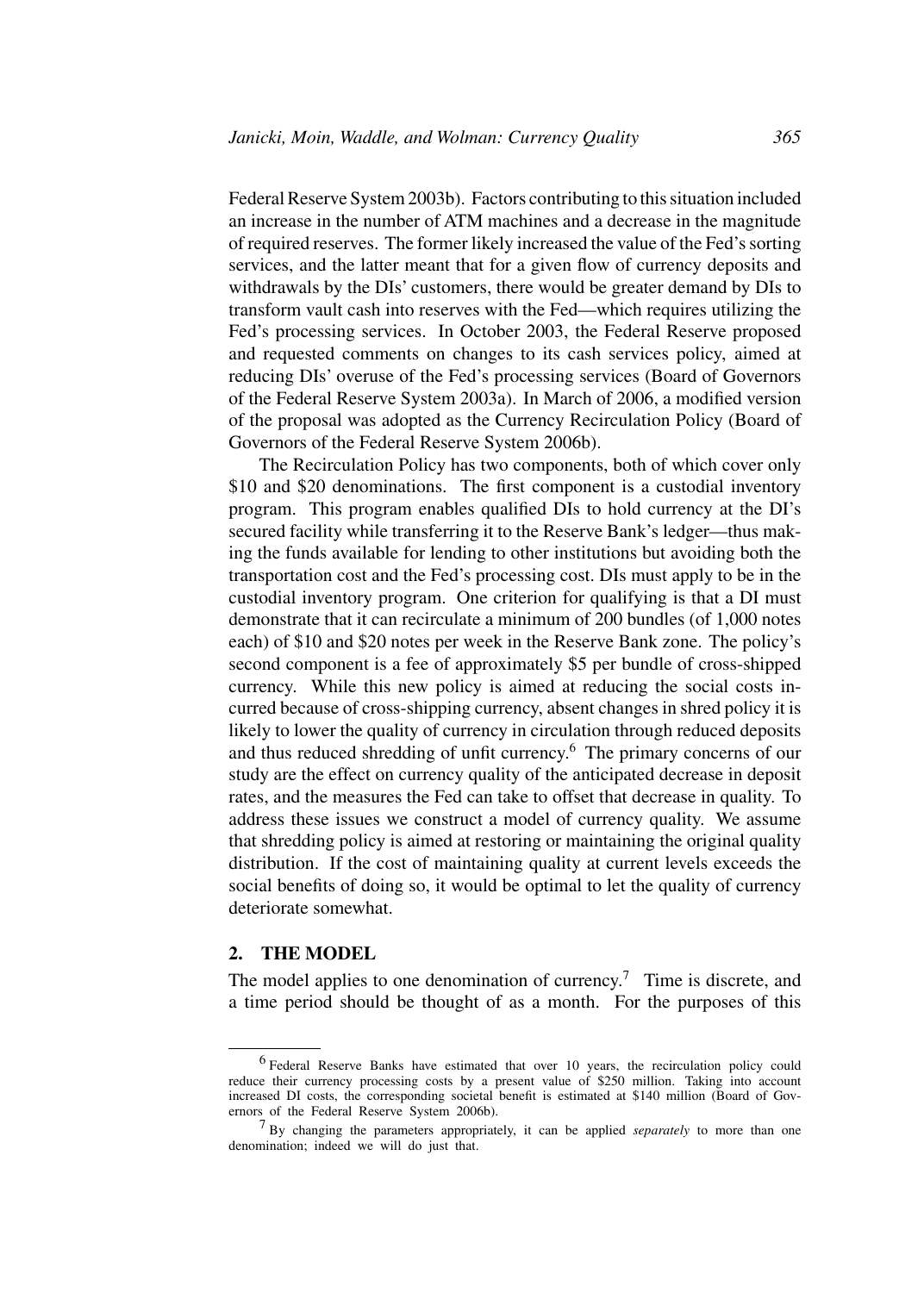Federal Reserve System 2003b). Factors contributing to this situation included an increase in the number of ATM machines and a decrease in the magnitude of required reserves. The former likely increased the value of the Fed's sorting services, and the latter meant that for a given flow of currency deposits and withdrawals by the DIs' customers, there would be greater demand by DIs to transform vault cash into reserves with the Fed—which requires utilizing the Fed's processing services. In October 2003, the Federal Reserve proposed and requested comments on changes to its cash services policy, aimed at reducing DIs' overuse of the Fed's processing services (Board of Governors of the Federal Reserve System 2003a). In March of 2006, a modified version of the proposal was adopted as the Currency Recirculation Policy (Board of Governors of the Federal Reserve System 2006b).

The Recirculation Policy has two components, both of which cover only \$10 and \$20 denominations. The first component is a custodial inventory program. This program enables qualified DIs to hold currency at the DI's secured facility while transferring it to the Reserve Bank's ledger—thus making the funds available for lending to other institutions but avoiding both the transportation cost and the Fed's processing cost. DIs must apply to be in the custodial inventory program. One criterion for qualifying is that a DI must demonstrate that it can recirculate a minimum of 200 bundles (of 1,000 notes each) of \$10 and \$20 notes per week in the Reserve Bank zone. The policy's second component is a fee of approximately \$5 per bundle of cross-shipped currency. While this new policy is aimed at reducing the social costs incurred because of cross-shipping currency, absent changes in shred policy it is likely to lower the quality of currency in circulation through reduced deposits and thus reduced shredding of unfit currency.<sup>6</sup> The primary concerns of our study are the effect on currency quality of the anticipated decrease in deposit rates, and the measures the Fed can take to offset that decrease in quality. To address these issues we construct a model of currency quality. We assume that shredding policy is aimed at restoring or maintaining the original quality distribution. If the cost of maintaining quality at current levels exceeds the social benefits of doing so, it would be optimal to let the quality of currency deteriorate somewhat.

#### **2. THE MODEL**

The model applies to one denomination of currency.<sup>7</sup> Time is discrete, and a time period should be thought of as a month. For the purposes of this

<sup>6</sup> Federal Reserve Banks have estimated that over 10 years, the recirculation policy could reduce their currency processing costs by a present value of \$250 million. Taking into account increased DI costs, the corresponding societal benefit is estimated at \$140 million (Board of Governors of the Federal Reserve System 2006b).

<sup>7</sup> By changing the parameters appropriately, it can be applied *separately* to more than one denomination; indeed we will do just that.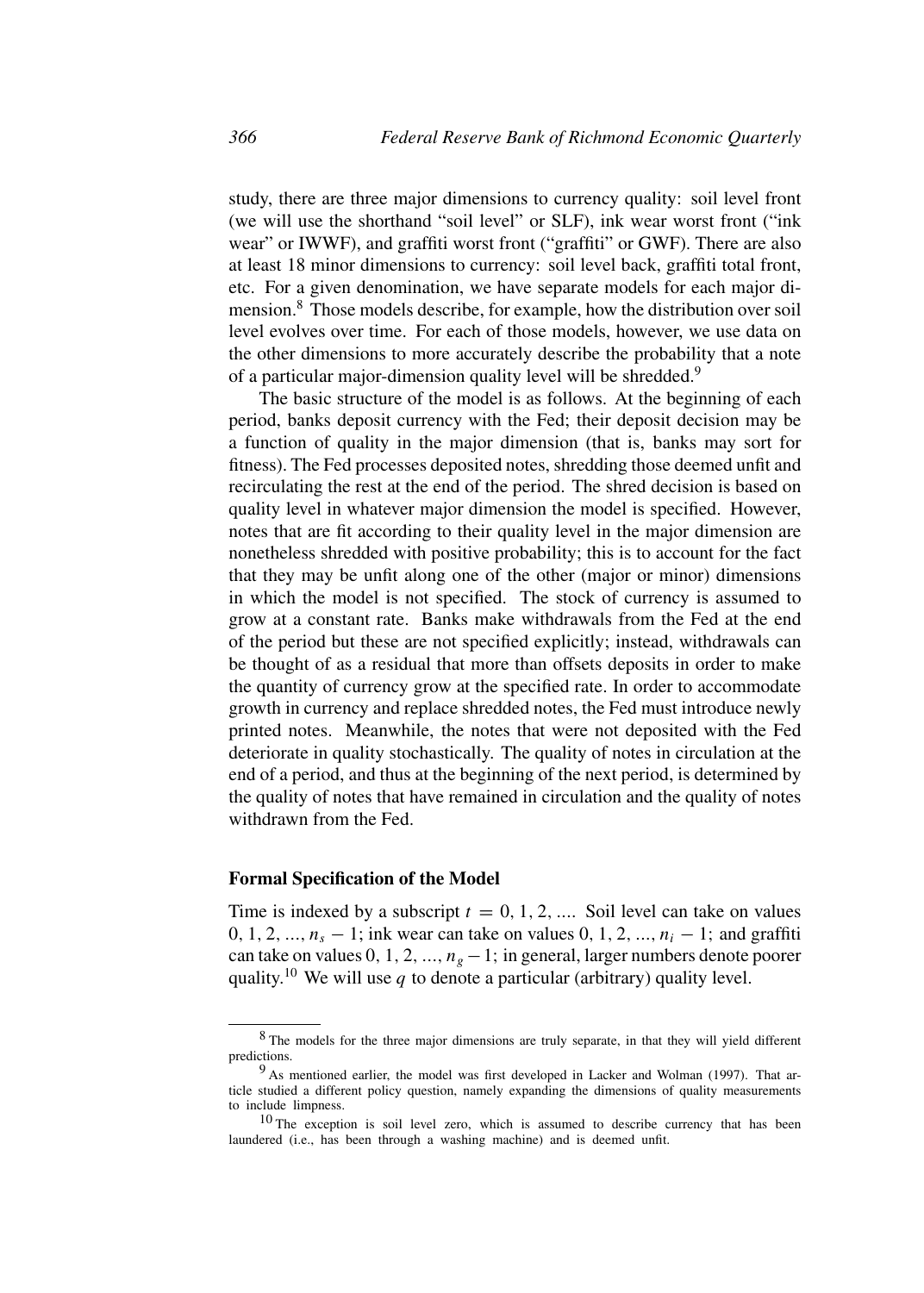study, there are three major dimensions to currency quality: soil level front (we will use the shorthand "soil level" or SLF), ink wear worst front ("ink wear" or IWWF), and graffiti worst front ("graffiti" or GWF). There are also at least 18 minor dimensions to currency: soil level back, graffiti total front, etc. For a given denomination, we have separate models for each major dimension.<sup>8</sup> Those models describe, for example, how the distribution over soil level evolves over time. For each of those models, however, we use data on the other dimensions to more accurately describe the probability that a note of a particular major-dimension quality level will be shredded.<sup>9</sup>

The basic structure of the model is as follows. At the beginning of each period, banks deposit currency with the Fed; their deposit decision may be a function of quality in the major dimension (that is, banks may sort for fitness). The Fed processes deposited notes, shredding those deemed unfit and recirculating the rest at the end of the period. The shred decision is based on quality level in whatever major dimension the model is specified. However, notes that are fit according to their quality level in the major dimension are nonetheless shredded with positive probability; this is to account for the fact that they may be unfit along one of the other (major or minor) dimensions in which the model is not specified. The stock of currency is assumed to grow at a constant rate. Banks make withdrawals from the Fed at the end of the period but these are not specified explicitly; instead, withdrawals can be thought of as a residual that more than offsets deposits in order to make the quantity of currency grow at the specified rate. In order to accommodate growth in currency and replace shredded notes, the Fed must introduce newly printed notes. Meanwhile, the notes that were not deposited with the Fed deteriorate in quality stochastically. The quality of notes in circulation at the end of a period, and thus at the beginning of the next period, is determined by the quality of notes that have remained in circulation and the quality of notes withdrawn from the Fed.

#### **Formal Specification of the Model**

Time is indexed by a subscript  $t = 0, 1, 2, \dots$  Soil level can take on values 0, 1, 2, ...,  $n_s - 1$ ; ink wear can take on values 0, 1, 2, ...,  $n_i - 1$ ; and graffiti can take on values 0, 1, 2, ...,  $n_g - 1$ ; in general, larger numbers denote poorer quality.<sup>10</sup> We will use q to denote a particular (arbitrary) quality level.

<sup>8</sup> The models for the three major dimensions are truly separate, in that they will yield different predictions.

<sup>&</sup>lt;sup>9</sup> As mentioned earlier, the model was first developed in Lacker and Wolman (1997). That article studied a different policy question, namely expanding the dimensions of quality measurements to include limpness.

 $10$  The exception is soil level zero, which is assumed to describe currency that has been laundered (i.e., has been through a washing machine) and is deemed unfit.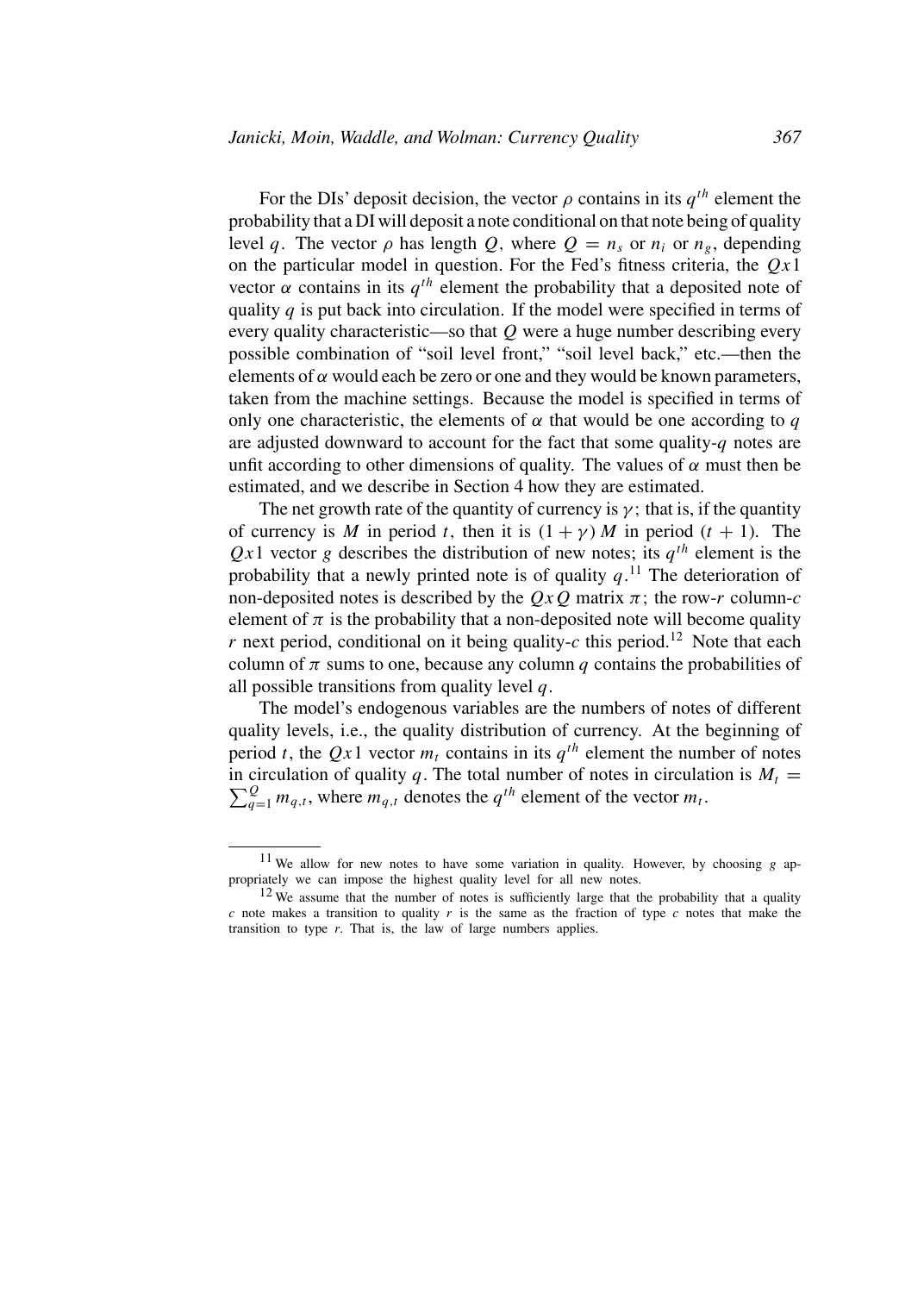For the DIs' deposit decision, the vector  $\rho$  contains in its  $q^{th}$  element the probability that a DI will deposit a note conditional on that note being of quality level q. The vector  $\rho$  has length Q, where  $Q = n_s$  or  $n_i$  or  $n_g$ , depending on the particular model in question. For the Fed's fitness criteria, the  $Qx1$ vector  $\alpha$  contains in its  $q^{th}$  element the probability that a deposited note of quality  $q$  is put back into circulation. If the model were specified in terms of every quality characteristic—so that  $Q$  were a huge number describing every possible combination of "soil level front," "soil level back," etc.—then the elements of  $\alpha$  would each be zero or one and they would be known parameters, taken from the machine settings. Because the model is specified in terms of only one characteristic, the elements of  $\alpha$  that would be one according to q are adjusted downward to account for the fact that some quality- $q$  notes are unfit according to other dimensions of quality. The values of  $\alpha$  must then be estimated, and we describe in Section 4 how they are estimated.

The net growth rate of the quantity of currency is  $\gamma$ ; that is, if the quantity of currency is M in period t, then it is  $(1 + \gamma)$  M in period  $(t + 1)$ . The  $Qx1$  vector g describes the distribution of new notes; its  $q^{th}$  element is the probability that a newly printed note is of quality  $q<sup>11</sup>$ . The deterioration of non-deposited notes is described by the  $QxQ$  matrix  $\pi$ ; the row-r column-c element of  $\pi$  is the probability that a non-deposited note will become quality r next period, conditional on it being quality-c this period.<sup>12</sup> Note that each column of  $\pi$  sums to one, because any column q contains the probabilities of all possible transitions from quality level  $q$ .

The model's endogenous variables are the numbers of notes of different quality levels, i.e., the quality distribution of currency. At the beginning of period t, the Qx1 vector  $m_t$  contains in its  $q^{th}$  element the number of notes  $\sum_{q=1}^{Q} m_{q,t}$ , where  $m_{q,t}$  denotes the  $q^{th}$  element of the vector  $m_t$ . in circulation of quality q. The total number of notes in circulation is  $M_t =$ 

<sup>&</sup>lt;sup>11</sup> We allow for new notes to have some variation in quality. However, by choosing  $g$  appropriately we can impose the highest quality level for all new notes.

<sup>&</sup>lt;sup>12</sup> We assume that the number of notes is sufficiently large that the probability that a quality c note makes a transition to quality r is the same as the fraction of type c notes that make the transition to type  $r$ . That is, the law of large numbers applies.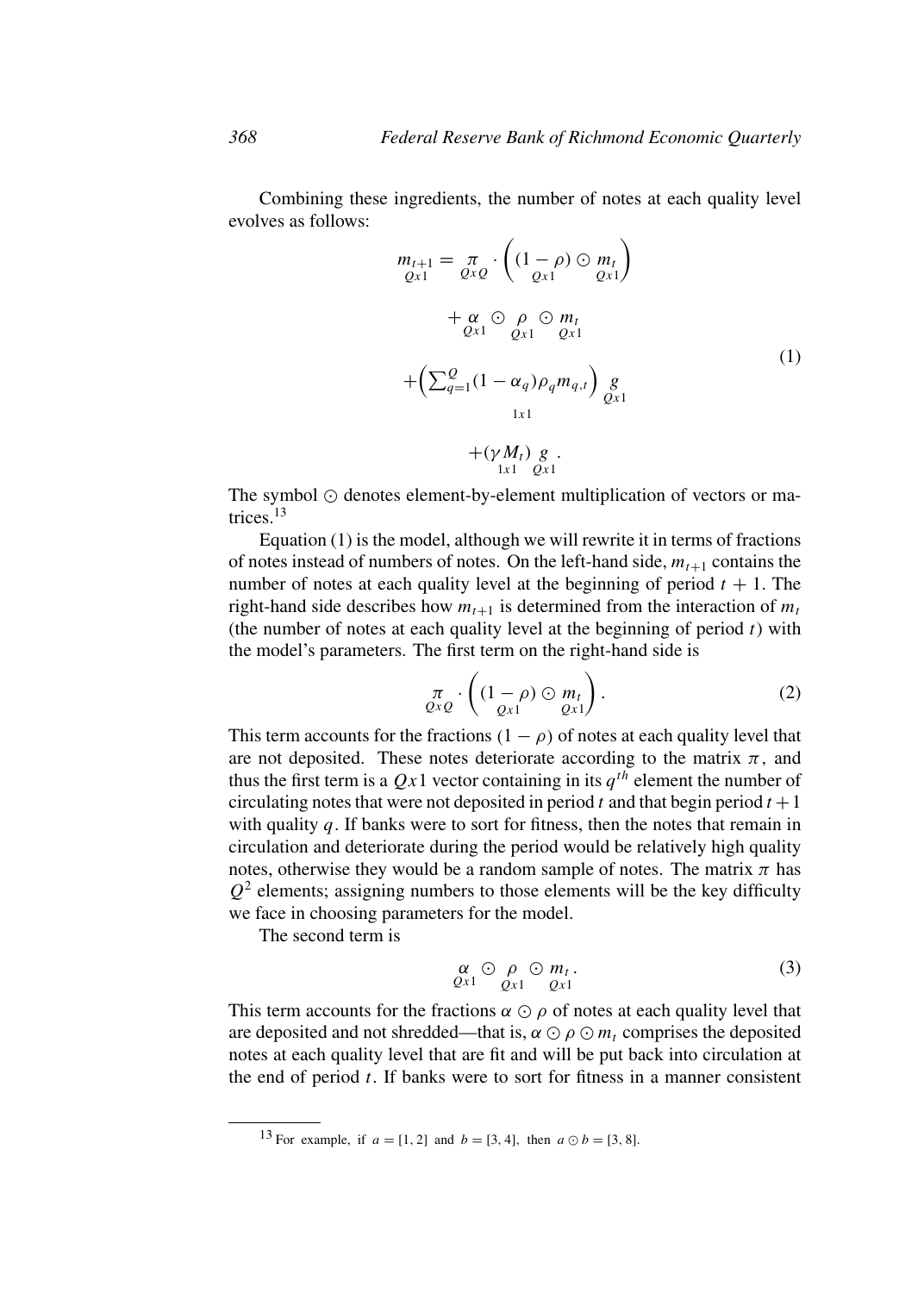Combining these ingredients, the number of notes at each quality level evolves as follows:

$$
m_{t+1} = \pi_{QxQ} \cdot \left( (1 - \rho) \odot m_t \right)
$$
  
+ 
$$
\alpha_{Qx1} \odot \rho \odot m_t
$$
  
+ 
$$
\alpha_{Qx1} \odot \rho \odot m_t
$$
  
+ 
$$
\left( \sum_{q=1}^{Q} (1 - \alpha_q) \rho_q m_{q,t} \right) g
$$
  
+ 
$$
\left( \sum_{l=1}^{Q} (1 - \alpha_q) \rho_q m_{q,t} \right) g
$$
  
+ 
$$
\left( \gamma M_t \right) g
$$
  
+ 
$$
\left( \gamma M_t \right) g
$$
  
1x1  
Qx1  
1

The symbol  $\odot$  denotes element-by-element multiplication of vectors or matrices<sup>13</sup>

Equation (1) is the model, although we will rewrite it in terms of fractions of notes instead of numbers of notes. On the left-hand side,  $m_{t+1}$  contains the number of notes at each quality level at the beginning of period  $t + 1$ . The right-hand side describes how  $m_{t+1}$  is determined from the interaction of  $m_t$ (the number of notes at each quality level at the beginning of period  $t$ ) with the model's parameters. The first term on the right-hand side is

$$
\pi_{Q \times Q} \cdot \left( (1 - \rho) \odot m_t \atop Q \times 1 \right). \tag{2}
$$

This term accounts for the fractions  $(1 - \rho)$  of notes at each quality level that are not deposited. These notes deteriorate according to the matrix  $\pi$ , and thus the first term is a  $Qx1$  vector containing in its  $q^{th}$  element the number of circulating notes that were not deposited in period t and that begin period  $t + 1$ with quality  $q$ . If banks were to sort for fitness, then the notes that remain in circulation and deteriorate during the period would be relatively high quality notes, otherwise they would be a random sample of notes. The matrix  $\pi$  has  $Q<sup>2</sup>$  elements; assigning numbers to those elements will be the key difficulty we face in choosing parameters for the model.

The second term is

$$
\begin{array}{c}\n\alpha \odot \rho \odot m_t, \\
\varrho_{x1} \quad \varrho_{x1} \quad \varrho_{x1}\n\end{array} \n\tag{3}
$$

This term accounts for the fractions  $\alpha \odot \rho$  of notes at each quality level that are deposited and not shredded—that is,  $\alpha \odot \rho \odot m_t$  comprises the deposited notes at each quality level that are fit and will be put back into circulation at the end of period  $t$ . If banks were to sort for fitness in a manner consistent

<sup>&</sup>lt;sup>13</sup> For example, if  $a = [1, 2]$  and  $b = [3, 4]$ , then  $a \odot b = [3, 8]$ .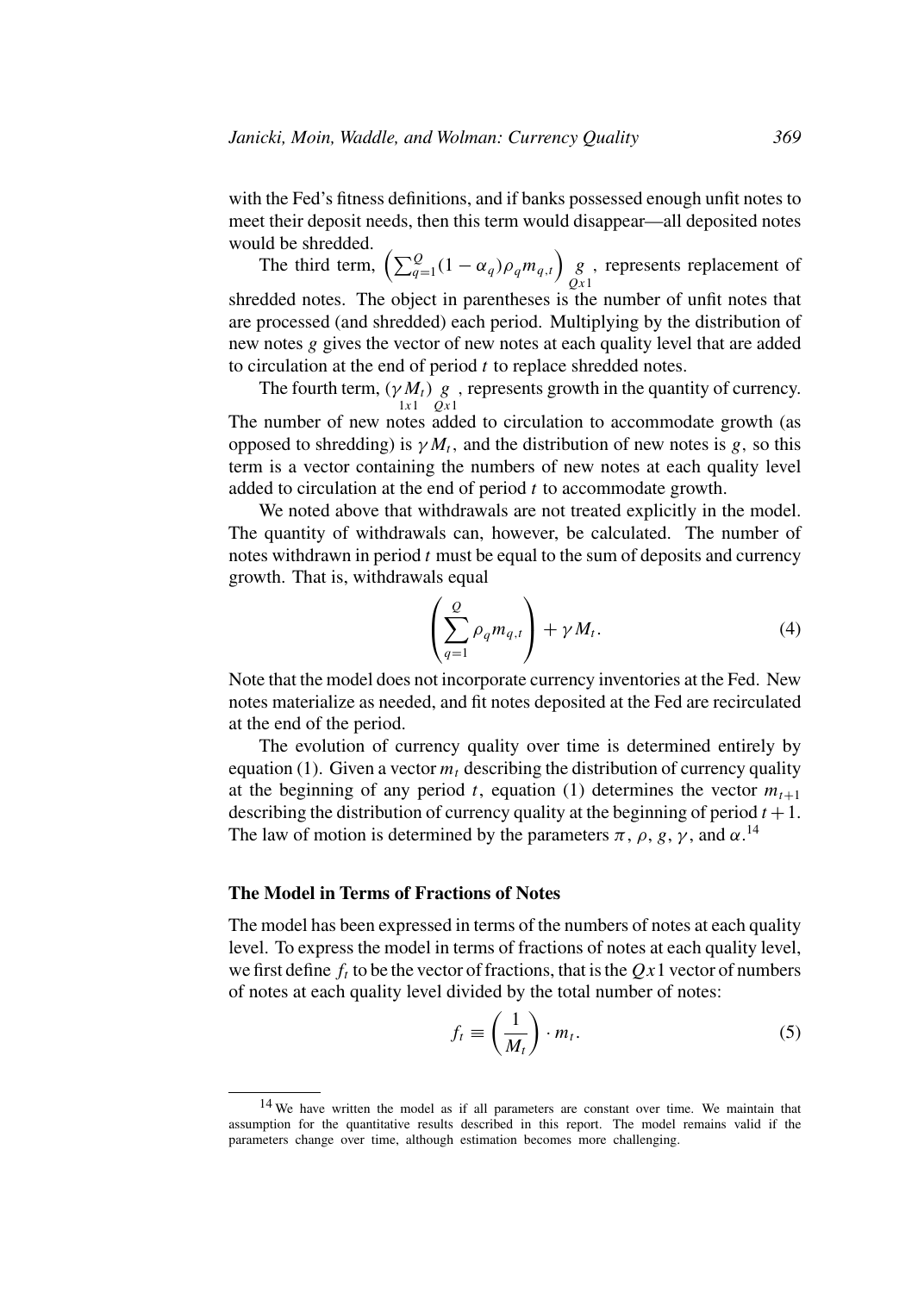with the Fed's fitness definitions, and if banks possessed enough unfit notes to meet their deposit needs, then this term would disappear—all deposited notes would be shredded.

The third term,  $\left(\sum_{q=1}^{Q} (1 - \alpha_q) \rho_q m_{q,t}\right)$  g  $Qx1$ , represents replacement of shredded notes. The object in parentheses is the number of unfit notes that are processed (and shredded) each period. Multiplying by the distribution of new notes g gives the vector of new notes at each quality level that are added to circulation at the end of period  $t$  to replace shredded notes.

The fourth term,  $(\gamma M_t)$  g, represents growth in the quantity of currency.  $1x1$   $Qx1$ The number of new notes added to circulation to accommodate growth (as opposed to shredding) is  $\gamma M_t$ , and the distribution of new notes is g, so this term is a vector containing the numbers of new notes at each quality level added to circulation at the end of period  $t$  to accommodate growth.

We noted above that withdrawals are not treated explicitly in the model. The quantity of withdrawals can, however, be calculated. The number of notes withdrawn in period  $t$  must be equal to the sum of deposits and currency growth. That is, withdrawals equal

$$
\left(\sum_{q=1}^{Q} \rho_q m_{q,t}\right) + \gamma M_t.
$$
\n(4)

Note that the model does not incorporate currency inventories at the Fed. New notes materialize as needed, and fit notes deposited at the Fed are recirculated at the end of the period.

The evolution of currency quality over time is determined entirely by equation (1). Given a vector  $m_t$  describing the distribution of currency quality at the beginning of any period t, equation (1) determines the vector  $m_{t+1}$ describing the distribution of currency quality at the beginning of period  $t + 1$ . The law of motion is determined by the parameters  $\pi$ ,  $\rho$ ,  $g$ ,  $\gamma$ , and  $\alpha$ .<sup>14</sup>

#### **The Model in Terms of Fractions of Notes**

The model has been expressed in terms of the numbers of notes at each quality level. To express the model in terms of fractions of notes at each quality level, we first define  $f_t$  to be the vector of fractions, that is the  $Qx1$  vector of numbers of notes at each quality level divided by the total number of notes:

$$
f_t \equiv \left(\frac{1}{M_t}\right) \cdot m_t. \tag{5}
$$

<sup>&</sup>lt;sup>14</sup> We have written the model as if all parameters are constant over time. We maintain that assumption for the quantitative results described in this report. The model remains valid if the parameters change over time, although estimation becomes more challenging.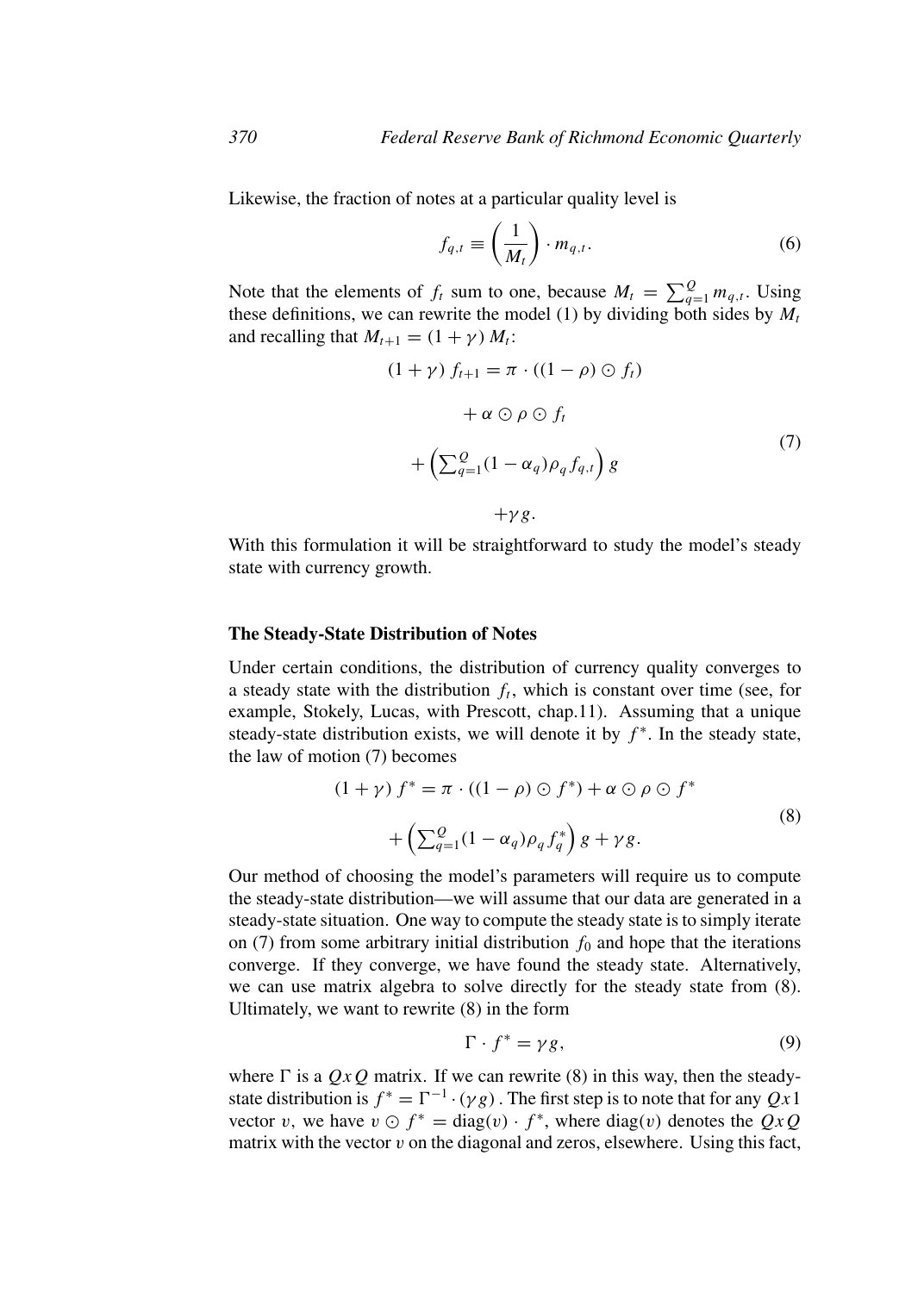Likewise, the fraction of notes at a particular quality level is

$$
f_{q,t} \equiv \left(\frac{1}{M_t}\right) \cdot m_{q,t}.\tag{6}
$$

Note that the elements of  $f_t$  sum to one, because  $M_t = \sum_{q=1}^{Q} m_{q,t}$ . Using these definitions, we can rewrite the model (1) by dividing both sides by  $M_t$ and recalling that  $M_{t+1} = (1 + \gamma) M_t$ :

$$
(1 + \gamma) f_{t+1} = \pi \cdot ((1 - \rho) \odot f_t)
$$

$$
+ \alpha \odot \rho \odot f_t
$$

$$
+ \left(\sum_{q=1}^{Q} (1 - \alpha_q) \rho_q f_{q,t}\right) g
$$
(7)

 $+\gamma g$ .

With this formulation it will be straightforward to study the model's steady state with currency growth.

#### **The Steady-State Distribution of Notes**

Under certain conditions, the distribution of currency quality converges to a steady state with the distribution  $f_t$ , which is constant over time (see, for example, Stokely, Lucas, with Prescott, chap.11). Assuming that a unique steady-state distribution exists, we will denote it by  $f^*$ . In the steady state, the law of motion (7) becomes

$$
(1 + \gamma) f^* = \pi \cdot ((1 - \rho) \odot f^*) + \alpha \odot \rho \odot f^*
$$
  
+ 
$$
\left(\sum_{q=1}^{\infty} (1 - \alpha_q) \rho_q f_q^*\right) g + \gamma g.
$$
 (8)

Our method of choosing the model's parameters will require us to compute the steady-state distribution—we will assume that our data are generated in a steady-state situation. One way to compute the steady state is to simply iterate on (7) from some arbitrary initial distribution  $f_0$  and hope that the iterations converge. If they converge, we have found the steady state. Alternatively, we can use matrix algebra to solve directly for the steady state from (8). Ultimately, we want to rewrite (8) in the form

$$
\Gamma \cdot f^* = \gamma g,\tag{9}
$$

where  $\Gamma$  is a  $QxQ$  matrix. If we can rewrite (8) in this way, then the steadystate distribution is  $f^* = \Gamma^{-1} \cdot (\gamma g)$ . The first step is to note that for any  $Qx1$ vector v, we have  $v \odot f^* = \text{diag}(v) \cdot f^*$ , where  $\text{diag}(v)$  denotes the  $QxQ$ matrix with the vector  $v$  on the diagonal and zeros, elsewhere. Using this fact,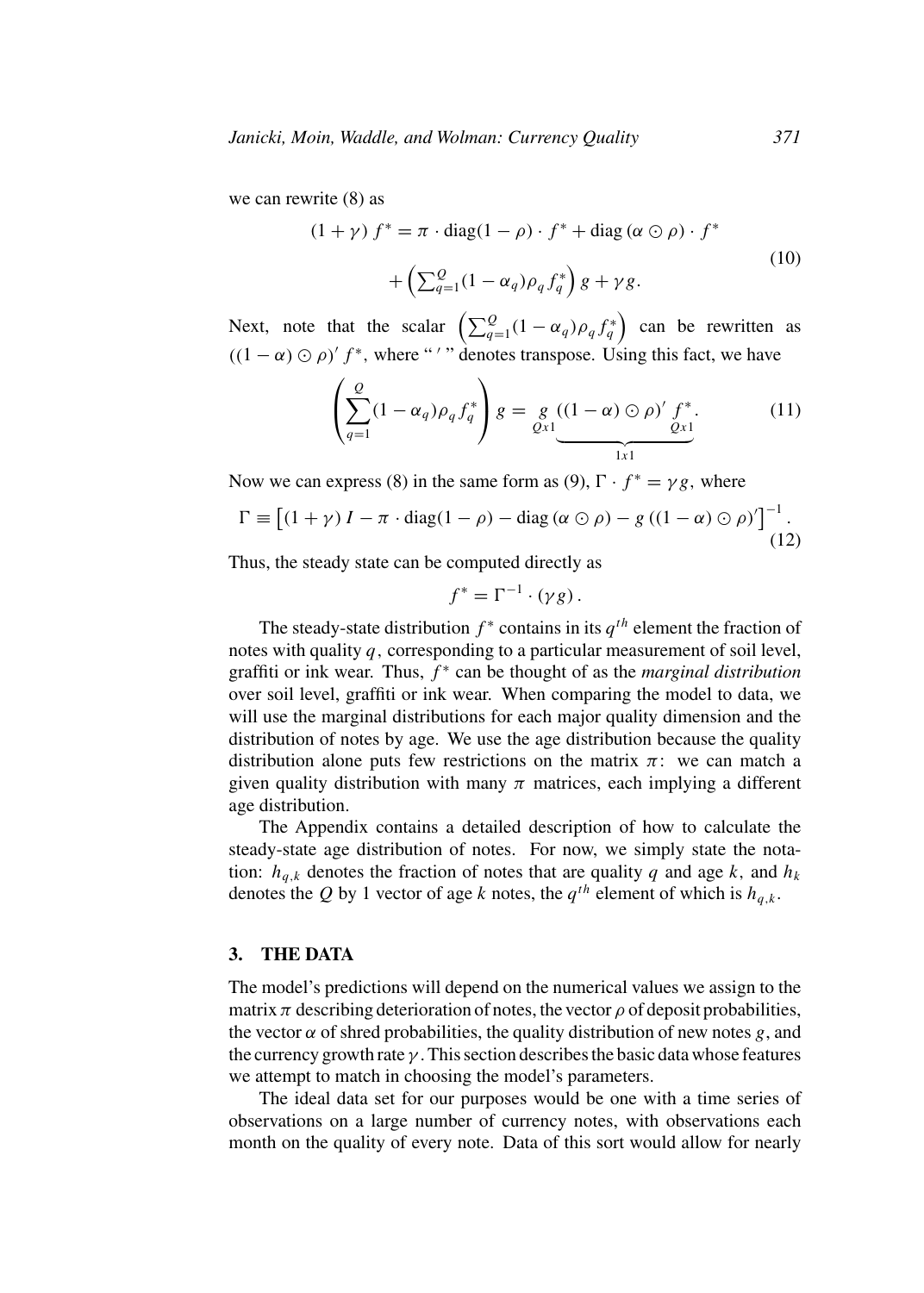we can rewrite (8) as

$$
(1 + \gamma) f^* = \pi \cdot diag(1 - \rho) \cdot f^* + diag(\alpha \odot \rho) \cdot f^*
$$
  
+ 
$$
\left(\sum_{q=1}^{Q} (1 - \alpha_q) \rho_q f_q^*\right) g + \gamma g.
$$
 (10)

Next, note that the scalar  $\left(\sum_{q=1}^{Q} (1 - \alpha_q) \rho_q f_q^*\right)$  can be rewritten as  $((1 - \alpha) \odot \rho)' f^*$ , where "'" denotes transpose. Using this fact, we have

$$
\left(\sum_{q=1}^{Q} (1 - \alpha_q) \rho_q f_q^*\right) g = \underbrace{g}_{Qx1} \underbrace{((1 - \alpha) \odot \rho)'}_{1x1} f^*.
$$
 (11)

Now we can express (8) in the same form as (9),  $\Gamma \cdot f^* = \gamma g$ , where

$$
\Gamma \equiv \left[ (1 + \gamma) I - \pi \cdot \text{diag}(1 - \rho) - \text{diag}(\alpha \odot \rho) - g ((1 - \alpha) \odot \rho)' \right]^{-1}.
$$
\n(12)

Thus, the steady state can be computed directly as

$$
f^* = \Gamma^{-1} \cdot (\gamma g).
$$

The steady-state distribution  $f^*$  contains in its  $q^{th}$  element the fraction of notes with quality  $q$ , corresponding to a particular measurement of soil level, graffiti or ink wear. Thus,  $f^*$  can be thought of as the *marginal distribution* over soil level, graffiti or ink wear. When comparing the model to data, we will use the marginal distributions for each major quality dimension and the distribution of notes by age. We use the age distribution because the quality distribution alone puts few restrictions on the matrix  $\pi$ : we can match a given quality distribution with many  $\pi$  matrices, each implying a different age distribution.

The Appendix contains a detailed description of how to calculate the steady-state age distribution of notes. For now, we simply state the notation:  $h_{q,k}$  denotes the fraction of notes that are quality q and age k, and  $h_k$ denotes the Q by 1 vector of age k notes, the  $q^{th}$  element of which is  $h_{q,k}$ .

### **3. THE DATA**

The model's predictions will depend on the numerical values we assign to the matrix  $\pi$  describing deterioration of notes, the vector  $\rho$  of deposit probabilities, the vector  $\alpha$  of shred probabilities, the quality distribution of new notes g, and the currency growth rate  $\gamma$ . This section describes the basic data whose features we attempt to match in choosing the model's parameters.

The ideal data set for our purposes would be one with a time series of observations on a large number of currency notes, with observations each month on the quality of every note. Data of this sort would allow for nearly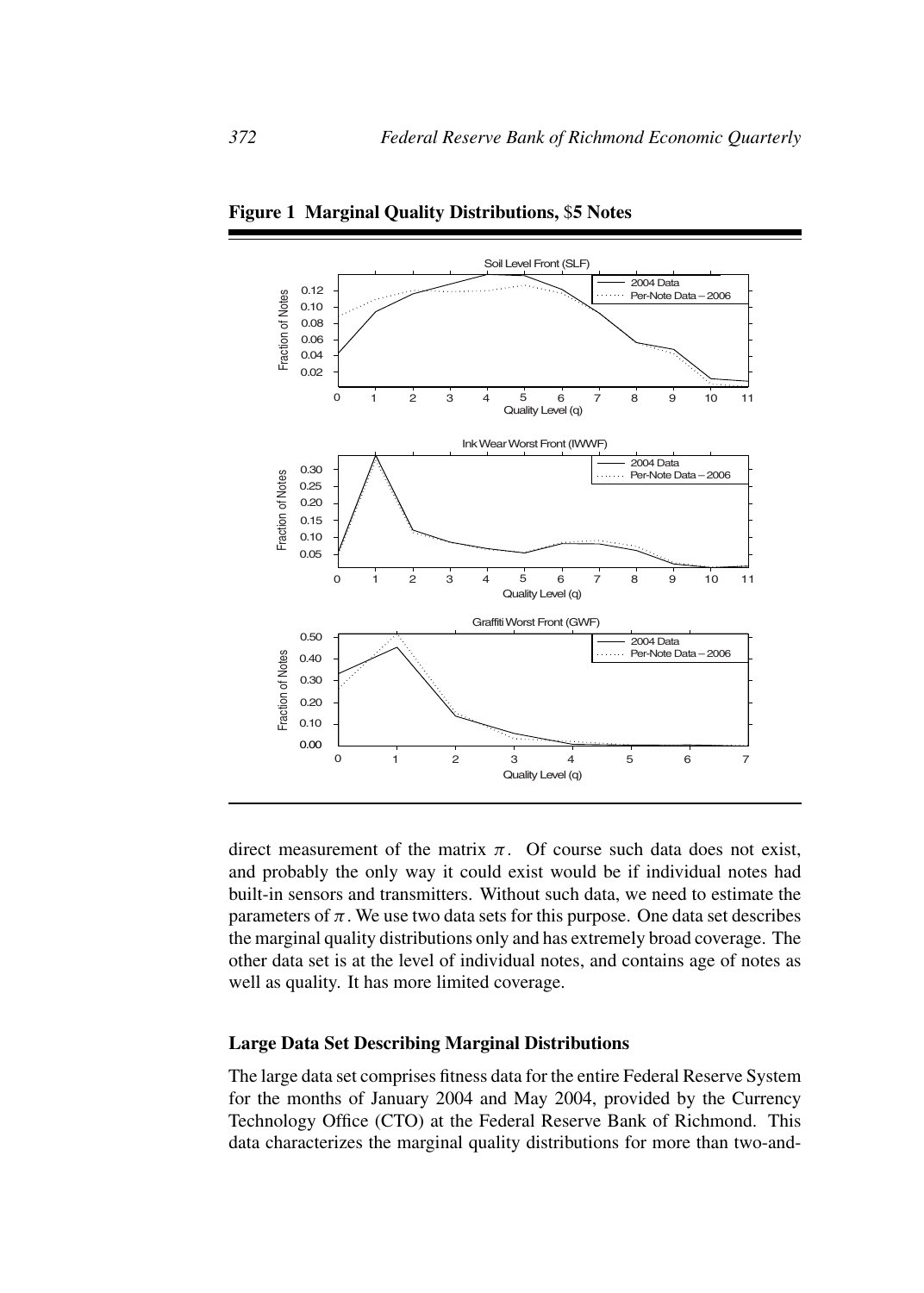

**Figure 1 Marginal Quality Distributions,** \$**5 Notes**

direct measurement of the matrix  $\pi$ . Of course such data does not exist, and probably the only way it could exist would be if individual notes had built-in sensors and transmitters. Without such data, we need to estimate the parameters of  $\pi$ . We use two data sets for this purpose. One data set describes the marginal quality distributions only and has extremely broad coverage. The other data set is at the level of individual notes, and contains age of notes as well as quality. It has more limited coverage.

#### **Large Data Set Describing Marginal Distributions**

The large data set comprises fitness data for the entire Federal Reserve System for the months of January 2004 and May 2004, provided by the Currency Technology Office (CTO) at the Federal Reserve Bank of Richmond. This data characterizes the marginal quality distributions for more than two-and-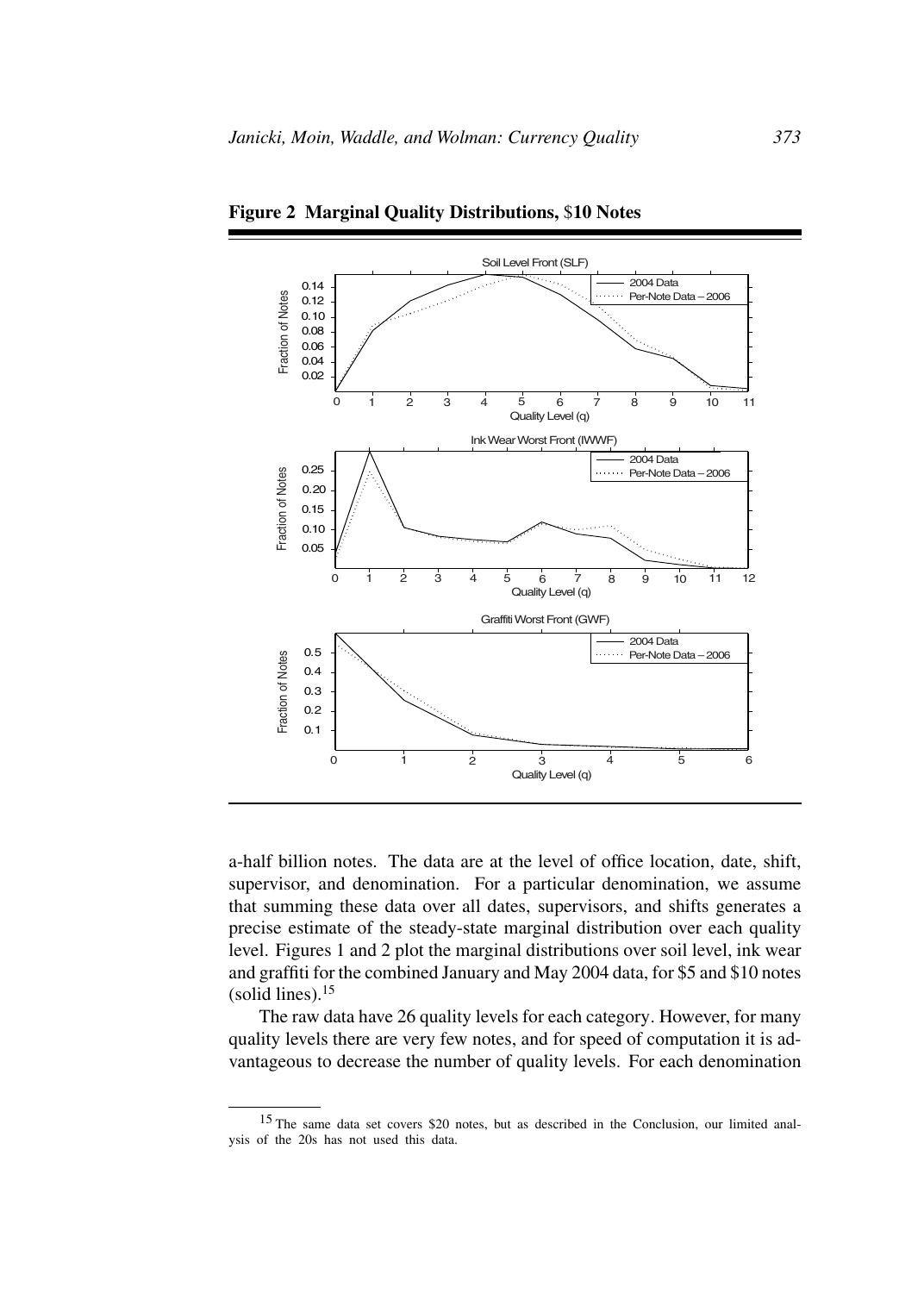

**Figure 2 Marginal Quality Distributions,** \$**10 Notes**

a-half billion notes. The data are at the level of office location, date, shift, supervisor, and denomination. For a particular denomination, we assume that summing these data over all dates, supervisors, and shifts generates a precise estimate of the steady-state marginal distribution over each quality level. Figures 1 and 2 plot the marginal distributions over soil level, ink wear and graffiti for the combined January and May 2004 data, for \$5 and \$10 notes (solid lines). $15$ 

The raw data have 26 quality levels for each category. However, for many quality levels there are very few notes, and for speed of computation it is advantageous to decrease the number of quality levels. For each denomination

<sup>15</sup> The same data set covers \$20 notes, but as described in the Conclusion, our limited analysis of the 20s has not used this data.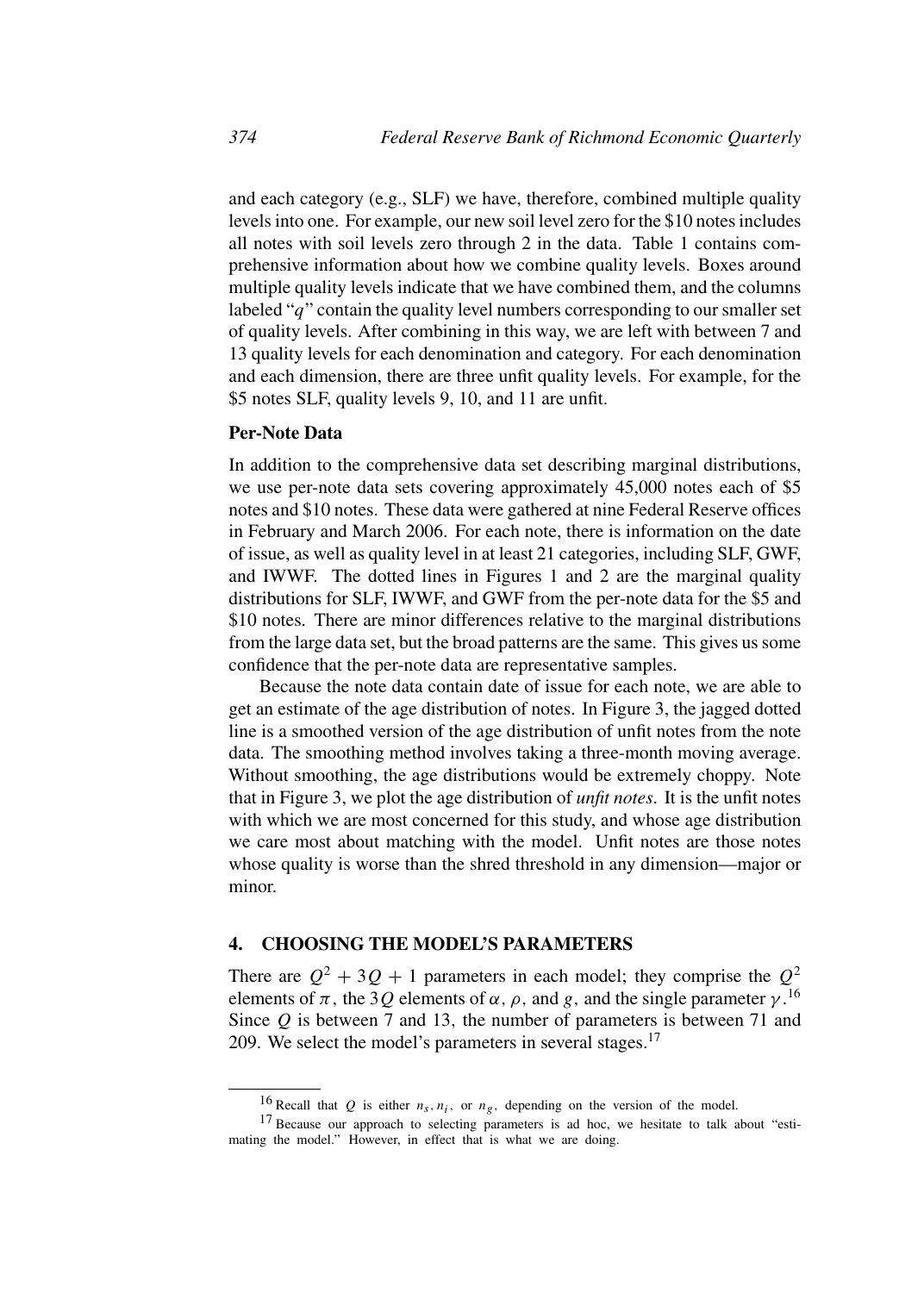and each category (e.g., SLF) we have, therefore, combined multiple quality levels into one. For example, our new soil level zero for the \$10 notes includes all notes with soil levels zero through 2 in the data. Table 1 contains comprehensive information about how we combine quality levels. Boxes around multiple quality levels indicate that we have combined them, and the columns labeled "q" contain the quality level numbers corresponding to our smaller set of quality levels. After combining in this way, we are left with between 7 and 13 quality levels for each denomination and category. For each denomination and each dimension, there are three unfit quality levels. For example, for the \$5 notes SLF, quality levels 9, 10, and 11 are unfit.

## **Per-Note Data**

In addition to the comprehensive data set describing marginal distributions, we use per-note data sets covering approximately 45,000 notes each of \$5 notes and \$10 notes. These data were gathered at nine Federal Reserve offices in February and March 2006. For each note, there is information on the date of issue, as well as quality level in at least 21 categories, including SLF, GWF, and IWWF. The dotted lines in Figures 1 and 2 are the marginal quality distributions for SLF, IWWF, and GWF from the per-note data for the \$5 and \$10 notes. There are minor differences relative to the marginal distributions from the large data set, but the broad patterns are the same. This gives us some confidence that the per-note data are representative samples.

Because the note data contain date of issue for each note, we are able to get an estimate of the age distribution of notes. In Figure 3, the jagged dotted line is a smoothed version of the age distribution of unfit notes from the note data. The smoothing method involves taking a three-month moving average. Without smoothing, the age distributions would be extremely choppy. Note that in Figure 3, we plot the age distribution of *unfit notes*. It is the unfit notes with which we are most concerned for this study, and whose age distribution we care most about matching with the model. Unfit notes are those notes whose quality is worse than the shred threshold in any dimension—major or minor.

#### **4. CHOOSING THE MODEL'S PARAMETERS**

There are  $Q^2 + 3Q + 1$  parameters in each model; they comprise the  $Q^2$ elements of  $\pi$ , the 3Q elements of  $\alpha$ ,  $\rho$ , and g, and the single parameter  $\gamma$ .<sup>16</sup> Since  $Q$  is between 7 and 13, the number of parameters is between 71 and 209. We select the model's parameters in several stages.<sup>17</sup>

<sup>&</sup>lt;sup>16</sup> Recall that *Q* is either  $n_s$ ,  $n_i$ , or  $n_g$ , depending on the version of the model.

<sup>&</sup>lt;sup>17</sup> Because our approach to selecting parameters is ad hoc, we hesitate to talk about "estimating the model." However, in effect that is what we are doing.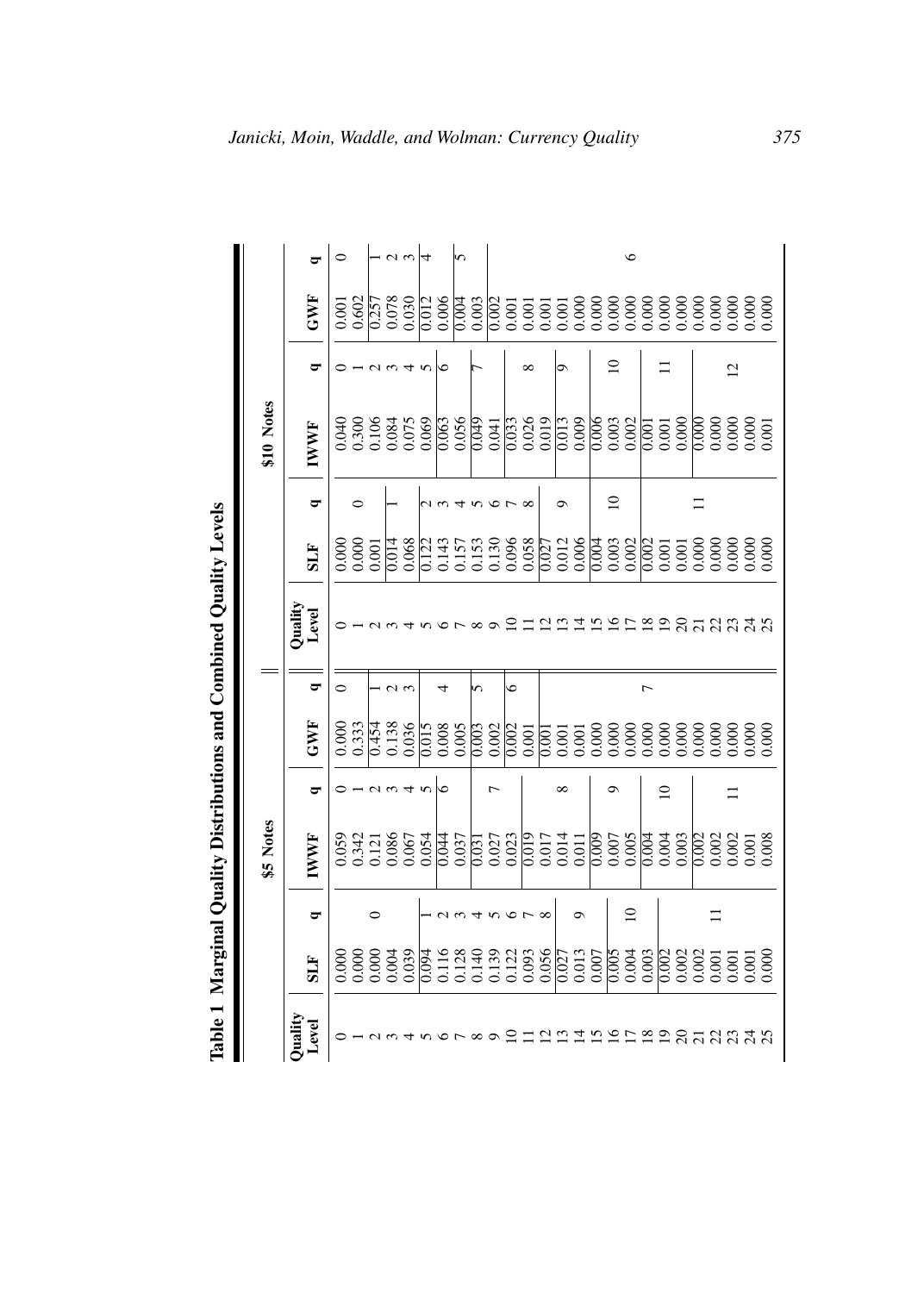|                     |            |             | \$5 Notes   |             |                                                                                                |                |                                                                                        |            |                | \$10 Notes  |                |     |               |
|---------------------|------------|-------------|-------------|-------------|------------------------------------------------------------------------------------------------|----------------|----------------------------------------------------------------------------------------|------------|----------------|-------------|----------------|-----|---------------|
| Quality<br>Level    | <b>SLF</b> | ರ           | <b>IWWF</b> | ರ           | GWF                                                                                            | ರ್             | Quality<br>Level                                                                       | <b>FTS</b> | ರ              | <b>IWWF</b> | ರ              | GWF | ਠ             |
|                     |            |             |             |             |                                                                                                | $\circ$        |                                                                                        |            |                |             |                |     | $\circ$       |
|                     |            |             |             |             | $\begin{array}{l} 0.000\\0.333\\0.454\\0.138\\0.000\\0.000\\0.000\\0.000\\0.000\\0\end{array}$ |                |                                                                                        |            | ⊂              |             |                |     |               |
|                     |            |             |             |             |                                                                                                |                |                                                                                        |            |                |             |                |     |               |
|                     |            |             |             |             |                                                                                                |                |                                                                                        |            |                |             |                |     | $\frac{2}{3}$ |
|                     |            |             |             |             |                                                                                                |                |                                                                                        |            |                |             |                |     |               |
|                     |            |             |             |             |                                                                                                |                |                                                                                        |            |                |             | $\Omega$       |     |               |
|                     |            |             |             | S           |                                                                                                |                |                                                                                        |            |                |             | ∘              |     |               |
|                     |            |             |             |             |                                                                                                |                |                                                                                        |            |                |             |                |     | m             |
|                     |            |             |             |             |                                                                                                | n              |                                                                                        |            |                |             |                |     |               |
|                     |            |             |             |             |                                                                                                |                |                                                                                        |            |                |             |                |     |               |
|                     |            |             |             |             |                                                                                                | Ó              |                                                                                        |            |                |             |                |     |               |
|                     |            |             |             |             |                                                                                                |                |                                                                                        |            |                |             | $\infty$       |     |               |
| $\overline{\omega}$ |            |             |             |             |                                                                                                |                | L,                                                                                     |            |                |             |                |     |               |
|                     |            |             |             | $\infty$    |                                                                                                |                |                                                                                        |            | െ              |             | O١             |     |               |
|                     |            |             |             |             |                                                                                                |                |                                                                                        |            |                |             |                |     |               |
|                     |            |             |             |             |                                                                                                |                |                                                                                        |            |                |             |                |     |               |
|                     |            |             |             | ക           |                                                                                                |                | 72 P                                                                                   |            | $\overline{a}$ |             | $\Omega$       |     |               |
|                     |            | $\subseteq$ |             |             |                                                                                                |                |                                                                                        |            |                |             |                |     | $\circ$       |
|                     |            |             |             |             |                                                                                                | $\overline{ }$ |                                                                                        |            |                |             |                |     |               |
|                     |            |             |             | $\subseteq$ |                                                                                                |                |                                                                                        |            |                |             | ロ              |     |               |
|                     |            |             |             |             |                                                                                                |                |                                                                                        |            |                |             |                |     |               |
|                     |            |             |             |             |                                                                                                |                |                                                                                        |            |                |             |                |     |               |
|                     |            |             |             |             |                                                                                                |                |                                                                                        |            |                |             |                |     |               |
| 119522812342        |            |             |             | ニ           |                                                                                                |                | $\mathfrak{A}\mathfrak{B}\mathfrak{B}\mathfrak{A}\mathfrak{B}\mathfrak{A}\mathfrak{B}$ |            |                |             | $\overline{2}$ |     |               |
|                     |            |             |             |             |                                                                                                |                |                                                                                        |            |                |             |                |     |               |
|                     |            |             |             |             |                                                                                                |                |                                                                                        |            |                |             |                |     |               |

Table 1 Marginal Quality Distributions and Combined Quality Levels **Table 1 Marginal Quality Distributions and Combined Quality Levels**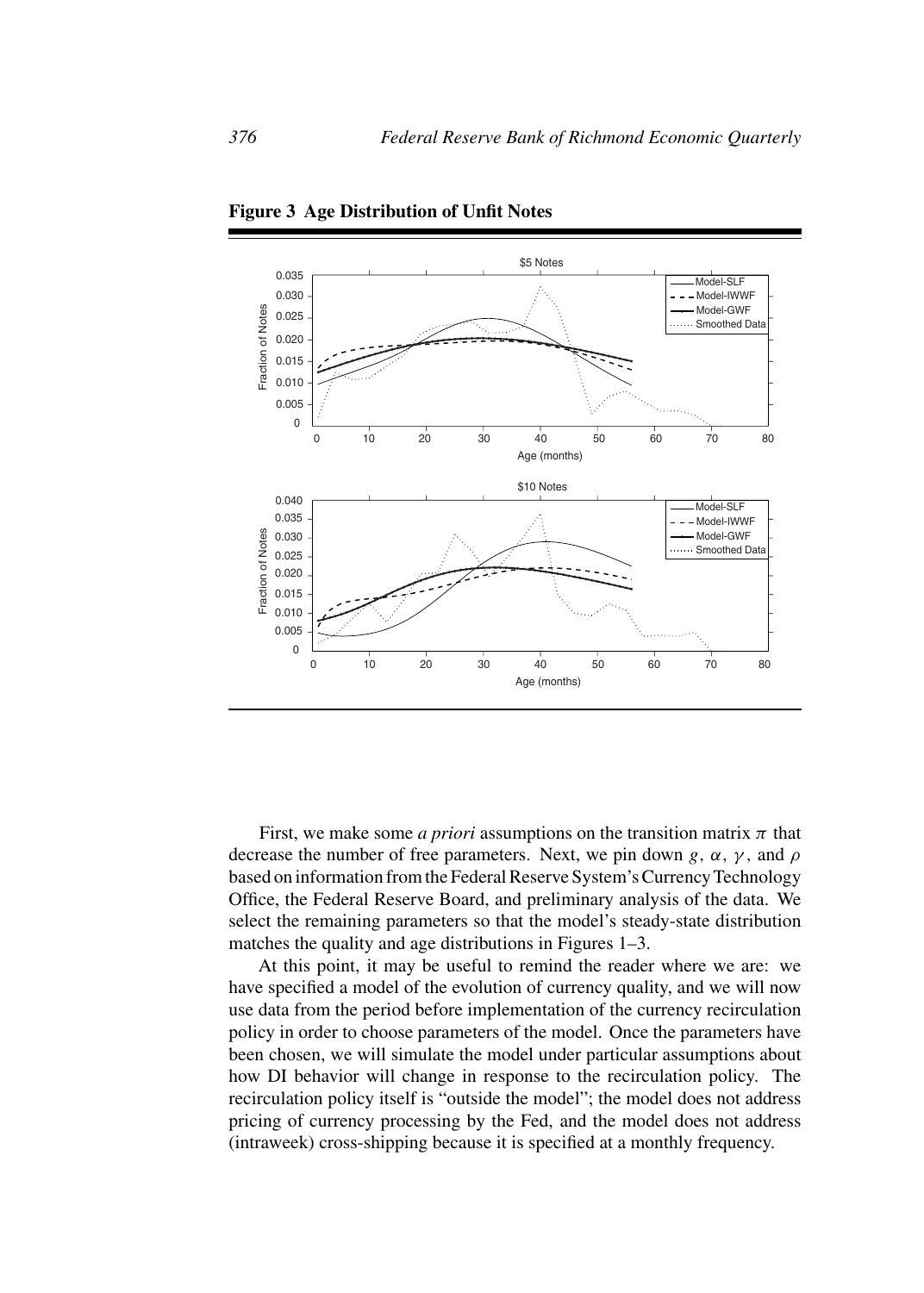

**Figure 3 Age Distribution of Unfit Notes**

First, we make some *a priori* assumptions on the transition matrix  $\pi$  that decrease the number of free parameters. Next, we pin down g,  $\alpha$ ,  $\gamma$ , and  $\rho$ based on information from the Federal Reserve System's Currency Technology Office, the Federal Reserve Board, and preliminary analysis of the data. We select the remaining parameters so that the model's steady-state distribution matches the quality and age distributions in Figures 1–3.

At this point, it may be useful to remind the reader where we are: we have specified a model of the evolution of currency quality, and we will now use data from the period before implementation of the currency recirculation policy in order to choose parameters of the model. Once the parameters have been chosen, we will simulate the model under particular assumptions about how DI behavior will change in response to the recirculation policy. The recirculation policy itself is "outside the model"; the model does not address pricing of currency processing by the Fed, and the model does not address (intraweek) cross-shipping because it is specified at a monthly frequency.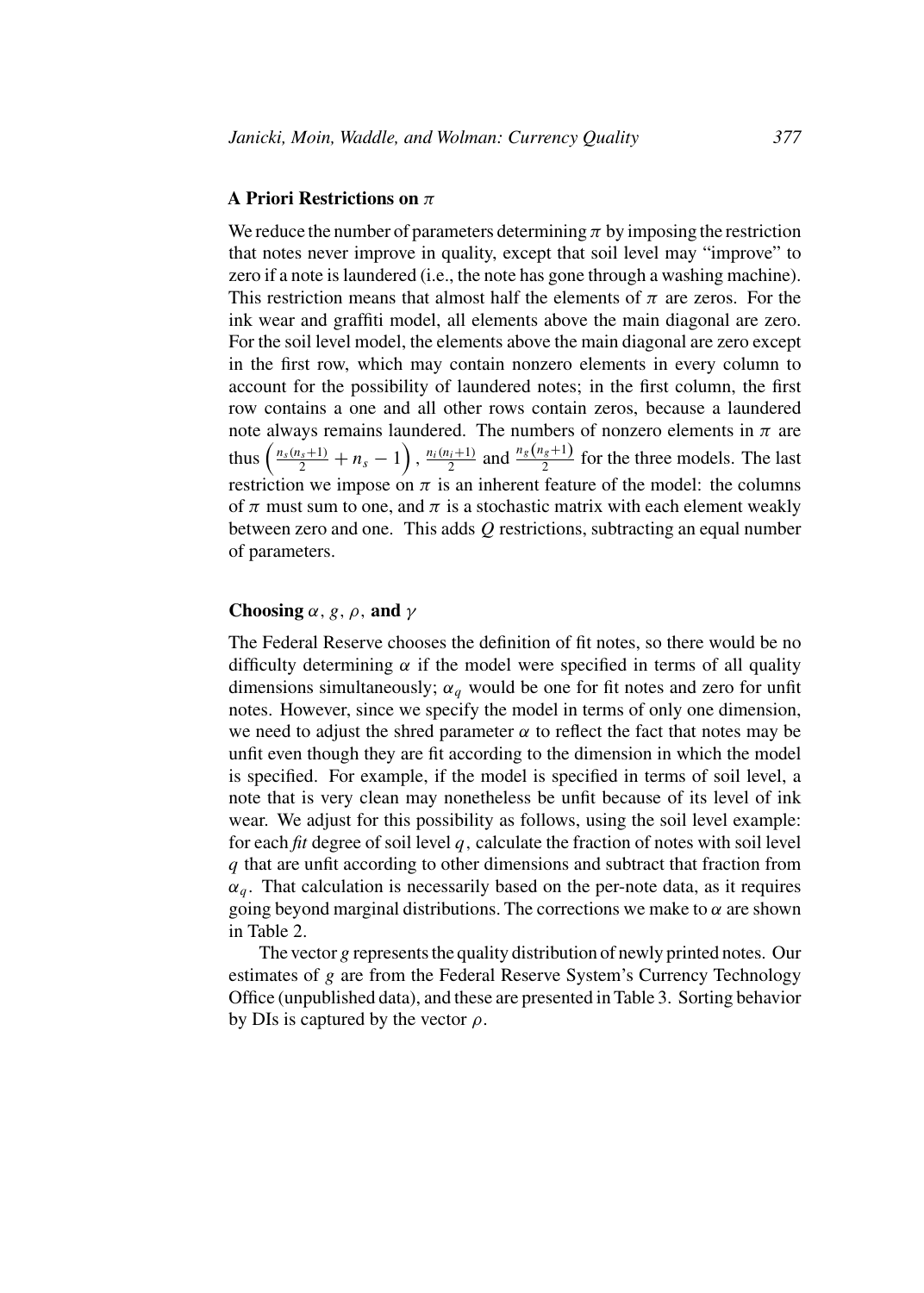#### **A Priori Restrictions on** π

We reduce the number of parameters determining  $\pi$  by imposing the restriction that notes never improve in quality, except that soil level may "improve" to zero if a note is laundered (i.e., the note has gone through a washing machine). This restriction means that almost half the elements of  $\pi$  are zeros. For the ink wear and graffiti model, all elements above the main diagonal are zero. For the soil level model, the elements above the main diagonal are zero except in the first row, which may contain nonzero elements in every column to account for the possibility of laundered notes; in the first column, the first row contains a one and all other rows contain zeros, because a laundered note always remains laundered. The numbers of nonzero elements in  $\pi$  are thus  $\left(\frac{n_s(n_s+1)}{2}+n_s-1\right)$ ,  $\frac{n_i(n_i+1)}{2}$  and  $\frac{n_s(n_s+1)}{2}$  for the three models. The last restriction we impose on  $\pi$  is an inherent feature of the model: the columns of  $\pi$  must sum to one, and  $\pi$  is a stochastic matrix with each element weakly between zero and one. This adds  $Q$  restrictions, subtracting an equal number of parameters.

## **Choosing**  $\alpha$ , *g*,  $\rho$ , **and**  $\gamma$

The Federal Reserve chooses the definition of fit notes, so there would be no difficulty determining  $\alpha$  if the model were specified in terms of all quality dimensions simultaneously;  $\alpha_q$  would be one for fit notes and zero for unfit notes. However, since we specify the model in terms of only one dimension, we need to adjust the shred parameter  $\alpha$  to reflect the fact that notes may be unfit even though they are fit according to the dimension in which the model is specified. For example, if the model is specified in terms of soil level, a note that is very clean may nonetheless be unfit because of its level of ink wear. We adjust for this possibility as follows, using the soil level example: for each *fit* degree of soil level q, calculate the fraction of notes with soil level q that are unfit according to other dimensions and subtract that fraction from  $\alpha_q$ . That calculation is necessarily based on the per-note data, as it requires going beyond marginal distributions. The corrections we make to  $\alpha$  are shown in Table 2.

The vector g represents the quality distribution of newly printed notes. Our estimates of g are from the Federal Reserve System's Currency Technology Office (unpublished data), and these are presented in Table 3. Sorting behavior by DIs is captured by the vector  $\rho$ .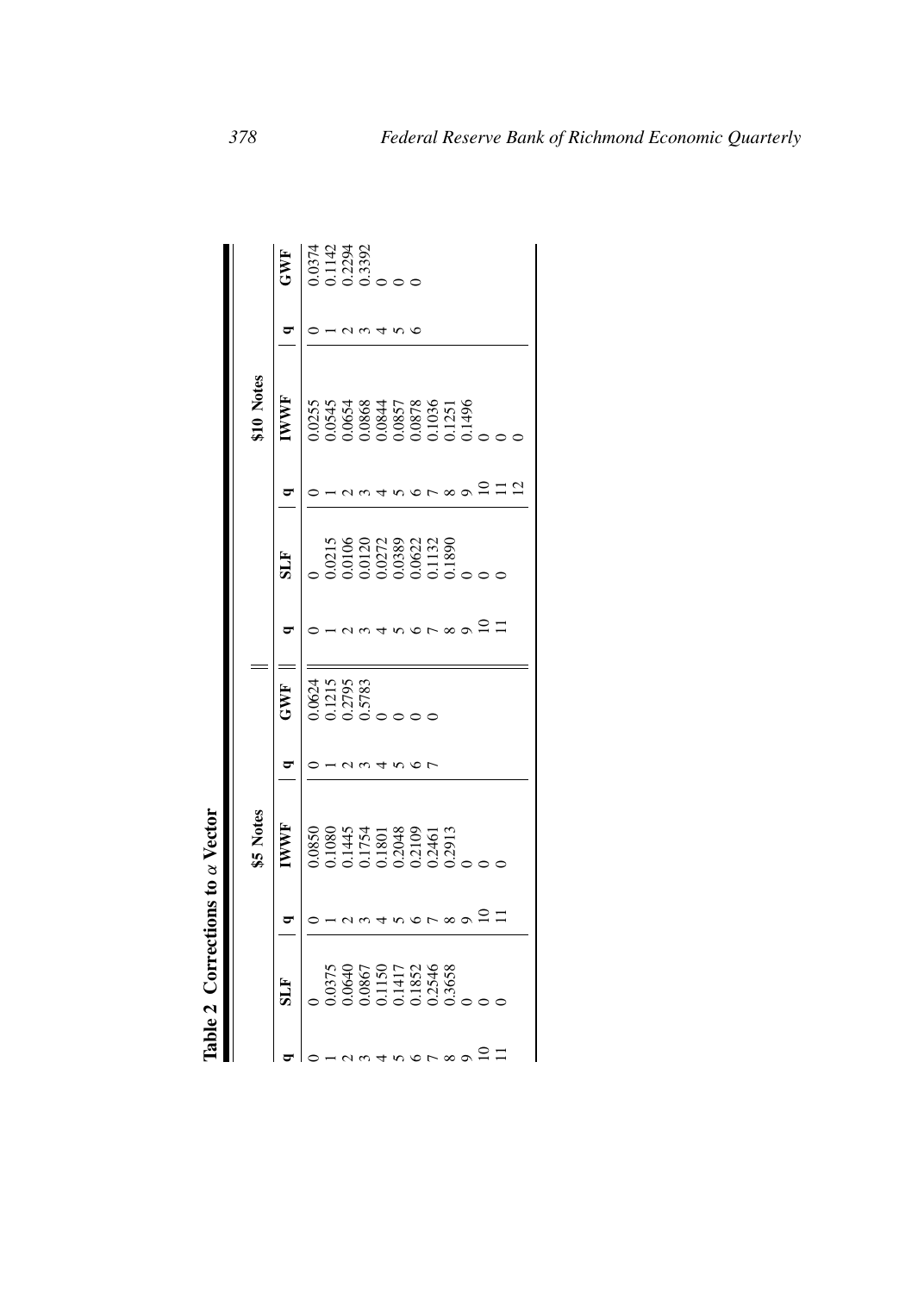| ì<br>í                                                                                                          |
|-----------------------------------------------------------------------------------------------------------------|
| 3<br>Ŝ                                                                                                          |
| Ş                                                                                                               |
| i<br>֧֧֖֖֧֢֢֢֢֢֧֦֧֧֧֧֧֧֧֧֧֧֧֧֧֧֧֧֧֧֧֧֧֧֧֧֧֚֚֚֚֟֓֬֝֓֝֓֝֓֟֓֝֬<br>֧֪֧֧֧֧֖֧֧֖֧֧֧֧֧֧֧֧֧֧֧֧֧֚֚֩֩֩֩֩֩֩֩֩֓֩֩֩<br>i<br>١ |
|                                                                                                                 |
| ã                                                                                                               |

|                |                                                                                                             | <b>i5 Notes</b>                                                     |                                      |                                                                              | \$10 Notes  |   |                                    |
|----------------|-------------------------------------------------------------------------------------------------------------|---------------------------------------------------------------------|--------------------------------------|------------------------------------------------------------------------------|-------------|---|------------------------------------|
|                | E                                                                                                           | <b>WWF</b>                                                          | EWF                                  | HTS                                                                          | <b>IWWF</b> | ٥ | GWF                                |
|                |                                                                                                             |                                                                     |                                      |                                                                              |             |   |                                    |
|                |                                                                                                             |                                                                     |                                      |                                                                              |             |   |                                    |
|                |                                                                                                             |                                                                     | ).0624<br>0.1215<br>0.2795<br>0.5783 |                                                                              |             |   | 0374<br>0.1142<br>0.2294<br>0.3392 |
|                |                                                                                                             |                                                                     |                                      |                                                                              |             |   |                                    |
|                |                                                                                                             |                                                                     |                                      |                                                                              |             |   |                                    |
|                | $\begin{array}{l} 0.0375 \\ 0.0640 \\ 0.0867 \\ 0.1150 \\ 0.1417 \\ 0.1417 \\ 0.3658 \\ 0.3658 \end{array}$ | 0.0850<br>0.1080<br>0.1445<br>0.1754<br>0.2048<br>0.20461<br>0.2913 |                                      | 0.0215<br>0.0106<br>0.0120<br>0.0272<br>0.0389<br>0.0382<br>0.1132<br>0.1890 |             |   |                                    |
|                |                                                                                                             |                                                                     |                                      |                                                                              |             |   |                                    |
| $\overline{ }$ |                                                                                                             |                                                                     |                                      |                                                                              |             |   |                                    |
| $\infty$       |                                                                                                             |                                                                     |                                      |                                                                              |             |   |                                    |
|                |                                                                                                             |                                                                     |                                      |                                                                              |             |   |                                    |
|                |                                                                                                             |                                                                     |                                      |                                                                              |             |   |                                    |
|                |                                                                                                             |                                                                     |                                      |                                                                              |             |   |                                    |
|                |                                                                                                             |                                                                     |                                      |                                                                              |             |   |                                    |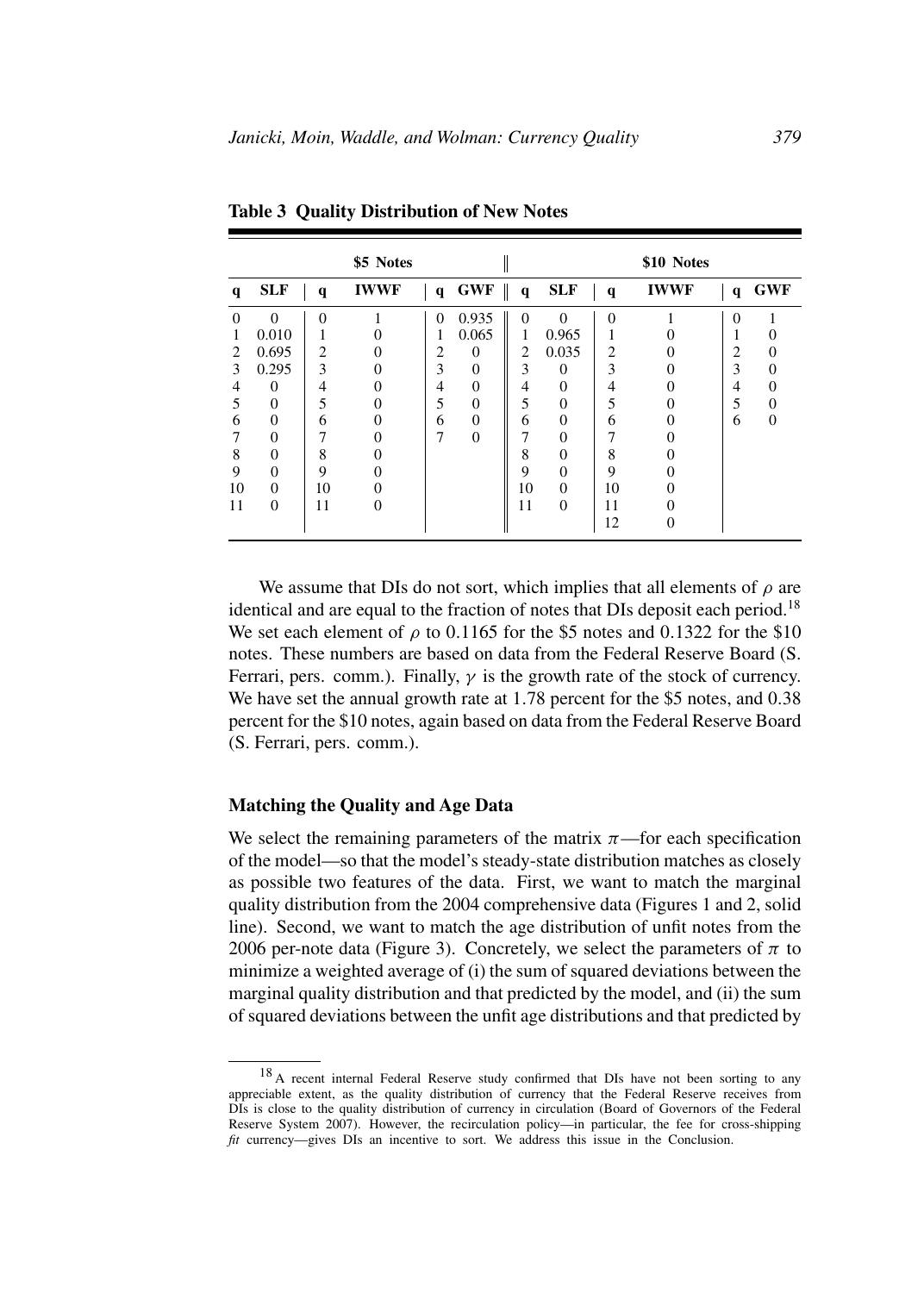|    |            |              | \$5 Notes   |                |          |                              |            |              | \$10 Notes  |              |              |
|----|------------|--------------|-------------|----------------|----------|------------------------------|------------|--------------|-------------|--------------|--------------|
| q  | <b>SLF</b> | $\mathbf{q}$ | <b>IWWF</b> | $\mathbf{q}$   | GWF      | $\mathbf{I}$<br>$\mathbf{q}$ | <b>SLF</b> | $\mathbf{q}$ | <b>IWWF</b> | $\mathbf{q}$ | <b>GWF</b>   |
| 0  | $\Omega$   | $\Omega$     |             | $\overline{0}$ | 0.935    | $\Omega$                     | $\Omega$   | $\Omega$     |             | $\theta$     |              |
|    | 0.010      |              |             |                | 0.065    |                              | 0.965      |              |             |              |              |
| 2  | 0.695      | 2            |             | 2              | $\theta$ | 2                            | 0.035      | 2            |             | 2            |              |
| 3  | 0.295      | 3            |             | 3              | $\theta$ | 3                            | $\Omega$   | 3            |             | 3            |              |
| 4  | $\Omega$   | 4            |             | 4              | $\Omega$ | 4                            | 0          | 4            |             | 4            |              |
| 5  | $\theta$   | 5            |             | 5              | $\theta$ | 5                            | $\theta$   | 5            |             | 5            |              |
| 6  | 0          | 6            |             | 6              | $\theta$ | 6                            | 0          | 6            |             | 6            | $\mathbf{0}$ |
|    | 0          |              |             | 7              | $\theta$ | 7                            |            |              |             |              |              |
| 8  | $\theta$   | 8            |             |                |          | 8                            |            | 8            |             |              |              |
| 9  | $\theta$   | 9            |             |                |          | 9                            | $\Omega$   | 9            |             |              |              |
| 10 | 0          | 10           |             |                |          | 10                           | $\Omega$   | 10           |             |              |              |
| 11 | $\Omega$   | 11           | 0           |                |          | 11                           | $\Omega$   | 11           |             |              |              |
|    |            |              |             |                |          |                              |            | 12           | 0           |              |              |

**Table 3 Quality Distribution of New Notes**

We assume that DIs do not sort, which implies that all elements of  $\rho$  are identical and are equal to the fraction of notes that DIs deposit each period.<sup>18</sup> We set each element of  $\rho$  to 0.1165 for the \$5 notes and 0.1322 for the \$10 notes. These numbers are based on data from the Federal Reserve Board (S. Ferrari, pers. comm.). Finally,  $\gamma$  is the growth rate of the stock of currency. We have set the annual growth rate at 1.78 percent for the \$5 notes, and 0.38 percent for the \$10 notes, again based on data from the Federal Reserve Board (S. Ferrari, pers. comm.).

#### **Matching the Quality and Age Data**

We select the remaining parameters of the matrix  $\pi$ —for each specification of the model—so that the model's steady-state distribution matches as closely as possible two features of the data. First, we want to match the marginal quality distribution from the 2004 comprehensive data (Figures 1 and 2, solid line). Second, we want to match the age distribution of unfit notes from the 2006 per-note data (Figure 3). Concretely, we select the parameters of  $\pi$  to minimize a weighted average of (i) the sum of squared deviations between the marginal quality distribution and that predicted by the model, and (ii) the sum of squared deviations between the unfit age distributions and that predicted by

<sup>&</sup>lt;sup>18</sup> A recent internal Federal Reserve study confirmed that DIs have not been sorting to any appreciable extent, as the quality distribution of currency that the Federal Reserve receives from DIs is close to the quality distribution of currency in circulation (Board of Governors of the Federal Reserve System 2007). However, the recirculation policy—in particular, the fee for cross-shipping *fit* currency—gives DIs an incentive to sort. We address this issue in the Conclusion.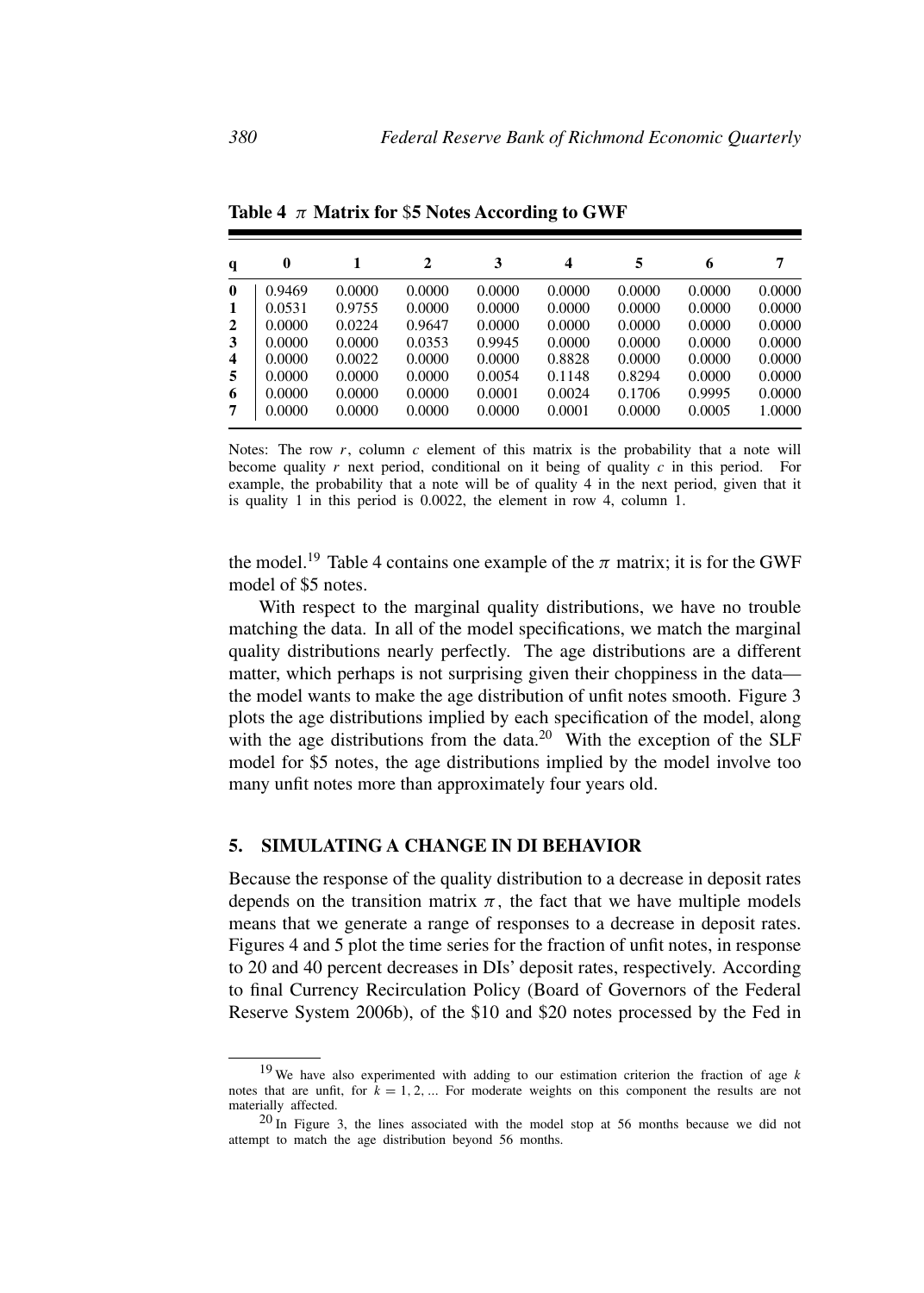| q                | 0      |        | 2      | 3      | 4      | 5      | 6      | 7      |
|------------------|--------|--------|--------|--------|--------|--------|--------|--------|
| $\mathbf{0}$     | 0.9469 | 0.0000 | 0.0000 | 0.0000 | 0.0000 | 0.0000 | 0.0000 | 0.0000 |
| 1                | 0.0531 | 0.9755 | 0.0000 | 0.0000 | 0.0000 | 0.0000 | 0.0000 | 0.0000 |
| $\mathbf{2}$     | 0.0000 | 0.0224 | 0.9647 | 0.0000 | 0.0000 | 0.0000 | 0.0000 | 0.0000 |
| 3                | 0.0000 | 0.0000 | 0.0353 | 0.9945 | 0.0000 | 0.0000 | 0.0000 | 0.0000 |
| $\boldsymbol{4}$ | 0.0000 | 0.0022 | 0.0000 | 0.0000 | 0.8828 | 0.0000 | 0.0000 | 0.0000 |
| 5                | 0.0000 | 0.0000 | 0.0000 | 0.0054 | 0.1148 | 0.8294 | 0.0000 | 0.0000 |
| 6                | 0.0000 | 0.0000 | 0.0000 | 0.0001 | 0.0024 | 0.1706 | 0.9995 | 0.0000 |
|                  | 0.0000 | 0.0000 | 0.0000 | 0.0000 | 0.0001 | 0.0000 | 0.0005 | 1.0000 |

**Table 4** π **Matrix for** \$**5 Notes According to GWF**

Notes: The row  $r$ , column  $c$  element of this matrix is the probability that a note will become quality  $r$  next period, conditional on it being of quality  $c$  in this period. For example, the probability that a note will be of quality 4 in the next period, given that it is quality 1 in this period is 0.0022, the element in row 4, column 1.

the model.<sup>19</sup> Table 4 contains one example of the  $\pi$  matrix; it is for the GWF model of \$5 notes.

With respect to the marginal quality distributions, we have no trouble matching the data. In all of the model specifications, we match the marginal quality distributions nearly perfectly. The age distributions are a different matter, which perhaps is not surprising given their choppiness in the data the model wants to make the age distribution of unfit notes smooth. Figure 3 plots the age distributions implied by each specification of the model, along with the age distributions from the data.<sup>20</sup> With the exception of the SLF model for \$5 notes, the age distributions implied by the model involve too many unfit notes more than approximately four years old.

#### **5. SIMULATING A CHANGE IN DI BEHAVIOR**

Because the response of the quality distribution to a decrease in deposit rates depends on the transition matrix  $\pi$ , the fact that we have multiple models means that we generate a range of responses to a decrease in deposit rates. Figures 4 and 5 plot the time series for the fraction of unfit notes, in response to 20 and 40 percent decreases in DIs' deposit rates, respectively. According to final Currency Recirculation Policy (Board of Governors of the Federal Reserve System 2006b), of the \$10 and \$20 notes processed by the Fed in

 $19$  We have also experimented with adding to our estimation criterion the fraction of age k notes that are unfit, for  $k = 1, 2, \dots$  For moderate weights on this component the results are not materially affected.

 $20$  In Figure 3, the lines associated with the model stop at 56 months because we did not attempt to match the age distribution beyond 56 months.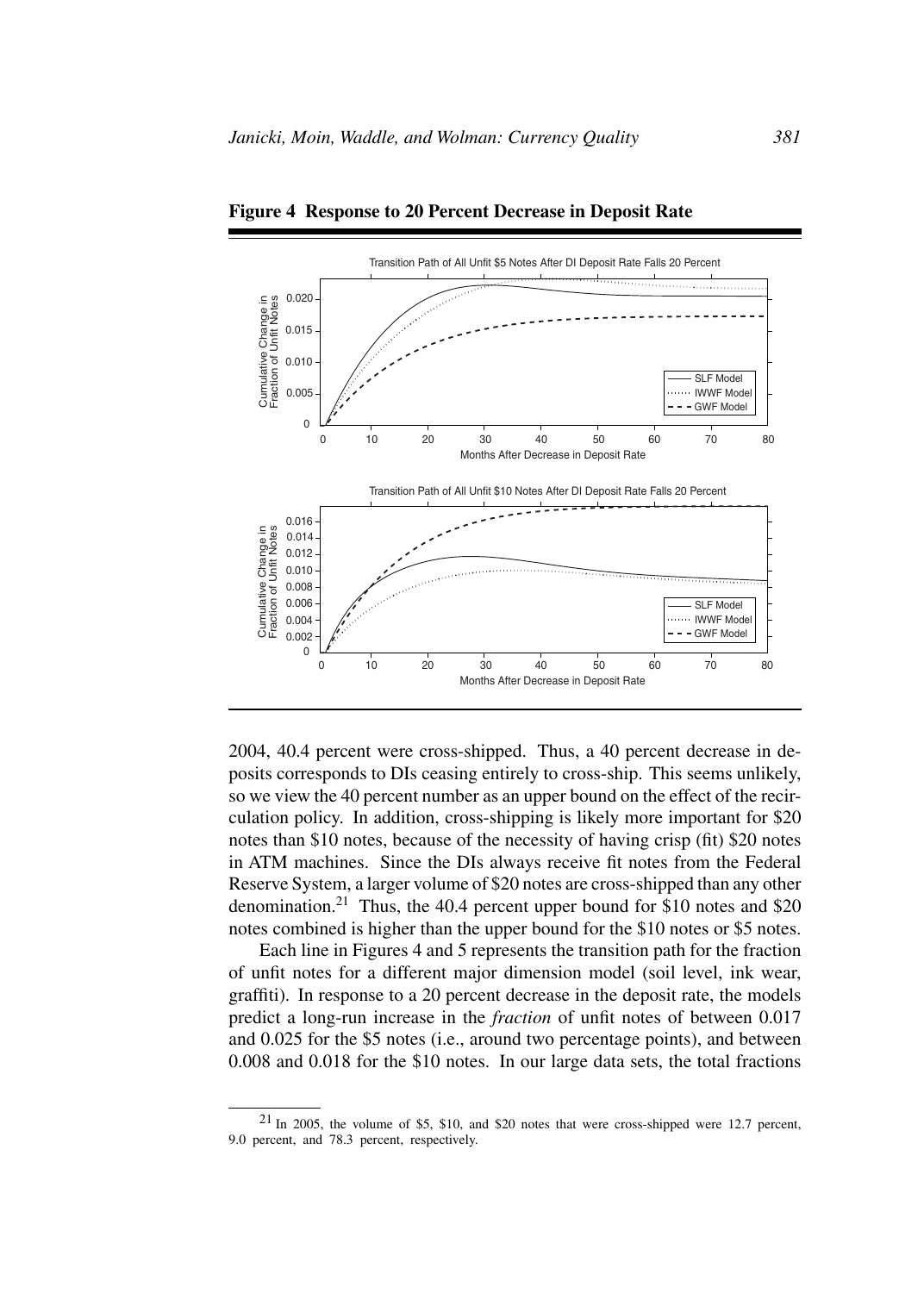

**Figure 4 Response to 20 Percent Decrease in Deposit Rate**

2004, 40.4 percent were cross-shipped. Thus, a 40 percent decrease in deposits corresponds to DIs ceasing entirely to cross-ship. This seems unlikely, so we view the 40 percent number as an upper bound on the effect of the recirculation policy. In addition, cross-shipping is likely more important for \$20 notes than \$10 notes, because of the necessity of having crisp (fit) \$20 notes in ATM machines. Since the DIs always receive fit notes from the Federal Reserve System, a larger volume of \$20 notes are cross-shipped than any other denomination.<sup>21</sup> Thus, the 40.4 percent upper bound for \$10 notes and \$20 notes combined is higher than the upper bound for the \$10 notes or \$5 notes.

Each line in Figures 4 and 5 represents the transition path for the fraction of unfit notes for a different major dimension model (soil level, ink wear, graffiti). In response to a 20 percent decrease in the deposit rate, the models predict a long-run increase in the *fraction* of unfit notes of between 0.017 and 0.025 for the \$5 notes (i.e., around two percentage points), and between 0.008 and 0.018 for the \$10 notes. In our large data sets, the total fractions

<sup>21</sup> In 2005, the volume of \$5, \$10, and \$20 notes that were cross-shipped were 12.7 percent, 9.0 percent, and 78.3 percent, respectively.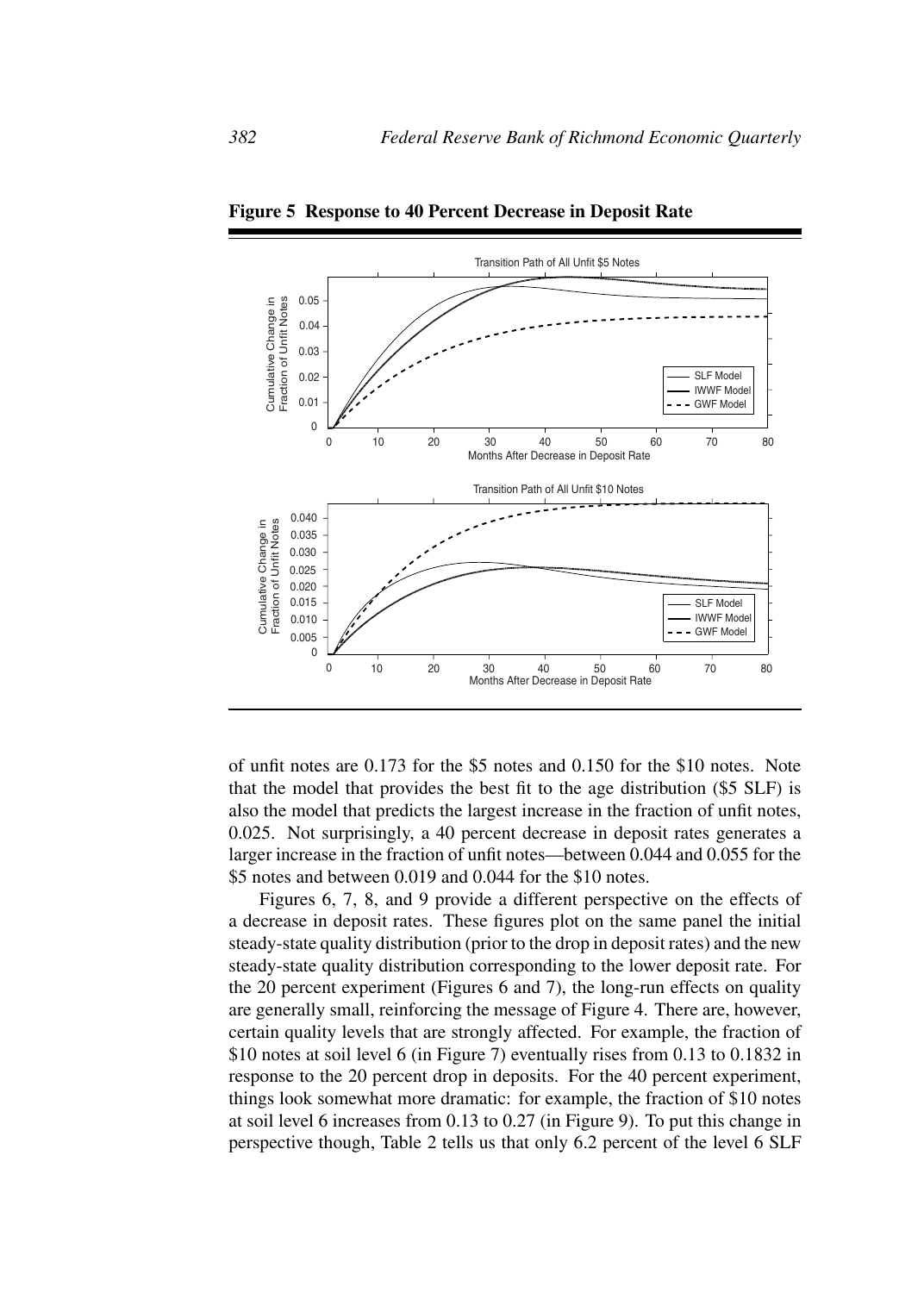

**Figure 5 Response to 40 Percent Decrease in Deposit Rate**

of unfit notes are 0.173 for the \$5 notes and 0.150 for the \$10 notes. Note that the model that provides the best fit to the age distribution (\$5 SLF) is also the model that predicts the largest increase in the fraction of unfit notes, 0.025. Not surprisingly, a 40 percent decrease in deposit rates generates a larger increase in the fraction of unfit notes—between 0.044 and 0.055 for the \$5 notes and between 0.019 and 0.044 for the \$10 notes.

Figures 6, 7, 8, and 9 provide a different perspective on the effects of a decrease in deposit rates. These figures plot on the same panel the initial steady-state quality distribution (prior to the drop in deposit rates) and the new steady-state quality distribution corresponding to the lower deposit rate. For the 20 percent experiment (Figures 6 and 7), the long-run effects on quality are generally small, reinforcing the message of Figure 4. There are, however, certain quality levels that are strongly affected. For example, the fraction of \$10 notes at soil level 6 (in Figure 7) eventually rises from 0.13 to 0.1832 in response to the 20 percent drop in deposits. For the 40 percent experiment, things look somewhat more dramatic: for example, the fraction of \$10 notes at soil level 6 increases from 0.13 to 0.27 (in Figure 9). To put this change in perspective though, Table 2 tells us that only 6.2 percent of the level 6 SLF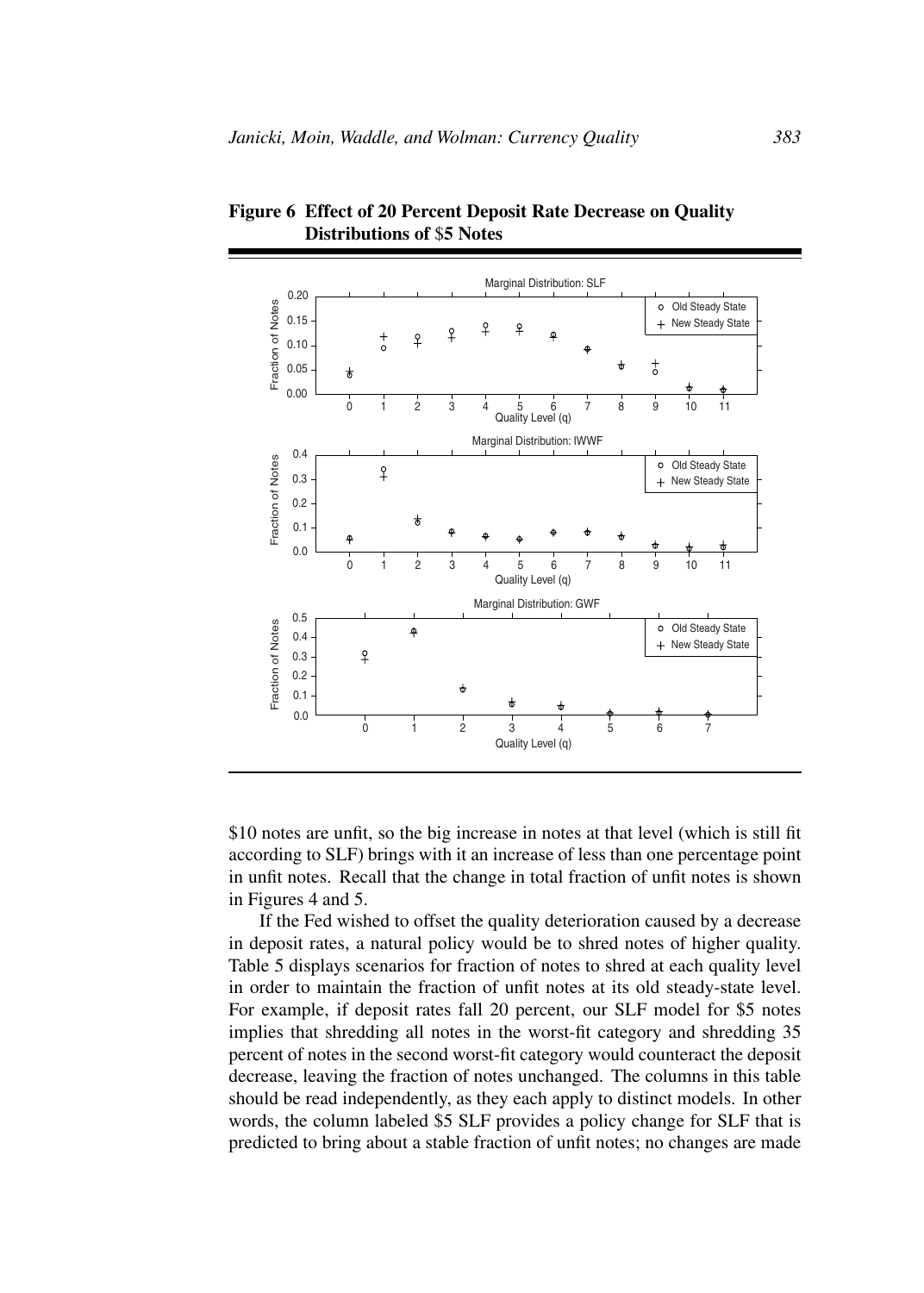

**Figure 6 Effect of 20 Percent Deposit Rate Decrease on Quality Distributions of** \$**5 Notes**

\$10 notes are unfit, so the big increase in notes at that level (which is still fit according to SLF) brings with it an increase of less than one percentage point in unfit notes. Recall that the change in total fraction of unfit notes is shown in Figures 4 and 5.

If the Fed wished to offset the quality deterioration caused by a decrease in deposit rates, a natural policy would be to shred notes of higher quality. Table 5 displays scenarios for fraction of notes to shred at each quality level in order to maintain the fraction of unfit notes at its old steady-state level. For example, if deposit rates fall 20 percent, our SLF model for \$5 notes implies that shredding all notes in the worst-fit category and shredding 35 percent of notes in the second worst-fit category would counteract the deposit decrease, leaving the fraction of notes unchanged. The columns in this table should be read independently, as they each apply to distinct models. In other words, the column labeled \$5 SLF provides a policy change for SLF that is predicted to bring about a stable fraction of unfit notes; no changes are made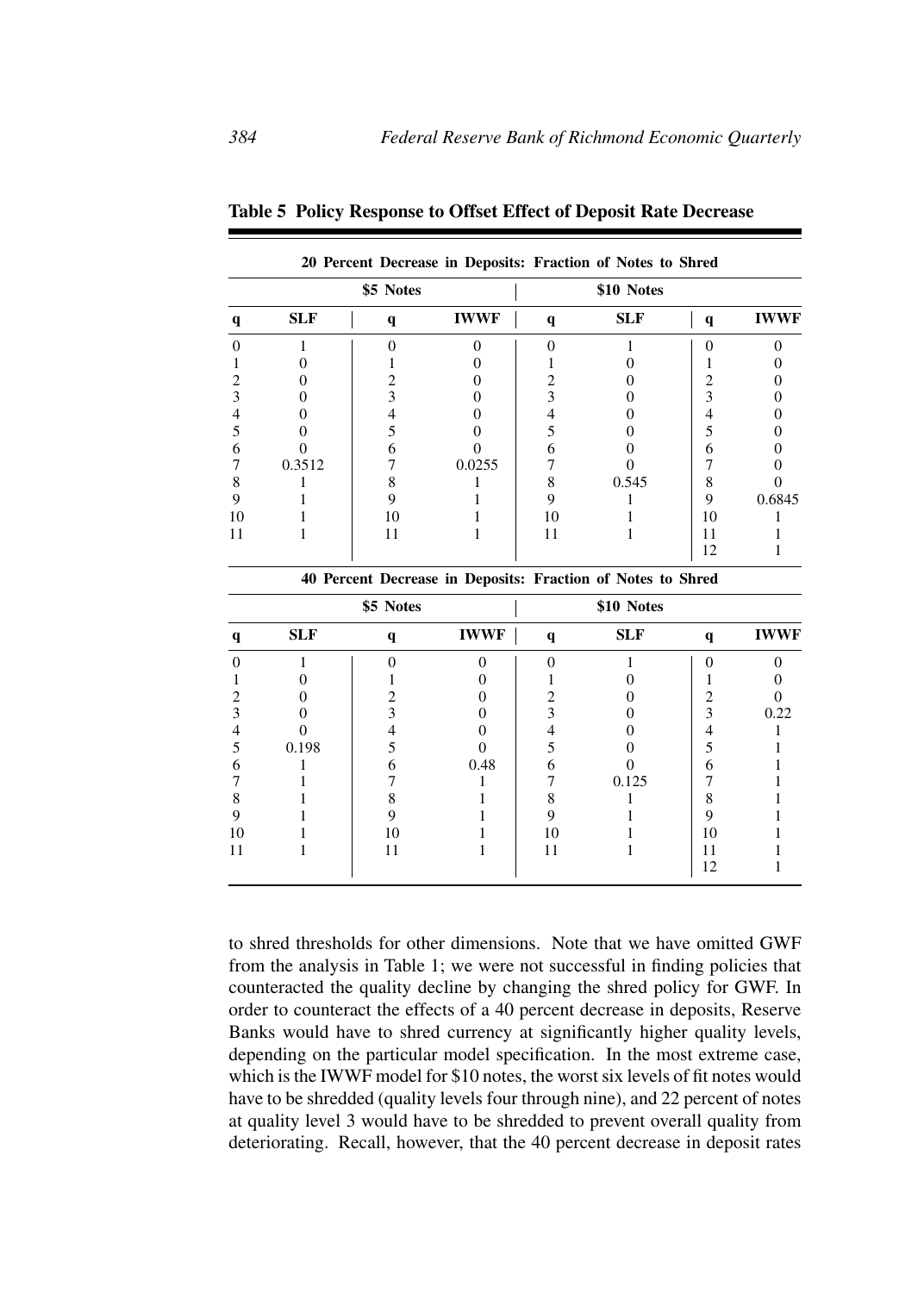|    |            |           |             |              | 20 Percent Decrease in Deposits: Fraction of Notes to Shred |             |             |
|----|------------|-----------|-------------|--------------|-------------------------------------------------------------|-------------|-------------|
|    |            | \$5 Notes |             |              | \$10 Notes                                                  |             |             |
|    | <b>SLF</b> | q         | <b>IWWF</b> | $\mathbf{q}$ | <b>SLF</b>                                                  | $\mathbf q$ | <b>IWWF</b> |
|    |            |           |             |              |                                                             |             |             |
|    |            |           |             |              |                                                             |             |             |
|    |            |           |             |              |                                                             |             |             |
|    |            |           |             |              |                                                             |             |             |
|    |            |           |             |              |                                                             |             |             |
|    |            |           |             |              |                                                             |             |             |
|    |            |           |             |              |                                                             |             |             |
|    | 0.3512     |           | 0.0255      |              |                                                             |             |             |
|    |            |           |             |              | 0.545                                                       | 8           |             |
|    |            |           |             |              |                                                             | 9           | 0.6845      |
| 10 |            | 10        |             |              |                                                             | 10          |             |
|    |            |           |             |              |                                                             | 11          |             |
|    |            |           |             |              |                                                             | 12          |             |

**Table 5 Policy Response to Offset Effect of Deposit Rate Decrease**

|    |            | 40 Percent Decrease in Deposits: Fraction of Notes to Shred |             |             |            |    |             |
|----|------------|-------------------------------------------------------------|-------------|-------------|------------|----|-------------|
|    |            | \$5 Notes                                                   |             |             | \$10 Notes |    |             |
|    | <b>SLF</b> | q                                                           | <b>IWWF</b> | $\mathbf q$ | <b>SLF</b> | q  | <b>IWWF</b> |
|    |            |                                                             |             |             |            |    |             |
|    |            |                                                             |             |             |            |    |             |
|    |            |                                                             |             |             |            |    |             |
|    |            |                                                             |             |             |            |    | 0.22        |
|    |            |                                                             |             |             |            |    |             |
|    | 0.198      |                                                             |             |             |            |    |             |
|    |            |                                                             | 0.48        |             |            | h  |             |
|    |            |                                                             |             |             | 0.125      |    |             |
|    |            |                                                             |             |             |            |    |             |
|    |            |                                                             |             |             |            |    |             |
| 10 |            | 10                                                          |             | 10          |            | 10 |             |
|    |            | 11                                                          |             | 11          |            | 11 |             |
|    |            |                                                             |             |             |            | 12 |             |

to shred thresholds for other dimensions. Note that we have omitted GWF from the analysis in Table 1; we were not successful in finding policies that counteracted the quality decline by changing the shred policy for GWF. In order to counteract the effects of a 40 percent decrease in deposits, Reserve Banks would have to shred currency at significantly higher quality levels, depending on the particular model specification. In the most extreme case, which is the IWWF model for \$10 notes, the worst six levels of fit notes would have to be shredded (quality levels four through nine), and 22 percent of notes at quality level 3 would have to be shredded to prevent overall quality from deteriorating. Recall, however, that the 40 percent decrease in deposit rates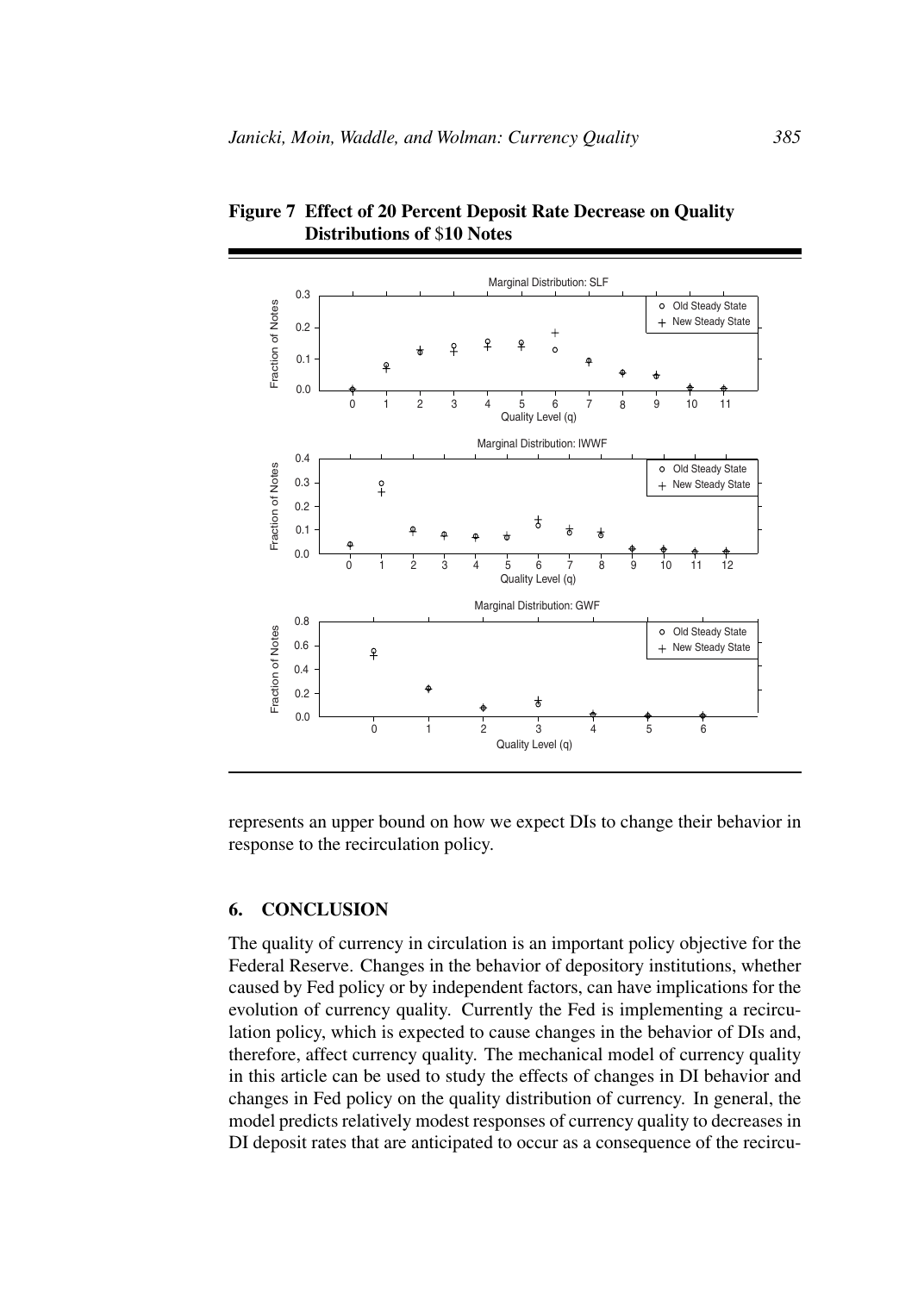

**Figure 7 Effect of 20 Percent Deposit Rate Decrease on Quality Distributions of** \$**10 Notes**

represents an upper bound on how we expect DIs to change their behavior in response to the recirculation policy.

#### **6. CONCLUSION**

The quality of currency in circulation is an important policy objective for the Federal Reserve. Changes in the behavior of depository institutions, whether caused by Fed policy or by independent factors, can have implications for the evolution of currency quality. Currently the Fed is implementing a recirculation policy, which is expected to cause changes in the behavior of DIs and, therefore, affect currency quality. The mechanical model of currency quality in this article can be used to study the effects of changes in DI behavior and changes in Fed policy on the quality distribution of currency. In general, the model predicts relatively modest responses of currency quality to decreases in DI deposit rates that are anticipated to occur as a consequence of the recircu-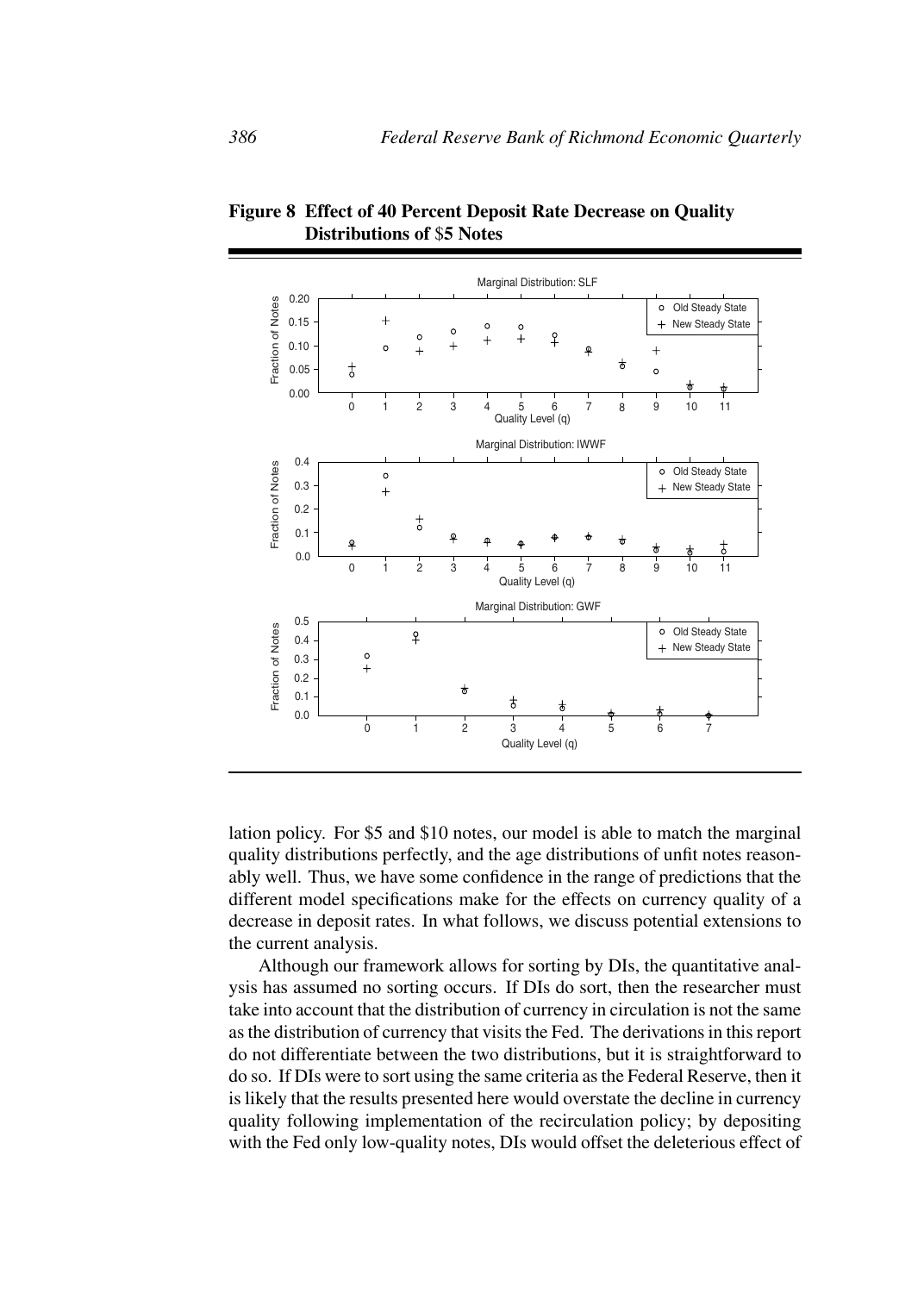

**Figure 8 Effect of 40 Percent Deposit Rate Decrease on Quality Distributions of** \$**5 Notes**

lation policy. For \$5 and \$10 notes, our model is able to match the marginal quality distributions perfectly, and the age distributions of unfit notes reasonably well. Thus, we have some confidence in the range of predictions that the different model specifications make for the effects on currency quality of a decrease in deposit rates. In what follows, we discuss potential extensions to the current analysis.

Although our framework allows for sorting by DIs, the quantitative analysis has assumed no sorting occurs. If DIs do sort, then the researcher must take into account that the distribution of currency in circulation is not the same as the distribution of currency that visits the Fed. The derivations in this report do not differentiate between the two distributions, but it is straightforward to do so. If DIs were to sort using the same criteria as the Federal Reserve, then it is likely that the results presented here would overstate the decline in currency quality following implementation of the recirculation policy; by depositing with the Fed only low-quality notes, DIs would offset the deleterious effect of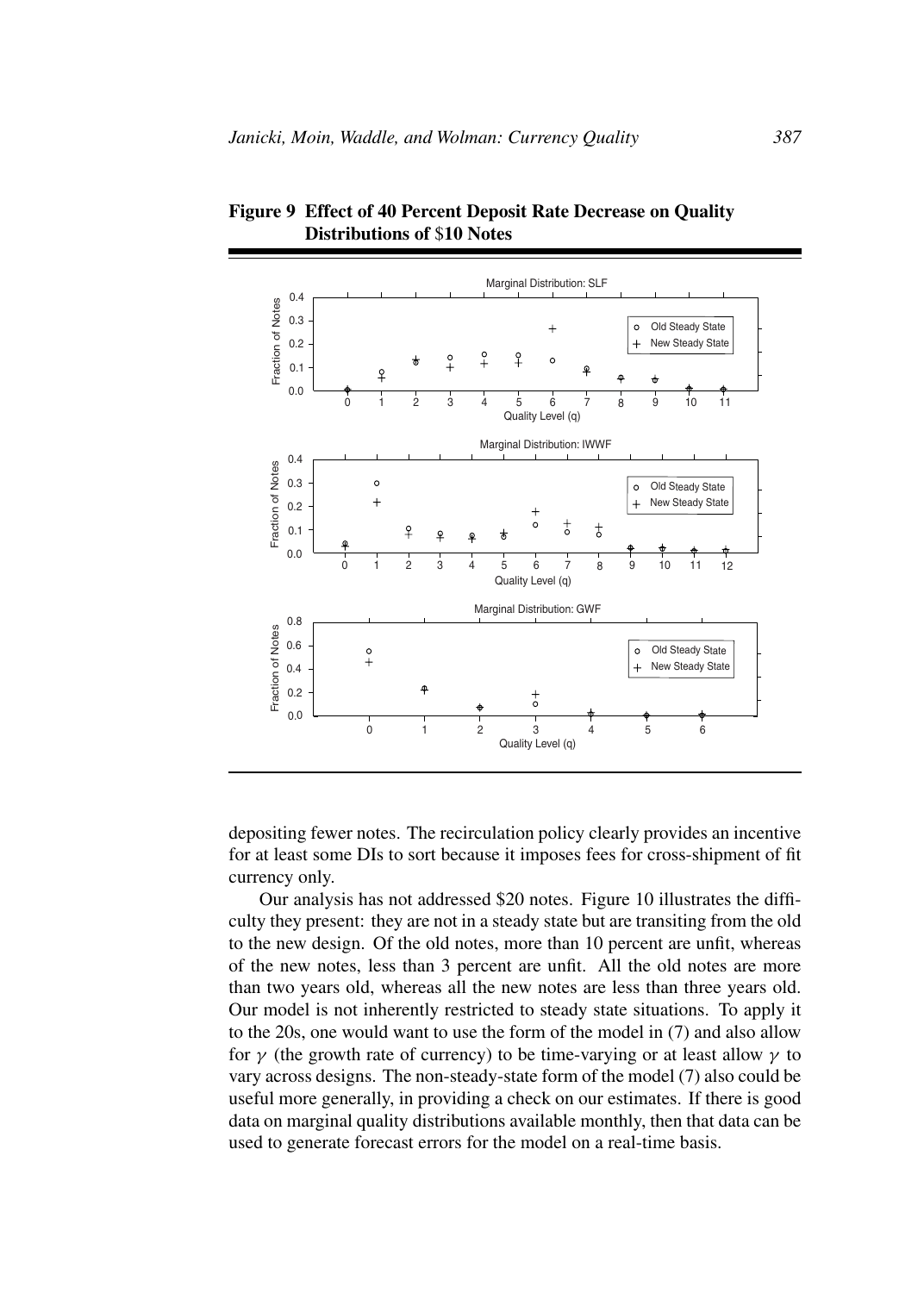

**Figure 9 Effect of 40 Percent Deposit Rate Decrease on Quality Distributions of** \$**10 Notes**

depositing fewer notes. The recirculation policy clearly provides an incentive for at least some DIs to sort because it imposes fees for cross-shipment of fit currency only.

Our analysis has not addressed \$20 notes. Figure 10 illustrates the difficulty they present: they are not in a steady state but are transiting from the old to the new design. Of the old notes, more than 10 percent are unfit, whereas of the new notes, less than 3 percent are unfit. All the old notes are more than two years old, whereas all the new notes are less than three years old. Our model is not inherently restricted to steady state situations. To apply it to the 20s, one would want to use the form of the model in (7) and also allow for  $\gamma$  (the growth rate of currency) to be time-varying or at least allow  $\gamma$  to vary across designs. The non-steady-state form of the model (7) also could be useful more generally, in providing a check on our estimates. If there is good data on marginal quality distributions available monthly, then that data can be used to generate forecast errors for the model on a real-time basis.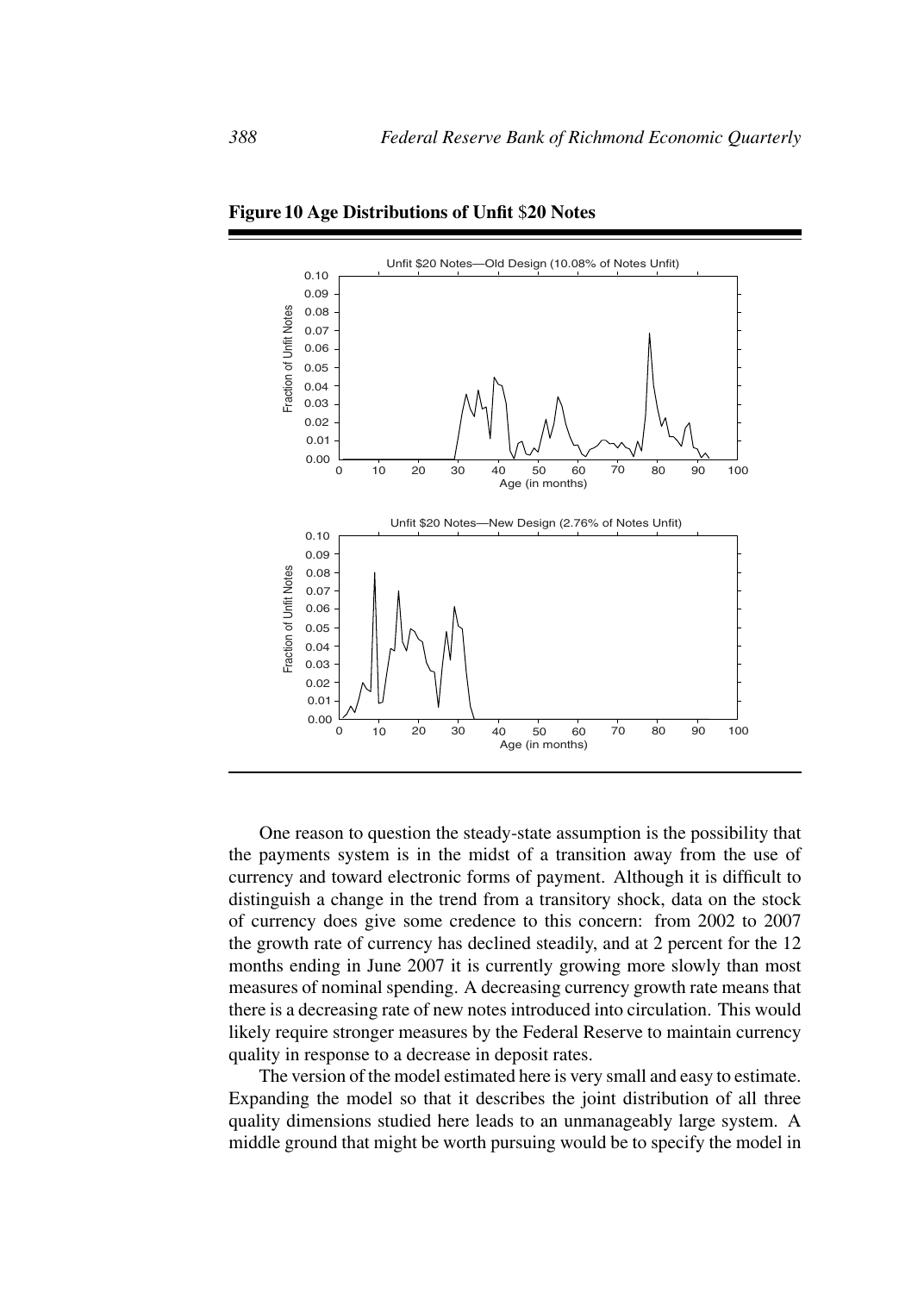

**Figure 10 Age Distributions of Unfit** \$**20 Notes**

One reason to question the steady-state assumption is the possibility that the payments system is in the midst of a transition away from the use of currency and toward electronic forms of payment. Although it is difficult to distinguish a change in the trend from a transitory shock, data on the stock of currency does give some credence to this concern: from 2002 to 2007 the growth rate of currency has declined steadily, and at 2 percent for the 12 months ending in June 2007 it is currently growing more slowly than most measures of nominal spending. A decreasing currency growth rate means that there is a decreasing rate of new notes introduced into circulation. This would likely require stronger measures by the Federal Reserve to maintain currency quality in response to a decrease in deposit rates.

The version of the model estimated here is very small and easy to estimate. Expanding the model so that it describes the joint distribution of all three quality dimensions studied here leads to an unmanageably large system. A middle ground that might be worth pursuing would be to specify the model in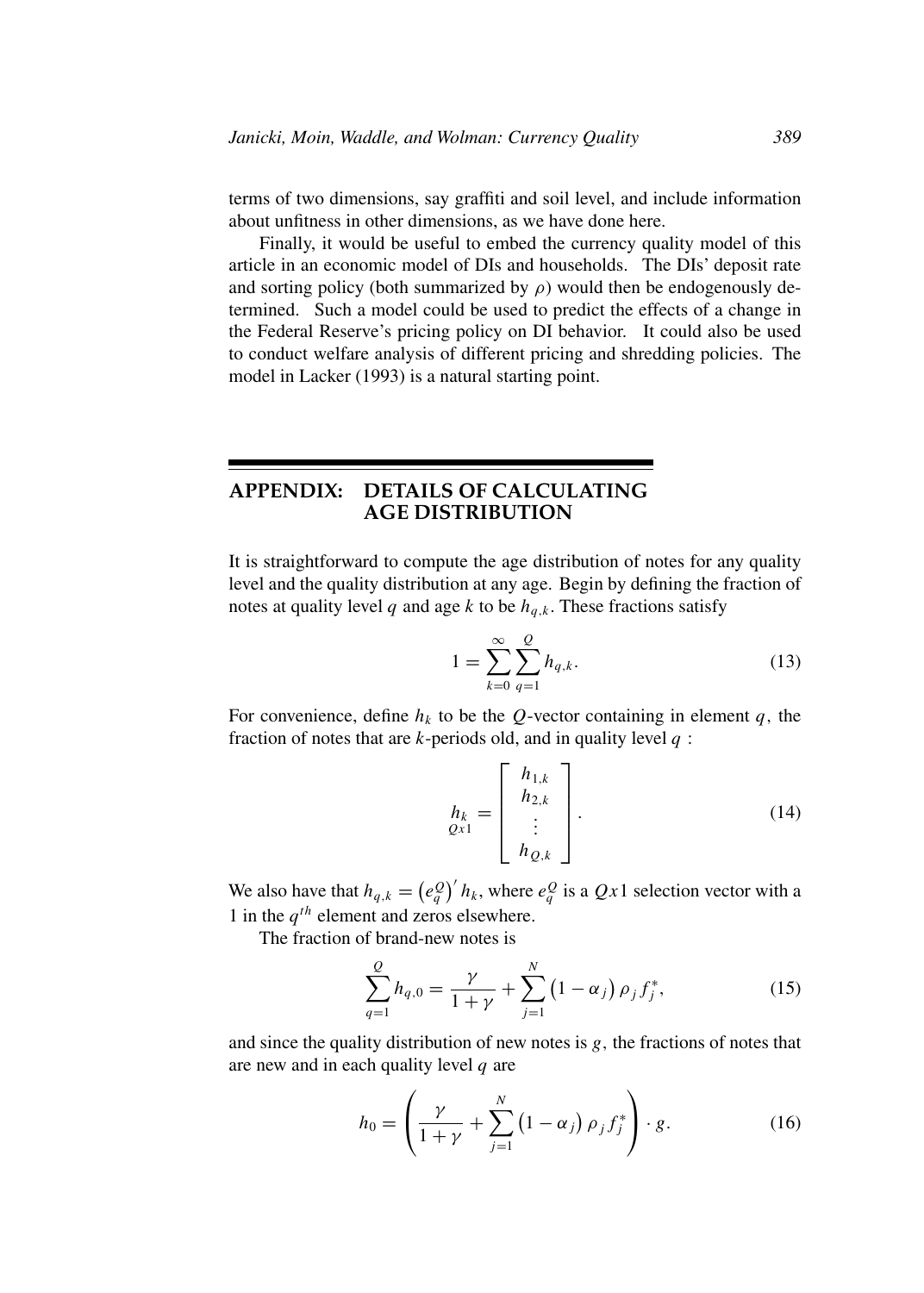terms of two dimensions, say graffiti and soil level, and include information about unfitness in other dimensions, as we have done here.

Finally, it would be useful to embed the currency quality model of this article in an economic model of DIs and households. The DIs' deposit rate and sorting policy (both summarized by  $\rho$ ) would then be endogenously determined. Such a model could be used to predict the effects of a change in the Federal Reserve's pricing policy on DI behavior. It could also be used to conduct welfare analysis of different pricing and shredding policies. The model in Lacker (1993) is a natural starting point.

# **APPENDIX: DETAILS OF CALCULATING AGE DISTRIBUTION**

It is straightforward to compute the age distribution of notes for any quality level and the quality distribution at any age. Begin by defining the fraction of notes at quality level q and age k to be  $h_{q,k}$ . These fractions satisfy

$$
1 = \sum_{k=0}^{\infty} \sum_{q=1}^{Q} h_{q,k}.
$$
 (13)

For convenience, define  $h_k$  to be the Q-vector containing in element q, the fraction of notes that are  $k$ -periods old, and in quality level  $q$ :

$$
h_{k} = \begin{bmatrix} h_{1,k} \\ h_{2,k} \\ \vdots \\ h_{Q,k} \end{bmatrix} .
$$
 (14)

We also have that  $h_{q,k} = (e_q^Q)' h_k$ , where  $e_q^Q$  is a  $Qx1$  selection vector with a 1 in the  $q^{th}$  element and zeros elsewhere.

The fraction of brand-new notes is

$$
\sum_{q=1}^{Q} h_{q,0} = \frac{\gamma}{1+\gamma} + \sum_{j=1}^{N} (1-\alpha_j) \rho_j f_j^*,
$$
 (15)

and since the quality distribution of new notes is  $g$ , the fractions of notes that are new and in each quality level  $q$  are

$$
h_0 = \left(\frac{\gamma}{1+\gamma} + \sum_{j=1}^N \left(1-\alpha_j\right) \rho_j f_j^*\right) \cdot g. \tag{16}
$$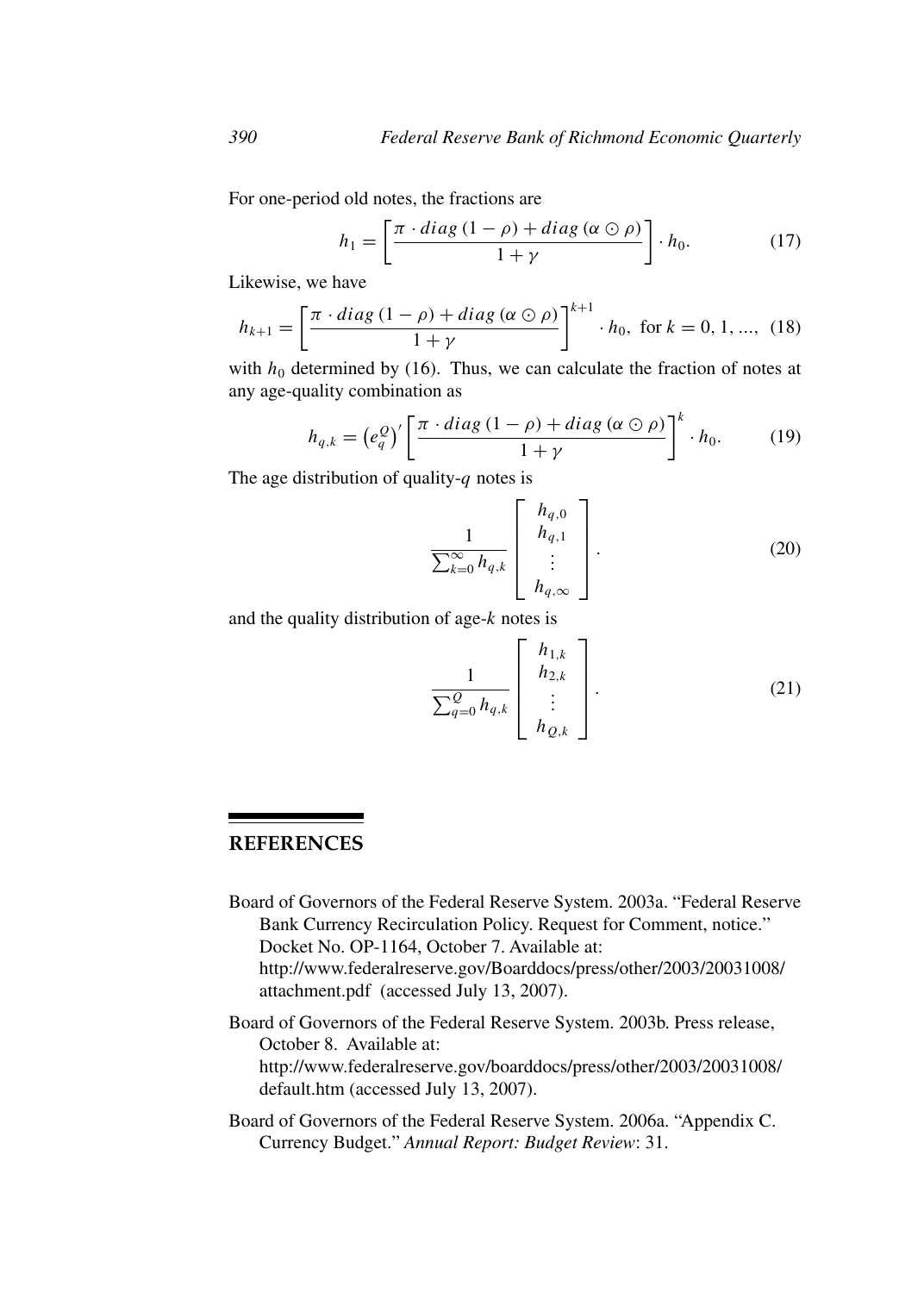For one-period old notes, the fractions are

$$
h_1 = \left[\frac{\pi \cdot diag\left(1 - \rho\right) + diag\left(\alpha \odot \rho\right)}{1 + \gamma}\right] \cdot h_0. \tag{17}
$$

Likewise, we have

$$
h_{k+1} = \left[\frac{\pi \cdot diag\,(1-\rho) + diag\,(\alpha \odot \rho)}{1+\gamma}\right]^{k+1} \cdot h_0, \text{ for } k = 0, 1, ..., \tag{18}
$$

with  $h_0$  determined by (16). Thus, we can calculate the fraction of notes at any age-quality combination as

$$
h_{q,k} = \left(e_q^Q\right)' \left[\frac{\pi \cdot diag\left(1-\rho\right) + diag\left(\alpha \odot \rho\right)}{1+\gamma}\right]^k \cdot h_0. \tag{19}
$$

The age distribution of quality- $q$  notes is

$$
\frac{1}{\sum_{k=0}^{\infty} h_{q,k}} \begin{bmatrix} h_{q,0} \\ h_{q,1} \\ \vdots \\ h_{q,\infty} \end{bmatrix} .
$$
 (20)

and the quality distribution of age-k notes is

$$
\frac{1}{\sum_{q=0}^{Q} h_{q,k}} \left[ \begin{array}{c} h_{1,k} \\ h_{2,k} \\ \vdots \\ h_{Q,k} \end{array} \right].
$$
 (21)

## **REFERENCES**

Board of Governors of the Federal Reserve System. 2003a. "Federal Reserve Bank Currency Recirculation Policy. Request for Comment, notice." Docket No. OP-1164, October 7. Available at: http://www.federalreserve.gov/Boarddocs/press/other/2003/20031008/ attachment.pdf (accessed July 13, 2007).

Board of Governors of the Federal Reserve System. 2003b. Press release, October 8. Available at: http://www.federalreserve.gov/boarddocs/press/other/2003/20031008/ default.htm (accessed July 13, 2007).

Board of Governors of the Federal Reserve System. 2006a. "Appendix C. Currency Budget." *Annual Report: Budget Review*: 31.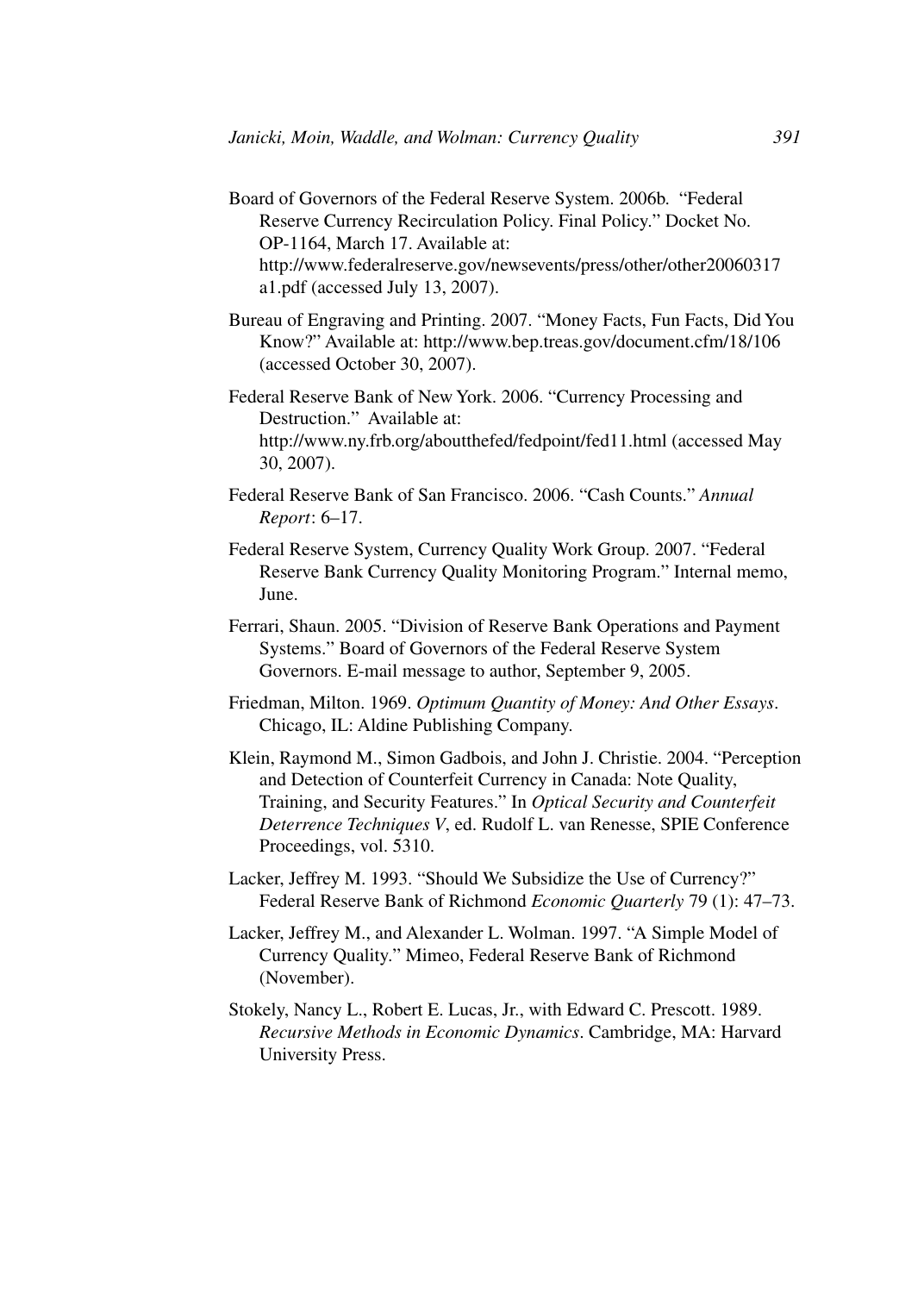Board of Governors of the Federal Reserve System. 2006b. "Federal Reserve Currency Recirculation Policy. Final Policy." Docket No. OP-1164, March 17. Available at: http://www.federalreserve.gov/newsevents/press/other/other20060317

a1.pdf (accessed July 13, 2007).

- Bureau of Engraving and Printing. 2007. "Money Facts, Fun Facts, Did You Know?" Available at: http://www.bep.treas.gov/document.cfm/18/106 (accessed October 30, 2007).
- Federal Reserve Bank of New York. 2006. "Currency Processing and Destruction." Available at: http://www.ny.frb.org/aboutthefed/fedpoint/fed11.html (accessed May 30, 2007).
- Federal Reserve Bank of San Francisco. 2006. "Cash Counts." *Annual Report*: 6–17.
- Federal Reserve System, Currency Quality Work Group. 2007. "Federal Reserve Bank Currency Quality Monitoring Program." Internal memo, June.
- Ferrari, Shaun. 2005. "Division of Reserve Bank Operations and Payment Systems." Board of Governors of the Federal Reserve System Governors. E-mail message to author, September 9, 2005.
- Friedman, Milton. 1969. *Optimum Quantity of Money: And Other Essays*. Chicago, IL: Aldine Publishing Company.
- Klein, Raymond M., Simon Gadbois, and John J. Christie. 2004. "Perception and Detection of Counterfeit Currency in Canada: Note Quality, Training, and Security Features." In *Optical Security and Counterfeit Deterrence Techniques V*, ed. Rudolf L. van Renesse, SPIE Conference Proceedings, vol. 5310.
- Lacker, Jeffrey M. 1993. "Should We Subsidize the Use of Currency?" Federal Reserve Bank of Richmond *Economic Quarterly* 79 (1): 47–73.
- Lacker, Jeffrey M., and Alexander L. Wolman. 1997. "A Simple Model of Currency Quality." Mimeo, Federal Reserve Bank of Richmond (November).
- Stokely, Nancy L., Robert E. Lucas, Jr., with Edward C. Prescott. 1989. *Recursive Methods in Economic Dynamics*. Cambridge, MA: Harvard University Press.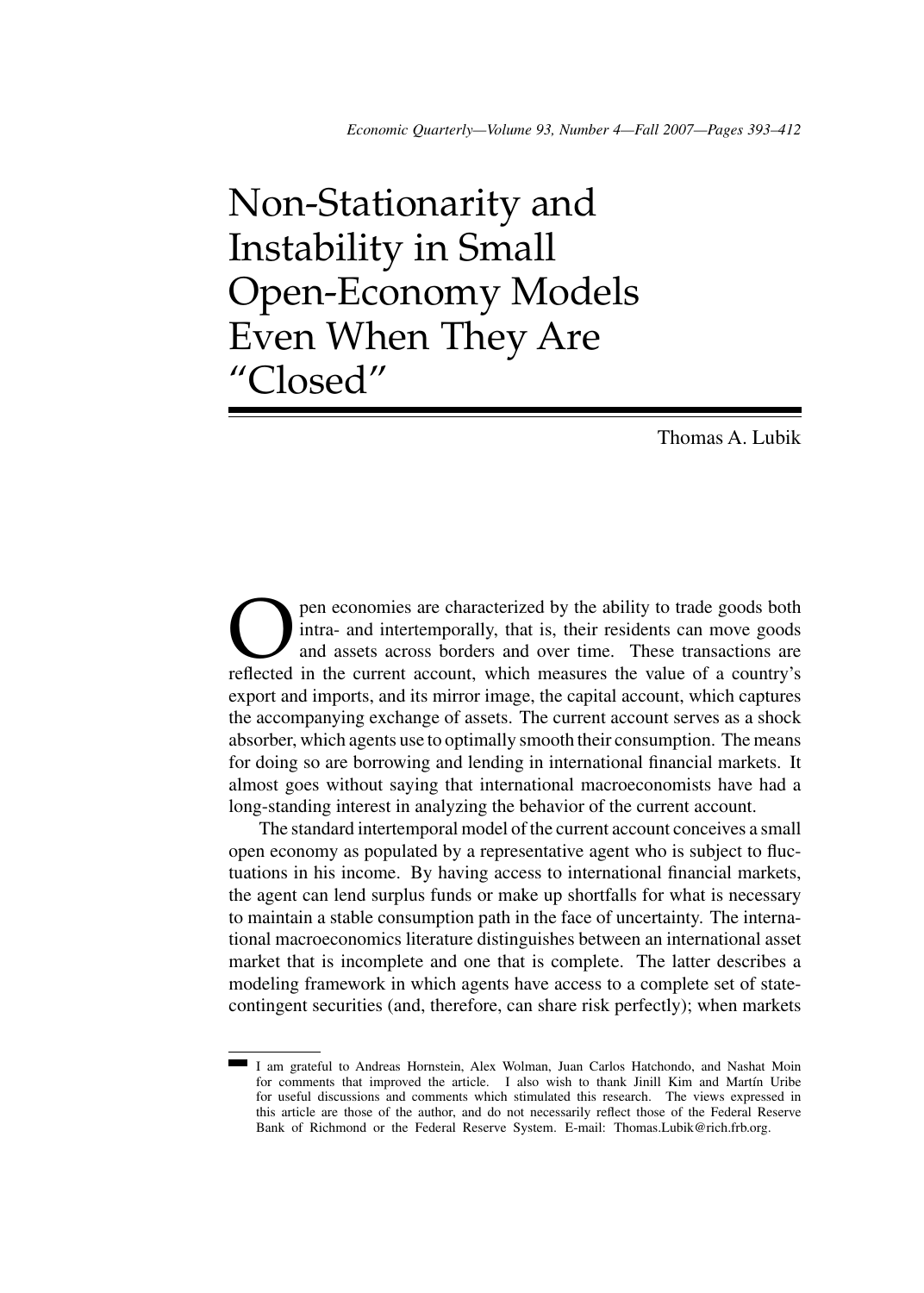# Non-Stationarity and Instability in Small Open-Economy Models Even When They Are "Closed"

Thomas A. Lubik

**Open economies are characterized by the ability to trade goods both** intra- and intertemporally, that is, their residents can move goods and assets across borders and over time. These transactions are reflected in the cur intra- and intertemporally, that is, their residents can move goods and assets across borders and over time. These transactions are reflected in the current account, which measures the value of a country's export and imports, and its mirror image, the capital account, which captures the accompanying exchange of assets. The current account serves as a shock absorber, which agents use to optimally smooth their consumption. The means for doing so are borrowing and lending in international financial markets. It almost goes without saying that international macroeconomists have had a long-standing interest in analyzing the behavior of the current account.

The standard intertemporal model of the current account conceives a small open economy as populated by a representative agent who is subject to fluctuations in his income. By having access to international financial markets, the agent can lend surplus funds or make up shortfalls for what is necessary to maintain a stable consumption path in the face of uncertainty. The international macroeconomics literature distinguishes between an international asset market that is incomplete and one that is complete. The latter describes a modeling framework in which agents have access to a complete set of statecontingent securities (and, therefore, can share risk perfectly); when markets

I am grateful to Andreas Hornstein, Alex Wolman, Juan Carlos Hatchondo, and Nashat Moin for comments that improved the article. I also wish to thank Jinill Kim and Martín Uribe for useful discussions and comments which stimulated this research. The views expressed in this article are those of the author, and do not necessarily reflect those of the Federal Reserve Bank of Richmond or the Federal Reserve System. E-mail: Thomas.Lubik@rich.frb.org.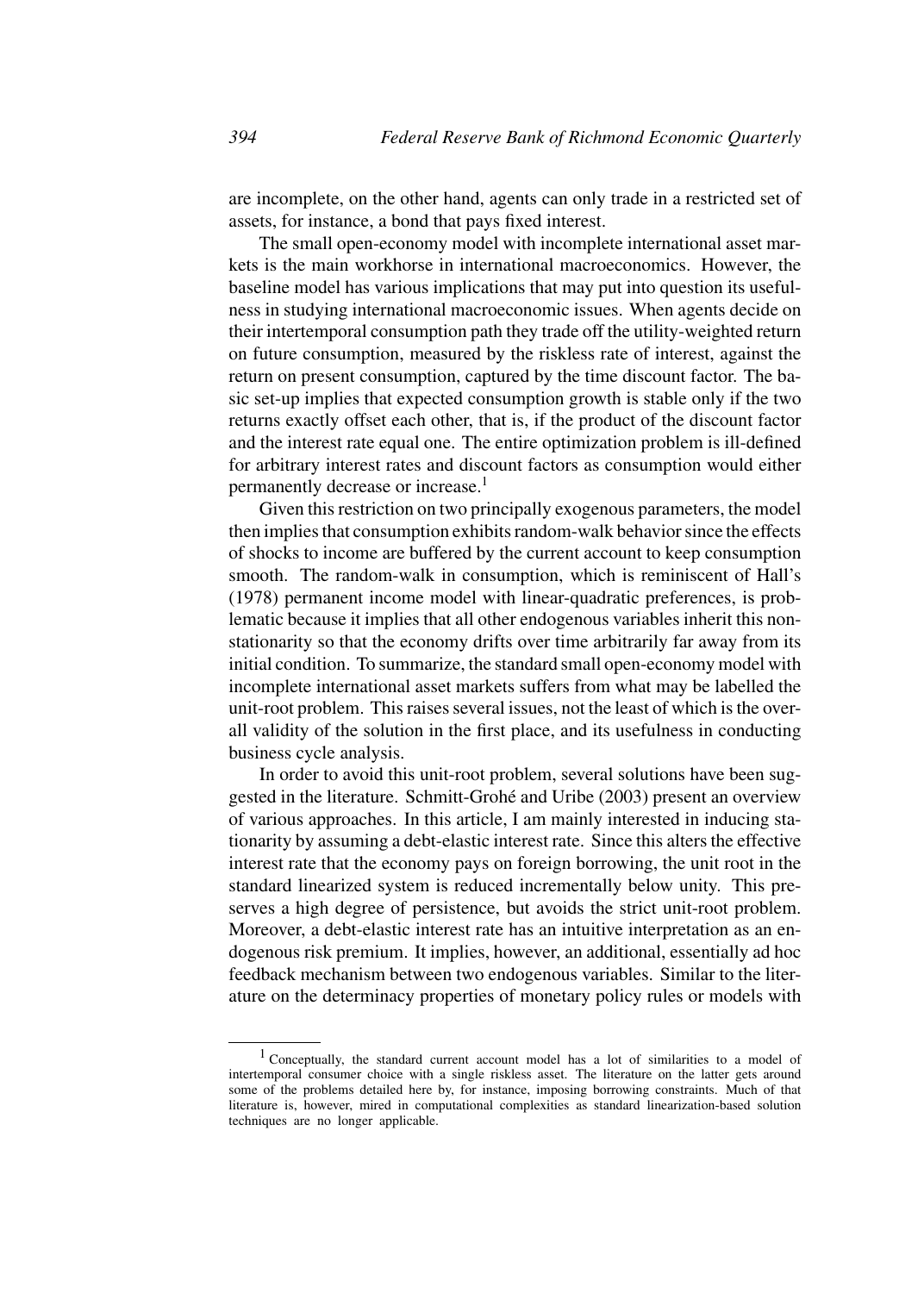are incomplete, on the other hand, agents can only trade in a restricted set of assets, for instance, a bond that pays fixed interest.

The small open-economy model with incomplete international asset markets is the main workhorse in international macroeconomics. However, the baseline model has various implications that may put into question its usefulness in studying international macroeconomic issues. When agents decide on their intertemporal consumption path they trade off the utility-weighted return on future consumption, measured by the riskless rate of interest, against the return on present consumption, captured by the time discount factor. The basic set-up implies that expected consumption growth is stable only if the two returns exactly offset each other, that is, if the product of the discount factor and the interest rate equal one. The entire optimization problem is ill-defined for arbitrary interest rates and discount factors as consumption would either permanently decrease or increase.<sup>1</sup>

Given this restriction on two principally exogenous parameters, the model then implies that consumption exhibits random-walk behavior since the effects of shocks to income are buffered by the current account to keep consumption smooth. The random-walk in consumption, which is reminiscent of Hall's (1978) permanent income model with linear-quadratic preferences, is problematic because it implies that all other endogenous variables inherit this nonstationarity so that the economy drifts over time arbitrarily far away from its initial condition. To summarize, the standard small open-economy model with incomplete international asset markets suffers from what may be labelled the unit-root problem. This raises several issues, not the least of which is the overall validity of the solution in the first place, and its usefulness in conducting business cycle analysis.

In order to avoid this unit-root problem, several solutions have been suggested in the literature. Schmitt-Grohé and Uribe (2003) present an overview of various approaches. In this article, I am mainly interested in inducing stationarity by assuming a debt-elastic interest rate. Since this alters the effective interest rate that the economy pays on foreign borrowing, the unit root in the standard linearized system is reduced incrementally below unity. This preserves a high degree of persistence, but avoids the strict unit-root problem. Moreover, a debt-elastic interest rate has an intuitive interpretation as an endogenous risk premium. It implies, however, an additional, essentially ad hoc feedback mechanism between two endogenous variables. Similar to the literature on the determinacy properties of monetary policy rules or models with

<sup>1</sup> Conceptually, the standard current account model has a lot of similarities to a model of intertemporal consumer choice with a single riskless asset. The literature on the latter gets around some of the problems detailed here by, for instance, imposing borrowing constraints. Much of that literature is, however, mired in computational complexities as standard linearization-based solution techniques are no longer applicable.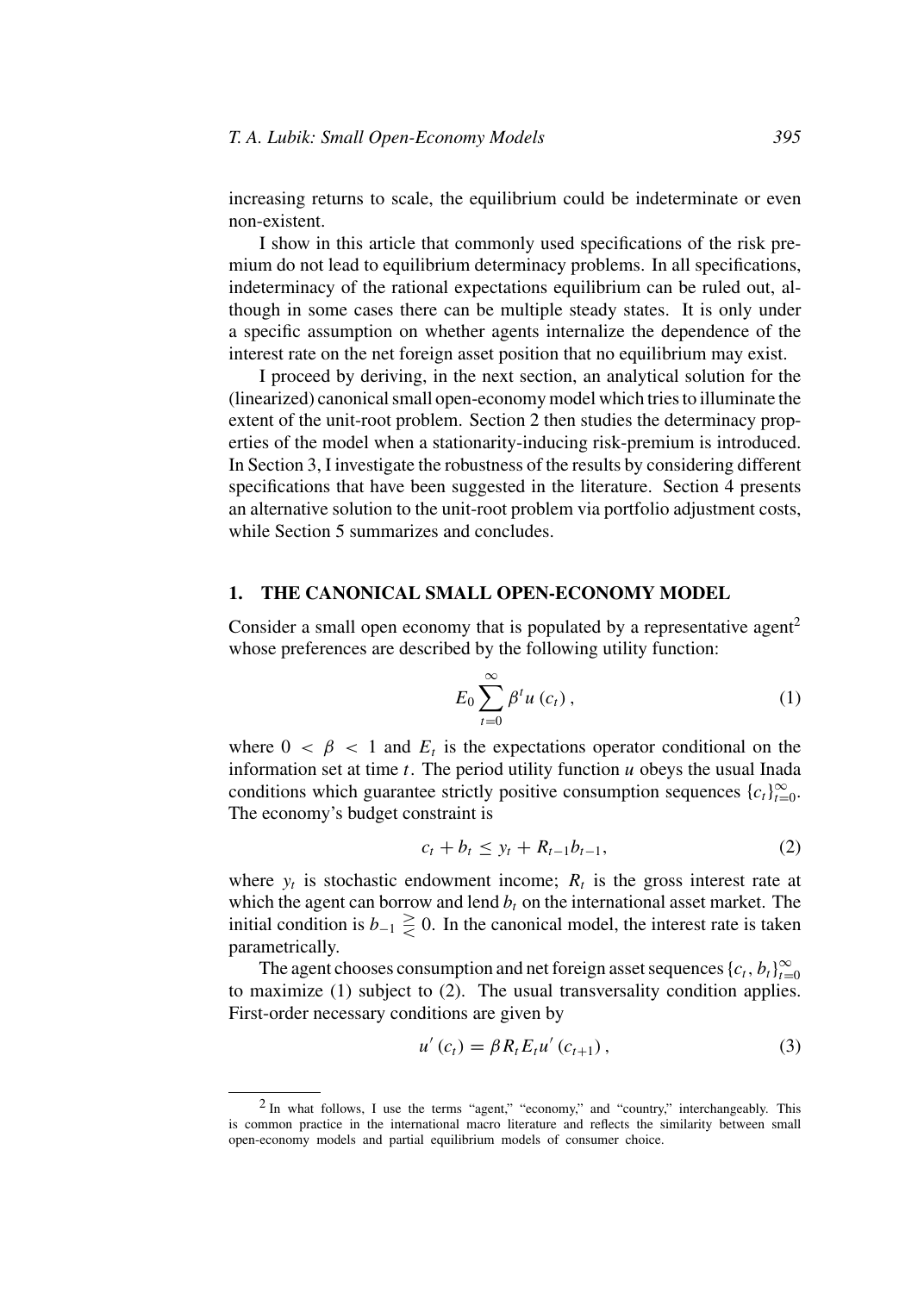increasing returns to scale, the equilibrium could be indeterminate or even non-existent.

I show in this article that commonly used specifications of the risk premium do not lead to equilibrium determinacy problems. In all specifications, indeterminacy of the rational expectations equilibrium can be ruled out, although in some cases there can be multiple steady states. It is only under a specific assumption on whether agents internalize the dependence of the interest rate on the net foreign asset position that no equilibrium may exist.

I proceed by deriving, in the next section, an analytical solution for the (linearized) canonical small open-economy model which tries to illuminate the extent of the unit-root problem. Section 2 then studies the determinacy properties of the model when a stationarity-inducing risk-premium is introduced. In Section 3, I investigate the robustness of the results by considering different specifications that have been suggested in the literature. Section 4 presents an alternative solution to the unit-root problem via portfolio adjustment costs, while Section 5 summarizes and concludes.

#### **1. THE CANONICAL SMALL OPEN-ECONOMY MODEL**

Consider a small open economy that is populated by a representative agent<sup>2</sup> whose preferences are described by the following utility function:

$$
E_0 \sum_{t=0}^{\infty} \beta^t u\left(c_t\right),\tag{1}
$$

where  $0 < \beta < 1$  and  $E_t$  is the expectations operator conditional on the information set at time  $t$ . The period utility function  $u$  obeys the usual Inada conditions which guarantee strictly positive consumption sequences  ${c_t}_{t=0}^{\infty}$ . The economy's budget constraint is

$$
c_t + b_t \le y_t + R_{t-1}b_{t-1},
$$
 (2)

where  $y_t$  is stochastic endowment income;  $R_t$  is the gross interest rate at which the agent can borrow and lend  $b_t$  on the international asset market. The initial condition is  $b_{-1} \geq 0$ . In the canonical model, the interest rate is taken parametrically.

The agent chooses consumption and net foreign asset sequences  ${c_t, b_t}_{t=0}^{\infty}$ to maximize (1) subject to (2). The usual transversality condition applies. First-order necessary conditions are given by

$$
u'(c_t) = \beta R_t E_t u'(c_{t+1}), \qquad (3)
$$

<sup>&</sup>lt;sup>2</sup> In what follows, I use the terms "agent," "economy," and "country," interchangeably. This is common practice in the international macro literature and reflects the similarity between small open-economy models and partial equilibrium models of consumer choice.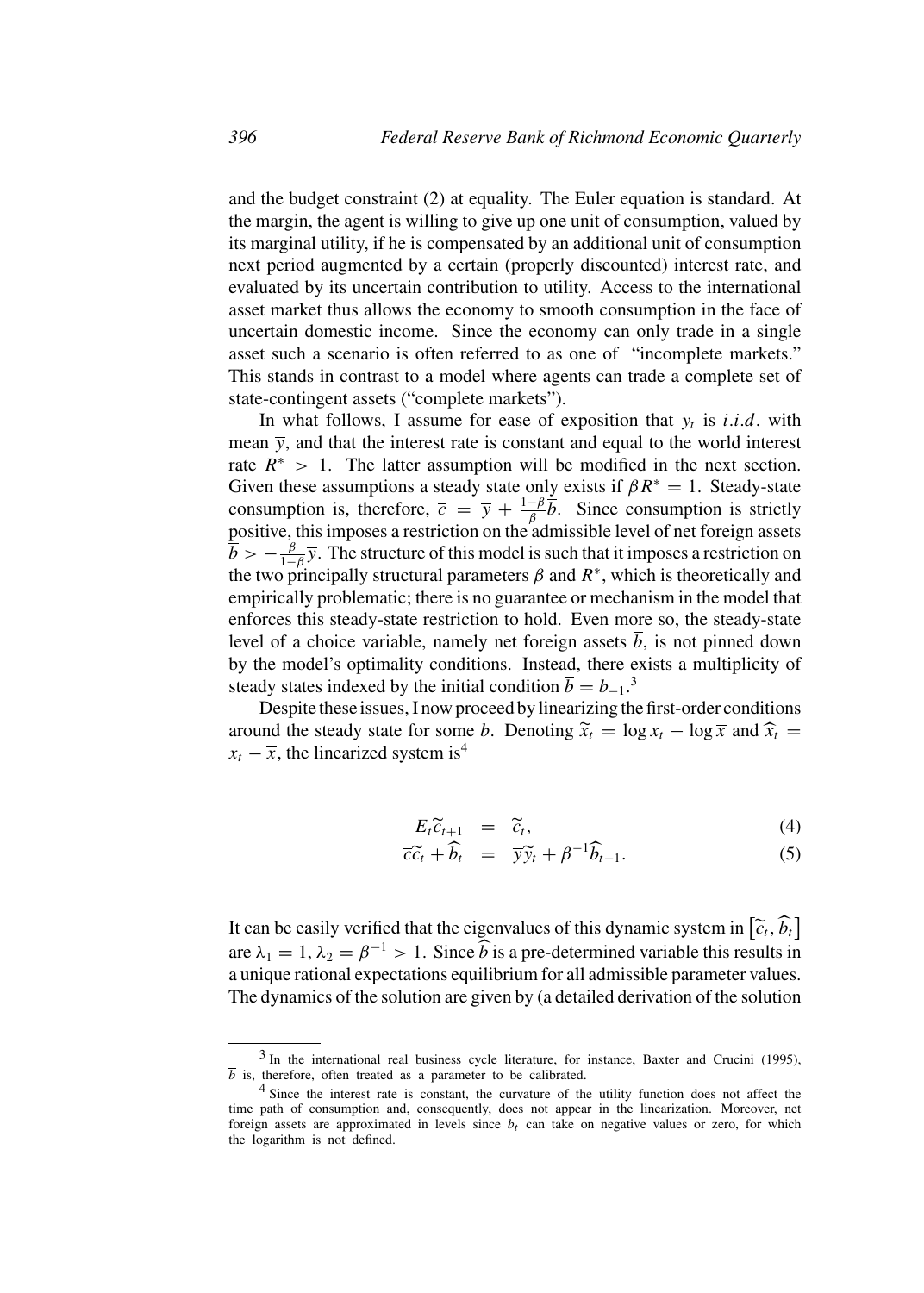and the budget constraint (2) at equality. The Euler equation is standard. At the margin, the agent is willing to give up one unit of consumption, valued by its marginal utility, if he is compensated by an additional unit of consumption next period augmented by a certain (properly discounted) interest rate, and evaluated by its uncertain contribution to utility. Access to the international asset market thus allows the economy to smooth consumption in the face of uncertain domestic income. Since the economy can only trade in a single asset such a scenario is often referred to as one of "incomplete markets." This stands in contrast to a model where agents can trade a complete set of state-contingent assets ("complete markets").

In what follows, I assume for ease of exposition that  $y_t$  is *i.i.d.* with mean  $\bar{y}$ , and that the interest rate is constant and equal to the world interest rate  $R^* > 1$ . The latter assumption will be modified in the next section. Given these assumptions a steady state only exists if  $\beta R^* = 1$ . Steady-state consumption is, therefore,  $\overline{c} = \overline{y} + \frac{1-\beta}{\beta} \overline{b}$ . Since consumption is strictly positive, this imposes a restriction on the admissible level of net foreign assets  $\bar{b} > -\frac{\beta}{1-\beta}\bar{y}$ . The structure of this model is such that it imposes a restriction on the two principally structural parameters  $\beta$  and  $R^*$ , which is theoretically and empirically problematic; there is no guarantee or mechanism in the model that enforces this steady-state restriction to hold. Even more so, the steady-state level of a choice variable, namely net foreign assets  $\overline{b}$ , is not pinned down by the model's optimality conditions. Instead, there exists a multiplicity of steady states indexed by the initial condition  $\overline{b} = b_{-1}.^3$ 

Despite these issues, I now proceed by linearizing the first-order conditions around the steady state for some  $\overline{b}$ . Denoting  $\widetilde{x}_t = \log x_t - \log \overline{x}$  and  $\widehat{x}_t =$  $x_t - \overline{x}$ , the linearized system is<sup>4</sup>

$$
E_t \widetilde{c}_{t+1} = \widetilde{c}_t, \tag{4}
$$
\n
$$
\widetilde{c}_t \widetilde{c}_t = -\widetilde{c}_t \widetilde{c}_t \widetilde{c}_t \widetilde{c}_t \widetilde{c}_t \widetilde{c}_t \widetilde{c}_t \widetilde{c}_t \widetilde{c}_t \widetilde{c}_t \widetilde{c}_t \widetilde{c}_t \widetilde{c}_t \widetilde{c}_t \widetilde{c}_t \widetilde{c}_t \widetilde{c}_t \widetilde{c}_t \widetilde{c}_t \widetilde{c}_t \widetilde{c}_t \widetilde{c}_t \widetilde{c}_t \widetilde{c}_t \widetilde{c}_t \widetilde{c}_t \widetilde{c}_t \widetilde{c}_t \widetilde{c}_t \widetilde{c}_t \widetilde{c}_t \widetilde{c}_t \widetilde{c}_t \widetilde{c}_t \widetilde{c}_t \widetilde{c}_t \widetilde{c}_t \widetilde{c}_t \widetilde{c}_t \widetilde{c}_t \widetilde{c}_t \widetilde{c}_t \widetilde{c}_t \widetilde{c}_t \widetilde{c}_t \widetilde{c}_t \widetilde{c}_t \widetilde{c}_t \widetilde{c}_t \widetilde{c}_t \widetilde{c}_t \widetilde{c}_t \widetilde{c}_t \widetilde{c}_t \widetilde{c}_t \widetilde{c}_t \widetilde{c}_t \widetilde{c}_t \widetilde{c}_t \widetilde{c}_t \widetilde{c}_t \widetilde{c}_t \widetilde{c}_t \widetilde{c}_t \widetilde{c}_t \widetilde{c}_t \widetilde{c}_t \widetilde{c}_t \widetilde{c}_t \widetilde{c}_t \widetilde{c}_t \widetilde{c}_t \widetilde{c}_t \widetilde{c}_t \widetilde{c}_t \widetilde{c}_t \widetilde{c}_t \widetilde{c}_t \widetilde{c}_t \widetilde{c}_t \widetilde{c}_t \widetilde{c}_t \widetilde{c}_t \widetilde{c}_t \widetilde{c}_t \widetilde{c}_t \widetilde{c}_t \widetilde{c}_t \
$$

$$
\overline{c}\widetilde{c}_t + \widehat{b}_t = \overline{y}\widetilde{y}_t + \beta^{-1}\widehat{b}_{t-1}.
$$
 (5)

It can be easily verified that the eigenvalues of this dynamic system in  $[\tilde{c}_t, \tilde{b}_t]$ are  $\lambda_1 = 1$ ,  $\lambda_2 = \beta^{-1} > 1$ . Since  $\widehat{b}$  is a pre-determined variable this results in a unique rational expectations equilibrium for all admissible parameter values. The dynamics of the solution are given by (a detailed derivation of the solution

<sup>3</sup> In the international real business cycle literature, for instance, Baxter and Crucini (1995),  $\overline{b}$  is, therefore, often treated as a parameter to be calibrated.

<sup>4</sup> Since the interest rate is constant, the curvature of the utility function does not affect the time path of consumption and, consequently, does not appear in the linearization. Moreover, net foreign assets are approximated in levels since  $b<sub>t</sub>$  can take on negative values or zero, for which the logarithm is not defined.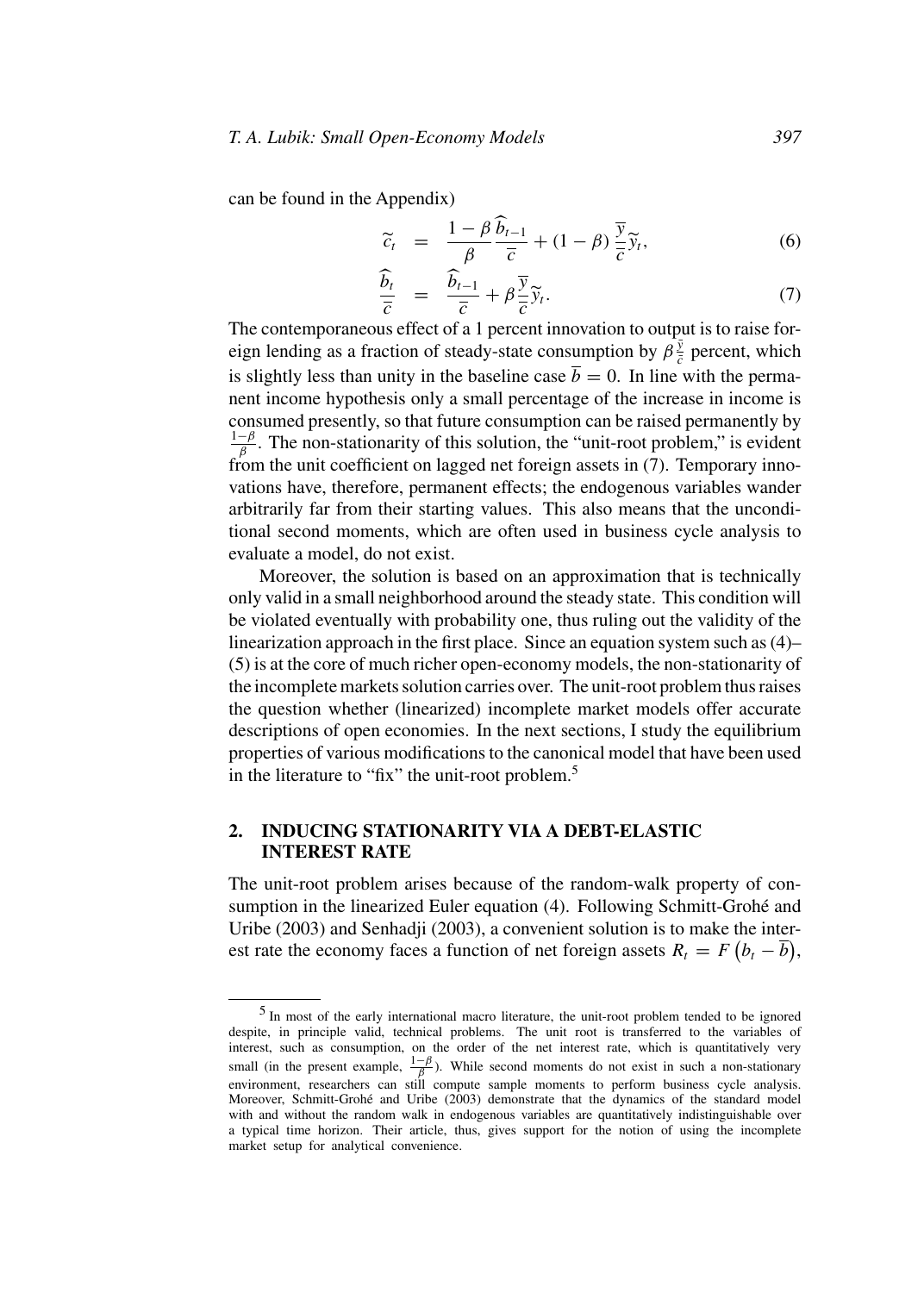can be found in the Appendix)

$$
\widetilde{c}_t = \frac{1-\beta}{\beta} \frac{\widetilde{b}_{t-1}}{\overline{c}} + (1-\beta) \frac{\overline{y}}{\overline{c}} \widetilde{y}_t, \tag{6}
$$

$$
\frac{\widehat{b}_t}{\overline{c}} = \frac{\widehat{b}_{t-1}}{\overline{c}} + \beta \frac{\overline{y}}{\overline{c}} \widetilde{y}_t. \tag{7}
$$

The contemporaneous effect of a 1 percent innovation to output is to raise foreign lending as a fraction of steady-state consumption by  $\beta \frac{\bar{y}}{\bar{c}}$  percent, which is slightly less than unity in the baseline case  $\bar{b} = 0$ . In line with the permanent income hypothesis only a small percentage of the increase in income is consumed presently, so that future consumption can be raised permanently by  $\frac{1-\beta}{\beta}$ . The non-stationarity of this solution, the "unit-root problem," is evident from the unit coefficient on lagged net foreign assets in  $(7)$ . Temporary innovations have, therefore, permanent effects; the endogenous variables wander arbitrarily far from their starting values. This also means that the unconditional second moments, which are often used in business cycle analysis to evaluate a model, do not exist.

Moreover, the solution is based on an approximation that is technically only valid in a small neighborhood around the steady state. This condition will be violated eventually with probability one, thus ruling out the validity of the linearization approach in the first place. Since an equation system such as (4)– (5) is at the core of much richer open-economy models, the non-stationarity of the incomplete markets solution carries over. The unit-root problem thus raises the question whether (linearized) incomplete market models offer accurate descriptions of open economies. In the next sections, I study the equilibrium properties of various modifications to the canonical model that have been used in the literature to "fix" the unit-root problem.<sup>5</sup>

## **2. INDUCING STATIONARITY VIA A DEBT-ELASTIC INTEREST RATE**

The unit-root problem arises because of the random-walk property of consumption in the linearized Euler equation (4). Following Schmitt-Grohé and Uribe (2003) and Senhadji (2003), a convenient solution is to make the interest rate the economy faces a function of net foreign assets  $R_t = F(b_t - \overline{b})$ ,

<sup>5</sup> In most of the early international macro literature, the unit-root problem tended to be ignored despite, in principle valid, technical problems. The unit root is transferred to the variables of interest, such as consumption, on the order of the net interest rate, which is quantitatively very small (in the present example,  $\frac{1-\beta}{\beta}$ ). While second moments do not exist in such a non-stationary environment, researchers can still compute sample moments to perform business cycle analysis. Moreover, Schmitt-Grohé and Uribe (2003) demonstrate that the dynamics of the standard model with and without the random walk in endogenous variables are quantitatively indistinguishable over a typical time horizon. Their article, thus, gives support for the notion of using the incomplete market setup for analytical convenience.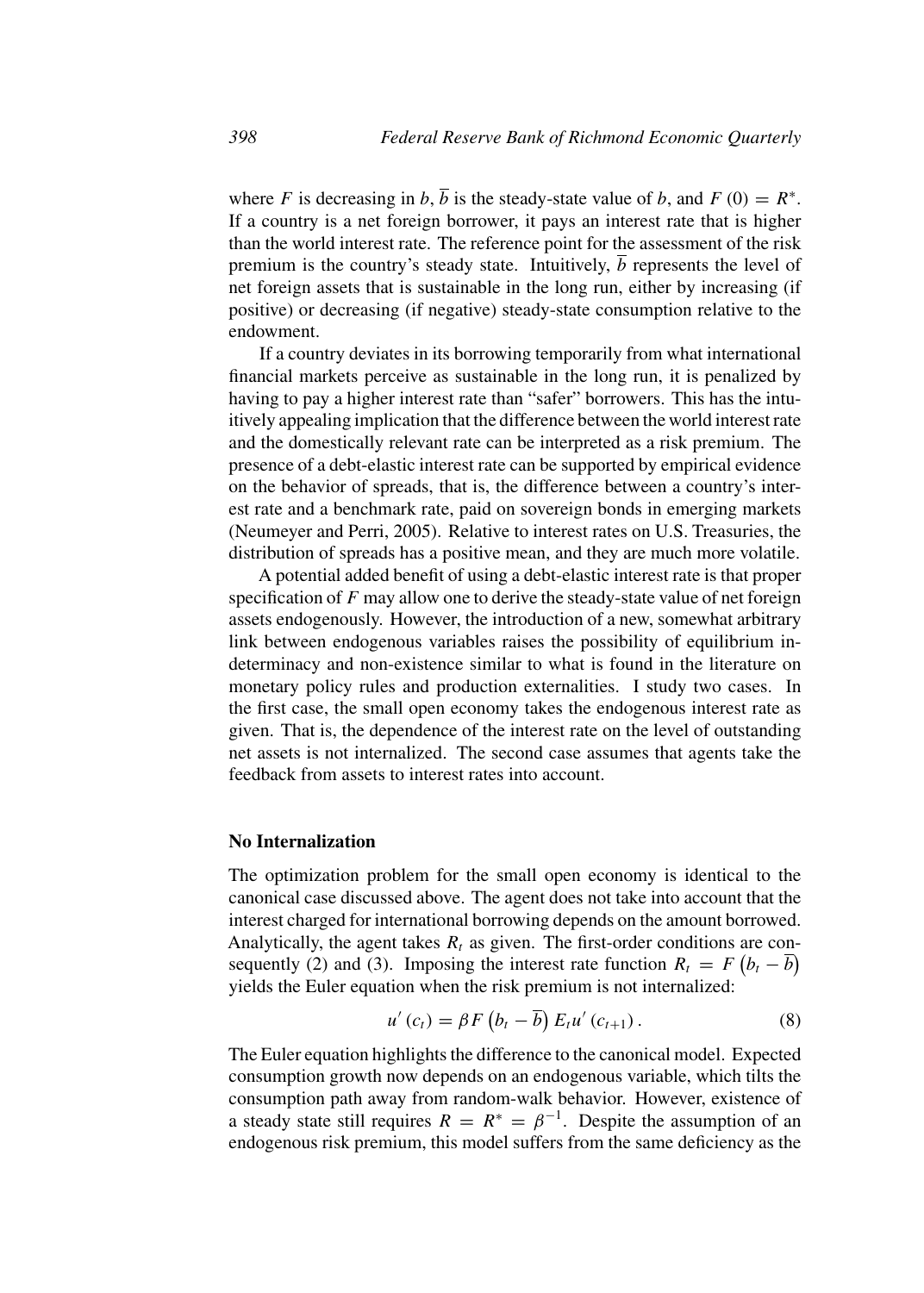where F is decreasing in b,  $\overline{b}$  is the steady-state value of b, and  $F(0) = R^*$ . If a country is a net foreign borrower, it pays an interest rate that is higher than the world interest rate. The reference point for the assessment of the risk premium is the country's steady state. Intuitively,  $\overline{b}$  represents the level of net foreign assets that is sustainable in the long run, either by increasing (if positive) or decreasing (if negative) steady-state consumption relative to the endowment.

If a country deviates in its borrowing temporarily from what international financial markets perceive as sustainable in the long run, it is penalized by having to pay a higher interest rate than "safer" borrowers. This has the intuitively appealing implication that the difference between the world interest rate and the domestically relevant rate can be interpreted as a risk premium. The presence of a debt-elastic interest rate can be supported by empirical evidence on the behavior of spreads, that is, the difference between a country's interest rate and a benchmark rate, paid on sovereign bonds in emerging markets (Neumeyer and Perri, 2005). Relative to interest rates on U.S. Treasuries, the distribution of spreads has a positive mean, and they are much more volatile.

A potential added benefit of using a debt-elastic interest rate is that proper specification of  $F$  may allow one to derive the steady-state value of net foreign assets endogenously. However, the introduction of a new, somewhat arbitrary link between endogenous variables raises the possibility of equilibrium indeterminacy and non-existence similar to what is found in the literature on monetary policy rules and production externalities. I study two cases. In the first case, the small open economy takes the endogenous interest rate as given. That is, the dependence of the interest rate on the level of outstanding net assets is not internalized. The second case assumes that agents take the feedback from assets to interest rates into account.

## **No Internalization**

The optimization problem for the small open economy is identical to the canonical case discussed above. The agent does not take into account that the interest charged for international borrowing depends on the amount borrowed. Analytically, the agent takes  $R_t$  as given. The first-order conditions are consequently (2) and (3). Imposing the interest rate function  $R_t = F(b_t - \overline{b})$ yields the Euler equation when the risk premium is not internalized:

$$
u'(c_t) = \beta F\left(b_t - \overline{b}\right) E_t u'(c_{t+1}). \tag{8}
$$

The Euler equation highlights the difference to the canonical model. Expected consumption growth now depends on an endogenous variable, which tilts the consumption path away from random-walk behavior. However, existence of a steady state still requires  $R = R^* = \beta^{-1}$ . Despite the assumption of an endogenous risk premium, this model suffers from the same deficiency as the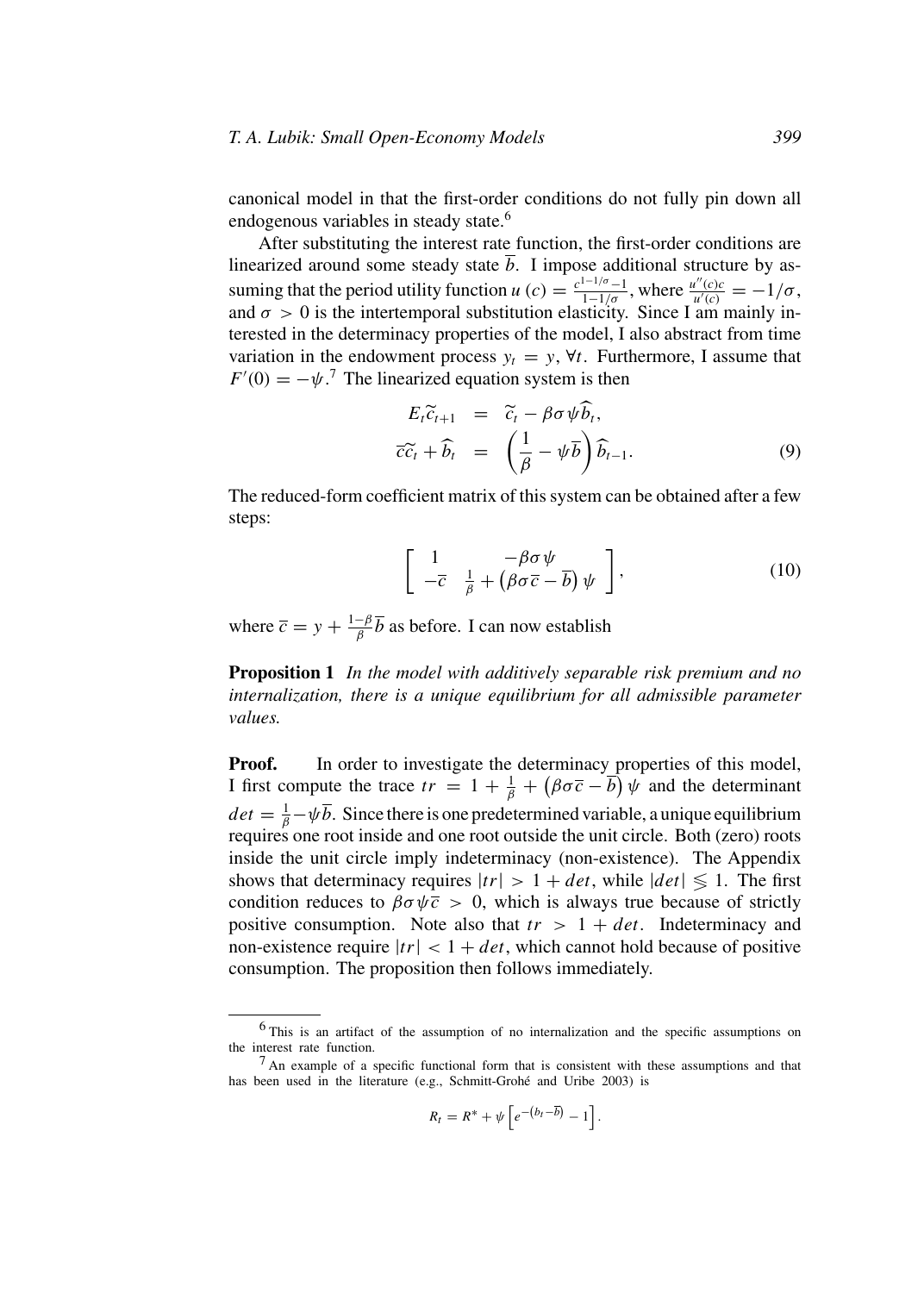#### *T. A. Lubik: Small Open-Economy Models 399*

canonical model in that the first-order conditions do not fully pin down all endogenous variables in steady state.<sup>6</sup>

After substituting the interest rate function, the first-order conditions are linearized around some steady state  $b$ . I impose additional structure by assuming that the period utility function  $u(c) = \frac{c^{1-1/\sigma}-1}{1-1/\sigma}$ , where  $\frac{u''(c)c}{u'(c)} = -1/\sigma$ , and  $\sigma > 0$  is the intertemporal substitution elasticity. Since I am mainly interested in the determinacy properties of the model, I also abstract from time variation in the endowment process  $y_t = y$ ,  $\forall t$ . Furthermore, I assume that  $F'(0) = -\psi$ .<sup>7</sup> The linearized equation system is then

$$
E_t \widetilde{c}_{t+1} = \widetilde{c}_t - \beta \sigma \psi \widehat{b}_t, \n\overline{c}\widetilde{c}_t + \widehat{b}_t = \left(\frac{1}{\beta} - \psi \overline{b}\right) \widehat{b}_{t-1}.
$$
\n(9)

The reduced-form coefficient matrix of this system can be obtained after a few steps:

$$
\left[\begin{array}{cc} 1 & -\beta\sigma\psi \\ -\overline{c} & \frac{1}{\beta} + (\beta\sigma\overline{c} - \overline{b})\psi \end{array}\right],\tag{10}
$$

where  $\bar{c} = y + \frac{1-\beta}{\beta} \bar{b}$  as before. I can now establish

**Proposition 1** *In the model with additively separable risk premium and no internalization, there is a unique equilibrium for all admissible parameter values.*

**Proof.** In order to investigate the determinacy properties of this model, I first compute the trace  $tr = 1 + \frac{1}{\beta} + (\beta \sigma \overline{c} - \overline{b}) \psi$  and the determinant  $det = \frac{1}{\beta} - \psi \overline{b}$ . Since there is one predetermined variable, a unique equilibrium requires one root inside and one root outside the unit circle. Both (zero) roots inside the unit circle imply indeterminacy (non-existence). The Appendix shows that determinacy requires  $|tr| > 1 + det$ , while  $|det| \leq 1$ . The first condition reduces to  $\beta \sigma \psi \bar{c} > 0$ , which is always true because of strictly positive consumption. Note also that  $tr > 1 + det$ . Indeterminacy and non-existence require  $|tr| < 1 + det$ , which cannot hold because of positive consumption. The proposition then follows immediately.

$$
R_t = R^* + \psi \left[ e^{-(b_t - \overline{b})} - 1 \right].
$$

<sup>6</sup> This is an artifact of the assumption of no internalization and the specific assumptions on the interest rate function.

 $<sup>7</sup>$  An example of a specific functional form that is consistent with these assumptions and that</sup> has been used in the literature (e.g., Schmitt-Grohé and Uribe 2003) is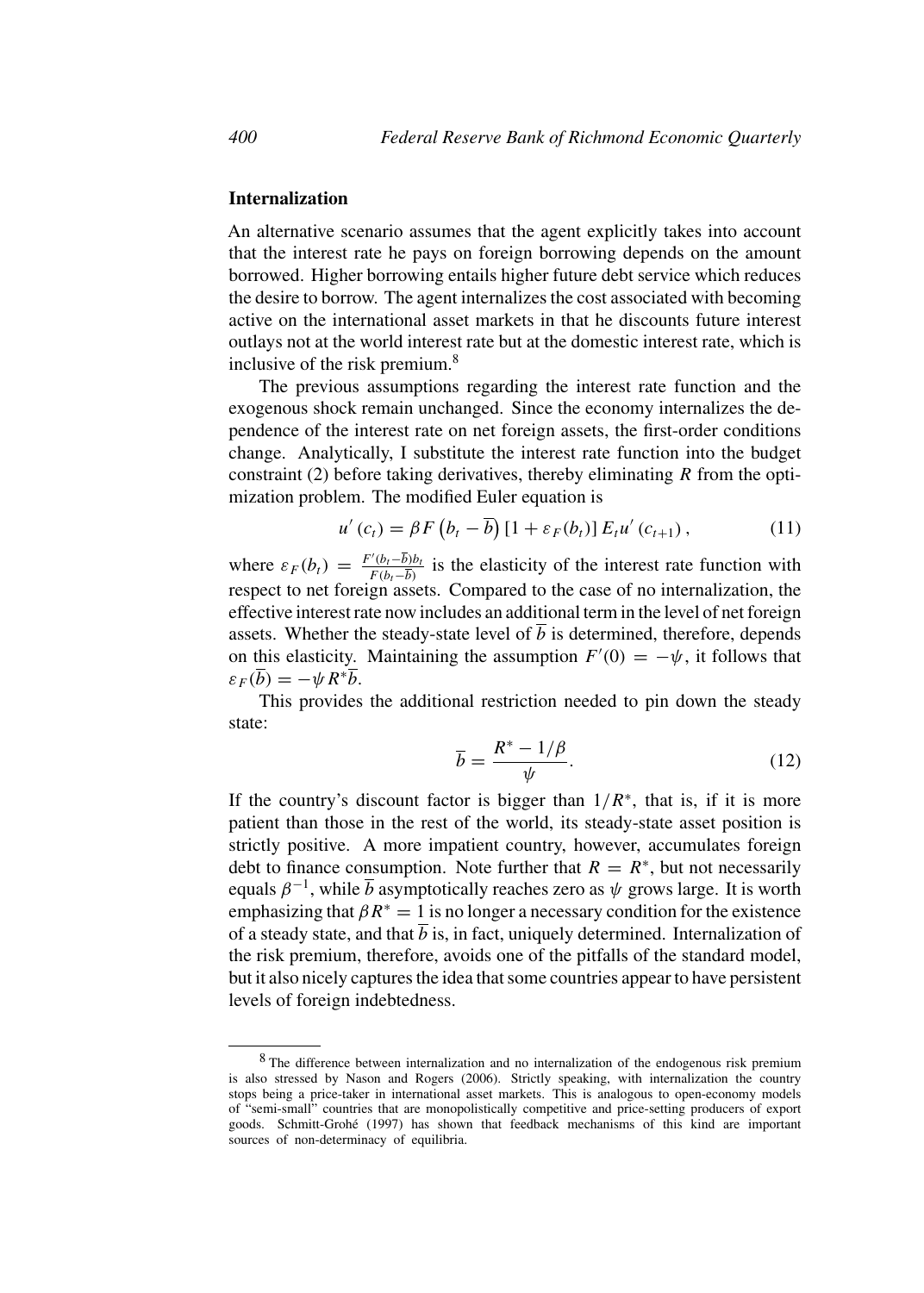## **Internalization**

An alternative scenario assumes that the agent explicitly takes into account that the interest rate he pays on foreign borrowing depends on the amount borrowed. Higher borrowing entails higher future debt service which reduces the desire to borrow. The agent internalizes the cost associated with becoming active on the international asset markets in that he discounts future interest outlays not at the world interest rate but at the domestic interest rate, which is inclusive of the risk premium.<sup>8</sup>

The previous assumptions regarding the interest rate function and the exogenous shock remain unchanged. Since the economy internalizes the dependence of the interest rate on net foreign assets, the first-order conditions change. Analytically, I substitute the interest rate function into the budget constraint (2) before taking derivatives, thereby eliminating  *from the opti*mization problem. The modified Euler equation is

$$
u'(c_t) = \beta F (b_t - \overline{b}) [1 + \varepsilon_F(b_t)] E_t u'(c_{t+1}), \qquad (11)
$$

where  $\varepsilon_F(b_t) = \frac{F'(b_t - \overline{b})b_t}{F(b_t - \overline{b})}$  is the elasticity of the interest rate function with respect to net foreign assets. Compared to the case of no internalization, the effective interest rate now includes an additional term in the level of net foreign assets. Whether the steady-state level of  $\overline{b}$  is determined, therefore, depends on this elasticity. Maintaining the assumption  $F'(0) = -\psi$ , it follows that  $\varepsilon_F(\overline{b}) = -\psi R^* \overline{b}.$ 

This provides the additional restriction needed to pin down the steady state:

$$
\overline{b} = \frac{R^* - 1/\beta}{\psi}.
$$
 (12)

If the country's discount factor is bigger than  $1/R^*$ , that is, if it is more patient than those in the rest of the world, its steady-state asset position is strictly positive. A more impatient country, however, accumulates foreign debt to finance consumption. Note further that  $R = R^*$ , but not necessarily equals  $\beta^{-1}$ , while  $\overline{b}$  asymptotically reaches zero as  $\psi$  grows large. It is worth emphasizing that  $\beta R^* = 1$  is no longer a necessary condition for the existence of a steady state, and that  $\overline{b}$  is, in fact, uniquely determined. Internalization of the risk premium, therefore, avoids one of the pitfalls of the standard model, but it also nicely captures the idea that some countries appear to have persistent levels of foreign indebtedness.

<sup>&</sup>lt;sup>8</sup> The difference between internalization and no internalization of the endogenous risk premium is also stressed by Nason and Rogers (2006). Strictly speaking, with internalization the country stops being a price-taker in international asset markets. This is analogous to open-economy models of "semi-small" countries that are monopolistically competitive and price-setting producers of export goods. Schmitt-Grohé (1997) has shown that feedback mechanisms of this kind are important sources of non-determinacy of equilibria.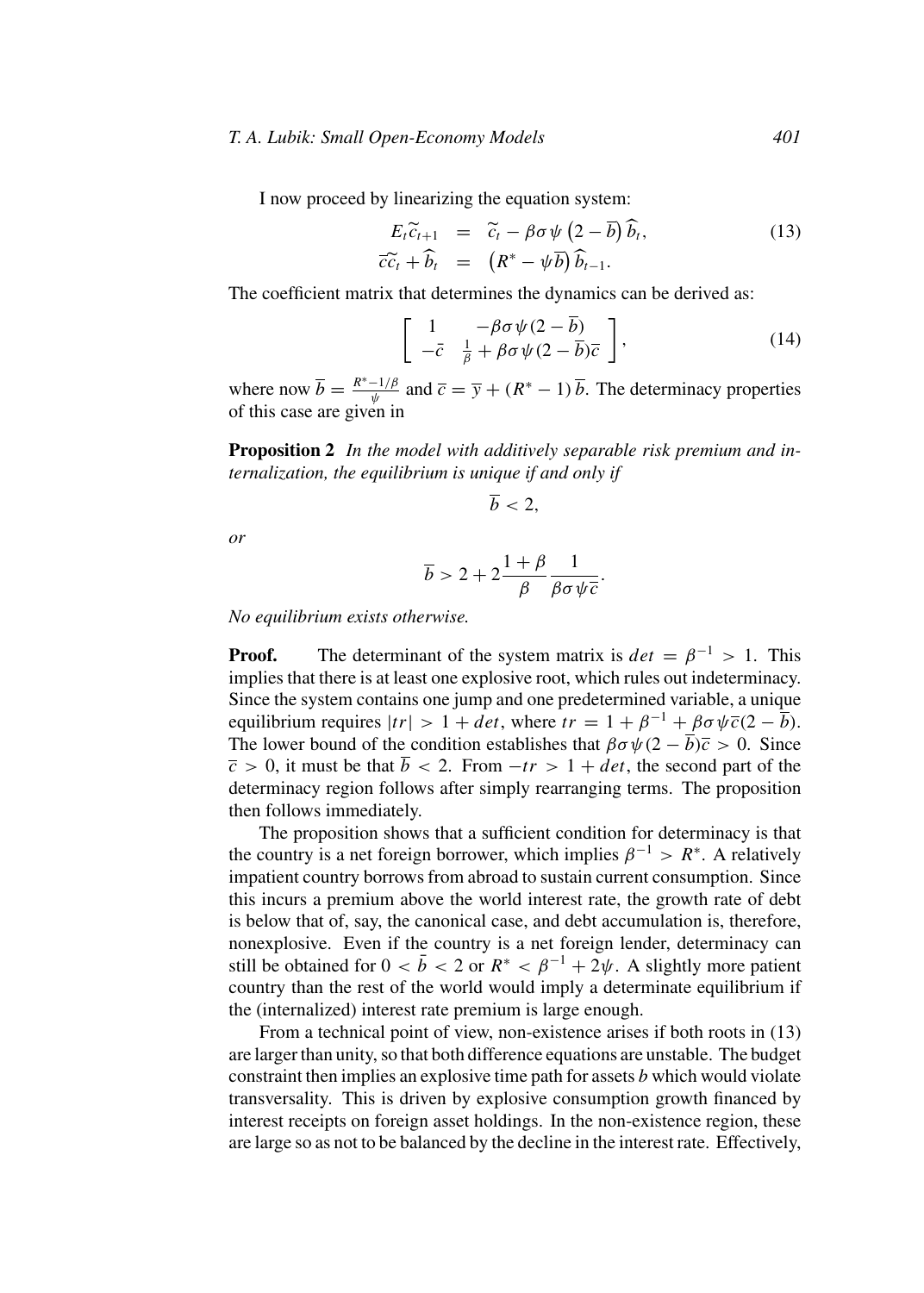#### *T. A. Lubik: Small Open-Economy Models 401*

I now proceed by linearizing the equation system:

$$
E_t \widetilde{c}_{t+1} = \widetilde{c}_t - \beta \sigma \psi \left( 2 - \overline{b} \right) \widehat{b}_t, \n\widetilde{c}\widetilde{c}_t + \widehat{b}_t = \left( R^* - \psi \overline{b} \right) \widehat{b}_{t-1}.
$$
\n(13)

The coefficient matrix that determines the dynamics can be derived as:

$$
\left[\begin{array}{cc} 1 & -\beta\sigma\psi(2-\overline{b})\\ -\overline{c} & \frac{1}{\beta} + \beta\sigma\psi(2-\overline{b})\overline{c} \end{array}\right],\tag{14}
$$

where now  $\overline{b} = \frac{R^* - 1/\beta}{\psi}$  and  $\overline{c} = \overline{y} + (R^* - 1)\overline{b}$ . The determinacy properties of this case are given in

**Proposition 2** *In the model with additively separable risk premium and internalization, the equilibrium is unique if and only if*

$$
\overline{b}<2,
$$

*or*

$$
\overline{b} > 2 + 2\frac{1+\beta}{\beta}\frac{1}{\beta\sigma\psi\overline{c}}.
$$

*No equilibrium exists otherwise.*

**Proof.** The determinant of the system matrix is  $det = \beta^{-1} > 1$ . This implies that there is at least one explosive root, which rules out indeterminacy. Since the system contains one jump and one predetermined variable, a unique equilibrium requires  $|tr| > 1 + det$ , where  $tr = 1 + \beta^{-1} + \beta \sigma \psi \overline{c}(2 - \overline{b})$ . The lower bound of the condition establishes that  $\beta \sigma \psi (2 - \overline{b}) \overline{c} > 0$ . Since  $\overline{c} > 0$ , it must be that  $\overline{b} < 2$ . From  $-tr > 1 + det$ , the second part of the determinacy region follows after simply rearranging terms. The proposition then follows immediately.

The proposition shows that a sufficient condition for determinacy is that the country is a net foreign borrower, which implies  $\beta^{-1} > R^*$ . A relatively impatient country borrows from abroad to sustain current consumption. Since this incurs a premium above the world interest rate, the growth rate of debt is below that of, say, the canonical case, and debt accumulation is, therefore, nonexplosive. Even if the country is a net foreign lender, determinacy can still be obtained for  $0 < \bar{b} < 2$  or  $R^* < \beta^{-1} + 2\psi$ . A slightly more patient country than the rest of the world would imply a determinate equilibrium if the (internalized) interest rate premium is large enough.

From a technical point of view, non-existence arises if both roots in (13) are larger than unity, so that both difference equations are unstable. The budget constraint then implies an explosive time path for assets  $b$  which would violate transversality. This is driven by explosive consumption growth financed by interest receipts on foreign asset holdings. In the non-existence region, these are large so as not to be balanced by the decline in the interest rate. Effectively,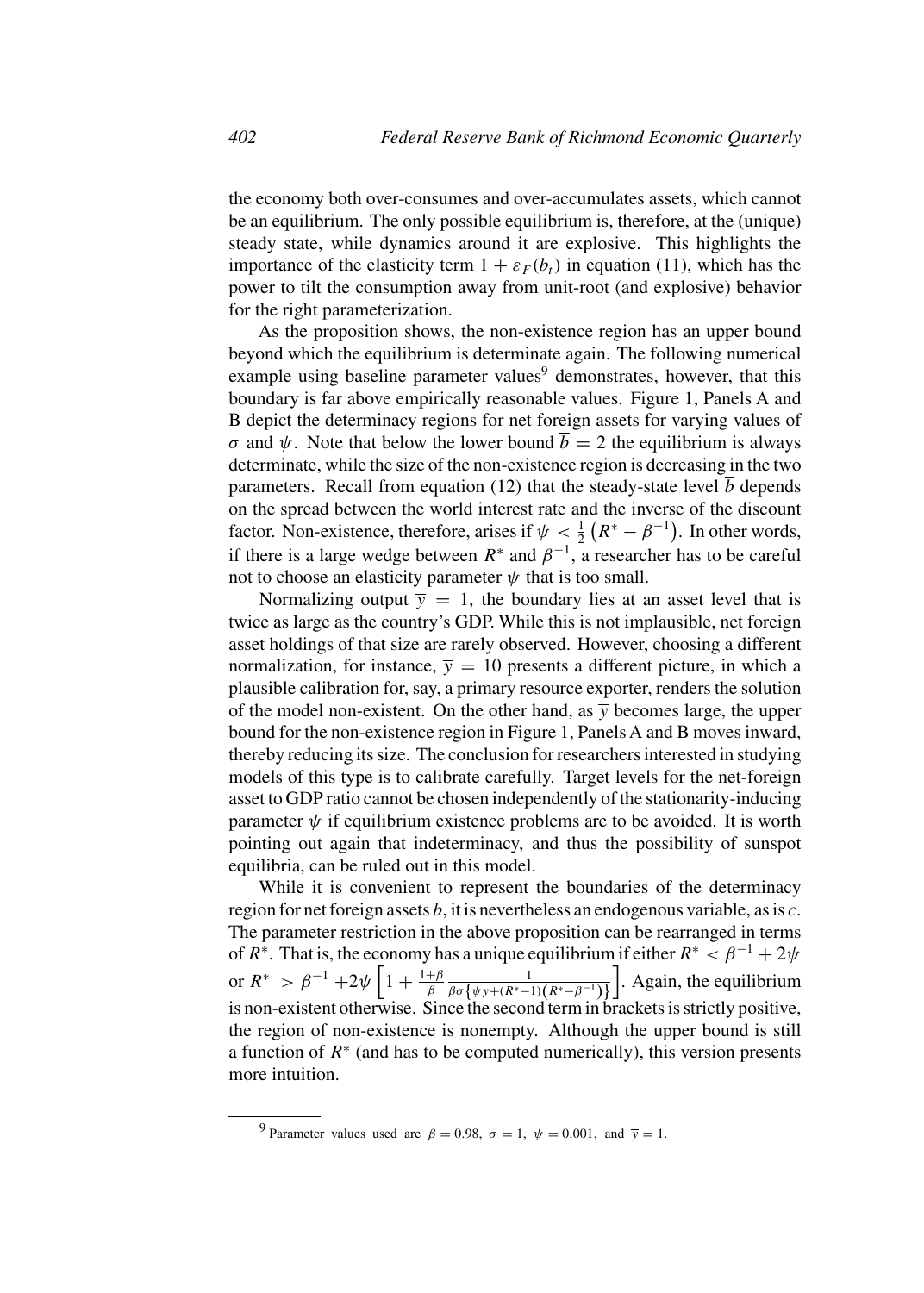the economy both over-consumes and over-accumulates assets, which cannot be an equilibrium. The only possible equilibrium is, therefore, at the (unique) steady state, while dynamics around it are explosive. This highlights the importance of the elasticity term  $1 + \varepsilon_F(b_t)$  in equation (11), which has the power to tilt the consumption away from unit-root (and explosive) behavior for the right parameterization.

As the proposition shows, the non-existence region has an upper bound beyond which the equilibrium is determinate again. The following numerical example using baseline parameter values<sup>9</sup> demonstrates, however, that this boundary is far above empirically reasonable values. Figure 1, Panels A and B depict the determinacy regions for net foreign assets for varying values of σ and ψ. Note that below the lower bound  $\overline{b} = 2$  the equilibrium is always determinate, while the size of the non-existence region is decreasing in the two parameters. Recall from equation (12) that the steady-state level  $\overline{b}$  depends on the spread between the world interest rate and the inverse of the discount factor. Non-existence, therefore, arises if  $\psi < \frac{1}{2} (R^* - \beta^{-1})$ . In other words, if there is a large wedge between  $R^*$  and  $\beta^{-1}$ , a researcher has to be careful not to choose an elasticity parameter  $\psi$  that is too small.

Normalizing output  $\overline{y} = 1$ , the boundary lies at an asset level that is twice as large as the country's GDP. While this is not implausible, net foreign asset holdings of that size are rarely observed. However, choosing a different normalization, for instance,  $\overline{y} = 10$  presents a different picture, in which a plausible calibration for, say, a primary resource exporter, renders the solution of the model non-existent. On the other hand, as  $\bar{y}$  becomes large, the upper bound for the non-existence region in Figure 1, Panels A and B moves inward, thereby reducing its size. The conclusion for researchers interested in studying models of this type is to calibrate carefully. Target levels for the net-foreign asset to GDP ratio cannot be chosen independently of the stationarity-inducing parameter  $\psi$  if equilibrium existence problems are to be avoided. It is worth pointing out again that indeterminacy, and thus the possibility of sunspot equilibria, can be ruled out in this model.

While it is convenient to represent the boundaries of the determinacy region for net foreign assets  $b$ , it is nevertheless an endogenous variable, as is  $c$ . The parameter restriction in the above proposition can be rearranged in terms of  $R^*$ . That is, the economy has a unique equilibrium if either  $R^* < \beta^{-1} + 2\psi$ or  $R^* > \beta^{-1} + 2\psi \left[1 + \frac{1+\beta}{\beta}\right]$  $\frac{1}{\beta\sigma\{\psi y + (R^* - 1)(R^* - \beta^{-1})\}}$ . Again, the equilibrium is non-existent otherwise. Since the second term in brackets is strictly positive, the region of non-existence is nonempty. Although the upper bound is still a function of  $R<sup>*</sup>$  (and has to be computed numerically), this version presents more intuition.

<sup>&</sup>lt;sup>9</sup> Parameter values used are  $\beta = 0.98$ ,  $\sigma = 1$ ,  $\psi = 0.001$ , and  $\bar{y} = 1$ .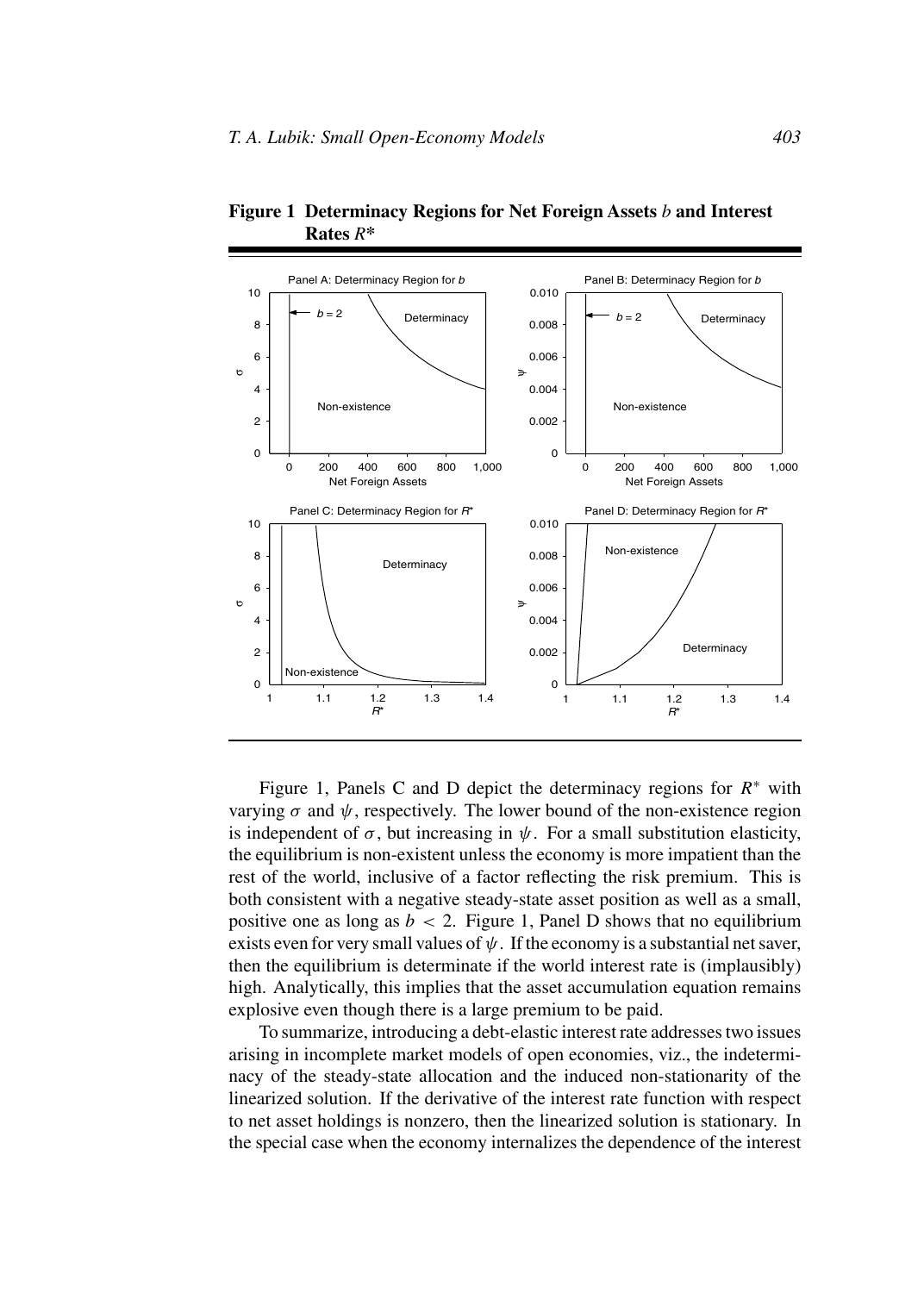

**Figure 1 Determinacy Regions for Net Foreign Assets** *b* **and Interest Rates** *R***\***

Figure 1, Panels C and D depict the determinacy regions for  $R^*$  with varying  $\sigma$  and  $\psi$ , respectively. The lower bound of the non-existence region is independent of  $\sigma$ , but increasing in  $\psi$ . For a small substitution elasticity, the equilibrium is non-existent unless the economy is more impatient than the rest of the world, inclusive of a factor reflecting the risk premium. This is both consistent with a negative steady-state asset position as well as a small, positive one as long as  $b < 2$ . Figure 1, Panel D shows that no equilibrium exists even for very small values of  $\psi$ . If the economy is a substantial net saver, then the equilibrium is determinate if the world interest rate is (implausibly) high. Analytically, this implies that the asset accumulation equation remains explosive even though there is a large premium to be paid.

To summarize, introducing a debt-elastic interest rate addresses two issues arising in incomplete market models of open economies, viz., the indeterminacy of the steady-state allocation and the induced non-stationarity of the linearized solution. If the derivative of the interest rate function with respect to net asset holdings is nonzero, then the linearized solution is stationary. In the special case when the economy internalizes the dependence of the interest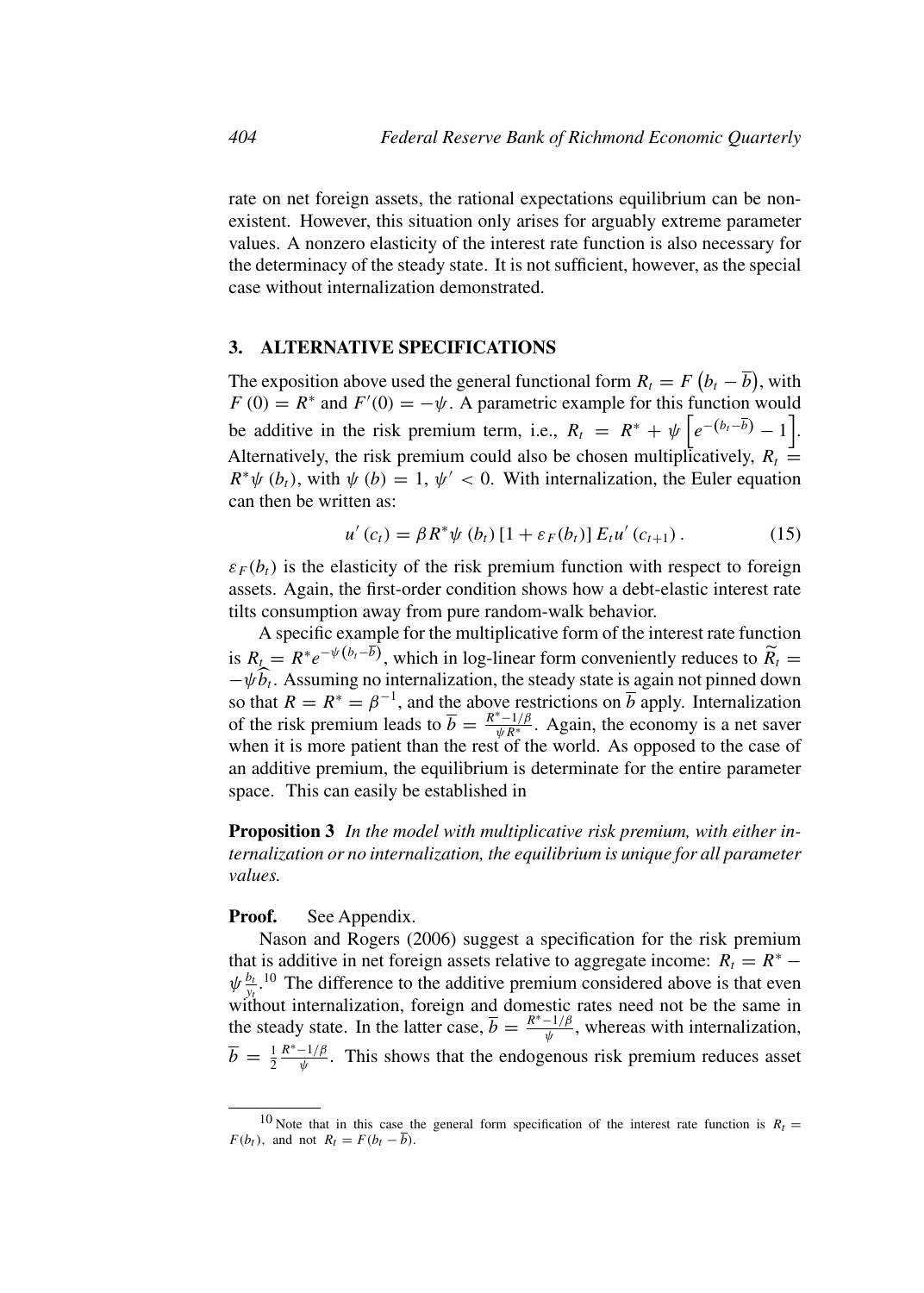rate on net foreign assets, the rational expectations equilibrium can be nonexistent. However, this situation only arises for arguably extreme parameter values. A nonzero elasticity of the interest rate function is also necessary for the determinacy of the steady state. It is not sufficient, however, as the special case without internalization demonstrated.

## **3. ALTERNATIVE SPECIFICATIONS**

The exposition above used the general functional form  $R_t = F(b_t - \overline{b})$ , with  $F(0) = R^*$  and  $F'(0) = -\psi$ . A parametric example for this function would be additive in the risk premium term, i.e.,  $R_t = R^* + \psi \left[ e^{-(b_t - \overline{b})} - 1 \right]$ . Alternatively, the risk premium could also be chosen multiplicatively,  $R_t =$  $R^*\psi(b_t)$ , with  $\psi(b) = 1, \psi' < 0$ . With internalization, the Euler equation can then be written as:

$$
u'(c_t) = \beta R^* \psi(b_t) [1 + \varepsilon_F(b_t)] E_t u'(c_{t+1}). \qquad (15)
$$

 $\varepsilon_F(b_t)$  is the elasticity of the risk premium function with respect to foreign assets. Again, the first-order condition shows how a debt-elastic interest rate tilts consumption away from pure random-walk behavior.

A specific example for the multiplicative form of the interest rate function is  $R_t = R^*e^{-\psi(b_t - \overline{b})}$ , which in log-linear form conveniently reduces to  $\widetilde{R}_t =$  $-\psi \hat{b}_t$ . Assuming no internalization, the steady state is again not pinned down so that  $R = R^* = \beta^{-1}$ , and the above restrictions on  $\overline{b}$  apply. Internalization of the risk premium leads to  $\overline{b} = \frac{R^* - 1/\beta}{\psi R^*}$ . Again, the economy is a net saver when it is more patient than the rest of the world. As opposed to the case of an additive premium, the equilibrium is determinate for the entire parameter space. This can easily be established in

**Proposition 3** *In the model with multiplicative risk premium, with either internalization or no internalization, the equilibrium is unique for all parameter values.*

## **Proof.** See Appendix.

Nason and Rogers (2006) suggest a specification for the risk premium that is additive in net foreign assets relative to aggregate income:  $R_t = R^*$  –  $\psi_{\frac{b_t}{y_t}}^{b_t}$ .<sup>10</sup> The difference to the additive premium considered above is that even without internalization, foreign and domestic rates need not be the same in the steady state. In the latter case,  $\overline{b} = \frac{R^* - 1/\beta}{\psi}$ , whereas with internalization,  $\overline{b} = \frac{1}{2}$  $\frac{R^* - 1/\beta}{\psi}$ . This shows that the endogenous risk premium reduces asset

<sup>&</sup>lt;sup>10</sup> Note that in this case the general form specification of the interest rate function is  $R_t =$  $F(b_t)$ , and not  $R_t = F(b_t - \overline{b})$ .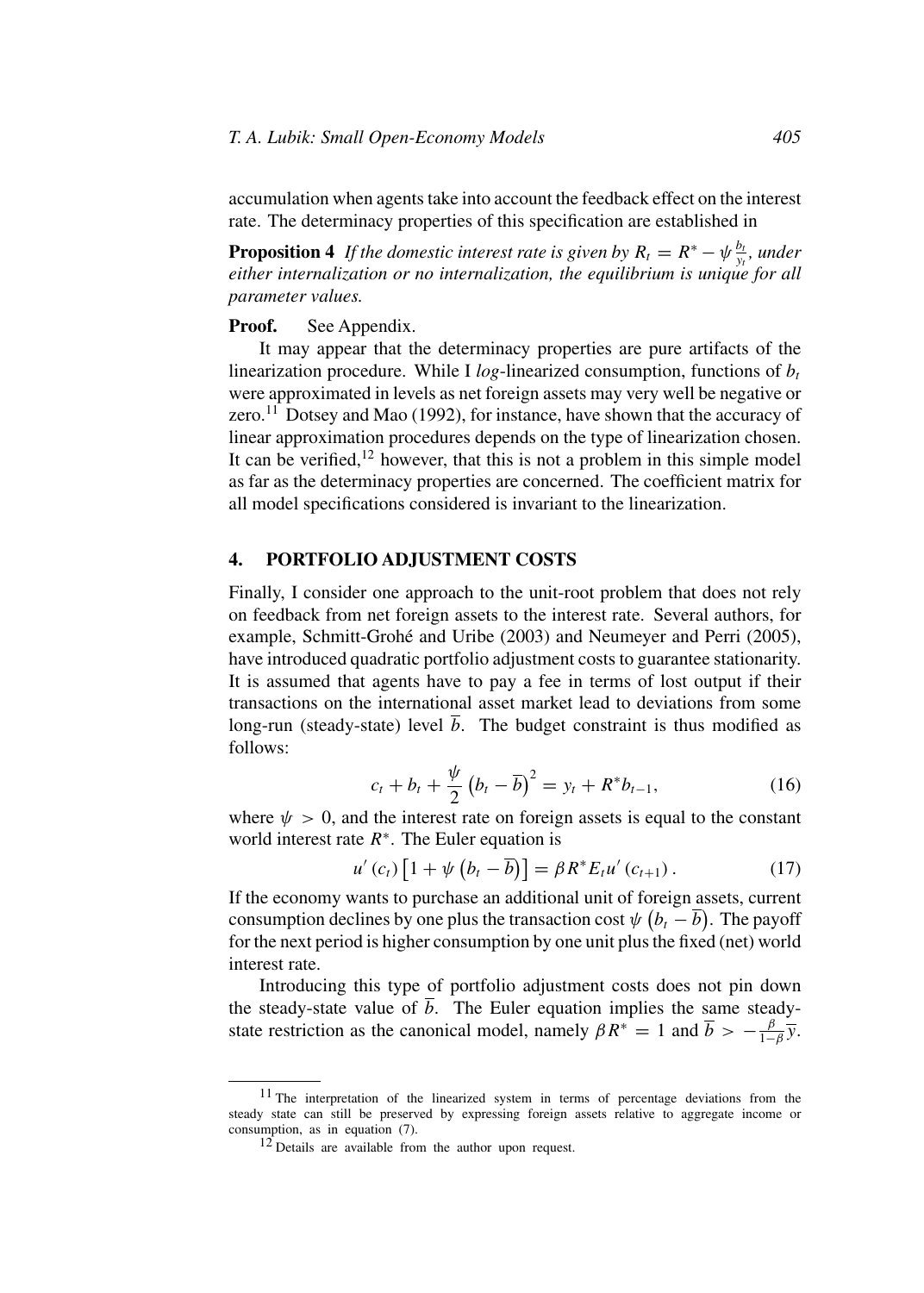accumulation when agents take into account the feedback effect on the interest rate. The determinacy properties of this specification are established in

**Proposition 4** *If the domestic interest rate is given by*  $R_t = R^* - \psi \frac{b_t}{y_t}$ , under *either internalization or no internalization, the equilibrium is unique for all parameter values.*

#### **Proof.** See Appendix.

It may appear that the determinacy properties are pure artifacts of the linearization procedure. While I  $log$ -linearized consumption, functions of  $b_t$ were approximated in levels as net foreign assets may very well be negative or zero.<sup>11</sup> Dotsey and Mao (1992), for instance, have shown that the accuracy of linear approximation procedures depends on the type of linearization chosen. It can be verified,<sup>12</sup> however, that this is not a problem in this simple model as far as the determinacy properties are concerned. The coefficient matrix for all model specifications considered is invariant to the linearization.

#### **4. PORTFOLIO ADJUSTMENT COSTS**

Finally, I consider one approach to the unit-root problem that does not rely on feedback from net foreign assets to the interest rate. Several authors, for example, Schmitt-Grohé and Uribe (2003) and Neumeyer and Perri (2005), have introduced quadratic portfolio adjustment costs to guarantee stationarity. It is assumed that agents have to pay a fee in terms of lost output if their transactions on the international asset market lead to deviations from some long-run (steady-state) level  $\overline{b}$ . The budget constraint is thus modified as follows:

$$
c_t + b_t + \frac{\psi}{2} (b_t - \overline{b})^2 = y_t + R^* b_{t-1},
$$
 (16)

where  $\psi > 0$ , and the interest rate on foreign assets is equal to the constant world interest rate  $R^*$ . The Euler equation is

$$
u'(c_t)\left[1+\psi\left(b_t-\overline{b}\right)\right]=\beta R^*E_t u'(c_{t+1}).\tag{17}
$$

If the economy wants to purchase an additional unit of foreign assets, current consumption declines by one plus the transaction cost  $\psi\left(b_{t}-\overline{b}\right)$ . The payoff for the next period is higher consumption by one unit plus the fixed (net) world interest rate.

Introducing this type of portfolio adjustment costs does not pin down the steady-state value of  $\overline{b}$ . The Euler equation implies the same steadystate restriction as the canonical model, namely  $\beta R^* = 1$  and  $\overline{b} > -\frac{\beta}{1-\beta} \overline{y}$ .

<sup>&</sup>lt;sup>11</sup> The interpretation of the linearized system in terms of percentage deviations from the steady state can still be preserved by expressing foreign assets relative to aggregate income or consumption, as in equation (7).

 $12$  Details are available from the author upon request.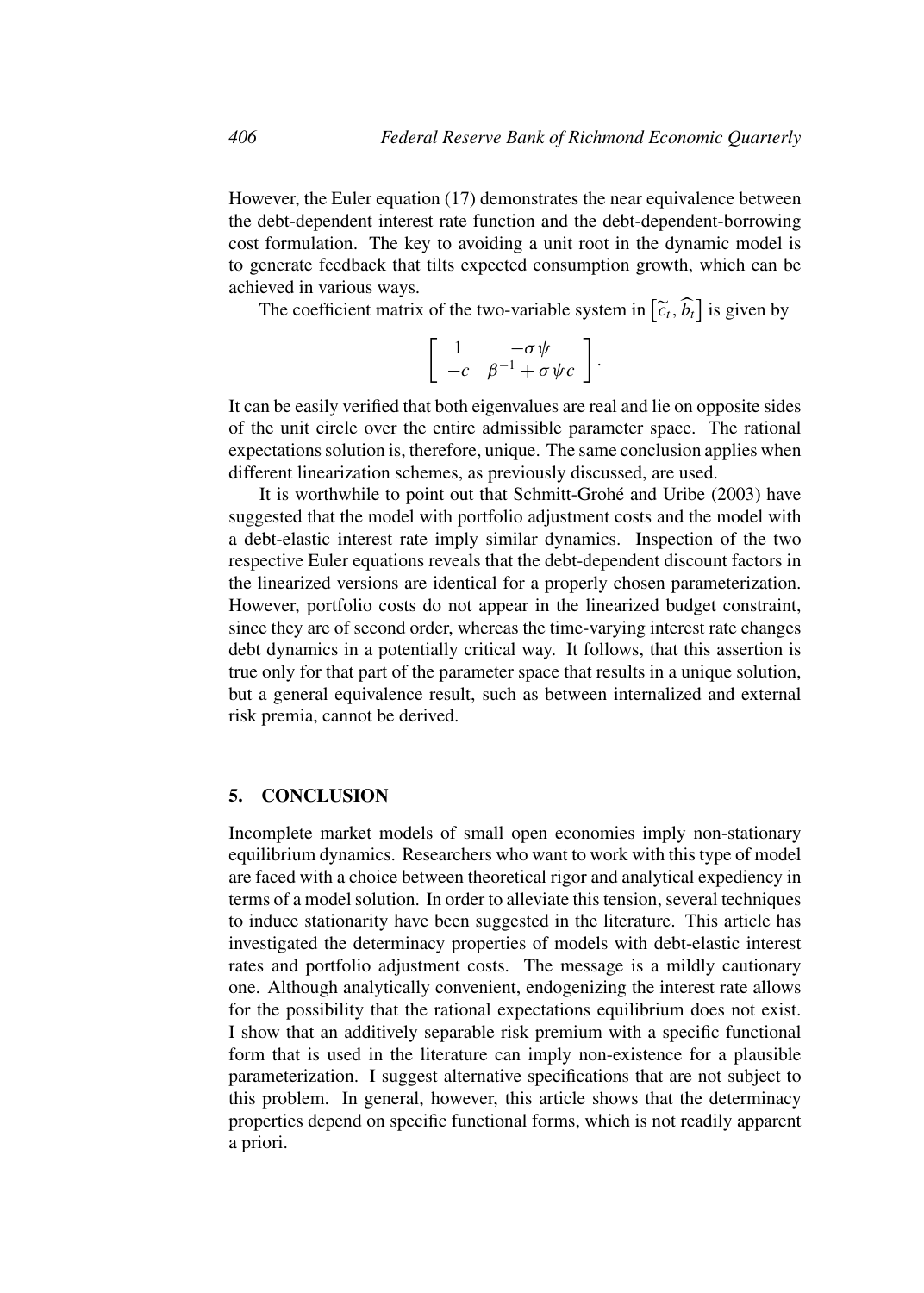However, the Euler equation (17) demonstrates the near equivalence between the debt-dependent interest rate function and the debt-dependent-borrowing cost formulation. The key to avoiding a unit root in the dynamic model is to generate feedback that tilts expected consumption growth, which can be achieved in various ways.

The coefficient matrix of the two-variable system in  $[\tilde{c}_t, \tilde{b}_t]$  is given by

$$
\left[\begin{array}{cc} 1 & -\sigma \psi \\ -\overline{c} & \beta^{-1} + \sigma \psi \overline{c} \end{array}\right].
$$

It can be easily verified that both eigenvalues are real and lie on opposite sides of the unit circle over the entire admissible parameter space. The rational expectations solution is, therefore, unique. The same conclusion applies when different linearization schemes, as previously discussed, are used.

It is worthwhile to point out that Schmitt-Grohé and Uribe (2003) have suggested that the model with portfolio adjustment costs and the model with a debt-elastic interest rate imply similar dynamics. Inspection of the two respective Euler equations reveals that the debt-dependent discount factors in the linearized versions are identical for a properly chosen parameterization. However, portfolio costs do not appear in the linearized budget constraint, since they are of second order, whereas the time-varying interest rate changes debt dynamics in a potentially critical way. It follows, that this assertion is true only for that part of the parameter space that results in a unique solution, but a general equivalence result, such as between internalized and external risk premia, cannot be derived.

## **5. CONCLUSION**

Incomplete market models of small open economies imply non-stationary equilibrium dynamics. Researchers who want to work with this type of model are faced with a choice between theoretical rigor and analytical expediency in terms of a model solution. In order to alleviate this tension, several techniques to induce stationarity have been suggested in the literature. This article has investigated the determinacy properties of models with debt-elastic interest rates and portfolio adjustment costs. The message is a mildly cautionary one. Although analytically convenient, endogenizing the interest rate allows for the possibility that the rational expectations equilibrium does not exist. I show that an additively separable risk premium with a specific functional form that is used in the literature can imply non-existence for a plausible parameterization. I suggest alternative specifications that are not subject to this problem. In general, however, this article shows that the determinacy properties depend on specific functional forms, which is not readily apparent a priori.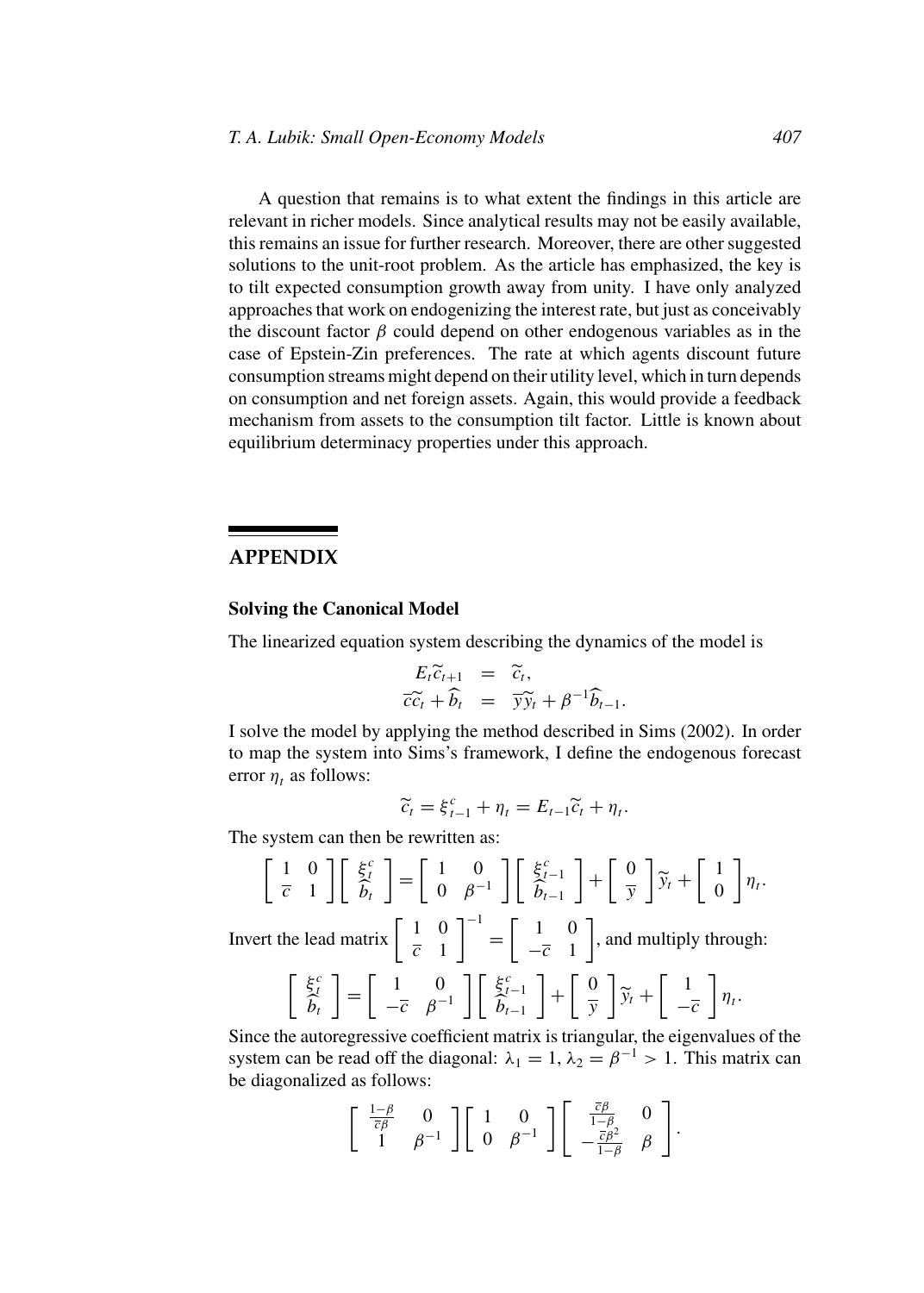A question that remains is to what extent the findings in this article are relevant in richer models. Since analytical results may not be easily available, this remains an issue for further research. Moreover, there are other suggested solutions to the unit-root problem. As the article has emphasized, the key is to tilt expected consumption growth away from unity. I have only analyzed approaches that work on endogenizing the interest rate, but just as conceivably the discount factor  $\beta$  could depend on other endogenous variables as in the case of Epstein-Zin preferences. The rate at which agents discount future consumption streams might depend on their utility level, which in turn depends on consumption and net foreign assets. Again, this would provide a feedback mechanism from assets to the consumption tilt factor. Little is known about equilibrium determinacy properties under this approach.

# **APPENDIX**

## **Solving the Canonical Model**

The linearized equation system describing the dynamics of the model is

$$
E_t \widetilde{c}_{t+1} = \widetilde{c}_t, \n\widetilde{c}\widetilde{c}_t + \widehat{b}_t = \overline{y}\widetilde{y}_t + \beta^{-1} \widehat{b}_{t-1}.
$$

I solve the model by applying the method described in Sims (2002). In order to map the system into Sims's framework, I define the endogenous forecast error  $\eta_t$  as follows:

$$
\widetilde{c}_t = \xi_{t-1}^c + \eta_t = E_{t-1}\widetilde{c}_t + \eta_t.
$$

The system can then be rewritten as:

$$
\begin{bmatrix} 1 & 0 \ \overline{c} & 1 \end{bmatrix} \begin{bmatrix} \xi_t^c \\ \widehat{b}_t \end{bmatrix} = \begin{bmatrix} 1 & 0 \\ 0 & \beta^{-1} \end{bmatrix} \begin{bmatrix} \xi_{t-1}^c \\ \widehat{b}_{t-1} \end{bmatrix} + \begin{bmatrix} 0 \\ \overline{y} \end{bmatrix} \widetilde{y}_t + \begin{bmatrix} 1 \\ 0 \end{bmatrix} \eta_t.
$$

Invert the lead matrix  $\begin{bmatrix} 1 & 0 \\ \frac{c}{c} & 1 \end{bmatrix}$  $\begin{bmatrix} 1 & 0 \\ 0 & -1 \end{bmatrix}$  $-\overline{c}$  1 , and multiply through:

$$
\begin{bmatrix} \xi_t^c \\ \hat{b}_t \end{bmatrix} = \begin{bmatrix} 1 & 0 \\ -\overline{c} & \beta^{-1} \end{bmatrix} \begin{bmatrix} \xi_{t-1}^c \\ \hat{b}_{t-1} \end{bmatrix} + \begin{bmatrix} 0 \\ \overline{y} \end{bmatrix} \widetilde{y}_t + \begin{bmatrix} 1 \\ -\overline{c} \end{bmatrix} \eta_t.
$$

Since the autoregressive coefficient matrix is triangular, the eigenvalues of the system can be read off the diagonal:  $\lambda_1 = 1$ ,  $\lambda_2 = \beta^{-1} > 1$ . This matrix can be diagonalized as follows:

$$
\left[\begin{array}{cc} \frac{1-\beta}{\bar{c}\beta} & 0 \\ 1 & \beta^{-1} \end{array}\right] \left[\begin{array}{cc} 1 & 0 \\ 0 & \beta^{-1} \end{array}\right] \left[\begin{array}{cc} \frac{\bar{c}\beta}{1-\beta} & 0 \\ -\frac{\bar{c}\beta^2}{1-\beta} & \beta \end{array}\right].
$$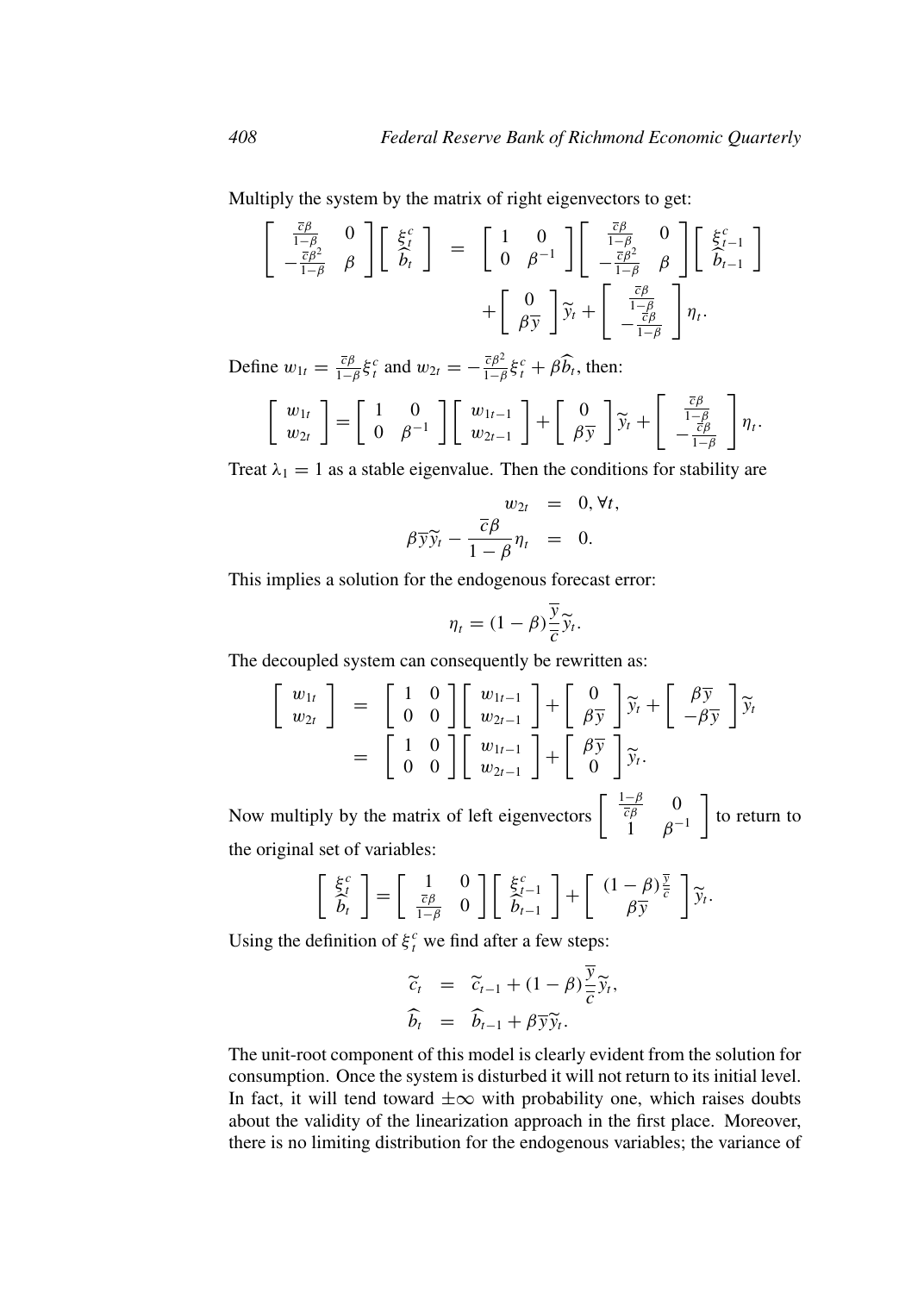Multiply the system by the matrix of right eigenvectors to get:

$$
\begin{bmatrix}\n\frac{\bar{c}\beta}{1-\beta} & 0 \\
-\frac{\bar{c}\beta^2}{1-\beta} & \beta\n\end{bmatrix}\n\begin{bmatrix}\n\xi_t^c \\
\delta_t\n\end{bmatrix} = \n\begin{bmatrix}\n1 & 0 \\
0 & \beta^{-1}\n\end{bmatrix}\n\begin{bmatrix}\n\frac{\bar{c}\beta}{1-\beta} & 0 \\
-\frac{\bar{c}\beta^2}{1-\beta} & \beta\n\end{bmatrix}\n\begin{bmatrix}\n\xi_{t-1}^c \\
\delta_{t-1}\n\end{bmatrix} + \n\begin{bmatrix}\n0 \\
\beta\overline{y}\n\end{bmatrix}\n\tilde{y}_t + \n\begin{bmatrix}\n\frac{\bar{c}\beta}{1-\beta} \\
-\frac{\bar{c}\beta}{1-\beta}\n\end{bmatrix}\eta_t.
$$

Define  $w_{1t} = \frac{\bar{c}\beta}{1-\beta}\xi_t^c$  and  $w_{2t} = -\frac{\bar{c}\beta^2}{1-\beta}\xi_t^c + \beta\widehat{b}_t$ , then:

$$
\begin{bmatrix} w_{1t} \\ w_{2t} \end{bmatrix} = \begin{bmatrix} 1 & 0 \\ 0 & \beta^{-1} \end{bmatrix} \begin{bmatrix} w_{1t-1} \\ w_{2t-1} \end{bmatrix} + \begin{bmatrix} 0 \\ \beta \overline{y} \end{bmatrix} \widetilde{y}_t + \begin{bmatrix} \frac{\overline{c}\beta}{1-\beta} \\ -\frac{\overline{c}\beta}{1-\beta} \end{bmatrix} \eta_t.
$$

Treat  $\lambda_1 = 1$  as a stable eigenvalue. Then the conditions for stability are

$$
w_{2t} = 0, \forall t,
$$
  

$$
\beta \overline{y} \widetilde{y}_t - \frac{\overline{c} \beta}{1 - \beta} \eta_t = 0.
$$

This implies a solution for the endogenous forecast error:

$$
\eta_t = (1 - \beta) \frac{\overline{y}}{\overline{c}} \widetilde{y}_t.
$$

The decoupled system can consequently be rewritten as:

$$
\begin{bmatrix} w_{1t} \\ w_{2t} \end{bmatrix} = \begin{bmatrix} 1 & 0 \\ 0 & 0 \end{bmatrix} \begin{bmatrix} w_{1t-1} \\ w_{2t-1} \end{bmatrix} + \begin{bmatrix} 0 \\ \beta \overline{y} \end{bmatrix} \widetilde{y}_t + \begin{bmatrix} \beta \overline{y} \\ -\beta \overline{y} \end{bmatrix} \widetilde{y}_t
$$

$$
= \begin{bmatrix} 1 & 0 \\ 0 & 0 \end{bmatrix} \begin{bmatrix} w_{1t-1} \\ w_{2t-1} \end{bmatrix} + \begin{bmatrix} \beta \overline{y} \\ 0 \end{bmatrix} \widetilde{y}_t.
$$

Now multiply by the matrix of left eigenvectors  $\begin{bmatrix} \frac{1-\beta}{\bar{c}\beta} & 0 \\ 0 & 0 \end{bmatrix}$  $1 \beta^{-1}$  $\int$  to return to the original set of variables:

$$
\begin{bmatrix} \xi_t^c \\ \hat{b}_t \end{bmatrix} = \begin{bmatrix} 1 & 0 \\ \frac{\bar{c}\beta}{1-\beta} & 0 \end{bmatrix} \begin{bmatrix} \xi_{t-1}^c \\ \hat{b}_{t-1} \end{bmatrix} + \begin{bmatrix} (1-\beta)\frac{\bar{y}}{\bar{c}} \\ \beta\bar{y} \end{bmatrix} \tilde{y}_t.
$$

Using the definition of  $\xi_i^c$  we find after a few steps:

$$
\begin{aligned}\n\widetilde{c}_t &= \widetilde{c}_{t-1} + (1 - \beta) \frac{\overline{y}}{\overline{c}} \widetilde{y}_t, \\
\widehat{b}_t &= \widehat{b}_{t-1} + \beta \overline{y} \widetilde{y}_t.\n\end{aligned}
$$

The unit-root component of this model is clearly evident from the solution for consumption. Once the system is disturbed it will not return to its initial level. In fact, it will tend toward  $\pm \infty$  with probability one, which raises doubts about the validity of the linearization approach in the first place. Moreover, there is no limiting distribution for the endogenous variables; the variance of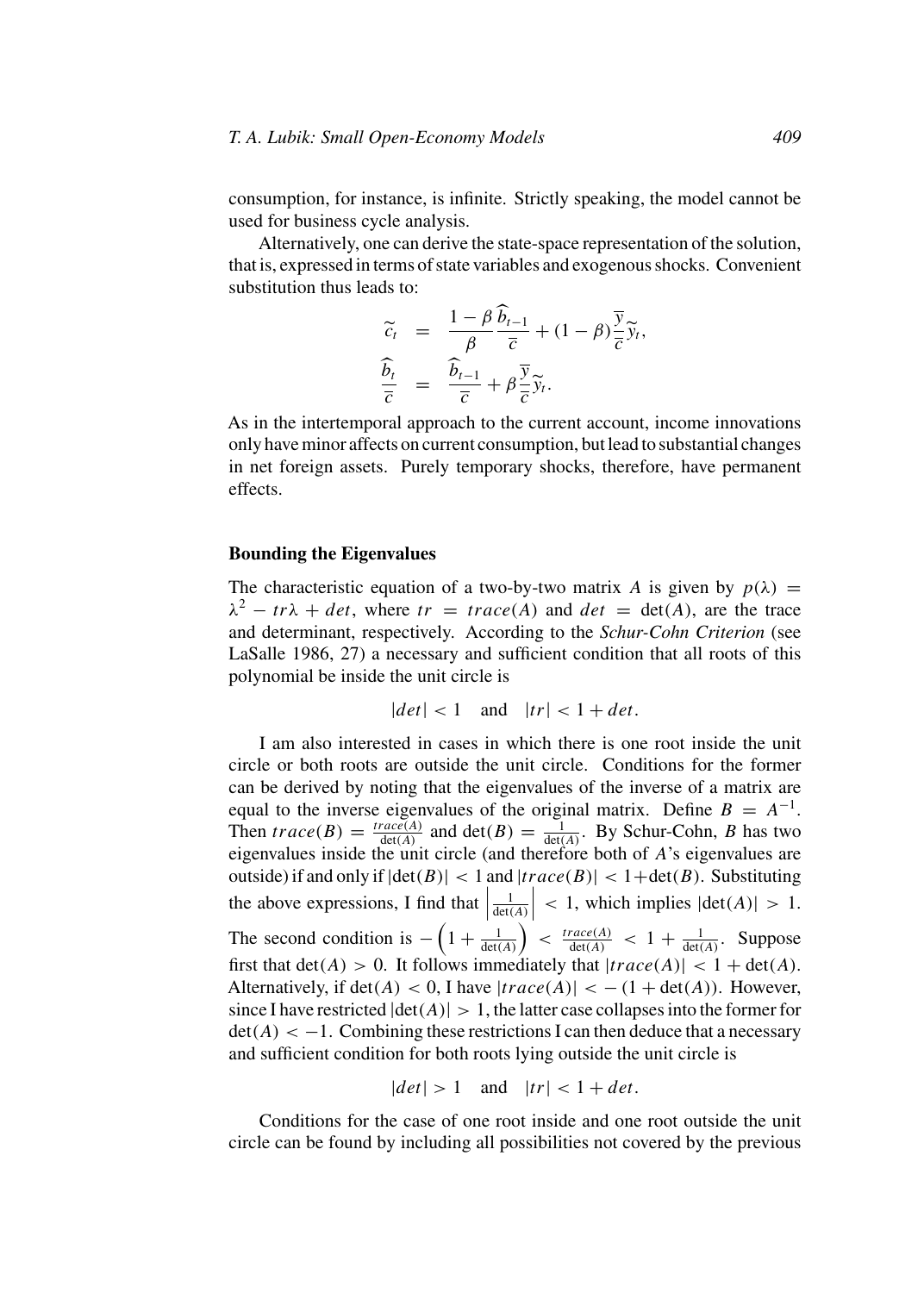consumption, for instance, is infinite. Strictly speaking, the model cannot be used for business cycle analysis.

Alternatively, one can derive the state-space representation of the solution, that is, expressed in terms of state variables and exogenous shocks. Convenient substitution thus leads to:

$$
\begin{array}{rcl}\n\widetilde{c}_t &=& \frac{1-\beta}{\beta} \frac{\widetilde{b}_{t-1}}{\overline{c}} + (1-\beta) \frac{\overline{y}}{\overline{c}} \widetilde{y}_t, \\
\frac{\widehat{b}_t}{\overline{c}} &=& \frac{\widehat{b}_{t-1}}{\overline{c}} + \beta \frac{\overline{y}}{\overline{c}} \widetilde{y}_t.\n\end{array}
$$

As in the intertemporal approach to the current account, income innovations only have minor affects on current consumption, but lead to substantial changes in net foreign assets. Purely temporary shocks, therefore, have permanent effects.

#### **Bounding the Eigenvalues**

The characteristic equation of a two-by-two matrix A is given by  $p(\lambda)$  =  $\lambda^2 - tr\lambda + det$ , where  $tr = trace(A)$  and  $det = det(A)$ , are the trace and determinant, respectively. According to the *Schur-Cohn Criterion* (see LaSalle 1986, 27) a necessary and sufficient condition that all roots of this polynomial be inside the unit circle is

$$
|det| < 1 \quad \text{and} \quad |tr| < 1 + det.
$$

I am also interested in cases in which there is one root inside the unit circle or both roots are outside the unit circle. Conditions for the former can be derived by noting that the eigenvalues of the inverse of a matrix are equal to the inverse eigenvalues of the original matrix. Define  $B = A^{-1}$ . Then  $trace(B) = \frac{trace(A)}{det(A)}$  and  $det(B) = \frac{1}{det(A)}$ . By Schur-Cohn, B has two eigenvalues inside the unit circle (and therefore both of A's eigenvalues are outside) if and only if  $|\det(B)| < 1$  and  $|trace(B)| < 1+\det(B)$ . Substituting the above expressions, I find that  $\left| \right|$ 1  $\frac{1}{\det(A)}\Bigg|$  $< 1$ , which implies  $|\det(A)| > 1$ . The second condition is  $-\left(1+\frac{1}{\det(A)}\right) < \frac{trace(A)}{det(A)} < 1+\frac{1}{\det(A)}$ . Suppose first that  $det(A) > 0$ . It follows immediately that  $|trace(A)| < 1 + det(A)$ . Alternatively, if  $det(A) < 0$ , I have  $|trace(A)| < -(1 + det(A))$ . However, since I have restricted  $|det(A)| > 1$ , the latter case collapses into the former for  $\det(A) < -1$ . Combining these restrictions I can then deduce that a necessary and sufficient condition for both roots lying outside the unit circle is

$$
|det| > 1 \quad \text{and} \quad |tr| < 1 + det.
$$

Conditions for the case of one root inside and one root outside the unit circle can be found by including all possibilities not covered by the previous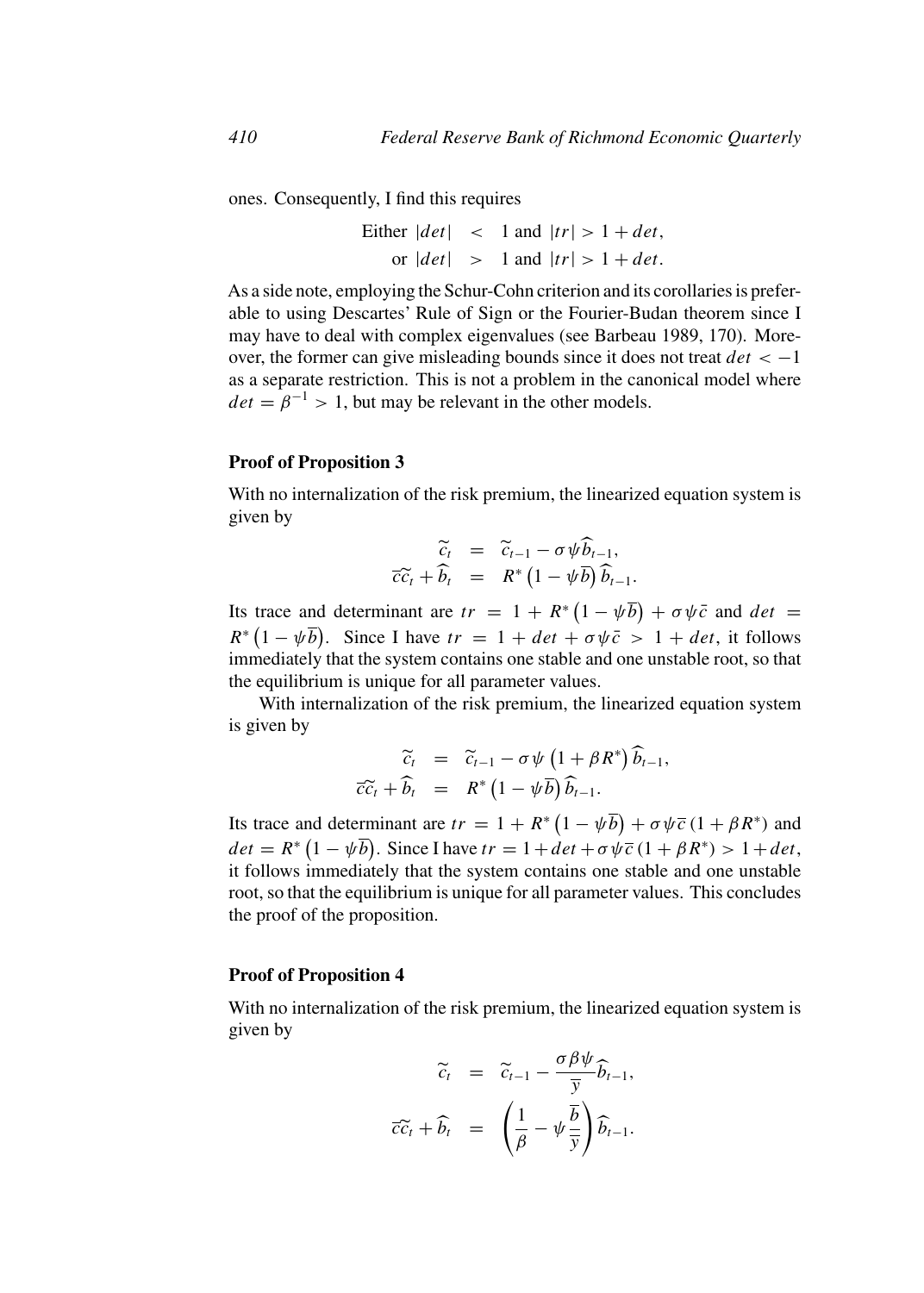ones. Consequently, I find this requires

Either  $|det| \leq 1$  and  $|tr| > 1 + det$ , or  $|det|$  > 1 and  $|tr|$  > 1 + det.

As a side note, employing the Schur-Cohn criterion and its corollaries is preferable to using Descartes' Rule of Sign or the Fourier-Budan theorem since I may have to deal with complex eigenvalues (see Barbeau 1989, 170). Moreover, the former can give misleading bounds since it does not treat  $det < -1$ as a separate restriction. This is not a problem in the canonical model where  $det = \hat{\beta}^{-1} > 1$ , but may be relevant in the other models.

#### **Proof of Proposition 3**

With no internalization of the risk premium, the linearized equation system is given by

$$
\begin{array}{rcl}\n\widetilde{c}_t &=& \widetilde{c}_{t-1} - \sigma \psi \widehat{b}_{t-1}, \\
\overline{c}\widetilde{c}_t + \widehat{b}_t &=& R^* \left(1 - \psi \overline{b}\right) \widehat{b}_{t-1}.\n\end{array}
$$

Its trace and determinant are  $tr = 1 + R^* (1 - \psi \overline{b}) + \sigma \psi \overline{c}$  and  $det =$  $R^* (1 - \psi \overline{b})$ . Since I have  $tr = 1 + det + \sigma \psi \overline{c} > 1 + det$ , it follows immediately that the system contains one stable and one unstable root, so that the equilibrium is unique for all parameter values.

With internalization of the risk premium, the linearized equation system is given by

$$
\begin{array}{rcl}\n\widetilde{c}_t & = & \widetilde{c}_{t-1} - \sigma \psi \left( 1 + \beta R^* \right) \widehat{b}_{t-1}, \\
\overline{c}\widetilde{c}_t + \widehat{b}_t & = & R^* \left( 1 - \psi \overline{b} \right) \widehat{b}_{t-1}.\n\end{array}
$$

Its trace and determinant are  $tr = 1 + R^* (1 - \psi \overline{b}) + \sigma \psi \overline{c} (1 + \beta R^*)$  and  $det = R^* (1 - \psi \overline{b})$ . Since I have  $tr = 1 + det + \sigma \psi \overline{c} (1 + \beta R^*) > 1 + det$ , it follows immediately that the system contains one stable and one unstable root, so that the equilibrium is unique for all parameter values. This concludes the proof of the proposition.

#### **Proof of Proposition 4**

With no internalization of the risk premium, the linearized equation system is given by

$$
\widetilde{c}_t = \widetilde{c}_{t-1} - \frac{\sigma \beta \psi}{\overline{y}} \widehat{b}_{t-1},
$$

$$
\overline{c}\widetilde{c}_t + \widehat{b}_t = \left(\frac{1}{\beta} - \psi \frac{\overline{b}}{\overline{y}}\right) \widehat{b}_{t-1}.
$$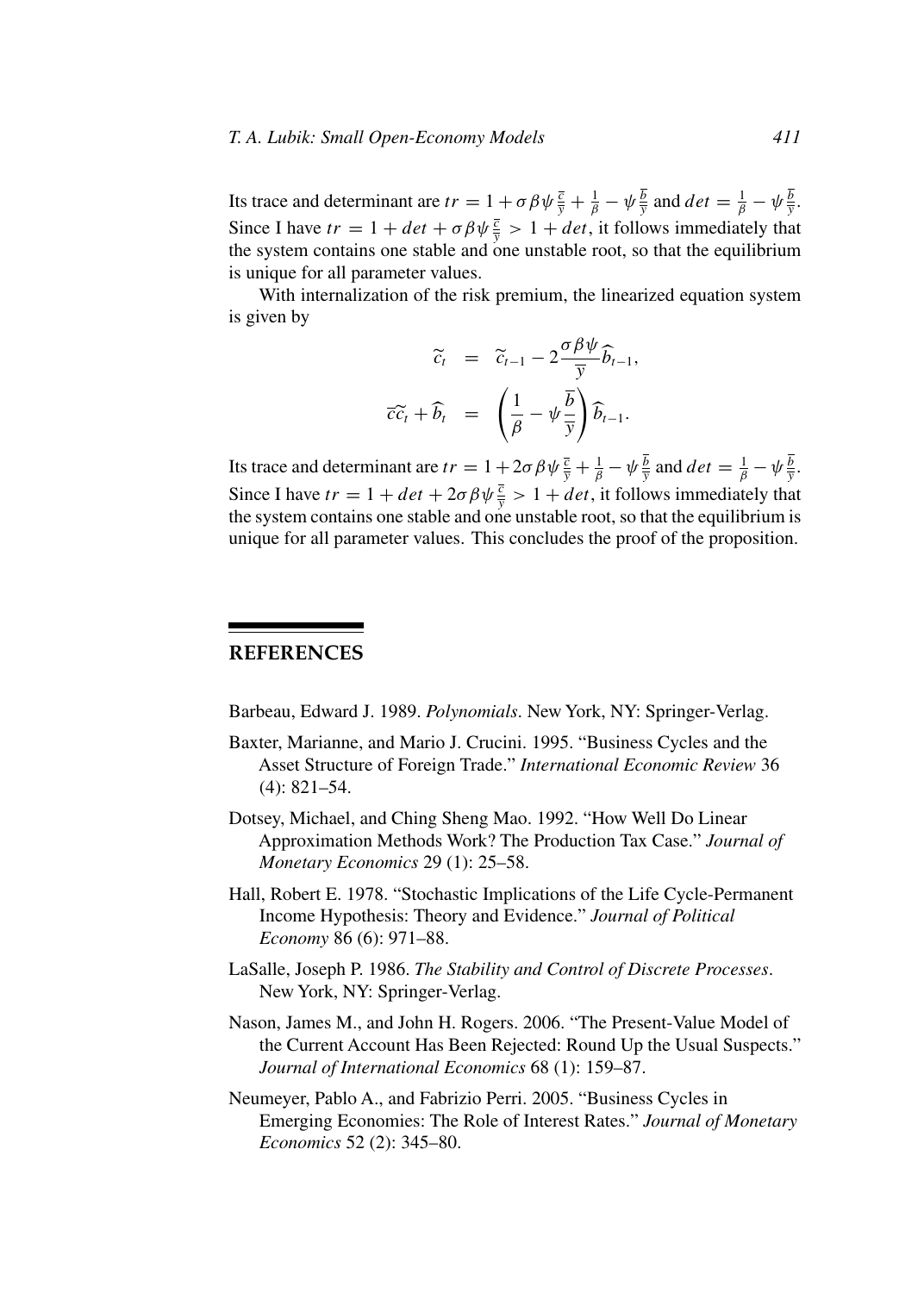Its trace and determinant are  $tr = 1 + \sigma \beta \psi \frac{\overline{c}}{\overline{y}} + \frac{1}{\beta} - \psi \frac{b}{\overline{y}}$  and  $det = \frac{1}{\beta} - \psi \frac{b}{\overline{y}}$ . Since I have  $tr = 1 + det + \sigma \beta \psi \frac{\overline{c}}{y} > 1 + det$ , it follows immediately that the system contains one stable and one unstable root, so that the equilibrium is unique for all parameter values.

With internalization of the risk premium, the linearized equation system is given by

$$
\widetilde{c}_t = \widetilde{c}_{t-1} - 2 \frac{\sigma \beta \psi}{\overline{y}} \widehat{b}_{t-1},
$$

$$
\overline{c}\widetilde{c}_t + \widehat{b}_t = \left(\frac{1}{\beta} - \psi \frac{\overline{b}}{\overline{y}}\right) \widehat{b}_{t-1}.
$$

Its trace and determinant are  $tr = 1 + 2\sigma \beta \psi \frac{\overline{c}}{\overline{y}} + \frac{1}{\beta} - \psi \frac{b}{\overline{y}}$  and  $det = \frac{1}{\beta} - \psi \frac{b}{\overline{y}}$ . Since I have  $tr = 1 + det + 2\sigma \beta \psi \frac{\overline{c}}{\overline{y}} > 1 + det$ , it follows immediately that the system contains one stable and one unstable root, so that the equilibrium is unique for all parameter values. This concludes the proof of the proposition.

## **REFERENCES**

Barbeau, Edward J. 1989. *Polynomials*. New York, NY: Springer-Verlag.

- Baxter, Marianne, and Mario J. Crucini. 1995. "Business Cycles and the Asset Structure of Foreign Trade." *International Economic Review* 36 (4): 821–54.
- Dotsey, Michael, and Ching Sheng Mao. 1992. "How Well Do Linear Approximation Methods Work? The Production Tax Case." *Journal of Monetary Economics* 29 (1): 25–58.
- Hall, Robert E. 1978. "Stochastic Implications of the Life Cycle-Permanent Income Hypothesis: Theory and Evidence." *Journal of Political Economy* 86 (6): 971–88.
- LaSalle, Joseph P. 1986. *The Stability and Control of Discrete Processes*. New York, NY: Springer-Verlag.
- Nason, James M., and John H. Rogers. 2006. "The Present-Value Model of the Current Account Has Been Rejected: Round Up the Usual Suspects." *Journal of International Economics* 68 (1): 159–87.
- Neumeyer, Pablo A., and Fabrizio Perri. 2005. "Business Cycles in Emerging Economies: The Role of Interest Rates." *Journal of Monetary Economics* 52 (2): 345–80.